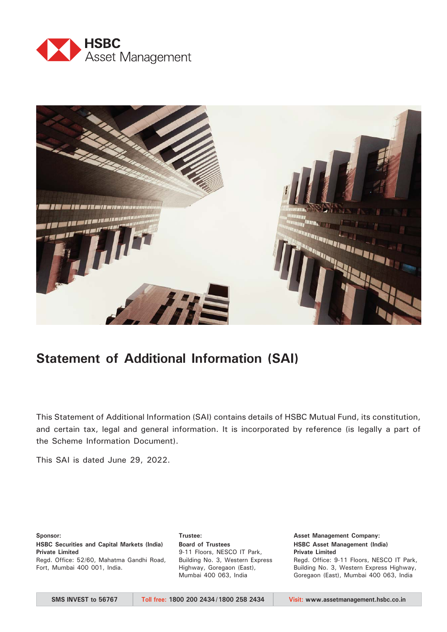



# **Statement of Additional Information (SAI)**

This Statement of Additional Information (SAI) contains details of HSBC Mutual Fund, its constitution, and certain tax, legal and general information. It is incorporated by reference (is legally a part of the Scheme Information Document).

This SAI is dated June 29, 2022.

#### **Sponsor:**

**HSBC Securities and Capital Markets (India) Private Limited**

Regd. Office: 52/60, Mahatma Gandhi Road, Fort, Mumbai 400 001, India.

**Board of Trustees** 9-11 Floors, NESCO IT Park, Building No. 3, Western Express Highway, Goregaon (East), Mumbai 400 063, India

**Asset Management Company: HSBC Asset Management (India) Private Limited** Regd. Office: 9-11 Floors, NESCO IT Park, Building No. 3, Western Express Highway, Goregaon (East), Mumbai 400 063, India

**Trustee:**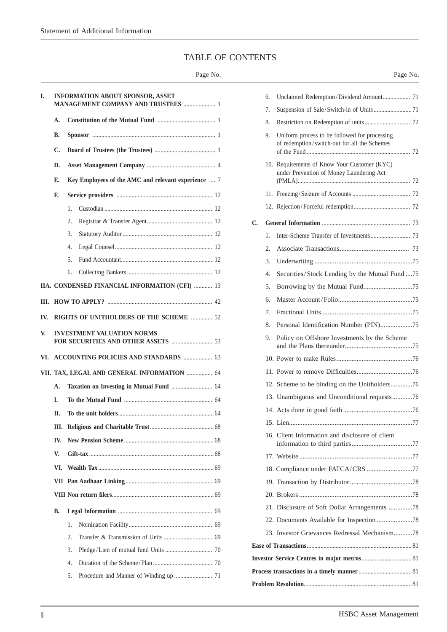# TABLE OF CONTENTS

|     |                                                           | Page No. |                |    |                                                                                          | Page No. |
|-----|-----------------------------------------------------------|----------|----------------|----|------------------------------------------------------------------------------------------|----------|
| I.  | <b>INFORMATION ABOUT SPONSOR, ASSET</b>                   |          |                | 6. | Unclaimed Redemption/Dividend Amount 71                                                  |          |
|     | MANAGEMENT COMPANY AND TRUSTEES  1                        |          |                | 7. |                                                                                          |          |
|     | А.                                                        |          |                | 8. |                                                                                          |          |
|     | В.                                                        |          |                | 9. | Uniform process to be followed for processing                                            |          |
|     | C.                                                        |          |                |    | of redemption/switch-out for all the Schemes                                             |          |
|     | D.                                                        |          |                |    | 10. Requirements of Know Your Customer (KYC)<br>under Prevention of Money Laundering Act |          |
|     | Key Employees of the AMC and relevant experience  7<br>Е. |          |                |    |                                                                                          |          |
|     | F.                                                        |          |                |    |                                                                                          |          |
|     | 1.                                                        |          |                |    |                                                                                          |          |
|     | 2.                                                        |          | $\mathbf{C}$ . |    |                                                                                          |          |
|     | 3.                                                        |          |                | 1. |                                                                                          |          |
|     | 4.                                                        |          |                | 2. |                                                                                          |          |
|     | 5.                                                        |          |                | 3. |                                                                                          |          |
|     | 6.                                                        |          |                | 4. | Securities/Stock Lending by the Mutual Fund 75                                           |          |
|     | IIA. CONDENSED FINANCIAL INFORMATION (CFI)  13            |          |                | 5. |                                                                                          |          |
|     |                                                           |          |                | 6. |                                                                                          |          |
|     | RIGHTS OF UNITHOLDERS OF THE SCHEME  52                   |          |                | 7. |                                                                                          |          |
| IV. |                                                           |          |                | 8. | Personal Identification Number (PIN)75                                                   |          |
| V.  | <b>INVESTMENT VALUATION NORMS</b>                         |          |                |    | 9. Policy on Offshore Investments by the Scheme                                          |          |
|     | VI. ACCOUNTING POLICIES AND STANDARDS  63                 |          |                |    |                                                                                          |          |
|     | VII. TAX, LEGAL AND GENERAL INFORMATION  64               |          |                |    |                                                                                          |          |
|     | А.                                                        |          |                |    | 12. Scheme to be binding on the Unitholders76                                            |          |
|     | I.                                                        |          |                |    | 13. Unambiguous and Unconditional requests76                                             |          |
|     | П.                                                        |          |                |    |                                                                                          |          |
|     | Ш.                                                        |          |                |    |                                                                                          |          |
|     | IV.                                                       |          |                |    | 16. Client Information and disclosure of client                                          |          |
|     |                                                           |          |                |    |                                                                                          |          |
|     | V.                                                        |          |                |    |                                                                                          |          |
|     | VI.                                                       |          |                |    | 18. Compliance under FATCA/CRS 77                                                        |          |
|     |                                                           |          |                |    |                                                                                          |          |
|     |                                                           |          |                |    |                                                                                          |          |
|     | <b>B.</b>                                                 |          |                |    | 21. Disclosure of Soft Dollar Arrangements 78                                            |          |
|     | 1.                                                        |          |                |    |                                                                                          |          |
|     | 2.                                                        |          |                |    | 23. Investor Grievances Redressal Mechanism78                                            |          |
|     | 3.                                                        |          |                |    |                                                                                          |          |
|     | 4.                                                        |          |                |    |                                                                                          |          |
|     | 5.                                                        |          |                |    |                                                                                          |          |
|     |                                                           |          |                |    |                                                                                          |          |

|    | 6. | Unclaimed Redemption/Dividend Amount 71                                                       |
|----|----|-----------------------------------------------------------------------------------------------|
|    | 7. |                                                                                               |
|    | 8. |                                                                                               |
|    | 9. | Uniform process to be followed for processing<br>of redemption/switch-out for all the Schemes |
|    |    | 10. Requirements of Know Your Customer (KYC)<br>under Prevention of Money Laundering Act      |
|    |    |                                                                                               |
|    |    |                                                                                               |
| C. |    |                                                                                               |
|    | 1. |                                                                                               |
|    | 2. |                                                                                               |
|    | 3. |                                                                                               |
|    | 4. | Securities/Stock Lending by the Mutual Fund 75                                                |
|    | 5. |                                                                                               |
|    | 6. |                                                                                               |
|    | 7. |                                                                                               |
|    | 8. |                                                                                               |
|    | 9. | Policy on Offshore Investments by the Scheme                                                  |
|    |    |                                                                                               |
|    |    |                                                                                               |
|    |    |                                                                                               |
|    |    | 13. Unambiguous and Unconditional requests76                                                  |
|    |    |                                                                                               |
|    |    |                                                                                               |
|    |    | 16. Client Information and disclosure of client                                               |
|    |    |                                                                                               |
|    |    | 18. Compliance under FATCA/CRS 77                                                             |
|    |    |                                                                                               |
|    |    |                                                                                               |
|    |    | 21. Disclosure of Soft Dollar Arrangements 78                                                 |
|    |    |                                                                                               |
|    |    | 23. Investor Grievances Redressal Mechanism78                                                 |
|    |    |                                                                                               |
|    |    |                                                                                               |
|    |    |                                                                                               |
|    |    |                                                                                               |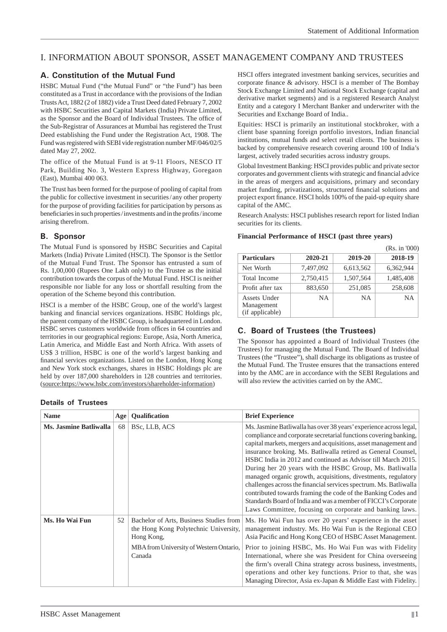# I. INFORMATION ABOUT SPONSOR, ASSET MANAGEMENT COMPANY AND TRUSTEES

# **A. Constitution of the Mutual Fund**

HSBC Mutual Fund ("the Mutual Fund" or "the Fund") has been constituted as a Trust in accordance with the provisions of the Indian Trusts Act, 1882 (2 of 1882) vide a Trust Deed dated February 7, 2002 with HSBC Securities and Capital Markets (India) Private Limited, as the Sponsor and the Board of Individual Trustees. The office of the Sub-Registrar of Assurances at Mumbai has registered the Trust Deed establishing the Fund under the Registration Act, 1908. The Fund was registered with SEBI vide registration number MF/046/02/5 dated May 27, 2002.

The office of the Mutual Fund is at 9-11 Floors, NESCO IT Park, Building No. 3, Western Express Highway, Goregaon (East), Mumbai 400 063.

The Trust has been formed for the purpose of pooling of capital from the public for collective investment in securities / any other property for the purpose of providing facilities for participation by persons as beneficiaries in such properties/investments and in the profits/income arising therefrom.

### **B. Sponsor**

The Mutual Fund is sponsored by HSBC Securities and Capital Markets (India) Private Limited (HSCI). The Sponsor is the Settlor of the Mutual Fund Trust. The Sponsor has entrusted a sum of Rs. 1,00,000 (Rupees One Lakh only) to the Trustee as the initial contribution towards the corpus of the Mutual Fund. HSCI is neither responsible nor liable for any loss or shortfall resulting from the operation of the Scheme beyond this contribution.

HSCI is a member of the HSBC Group, one of the world's largest banking and financial services organizations. HSBC Holdings plc, the parent company of the HSBC Group, is headquartered in London. HSBC serves customers worldwide from offices in 64 countries and territories in our geographical regions: Europe, Asia, North America, Latin America, and Middle East and North Africa. With assets of US\$ 3 trillion, HSBC is one of the world's largest banking and financial services organizations. Listed on the London, Hong Kong and New York stock exchanges, shares in HSBC Holdings plc are held by over 187,000 shareholders in 128 countries and territories. (source:https://www.hsbc.com/investors/shareholder-information)

HSCI offers integrated investment banking services, securities and corporate finance  $\&$  advisory. HSCI is a member of The Bombay Stock Exchange Limited and National Stock Exchange (capital and derivative market segments) and is a registered Research Analyst Entity and a category I Merchant Banker and underwriter with the Securities and Exchange Board of India..

Equities: HSCI is primarily an institutional stockbroker, with a client base spanning foreign portfolio investors, Indian financial institutions, mutual funds and select retail clients. The business is backed by comprehensive research covering around 100 of India's largest, actively traded securities across industry groups.

Global Investment Banking: HSCI provides public and private sector corporates and government clients with strategic and financial advice in the areas of mergers and acquisitions, primary and secondary market funding, privatizations, structured financial solutions and project export finance. HSCI holds 100% of the paid-up equity share capital of the AMC.

Research Analysts: HSCI publishes research report for listed Indian securities for its clients.

|                                               |           |           | (Rs. in 000) |
|-----------------------------------------------|-----------|-----------|--------------|
| <b>Particulars</b>                            | 2020-21   | 2019-20   | 2018-19      |
| Net Worth                                     | 7,497,092 | 6,613,562 | 6,362,944    |
| Total Income                                  | 2,750,415 | 1,507,564 | 1,485,408    |
| Profit after tax                              | 883,650   | 251,085   | 258,608      |
| Assets Under<br>Management<br>(if applicable) | NΑ        | <b>NA</b> | <b>NA</b>    |

#### **Financial Performance of HSCI (past three years)**

### **C. Board of Trustees (the Trustees)**

The Sponsor has appointed a Board of Individual Trustees (the Trustees) for managing the Mutual Fund. The Board of Individual Trustees (the "Trustee"), shall discharge its obligations as trustee of the Mutual Fund. The Trustee ensures that the transactions entered into by the AMC are in accordance with the SEBI Regulations and will also review the activities carried on by the AMC.

| <b>Name</b>            | Age | <b>Qualification</b>                                                                                                                                | <b>Brief Experience</b>                                                                                                                                                                                                                                                                                                                                                                                                                                                                                                                                                                                                                                                                                                                   |
|------------------------|-----|-----------------------------------------------------------------------------------------------------------------------------------------------------|-------------------------------------------------------------------------------------------------------------------------------------------------------------------------------------------------------------------------------------------------------------------------------------------------------------------------------------------------------------------------------------------------------------------------------------------------------------------------------------------------------------------------------------------------------------------------------------------------------------------------------------------------------------------------------------------------------------------------------------------|
| Ms. Jasmine Batliwalla | 68  | BSc, LLB, ACS                                                                                                                                       | Ms. Jasmine Batliwalla has over 38 years' experience across legal,<br>compliance and corporate secretarial functions covering banking,<br>capital markets, mergers and acquisitions, asset management and<br>insurance broking. Ms. Batliwalla retired as General Counsel,<br>HSBC India in 2012 and continued as Advisor till March 2015.<br>During her 20 years with the HSBC Group, Ms. Batliwalla<br>managed organic growth, acquisitions, divestments, regulatory<br>challenges across the financial services spectrum. Ms. Batliwalla<br>contributed towards framing the code of the Banking Codes and<br>Standards Board of India and was a member of FICCI's Corporate<br>Laws Committee, focusing on corporate and banking laws. |
| Ms. Ho Wai Fun         | 52  | Bachelor of Arts, Business Studies from<br>the Hong Kong Polytechnic University,<br>Hong Kong,<br>MBA from University of Western Ontario,<br>Canada | Ms. Ho Wai Fun has over 20 years' experience in the asset<br>management industry. Ms. Ho Wai Fun is the Regional CEO<br>Asia Pacific and Hong Kong CEO of HSBC Asset Management.<br>Prior to joining HSBC, Ms. Ho Wai Fun was with Fidelity<br>International, where she was President for China overseeing<br>the firm's overall China strategy across business, investments,<br>operations and other key functions. Prior to that, she was<br>Managing Director, Asia ex-Japan & Middle East with Fidelity.                                                                                                                                                                                                                              |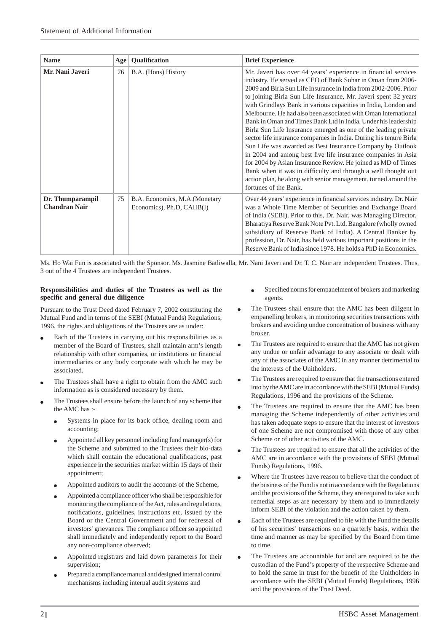| <b>Name</b>                              | Age | Qualification                                                | <b>Brief Experience</b>                                                                                                                                                                                                                                                                                                                                                                                                                                                                                                                                                                                                                                                                                                                                                                                                                                                                                                                                                    |
|------------------------------------------|-----|--------------------------------------------------------------|----------------------------------------------------------------------------------------------------------------------------------------------------------------------------------------------------------------------------------------------------------------------------------------------------------------------------------------------------------------------------------------------------------------------------------------------------------------------------------------------------------------------------------------------------------------------------------------------------------------------------------------------------------------------------------------------------------------------------------------------------------------------------------------------------------------------------------------------------------------------------------------------------------------------------------------------------------------------------|
| Mr. Nani Javeri                          | 76  | B.A. (Hons) History                                          | Mr. Javeri has over 44 years' experience in financial services<br>industry. He served as CEO of Bank Sohar in Oman from 2006-<br>2009 and Birla Sun Life Insurance in India from 2002-2006. Prior<br>to joining Birla Sun Life Insurance, Mr. Javeri spent 32 years<br>with Grindlays Bank in various capacities in India, London and<br>Melbourne. He had also been associated with Oman International<br>Bank in Oman and Times Bank Ltd in India. Under his leadership<br>Birla Sun Life Insurance emerged as one of the leading private<br>sector life insurance companies in India. During his tenure Birla<br>Sun Life was awarded as Best Insurance Company by Outlook<br>in 2004 and among best five life insurance companies in Asia<br>for 2004 by Asian Insurance Review. He joined as MD of Times<br>Bank when it was in difficulty and through a well thought out<br>action plan, he along with senior management, turned around the<br>fortunes of the Bank. |
| Dr. Thumparampil<br><b>Chandran Nair</b> | 75  | B.A. Economics, M.A. (Monetary<br>Economics), Ph.D, CAIIB(I) | Over 44 years' experience in financial services industry. Dr. Nair<br>was a Whole Time Member of Securities and Exchange Board<br>of India (SEBI). Prior to this, Dr. Nair, was Managing Director,<br>Bharatiya Reserve Bank Note Pvt. Ltd, Bangalore (wholly owned<br>subsidiary of Reserve Bank of India). A Central Banker by<br>profession, Dr. Nair, has held various important positions in the<br>Reserve Bank of India since 1978. He holds a PhD in Economics.                                                                                                                                                                                                                                                                                                                                                                                                                                                                                                    |

Ms. Ho Wai Fun is associated with the Sponsor. Ms. Jasmine Batliwalla, Mr. Nani Javeri and Dr. T. C. Nair are independent Trustees. Thus, 3 out of the 4 Trustees are independent Trustees.

#### **Responsibilities and duties of the Trustees as well as the specifi c and general due diligence**

Pursuant to the Trust Deed dated February 7, 2002 constituting the Mutual Fund and in terms of the SEBI (Mutual Funds) Regulations, 1996, the rights and obligations of the Trustees are as under:

- Each of the Trustees in carrying out his responsibilities as a member of the Board of Trustees, shall maintain arm's length relationship with other companies, or institutions or financial intermediaries or any body corporate with which he may be associated.
- The Trustees shall have a right to obtain from the AMC such information as is considered necessary by them.
- The Trustees shall ensure before the launch of any scheme that the AMC has :-
	- Systems in place for its back office, dealing room and accounting;
	- Appointed all key personnel including fund manager(s) for the Scheme and submitted to the Trustees their bio-data which shall contain the educational qualifications, past experience in the securities market within 15 days of their appointment;
	- Appointed auditors to audit the accounts of the Scheme;
	- Appointed a compliance officer who shall be responsible for monitoring the compliance of the Act, rules and regulations, notifications, guidelines, instructions etc. issued by the Board or the Central Government and for redressal of investors' grievances. The compliance officer so appointed shall immediately and independently report to the Board any non-compliance observed;
	- Appointed registrars and laid down parameters for their supervision;
	- Prepared a compliance manual and designed internal control mechanisms including internal audit systems and
- Specified norms for empanelment of brokers and marketing agents.
- The Trustees shall ensure that the AMC has been diligent in empanelling brokers, in monitoring securities transactions with brokers and avoiding undue concentration of business with any broker.
- The Trustees are required to ensure that the AMC has not given any undue or unfair advantage to any associate or dealt with any of the associates of the AMC in any manner detrimental to the interests of the Unitholders.
- The Trustees are required to ensure that the transactions entered into by the AMC are in accordance with the SEBI (Mutual Funds) Regulations, 1996 and the provisions of the Scheme.
- The Trustees are required to ensure that the AMC has been managing the Scheme independently of other activities and has taken adequate steps to ensure that the interest of investors of one Scheme are not compromised with those of any other Scheme or of other activities of the AMC.
- The Trustees are required to ensure that all the activities of the AMC are in accordance with the provisions of SEBI (Mutual Funds) Regulations, 1996.
- Where the Trustees have reason to believe that the conduct of the business of the Fund is not in accordance with the Regulations and the provisions of the Scheme, they are required to take such remedial steps as are necessary by them and to immediately inform SEBI of the violation and the action taken by them.
- Each of the Trustees are required to file with the Fund the details of his securities' transactions on a quarterly basis, within the time and manner as may be specified by the Board from time to time.
- The Trustees are accountable for and are required to be the custodian of the Fund's property of the respective Scheme and to hold the same in trust for the benefit of the Unitholders in accordance with the SEBI (Mutual Funds) Regulations, 1996 and the provisions of the Trust Deed.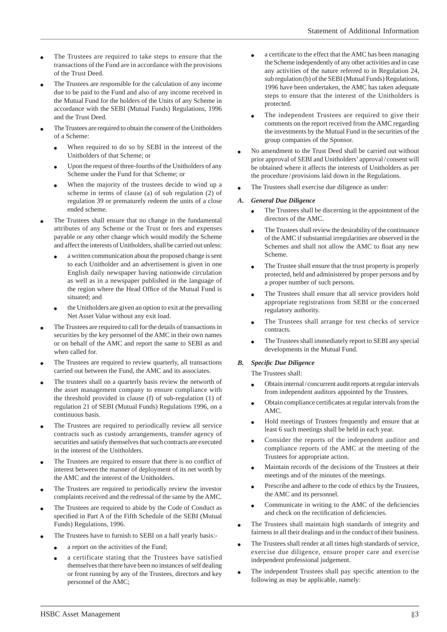- The Trustees are required to take steps to ensure that the transactions of the Fund are in accordance with the provisions of the Trust Deed.
- The Trustees are responsible for the calculation of any income due to be paid to the Fund and also of any income received in the Mutual Fund for the holders of the Units of any Scheme in accordance with the SEBI (Mutual Funds) Regulations, 1996 and the Trust Deed.
- The Trustees are required to obtain the consent of the Unitholders of a Scheme:
	- When required to do so by SEBI in the interest of the Unitholders of that Scheme; or
	- Upon the request of three-fourths of the Unitholders of any Scheme under the Fund for that Scheme; or
	- When the majority of the trustees decide to wind up a scheme in terms of clause (a) of sub regulation (2) of regulation 39 or prematurely redeem the units of a close ended scheme.
- The Trustees shall ensure that no change in the fundamental attributes of any Scheme or the Trust or fees and expenses payable or any other change which would modify the Scheme and affect the interests of Unitholders, shall be carried out unless:
	- a written communication about the proposed change is sent to each Unitholder and an advertisement is given in one English daily newspaper having nationwide circulation as well as in a newspaper published in the language of the region where the Head Office of the Mutual Fund is situated; and
	- the Unitholders are given an option to exit at the prevailing Net Asset Value without any exit load.
- The Trustees are required to call for the details of transactions in securities by the key personnel of the AMC in their own names or on behalf of the AMC and report the same to SEBI as and when called for.
- The Trustees are required to review quarterly, all transactions carried out between the Fund, the AMC and its associates.
- The trustees shall on a quarterly basis review the networth of the asset management company to ensure compliance with the threshold provided in clause (f) of sub-regulation (1) of regulation 21 of SEBI (Mutual Funds) Regulations 1996, on a continuous basis.
- The Trustees are required to periodically review all service contracts such as custody arrangements, transfer agency of securities and satisfy themselves that such contracts are executed in the interest of the Unitholders.
- The Trustees are required to ensure that there is no conflict of interest between the manner of deployment of its net worth by the AMC and the interest of the Unitholders.
- The Trustees are required to periodically review the investor complaints received and the redressal of the same by the AMC.
- The Trustees are required to abide by the Code of Conduct as specified in Part A of the Fifth Schedule of the SEBI (Mutual Funds) Regulations, 1996.
- The Trustees have to furnish to SEBI on a half yearly basis:-
	- a report on the activities of the Fund;
	- a certificate stating that the Trustees have satisfied themselves that there have been no instances of self dealing or front running by any of the Trustees, directors and key personnel of the AMC;
- $\bullet$  a certificate to the effect that the AMC has been managing the Scheme independently of any other activities and in case any activities of the nature referred to in Regulation 24, sub regulation (b) of the SEBI (Mutual Funds) Regulations, 1996 have been undertaken, the AMC has taken adequate steps to ensure that the interest of the Unitholders is protected.
- The independent Trustees are required to give their comments on the report received from the AMC regarding the investments by the Mutual Fund in the securities of the group companies of the Sponsor.
- No amendment to the Trust Deed shall be carried out without prior approval of SEBI and Unitholders' approval / consent will be obtained where it affects the interests of Unitholders as per the procedure / provisions laid down in the Regulations.
- The Trustees shall exercise due diligence as under:

# *A. General Due Diligence*

- The Trustees shall be discerning in the appointment of the directors of the AMC.
- The Trustees shall review the desirability of the continuance of the AMC if substantial irregularities are observed in the Schemes and shall not allow the AMC to float any new Scheme.
- The Trustee shall ensure that the trust property is properly protected, held and administered by proper persons and by a proper number of such persons.
- The Trustees shall ensure that all service providers hold appropriate registrations from SEBI or the concerned regulatory authority.
- The Trustees shall arrange for test checks of service contracts.
- The Trustees shall immediately report to SEBI any special developments in the Mutual Fund.

# *B. Specifi c Due Diligence*

The Trustees shall:

- Obtain internal / concurrent audit reports at regular intervals from independent auditors appointed by the Trustees.
- Obtain compliance certificates at regular intervals from the AMC.
- Hold meetings of Trustees frequently and ensure that at least 6 such meetings shall be held in each year.
- Consider the reports of the independent auditor and compliance reports of the AMC at the meeting of the Trustees for appropriate action.
- Maintain records of the decisions of the Trustees at their meetings and of the minutes of the meetings.
- Prescribe and adhere to the code of ethics by the Trustees, the AMC and its personnel.
- Communicate in writing to the AMC of the deficiencies and check on the rectification of deficiencies.
- The Trustees shall maintain high standards of integrity and fairness in all their dealings and in the conduct of their business.
- The Trustees shall render at all times high standards of service, exercise due diligence, ensure proper care and exercise independent professional judgement.
- The independent Trustees shall pay specific attention to the following as may be applicable, namely: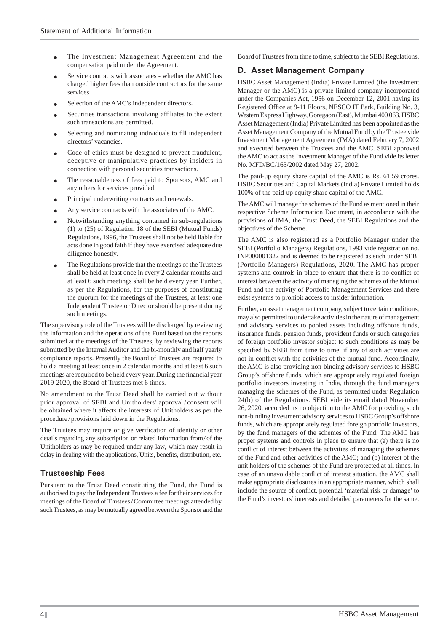- The Investment Management Agreement and the compensation paid under the Agreement.
- Service contracts with associates whether the AMC has charged higher fees than outside contractors for the same services.
- Selection of the AMC's independent directors.
- Securities transactions involving affiliates to the extent such transactions are permitted.
- Selecting and nominating individuals to fill independent directors' vacancies.
- Code of ethics must be designed to prevent fraudulent, deceptive or manipulative practices by insiders in connection with personal securities transactions.
- The reasonableness of fees paid to Sponsors, AMC and any others for services provided.
- Principal underwriting contracts and renewals.
- Any service contracts with the associates of the AMC.
- Notwithstanding anything contained in sub-regulations (1) to (25) of Regulation 18 of the SEBI (Mutual Funds) Regulations, 1996, the Trustees shall not be held liable for acts done in good faith if they have exercised adequate due diligence honestly.
- The Regulations provide that the meetings of the Trustees shall be held at least once in every 2 calendar months and at least 6 such meetings shall be held every year. Further, as per the Regulations, for the purposes of constituting the quorum for the meetings of the Trustees, at least one Independent Trustee or Director should be present during such meetings.

The supervisory role of the Trustees will be discharged by reviewing the information and the operations of the Fund based on the reports submitted at the meetings of the Trustees, by reviewing the reports submitted by the Internal Auditor and the bi-monthly and half yearly compliance reports. Presently the Board of Trustees are required to hold a meeting at least once in 2 calendar months and at least 6 such meetings are required to be held every year. During the financial year 2019-2020, the Board of Trustees met 6 times.

No amendment to the Trust Deed shall be carried out without prior approval of SEBI and Unitholders' approval / consent will be obtained where it affects the interests of Unitholders as per the procedure / provisions laid down in the Regulations.

The Trustees may require or give verification of identity or other details regarding any subscription or related information from / of the Unitholders as may be required under any law, which may result in delay in dealing with the applications, Units, benefits, distribution, etc.

# **Trusteeship Fees**

Pursuant to the Trust Deed constituting the Fund, the Fund is authorised to pay the Independent Trustees a fee for their services for meetings of the Board of Trustees / Committee meetings attended by such Trustees, as may be mutually agreed between the Sponsor and the

Board of Trustees from time to time, subject to the SEBI Regulations.

### **D. Asset Management Company**

HSBC Asset Management (India) Private Limited (the Investment Manager or the AMC) is a private limited company incorporated under the Companies Act, 1956 on December 12, 2001 having its Registered Office at 9-11 Floors, NESCO IT Park, Building No. 3, Western Express Highway, Goregaon (East), Mumbai 400 063. HSBC Asset Management (India) Private Limited has been appointed as the Asset Management Company of the Mutual Fund by the Trustee vide Investment Management Agreement (IMA) dated February 7, 2002 and executed between the Trustees and the AMC. SEBI approved the AMC to act as the Investment Manager of the Fund vide its letter No. MFD/BC/163/2002 dated May 27, 2002.

The paid-up equity share capital of the AMC is Rs. 61.59 crores. HSBC Securities and Capital Markets (India) Private Limited holds 100% of the paid-up equity share capital of the AMC.

The AMC will manage the schemes of the Fund as mentioned in their respective Scheme Information Document, in accordance with the provisions of IMA, the Trust Deed, the SEBI Regulations and the objectives of the Scheme.

The AMC is also registered as a Portfolio Manager under the SEBI (Portfolio Managers) Regulations, 1993 vide registration no. INP000001322 and is deemed to be registered as such under SEBI (Portfolio Managers) Regulations, 2020. The AMC has proper systems and controls in place to ensure that there is no conflict of interest between the activity of managing the schemes of the Mutual Fund and the activity of Portfolio Management Services and there exist systems to prohibit access to insider information.

Further, an asset management company, subject to certain conditions, may also permitted to undertake activities in the nature of management and advisory services to pooled assets including offshore funds, insurance funds, pension funds, provident funds or such categories of foreign portfolio investor subject to such conditions as may be specified by SEBI from time to time, if any of such activities are not in conflict with the activities of the mutual fund. Accordingly, the AMC is also providing non-binding advisory services to HSBC Group's offshore funds, which are appropriately regulated foreign portfolio investors investing in India, through the fund managers managing the schemes of the Fund, as permitted under Regulation 24(b) of the Regulations. SEBI vide its email dated November 26, 2020, accorded its no objection to the AMC for providing such non-binding investment advisory services to HSBC Group's offshore funds, which are appropriately regulated foreign portfolio investors, by the fund managers of the schemes of the Fund. The AMC has proper systems and controls in place to ensure that (a) there is no conflict of interest between the activities of managing the schemes of the Fund and other activities of the AMC; and (b) interest of the unit holders of the schemes of the Fund are protected at all times. In case of an unavoidable conflict of interest situation, the AMC shall make appropriate disclosures in an appropriate manner, which shall include the source of conflict, potential 'material risk or damage' to the Fund's investors' interests and detailed parameters for the same.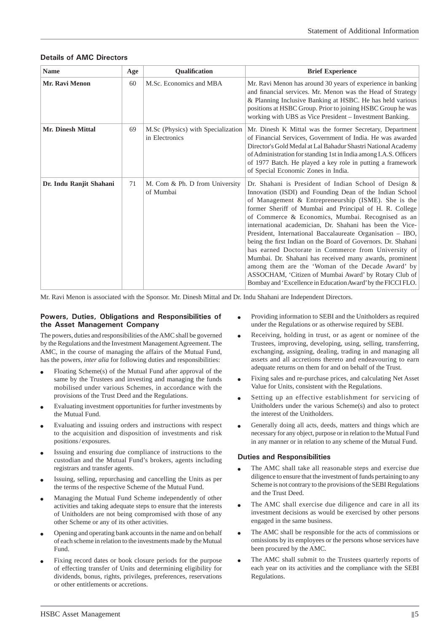| <b>Name</b>              | Age | Qualification                                        | <b>Brief Experience</b>                                                                                                                                                                                                                                                                                                                                                                                                                                                                                                                                                                                                                                                                                                                                                              |
|--------------------------|-----|------------------------------------------------------|--------------------------------------------------------------------------------------------------------------------------------------------------------------------------------------------------------------------------------------------------------------------------------------------------------------------------------------------------------------------------------------------------------------------------------------------------------------------------------------------------------------------------------------------------------------------------------------------------------------------------------------------------------------------------------------------------------------------------------------------------------------------------------------|
| <b>Mr. Ravi Menon</b>    | 60  | M.Sc. Economics and MBA                              | Mr. Ravi Menon has around 30 years of experience in banking<br>and financial services. Mr. Menon was the Head of Strategy<br>& Planning Inclusive Banking at HSBC. He has held various<br>positions at HSBC Group. Prior to joining HSBC Group he was<br>working with UBS as Vice President - Investment Banking.                                                                                                                                                                                                                                                                                                                                                                                                                                                                    |
| <b>Mr. Dinesh Mittal</b> | 69  | M.Sc (Physics) with Specialization<br>in Electronics | Mr. Dinesh K Mittal was the former Secretary, Department<br>of Financial Services, Government of India. He was awarded<br>Director's Gold Medal at Lal Bahadur Shastri National Academy<br>of Administration for standing 1st in India among I.A.S. Officers<br>of 1977 Batch. He played a key role in putting a framework<br>of Special Economic Zones in India.                                                                                                                                                                                                                                                                                                                                                                                                                    |
| Dr. Indu Ranjit Shahani  | 71  | M. Com & Ph. D from University<br>of Mumbai          | Dr. Shahani is President of Indian School of Design &<br>Innovation (ISDI) and Founding Dean of the Indian School<br>of Management & Entrepreneurship (ISME). She is the<br>former Sheriff of Mumbai and Principal of H. R. College<br>of Commerce & Economics, Mumbai. Recognised as an<br>international academician, Dr. Shahani has been the Vice-<br>President, International Baccalaureate Organisation - IBO,<br>being the first Indian on the Board of Governors. Dr. Shahani<br>has earned Doctorate in Commerce from University of<br>Mumbai. Dr. Shahani has received many awards, prominent<br>among them are the 'Woman of the Decade Award' by<br>ASSOCHAM, 'Citizen of Mumbai Award' by Rotary Club of<br>Bombay and 'Excellence in Education Award' by the FICCI FLO. |

# **Details of AMC Directors**

Mr. Ravi Menon is associated with the Sponsor. Mr. Dinesh Mittal and Dr. Indu Shahani are Independent Directors.

### **Powers, Duties, Obligations and Responsibilities of the Asset Management Company**

The powers, duties and responsibilities of the AMC shall be governed by the Regulations and the Investment Management Agreement. The AMC, in the course of managing the affairs of the Mutual Fund, has the powers, *inter alia* for following duties and responsibilities:

- Floating Scheme(s) of the Mutual Fund after approval of the same by the Trustees and investing and managing the funds mobilised under various Schemes, in accordance with the provisions of the Trust Deed and the Regulations.
- Evaluating investment opportunities for further investments by the Mutual Fund.
- Evaluating and issuing orders and instructions with respect to the acquisition and disposition of investments and risk positions / exposures.
- Issuing and ensuring due compliance of instructions to the custodian and the Mutual Fund's brokers, agents including registrars and transfer agents.
- Issuing, selling, repurchasing and cancelling the Units as per the terms of the respective Scheme of the Mutual Fund.
- Managing the Mutual Fund Scheme independently of other activities and taking adequate steps to ensure that the interests of Unitholders are not being compromised with those of any other Scheme or any of its other activities.
- Opening and operating bank accounts in the name and on behalf of each scheme in relation to the investments made by the Mutual Fund.
- Fixing record dates or book closure periods for the purpose of effecting transfer of Units and determining eligibility for dividends, bonus, rights, privileges, preferences, reservations or other entitlements or accretions.
- Providing information to SEBI and the Unitholders as required under the Regulations or as otherwise required by SEBI.
- Receiving, holding in trust, or as agent or nominee of the Trustees, improving, developing, using, selling, transferring, exchanging, assigning, dealing, trading in and managing all assets and all accretions thereto and endeavouring to earn adequate returns on them for and on behalf of the Trust.
- Fixing sales and re-purchase prices, and calculating Net Asset Value for Units, consistent with the Regulations.
- Setting up an effective establishment for servicing of Unitholders under the various Scheme(s) and also to protect the interest of the Unitholders.
- Generally doing all acts, deeds, matters and things which are necessary for any object, purpose or in relation to the Mutual Fund in any manner or in relation to any scheme of the Mutual Fund.

# **Duties and Responsibilities**

- The AMC shall take all reasonable steps and exercise due diligence to ensure that the investment of funds pertaining to any Scheme is not contrary to the provisions of the SEBI Regulations and the Trust Deed.
- The AMC shall exercise due diligence and care in all its investment decisions as would be exercised by other persons engaged in the same business.
- The AMC shall be responsible for the acts of commissions or omissions by its employees or the persons whose services have been procured by the AMC.
- The AMC shall submit to the Trustees quarterly reports of each year on its activities and the compliance with the SEBI Regulations.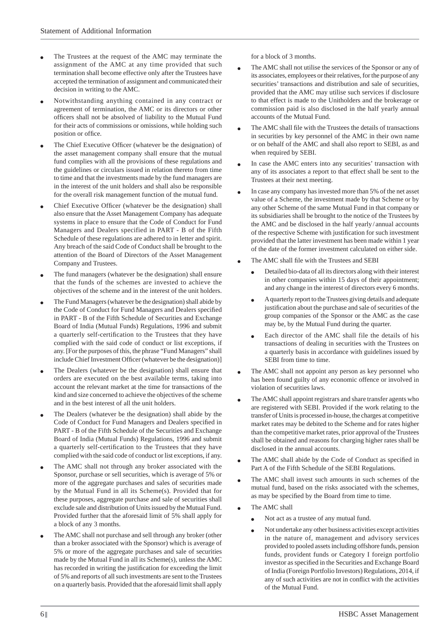- The Trustees at the request of the AMC may terminate the assignment of the AMC at any time provided that such termination shall become effective only after the Trustees have accepted the termination of assignment and communicated their decision in writing to the AMC.
- Notwithstanding anything contained in any contract or agreement of termination, the AMC or its directors or other officers shall not be absolved of liability to the Mutual Fund for their acts of commissions or omissions, while holding such position or office.
- The Chief Executive Officer (whatever be the designation) of the asset management company shall ensure that the mutual fund complies with all the provisions of these regulations and the guidelines or circulars issued in relation thereto from time to time and that the investments made by the fund managers are in the interest of the unit holders and shall also be responsible for the overall risk management function of the mutual fund.
- Chief Executive Officer (whatever be the designation) shall also ensure that the Asset Management Company has adequate systems in place to ensure that the Code of Conduct for Fund Managers and Dealers specified in PART - B of the Fifth Schedule of these regulations are adhered to in letter and spirit. Any breach of the said Code of Conduct shall be brought to the attention of the Board of Directors of the Asset Management Company and Trustees.
- The fund managers (whatever be the designation) shall ensure that the funds of the schemes are invested to achieve the objectives of the scheme and in the interest of the unit holders.
- The Fund Managers (whatever be the designation) shall abide by the Code of Conduct for Fund Managers and Dealers specified in PART - B of the Fifth Schedule of Securities and Exchange Board of India (Mutual Funds) Regulations, 1996 and submit a quarterly self-certification to the Trustees that they have complied with the said code of conduct or list exceptions, if any. [For the purposes of this, the phrase "Fund Managers" shall include Chief Investment Officer (whatever be the designation)]
- The Dealers (whatever be the designation) shall ensure that orders are executed on the best available terms, taking into account the relevant market at the time for transactions of the kind and size concerned to achieve the objectives of the scheme and in the best interest of all the unit holders.
- The Dealers (whatever be the designation) shall abide by the Code of Conduct for Fund Managers and Dealers specified in PART - B of the Fifth Schedule of the Securities and Exchange Board of India (Mutual Funds) Regulations, 1996 and submit a quarterly self-certification to the Trustees that they have complied with the said code of conduct or list exceptions, if any.
- The AMC shall not through any broker associated with the Sponsor, purchase or sell securities, which is average of 5% or more of the aggregate purchases and sales of securities made by the Mutual Fund in all its Scheme(s). Provided that for these purposes, aggregate purchase and sale of securities shall exclude sale and distribution of Units issued by the Mutual Fund. Provided further that the aforesaid limit of 5% shall apply for a block of any 3 months.
- The AMC shall not purchase and sell through any broker (other than a broker associated with the Sponsor) which is average of 5% or more of the aggregate purchases and sale of securities made by the Mutual Fund in all its Scheme(s), unless the AMC has recorded in writing the justification for exceeding the limit of 5% and reports of all such investments are sent to the Trustees on a quarterly basis. Provided that the aforesaid limit shall apply

for a block of 3 months.

- The AMC shall not utilise the services of the Sponsor or any of its associates, employees or their relatives, for the purpose of any securities' transactions and distribution and sale of securities, provided that the AMC may utilise such services if disclosure to that effect is made to the Unitholders and the brokerage or commission paid is also disclosed in the half yearly annual accounts of the Mutual Fund.
- The AMC shall file with the Trustees the details of transactions in securities by key personnel of the AMC in their own name or on behalf of the AMC and shall also report to SEBI, as and when required by SEBI.
- In case the AMC enters into any securities' transaction with any of its associates a report to that effect shall be sent to the Trustees at their next meeting.
- In case any company has invested more than 5% of the net asset value of a Scheme, the investment made by that Scheme or by any other Scheme of the same Mutual Fund in that company or its subsidiaries shall be brought to the notice of the Trustees by the AMC and be disclosed in the half yearly / annual accounts of the respective Scheme with justification for such investment provided that the latter investment has been made within 1 year of the date of the former investment calculated on either side.
- The AMC shall file with the Trustees and SEBI
	- Detailed bio-data of all its directors along with their interest in other companies within 15 days of their appointment; and any change in the interest of directors every 6 months.
	- A quarterly report to the Trustees giving details and adequate justification about the purchase and sale of securities of the group companies of the Sponsor or the AMC as the case may be, by the Mutual Fund during the quarter.
	- Each director of the AMC shall file the details of his transactions of dealing in securities with the Trustees on a quarterly basis in accordance with guidelines issued by SEBI from time to time.
- The AMC shall not appoint any person as key personnel who has been found guilty of any economic offence or involved in violation of securities laws.
- The AMC shall appoint registrars and share transfer agents who are registered with SEBI. Provided if the work relating to the transfer of Units is processed in-house, the charges at competitive market rates may be debited to the Scheme and for rates higher than the competitive market rates, prior approval of the Trustees shall be obtained and reasons for charging higher rates shall be disclosed in the annual accounts.
- The AMC shall abide by the Code of Conduct as specified in Part A of the Fifth Schedule of the SEBI Regulations.
- The AMC shall invest such amounts in such schemes of the mutual fund, based on the risks associated with the schemes, as may be specified by the Board from time to time.
- The AMC shall
	- Not act as a trustee of any mutual fund.
	- Not undertake any other business activities except activities in the nature of, management and advisory services provided to pooled assets including offshore funds, pension funds, provident funds or Category I foreign portfolio investor as specified in the Securities and Exchange Board of India (Foreign Portfolio Investors) Regulations, 2014, if any of such activities are not in conflict with the activities of the Mutual Fund.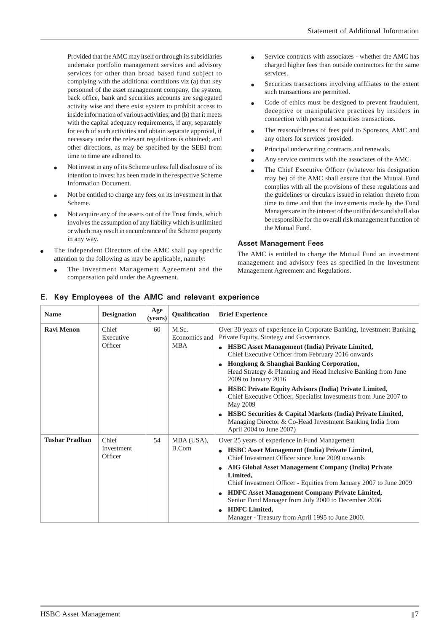Provided that the AMC may itself or through its subsidiaries undertake portfolio management services and advisory services for other than broad based fund subject to complying with the additional conditions viz (a) that key personnel of the asset management company, the system, back office, bank and securities accounts are segregated activity wise and there exist system to prohibit access to inside information of various activities; and (b) that it meets with the capital adequacy requirements, if any, separately for each of such activities and obtain separate approval, if necessary under the relevant regulations is obtained; and other directions, as may be specified by the SEBI from time to time are adhered to.

- Not invest in any of its Scheme unless full disclosure of its intention to invest has been made in the respective Scheme Information Document.
- Not be entitled to charge any fees on its investment in that Scheme.
- Not acquire any of the assets out of the Trust funds, which involves the assumption of any liability which is unlimited or which may result in encumbrance of the Scheme property in any way.
- The independent Directors of the AMC shall pay specific attention to the following as may be applicable, namely:
	- The Investment Management Agreement and the compensation paid under the Agreement.
- Service contracts with associates whether the AMC has charged higher fees than outside contractors for the same services.
- Securities transactions involving affiliates to the extent such transactions are permitted.
- Code of ethics must be designed to prevent fraudulent, deceptive or manipulative practices by insiders in connection with personal securities transactions.
- The reasonableness of fees paid to Sponsors, AMC and any others for services provided.
- Principal underwriting contracts and renewals.
- Any service contracts with the associates of the AMC.
- The Chief Executive Officer (whatever his designation may be) of the AMC shall ensure that the Mutual Fund complies with all the provisions of these regulations and the guidelines or circulars issued in relation thereto from time to time and that the investments made by the Fund Managers are in the interest of the unitholders and shall also be responsible for the overall risk management function of the Mutual Fund.

### **Asset Management Fees**

The AMC is entitled to charge the Mutual Fund an investment management and advisory fees as specified in the Investment Management Agreement and Regulations.

| <b>Name</b>           | <b>Designation</b>             | Age<br>(years) | Qualification                        | <b>Brief Experience</b>                                                                                                                                                                                                                                                                                                                                                                                                                                                                                                                                                                                                                                                                               |
|-----------------------|--------------------------------|----------------|--------------------------------------|-------------------------------------------------------------------------------------------------------------------------------------------------------------------------------------------------------------------------------------------------------------------------------------------------------------------------------------------------------------------------------------------------------------------------------------------------------------------------------------------------------------------------------------------------------------------------------------------------------------------------------------------------------------------------------------------------------|
| <b>Ravi Menon</b>     | Chief<br>Executive<br>Officer  | 60             | M.Sc.<br>Economics and<br><b>MBA</b> | Over 30 years of experience in Corporate Banking, Investment Banking,<br>Private Equity, Strategy and Governance.<br><b>HSBC</b> Asset Management (India) Private Limited,<br>$\bullet$<br>Chief Executive Officer from February 2016 onwards<br>Hongkong & Shanghai Banking Corporation,<br>Head Strategy & Planning and Head Inclusive Banking from June<br>2009 to January 2016<br><b>HSBC Private Equity Advisors (India) Private Limited,</b><br>Chief Executive Officer, Specialist Investments from June 2007 to<br>May 2009<br><b>HSBC Securities &amp; Capital Markets (India) Private Limited,</b><br>Managing Director & Co-Head Investment Banking India from<br>April 2004 to June 2007) |
| <b>Tushar Pradhan</b> | Chief<br>Investment<br>Officer | 54             | MBA (USA),<br>B.Com                  | Over 25 years of experience in Fund Management<br>HSBC Asset Management (India) Private Limited,<br>$\bullet$<br>Chief Investment Officer since June 2009 onwards<br>AIG Global Asset Management Company (India) Private<br>$\bullet$<br>Limited.<br>Chief Investment Officer - Equities from January 2007 to June 2009<br><b>HDFC</b> Asset Management Company Private Limited,<br>Senior Fund Manager from July 2000 to December 2006<br><b>HDFC</b> Limited,<br>$\bullet$<br>Manager - Treasury from April 1995 to June 2000.                                                                                                                                                                      |

# **E. Key Employees of the AMC and relevant experience**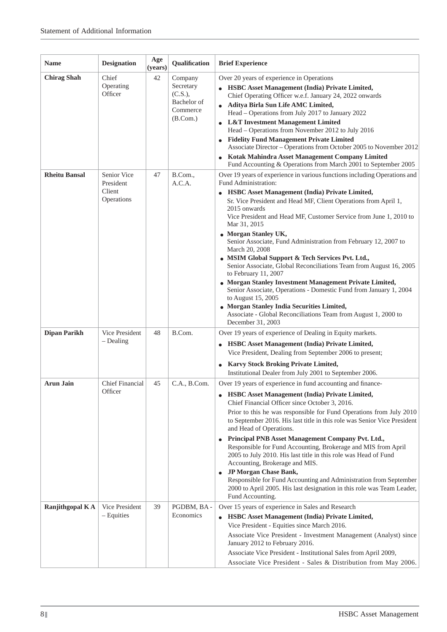| <b>Name</b>          | <b>Designation</b>                               | Age<br>(years) | Qualification                                                           | <b>Brief Experience</b>                                                                                                                                                                                                                                                                                                                                                                                                                                                                                                                                                                                                                                                                                                                                                                                                                                                                           |
|----------------------|--------------------------------------------------|----------------|-------------------------------------------------------------------------|---------------------------------------------------------------------------------------------------------------------------------------------------------------------------------------------------------------------------------------------------------------------------------------------------------------------------------------------------------------------------------------------------------------------------------------------------------------------------------------------------------------------------------------------------------------------------------------------------------------------------------------------------------------------------------------------------------------------------------------------------------------------------------------------------------------------------------------------------------------------------------------------------|
| <b>Chirag Shah</b>   | Chief<br>Operating<br>Officer                    | 42             | Company<br>Secretary<br>(C.S.),<br>Bachelor of<br>Commerce<br>(B. Com.) | Over 20 years of experience in Operations<br>HSBC Asset Management (India) Private Limited,<br>Chief Operating Officer w.e.f. January 24, 2022 onwards<br>Aditya Birla Sun Life AMC Limited,<br>Head - Operations from July 2017 to January 2022<br><b>L&amp;T</b> Investment Management Limited<br>Head – Operations from November 2012 to July 2016<br><b>Fidelity Fund Management Private Limited</b><br>Associate Director - Operations from October 2005 to November 2012<br>Kotak Mahindra Asset Management Company Limited<br>Fund Accounting & Operations from March 2001 to September 2005                                                                                                                                                                                                                                                                                               |
| <b>Rheitu Bansal</b> | Senior Vice<br>President<br>Client<br>Operations | 47             | B.Com.,<br>A.C.A.                                                       | Over 19 years of experience in various functions including Operations and<br>Fund Administration:<br><b>HSBC Asset Management (India) Private Limited,</b><br>Sr. Vice President and Head MF, Client Operations from April 1,<br>2015 onwards<br>Vice President and Head MF, Customer Service from June 1, 2010 to<br>Mar 31, 2015<br><b>Morgan Stanley UK,</b><br>Senior Associate, Fund Administration from February 12, 2007 to<br>March 20, 2008<br>• MSIM Global Support & Tech Services Pvt. Ltd.,<br>Senior Associate, Global Reconciliations Team from August 16, 2005<br>to February 11, 2007<br>• Morgan Stanley Investment Management Private Limited,<br>Senior Associate, Operations - Domestic Fund from January 1, 2004<br>to August 15, 2005<br>• Morgan Stanley India Securities Limited,<br>Associate - Global Reconciliations Team from August 1, 2000 to<br>December 31, 2003 |
| <b>Dipan Parikh</b>  | Vice President<br>$-$ Dealing                    | 48             | B.Com.                                                                  | Over 19 years of experience of Dealing in Equity markets.<br>HSBC Asset Management (India) Private Limited,<br>$\bullet$<br>Vice President, Dealing from September 2006 to present;<br><b>Karvy Stock Broking Private Limited,</b><br>Institutional Dealer from July 2001 to September 2006.                                                                                                                                                                                                                                                                                                                                                                                                                                                                                                                                                                                                      |
| <b>Arun Jain</b>     | <b>Chief Financial</b><br>Officer                | 45             | C.A., B.Com.                                                            | Over 19 years of experience in fund accounting and finance-<br><b>HSBC Asset Management (India) Private Limited,</b><br>Chief Financial Officer since October 3, 2016.<br>Prior to this he was responsible for Fund Operations from July 2010<br>to September 2016. His last title in this role was Senior Vice President<br>and Head of Operations.<br>Principal PNB Asset Management Company Pvt. Ltd.,<br>Responsible for Fund Accounting, Brokerage and MIS from April<br>2005 to July 2010. His last title in this role was Head of Fund<br>Accounting, Brokerage and MIS.<br>JP Morgan Chase Bank,<br>Responsible for Fund Accounting and Administration from September<br>2000 to April 2005. His last designation in this role was Team Leader,<br>Fund Accounting.                                                                                                                       |
| Ranjithgopal KA      | Vice President<br>$-$ Equities                   | 39             | PGDBM, BA-<br>Economics                                                 | Over 15 years of experience in Sales and Research<br>HSBC Asset Management (India) Private Limited,<br>Vice President - Equities since March 2016.<br>Associate Vice President - Investment Management (Analyst) since<br>January 2012 to February 2016.<br>Associate Vice President - Institutional Sales from April 2009,<br>Associate Vice President - Sales & Distribution from May 2006.                                                                                                                                                                                                                                                                                                                                                                                                                                                                                                     |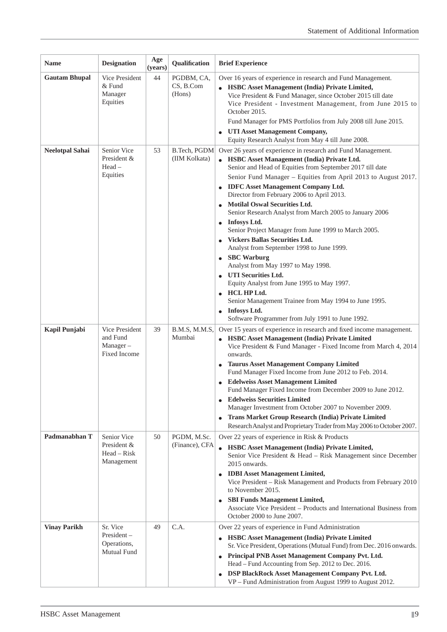| <b>Name</b>            | <b>Designation</b>                                        | Age<br>(years) | Qualification                     | <b>Brief Experience</b>                                                                                                                                                                                                                                                                                                                                                                                                                                                                                                                                                                                                                                                                                                                                                                                                                                                                                   |
|------------------------|-----------------------------------------------------------|----------------|-----------------------------------|-----------------------------------------------------------------------------------------------------------------------------------------------------------------------------------------------------------------------------------------------------------------------------------------------------------------------------------------------------------------------------------------------------------------------------------------------------------------------------------------------------------------------------------------------------------------------------------------------------------------------------------------------------------------------------------------------------------------------------------------------------------------------------------------------------------------------------------------------------------------------------------------------------------|
| <b>Gautam Bhupal</b>   | Vice President<br>$&$ Fund<br>Manager<br>Equities         | 44             | PGDBM, CA,<br>CS, B.Com<br>(Hons) | Over 16 years of experience in research and Fund Management.<br>HSBC Asset Management (India) Private Limited,<br>Vice President & Fund Manager, since October 2015 till date<br>Vice President - Investment Management, from June 2015 to<br>October 2015.<br>Fund Manager for PMS Portfolios from July 2008 till June 2015.                                                                                                                                                                                                                                                                                                                                                                                                                                                                                                                                                                             |
|                        |                                                           |                |                                   | <b>UTI Asset Management Company,</b><br>Equity Research Analyst from May 4 till June 2008.                                                                                                                                                                                                                                                                                                                                                                                                                                                                                                                                                                                                                                                                                                                                                                                                                |
| <b>Neelotpal Sahai</b> | Senior Vice<br>President &<br>$Head -$<br>Equities        | 53             | B.Tech, PGDM<br>(IIM Kolkata)     | Over 26 years of experience in research and Fund Management.<br>• HSBC Asset Management (India) Private Ltd.<br>Senior and Head of Equities from September 2017 till date<br>Senior Fund Manager - Equities from April 2013 to August 2017.<br><b>IDFC</b> Asset Management Company Ltd.<br>Director from February 2006 to April 2013.<br><b>Motilal Oswal Securities Ltd.</b><br>Senior Research Analyst from March 2005 to January 2006<br><b>Infosys Ltd.</b><br>Senior Project Manager from June 1999 to March 2005.<br><b>Vickers Ballas Securities Ltd.</b><br>Analyst from September 1998 to June 1999.<br><b>SBC</b> Warburg<br>Analyst from May 1997 to May 1998.<br><b>UTI Securities Ltd.</b><br>Equity Analyst from June 1995 to May 1997.<br>HCL HP Ltd.<br>Senior Management Trainee from May 1994 to June 1995.<br><b>Infosys Ltd.</b><br>Software Programmer from July 1991 to June 1992. |
| Kapil Punjabi          | Vice President<br>and Fund<br>$Manager -$<br>Fixed Income | 39             | B.M.S, M.M.S,<br>Mumbai           | Over 15 years of experience in research and fixed income management.<br><b>HSBC Asset Management (India) Private Limited</b><br>Vice President & Fund Manager - Fixed Income from March 4, 2014<br>onwards.<br><b>Taurus Asset Management Company Limited</b><br>Fund Manager Fixed Income from June 2012 to Feb. 2014.<br><b>Edelweiss Asset Management Limited</b><br>Fund Manager Fixed Income from December 2009 to June 2012<br><b>Edelweiss Securities Limited</b><br>Manager Investment from October 2007 to November 2009.<br>Trans Market Group Research (India) Private Limited<br>Research Analyst and Proprietary Trader from May 2006 to October 2007.                                                                                                                                                                                                                                       |
| Padmanabhan T          | Senior Vice<br>President &<br>Head – Risk<br>Management   | 50             | PGDM, M.Sc.<br>(Finance), CFA     | Over 22 years of experience in Risk & Products<br><b>HSBC Asset Management (India) Private Limited,</b><br>Senior Vice President & Head - Risk Management since December<br>2015 onwards.<br><b>IDBI</b> Asset Management Limited,<br>Vice President - Risk Management and Products from February 2010<br>to November 2015.<br><b>SBI Funds Management Limited,</b><br>Associate Vice President - Products and International Business from<br>October 2000 to June 2007.                                                                                                                                                                                                                                                                                                                                                                                                                                  |
| <b>Vinay Parikh</b>    | Sr. Vice<br>President-<br>Operations,<br>Mutual Fund      | 49             | C.A.                              | Over 22 years of experience in Fund Administration<br><b>HSBC Asset Management (India) Private Limited</b><br>$\bullet$<br>Sr. Vice President, Operations (Mutual Fund) from Dec. 2016 onwards.<br>Principal PNB Asset Management Company Pvt. Ltd.<br>$\bullet$<br>Head - Fund Accounting from Sep. 2012 to Dec. 2016.<br>DSP BlackRock Asset Management Company Pvt. Ltd.<br>$\bullet$<br>VP - Fund Administration from August 1999 to August 2012.                                                                                                                                                                                                                                                                                                                                                                                                                                                     |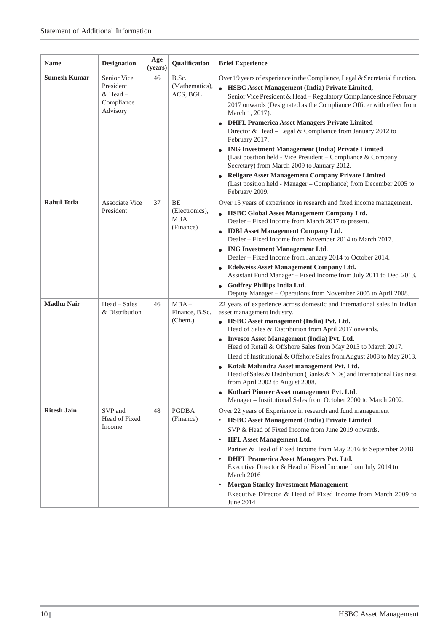| <b>Name</b>         | <b>Designation</b>                                             | Age<br>(years) | Qualification                                   | <b>Brief Experience</b>                                                                                                                                                                                                                                                                                                                                                                                                                                                                                                                                                                                                                                                                                                                                                          |
|---------------------|----------------------------------------------------------------|----------------|-------------------------------------------------|----------------------------------------------------------------------------------------------------------------------------------------------------------------------------------------------------------------------------------------------------------------------------------------------------------------------------------------------------------------------------------------------------------------------------------------------------------------------------------------------------------------------------------------------------------------------------------------------------------------------------------------------------------------------------------------------------------------------------------------------------------------------------------|
| <b>Sumesh Kumar</b> | Senior Vice<br>President<br>& Head -<br>Compliance<br>Advisory | 46             | B.Sc.<br>(Mathematics),<br>ACS, BGL             | Over 19 years of experience in the Compliance, Legal & Secretarial function.<br><b>HSBC Asset Management (India) Private Limited,</b><br>$\bullet$<br>Senior Vice President & Head - Regulatory Compliance since February<br>2017 onwards (Designated as the Compliance Officer with effect from<br>March 1, 2017).<br><b>DHFL Pramerica Asset Managers Private Limited</b><br>Director & Head - Legal & Compliance from January 2012 to<br>February 2017.<br><b>ING Investment Management (India) Private Limited</b><br>(Last position held - Vice President – Compliance & Company<br>Secretary) from March 2009 to January 2012.<br>Religare Asset Management Company Private Limited<br>(Last position held - Manager – Compliance) from December 2005 to<br>February 2009. |
| <b>Rahul Totla</b>  | <b>Associate Vice</b><br>President                             | 37             | BE<br>(Electronics),<br><b>MBA</b><br>(Finance) | Over 15 years of experience in research and fixed income management.<br><b>HSBC Global Asset Management Company Ltd.</b><br>Dealer - Fixed Income from March 2017 to present.<br><b>IDBI</b> Asset Management Company Ltd.<br>Dealer - Fixed Income from November 2014 to March 2017.<br><b>ING Investment Management Ltd.</b><br>Dealer - Fixed Income from January 2014 to October 2014.<br><b>Edelweiss Asset Management Company Ltd.</b><br>Assistant Fund Manager - Fixed Income from July 2011 to Dec. 2013.<br><b>Godfrey Phillips India Ltd.</b><br>Deputy Manager - Operations from November 2005 to April 2008.                                                                                                                                                        |
| <b>Madhu Nair</b>   | Head - Sales<br>& Distribution                                 | 46             | $MBA -$<br>Finance, B.Sc.<br>(Chem.)            | 22 years of experience across domestic and international sales in Indian<br>asset management industry.<br>• HSBC Asset management (India) Pvt. Ltd.<br>Head of Sales & Distribution from April 2017 onwards.<br>Invesco Asset Management (India) Pvt. Ltd.<br>Head of Retail & Offshore Sales from May 2013 to March 2017.<br>Head of Institutional & Offshore Sales from August 2008 to May 2013.<br>Kotak Mahindra Asset management Pvt. Ltd.<br>$\bullet$<br>Head of Sales & Distribution (Banks & NDs) and International Business<br>from April 2002 to August 2008.<br>Kothari Pioneer Asset management Pvt. Ltd.<br>Manager - Institutional Sales from October 2000 to March 2002.                                                                                         |
| <b>Ritesh Jain</b>  | SVP and<br>Head of Fixed<br>Income                             | 48             | <b>PGDBA</b><br>(Finance)                       | Over 22 years of Experience in research and fund management<br><b>HSBC Asset Management (India) Private Limited</b><br>$\bullet$<br>SVP & Head of Fixed Income from June 2019 onwards.<br><b>IIFL Asset Management Ltd.</b><br>$\bullet$<br>Partner & Head of Fixed Income from May 2016 to September 2018<br><b>DHFL Pramerica Asset Managers Pvt. Ltd.</b><br>$\bullet$<br>Executive Director & Head of Fixed Income from July 2014 to<br>March 2016<br><b>Morgan Stanley Investment Management</b><br>$\bullet$<br>Executive Director & Head of Fixed Income from March 2009 to<br>June 2014                                                                                                                                                                                  |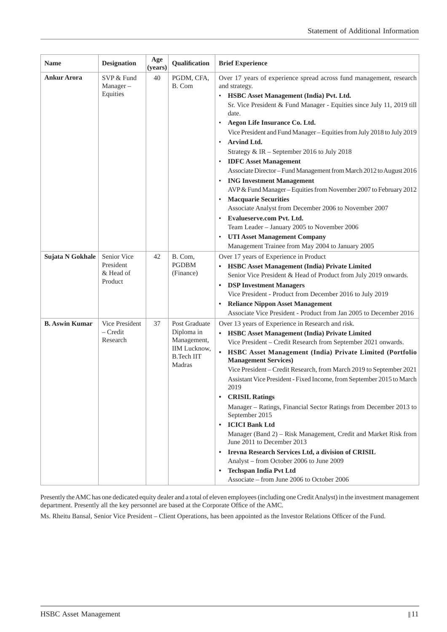| Name                  | <b>Designation</b>                               | Age<br>(years) | Qualification                                                                                    | <b>Brief Experience</b>                                                                                                                                                                                                                                                                                                                                                                                                                                                                                                                                                                                                                                                                                                                                                                                                                                                                                                                                      |
|-----------------------|--------------------------------------------------|----------------|--------------------------------------------------------------------------------------------------|--------------------------------------------------------------------------------------------------------------------------------------------------------------------------------------------------------------------------------------------------------------------------------------------------------------------------------------------------------------------------------------------------------------------------------------------------------------------------------------------------------------------------------------------------------------------------------------------------------------------------------------------------------------------------------------------------------------------------------------------------------------------------------------------------------------------------------------------------------------------------------------------------------------------------------------------------------------|
| <b>Ankur Arora</b>    | SVP & Fund<br>Manager-<br>Equities               | 40             | PGDM, CFA,<br>B. Com                                                                             | Over 17 years of experience spread across fund management, research<br>and strategy.<br>HSBC Asset Management (India) Pvt. Ltd.<br>$\bullet$<br>Sr. Vice President & Fund Manager - Equities since July 11, 2019 till<br>date.<br>Aegon Life Insurance Co. Ltd.<br>$\bullet$<br>Vice President and Fund Manager - Equities from July 2018 to July 2019<br>Arvind Ltd.<br>$\bullet$<br>Strategy & IR - September 2016 to July 2018<br><b>IDFC</b> Asset Management<br>$\bullet$<br>Associate Director - Fund Management from March 2012 to August 2016<br><b>ING Investment Management</b><br>$\bullet$<br>AVP & Fund Manager - Equities from November 2007 to February 2012<br><b>Macquarie Securities</b><br>٠<br>Associate Analyst from December 2006 to November 2007<br>Evalueserve.com Pvt. Ltd.<br>$\bullet$<br>Team Leader - January 2005 to November 2006<br><b>UTI Asset Management Company</b><br>Management Trainee from May 2004 to January 2005 |
| Sujata N Gokhale      | Senior Vice<br>President<br>& Head of<br>Product | 42             | B. Com,<br><b>PGDBM</b><br>(Finance)                                                             | Over 17 years of Experience in Product<br><b>HSBC Asset Management (India) Private Limited</b><br>$\bullet$<br>Senior Vice President & Head of Product from July 2019 onwards.<br><b>DSP Investment Managers</b><br>$\bullet$<br>Vice President - Product from December 2016 to July 2019<br><b>Reliance Nippon Asset Management</b><br>٠<br>Associate Vice President - Product from Jan 2005 to December 2016                                                                                                                                                                                                                                                                                                                                                                                                                                                                                                                                               |
| <b>B.</b> Aswin Kumar | Vice President<br>$-$ Credit<br>Research         | 37             | Post Graduate<br>Diploma in<br>Management,<br><b>IIM</b> Lucknow,<br><b>B.Tech IIT</b><br>Madras | Over 13 years of Experience in Research and risk.<br><b>HSBC Asset Management (India) Private Limited</b><br>Vice President - Credit Research from September 2021 onwards.<br>HSBC Asset Management (India) Private Limited (Portfolio<br>$\bullet$<br><b>Management Services</b> )<br>Vice President - Credit Research, from March 2019 to September 2021<br>Assistant Vice President - Fixed Income, from September 2015 to March<br>2019<br><b>CRISIL Ratings</b><br>$\bullet$<br>Manager - Ratings, Financial Sector Ratings from December 2013 to<br>September 2015<br><b>ICICI Bank Ltd</b><br>$\bullet$<br>Manager (Band 2) – Risk Management, Credit and Market Risk from<br>June 2011 to December 2013<br>Irevna Research Services Ltd, a division of CRISIL<br>Analyst - from October 2006 to June 2009<br><b>Techspan India Pvt Ltd</b><br>$\bullet$<br>Associate – from June 2006 to October 2006                                                |

Presently the AMC has one dedicated equity dealer and a total of eleven employees (including one Credit Analyst) in the investment management department. Presently all the key personnel are based at the Corporate Office of the AMC.

Ms. Rheitu Bansal, Senior Vice President – Client Operations, has been appointed as the Investor Relations Officer of the Fund.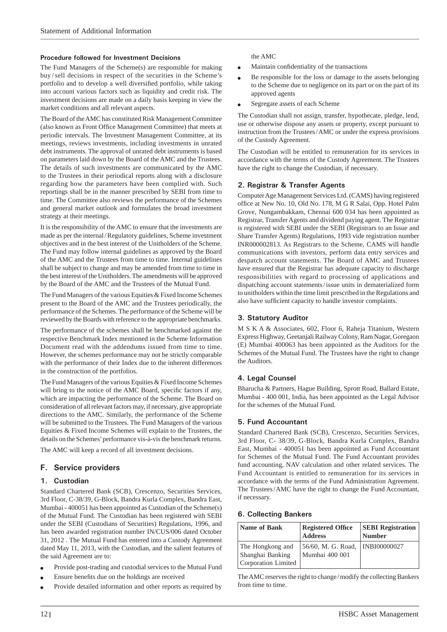#### **Procedure followed for Investment Decisions**

The Fund Managers of the Scheme(s) are responsible for making buy / sell decisions in respect of the securities in the Scheme's portfolio and to develop a well diversified portfolio, while taking into account various factors such as liquidity and credit risk. The investment decisions are made on a daily basis keeping in view the market conditions and all relevant aspects.

The Board of the AMC has constituted Risk Management Committee (also known as Front Office Management Committee) that meets at periodic intervals. The Investment Management Committee, at its meetings, reviews investments, including investments in unrated debt instruments. The approval of unrated debt instruments is based on parameters laid down by the Board of the AMC and the Trustees. The details of such investments are communicated by the AMC to the Trustees in their periodical reports along with a disclosure regarding how the parameters have been complied with. Such reportings shall be in the manner prescribed by SEBI from time to time. The Committee also reviews the performance of the Schemes and general market outlook and formulates the broad investment strategy at their meetings.

It is the responsibility of the AMC to ensure that the investments are made as per the internal / Regulatory guidelines, Scheme investment objectives and in the best interest of the Unitholders of the Scheme. The Fund may follow internal guidelines as approved by the Board of the AMC and the Trustees from time to time. Internal guidelines shall be subject to change and may be amended from time to time in the best interest of the Unitholders. The amendments will be approved by the Board of the AMC and the Trustees of the Mutual Fund.

The Fund Managers of the various Equities & Fixed Income Schemes present to the Board of the AMC and the Trustees periodically, the performance of the Schemes. The performance of the Scheme will be reviewed by the Boards with reference to the appropriate benchmarks.

The performance of the schemes shall be benchmarked against the respective Benchmark Index mentioned in the Scheme Information Document read with the addendums issued from time to time. However, the schemes performance may not be strictly comparable with the performance of their Index due to the inherent differences in the construction of the portfolios.

The Fund Managers of the various Equities & Fixed Income Schemes will bring to the notice of the AMC Board, specific factors if any, which are impacting the performance of the Scheme. The Board on consideration of all relevant factors may, if necessary, give appropriate directions to the AMC. Similarly, the performance of the Scheme will be submitted to the Trustees. The Fund Managers of the various Equities & Fixed Income Schemes will explain to the Trustees, the details on the Schemes' performance vis-à-vis the benchmark returns.

The AMC will keep a record of all investment decisions.

### **F. Service providers**

### **1. Custodian**

Standard Chartered Bank (SCB), Crescenzo, Securities Services, 3rd Floor, C-38/39, G-Block, Bandra Kurla Complex, Bandra East, Mumbai - 400051 has been appointed as Custodian of the Scheme(s) of the Mutual Fund. The Custodian has been registered with SEBI under the SEBI (Custodians of Securities) Regulations, 1996, and has been awarded registration number IN/CUS/006 dated October 31, 2012 . The Mutual Fund has entered into a Custody Agreement dated May 11, 2013, with the Custodian, and the salient features of the said Agreement are to:

- Provide post-trading and custodial services to the Mutual Fund
- Ensure benefits due on the holdings are received
- Provide detailed information and other reports as required by

the AMC

- Maintain confidentiality of the transactions
- Be responsible for the loss or damage to the assets belonging to the Scheme due to negligence on its part or on the part of its approved agents
- Segregate assets of each Scheme

The Custodian shall not assign, transfer, hypothecate, pledge, lend, use or otherwise dispose any assets or property, except pursuant to instruction from the Trustees / AMC or under the express provisions of the Custody Agreement.

The Custodian will be entitled to remuneration for its services in accordance with the terms of the Custody Agreement. The Trustees have the right to change the Custodian, if necessary.

### **2. Registrar & Transfer Agents**

Computer Age Management Services Ltd. (CAMS) having registered office at New No. 10, Old No. 178, M G R Salai, Opp. Hotel Palm Grove, Nungambakkam, Chennai 600 034 has been appointed as Registrar, Transfer Agents and dividend paying agent. The Registrar is registered with SEBI under the SEBI (Registrars to an Issue and Share Transfer Agents) Regulations, 1993 vide registration number INR000002813. As Registrars to the Scheme, CAMS will handle communications with investors, perform data entry services and despatch account statements. The Board of AMC and Trustees have ensured that the Registrar has adequate capacity to discharge responsibilities with regard to processing of applications and dispatching account statements / issue units in dematerialized form to unitholders within the time limit prescribed in the Regulations and also have sufficient capacity to handle investor complaints.

### **3. Statutory Auditor**

M S K A & Associates, 602, Floor 6, Raheja Titanium, Western Express Highway, Geetanjali Railway Colony, Ram Nagar, Goregaon (E) Mumbai 400063 has been appointed as the Auditors for the Schemes of the Mutual Fund. The Trustees have the right to change the Auditors.

### **4. Legal Counsel**

Bharucha & Partners, Hague Building, Sprott Road, Ballard Estate, Mumbai - 400 001, India, has been appointed as the Legal Advisor for the schemes of the Mutual Fund.

### **5. Fund Accountant**

Standard Chartered Bank (SCB), Crescenzo, Securities Services, 3rd Floor, C- 38/39, G-Block, Bandra Kurla Complex, Bandra East, Mumbai - 400051 has been appointed as Fund Accountant for Schemes of the Mutual Fund. The Fund Accountant provides fund accounting, NAV calculation and other related services. The Fund Accountant is entitled to remuneration for its services in accordance with the terms of the Fund Administration Agreement. The Trustees / AMC have the right to change the Fund Accountant, if necessary.

### **6. Collecting Bankers**

| Name of Bank                                                | <b>Registered Office</b><br><b>Address</b> | <b>SEBI Registration</b><br><b>Number</b> |
|-------------------------------------------------------------|--------------------------------------------|-------------------------------------------|
| The Hongkong and<br>Shanghai Banking<br>Corporation Limited | 56/60, M. G. Road,<br>Mumbai 400 001       | INBI00000027                              |

The AMC reserves the right to change / modify the collecting Bankers from time to time.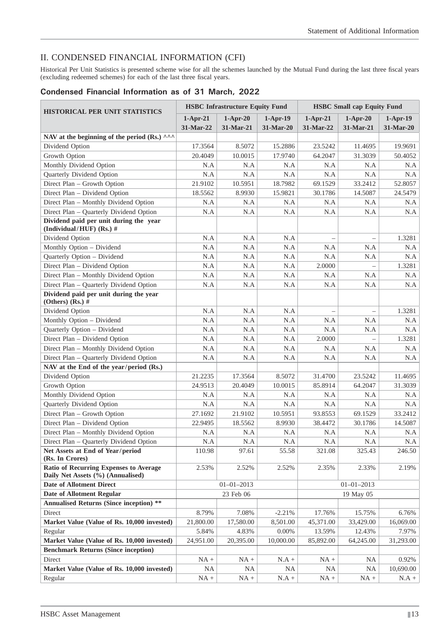# II. CONDENSED FINANCIAL INFORMATION (CFI)

Historical Per Unit Statistics is presented scheme wise for all the schemes launched by the Mutual Fund during the last three fiscal years (excluding redeemed schemes) for each of the last three fiscal years.

# **Condensed Financial Information as of 31 March, 2022**

| <b>HISTORICAL PER UNIT STATISTICS</b>                                       |            | <b>HSBC</b> Infrastructure Equity Fund |                  | <b>HSBC Small cap Equity Fund</b> |                  |            |
|-----------------------------------------------------------------------------|------------|----------------------------------------|------------------|-----------------------------------|------------------|------------|
|                                                                             | $1-Apr-21$ | $1-Apr-20$                             | $1-Apr-19$       | $1-Apr-21$                        | $1-Apr-20$       | $1-Apr-19$ |
|                                                                             | 31-Mar-22  | 31-Mar-21                              | 31-Mar-20        | 31-Mar-22                         | 31-Mar-21        | 31-Mar-20  |
| NAV at the beginning of the period (Rs.) ^^^                                |            |                                        |                  |                                   |                  |            |
| Dividend Option                                                             | 17.3564    | 8.5072                                 | 15.2886          | 23.5242                           | 11.4695          | 19.9691    |
| Growth Option                                                               | 20.4049    | 10.0015                                | 17.9740          | 64.2047                           | 31.3039          | 50.4052    |
| Monthly Dividend Option                                                     | N.A        | N.A                                    | N.A              | N.A                               | N.A              | N.A        |
| Quarterly Dividend Option                                                   | N.A        | N.A                                    | N.A              | N.A                               | N.A              | N.A        |
| Direct Plan - Growth Option                                                 | 21.9102    | 10.5951                                | 18.7982          | 69.1529                           | 33.2412          | 52.8057    |
| Direct Plan - Dividend Option                                               | 18.5562    | 8.9930                                 | 15.9821          | 30.1786                           | 14.5087          | 24.5479    |
| Direct Plan - Monthly Dividend Option                                       | N.A        | N.A                                    | N.A              | N.A                               | N.A              | N.A        |
| Direct Plan - Quarterly Dividend Option                                     | N.A        | N.A                                    | N.A              | N.A                               | N.A              | N.A        |
| Dividend paid per unit during the year<br>(Individual/HUF) (Rs.) #          |            |                                        |                  |                                   |                  |            |
| Dividend Option                                                             | N.A        | N.A                                    | N.A              | $\overline{\phantom{0}}$          | $\equiv$         | 1.3281     |
| Monthly Option - Dividend                                                   | N.A        | N.A                                    | N.A              | N.A                               | N.A              | N.A        |
| Quarterly Option - Dividend                                                 | N.A        | $\rm N.A$                              | N.A              | N.A                               | N.A              | N.A        |
| Direct Plan - Dividend Option                                               | N.A        | N.A                                    | N.A              | 2.0000                            |                  | 1.3281     |
| Direct Plan - Monthly Dividend Option                                       | N.A        | N.A                                    | N.A              | N.A                               | N.A              | N.A        |
| Direct Plan - Quarterly Dividend Option                                     | N.A        | N.A                                    | N.A              | N.A                               | N.A              | N.A        |
| Dividend paid per unit during the year<br>(Others) (Rs.) $#$                |            |                                        |                  |                                   |                  |            |
| Dividend Option                                                             | N.A        | N.A                                    | N.A              |                                   |                  | 1.3281     |
| Monthly Option - Dividend                                                   | N.A        | N.A                                    | N.A              | N.A                               | N.A              | N.A        |
| Quarterly Option - Dividend                                                 | N.A        | N.A                                    | N.A              | N.A                               | N.A              | N.A        |
| Direct Plan - Dividend Option                                               | N.A        | N.A                                    | N.A              | 2.0000                            |                  | 1.3281     |
| Direct Plan - Monthly Dividend Option                                       | N.A        | N.A                                    | N.A              | N.A                               | N.A              | N.A        |
| Direct Plan - Quarterly Dividend Option                                     | N.A        | N.A                                    | N.A              | N.A                               | N.A              | N.A        |
| NAV at the End of the year/period (Rs.)                                     |            |                                        |                  |                                   |                  |            |
| Dividend Option                                                             | 21.2235    | 17.3564                                | 8.5072           | 31.4700                           | 23.5242          | 11.4695    |
| Growth Option                                                               | 24.9513    | 20.4049                                | 10.0015          | 85.8914                           | 64.2047          | 31.3039    |
| Monthly Dividend Option                                                     | N.A        | N.A                                    | N.A              | N.A                               | N.A              | N.A        |
| Quarterly Dividend Option                                                   | N.A        | N.A                                    | N.A              | N.A                               | N.A              | N.A        |
| Direct Plan - Growth Option                                                 | 27.1692    | 21.9102                                | 10.5951          | 93.8553                           | 69.1529          | 33.2412    |
| Direct Plan - Dividend Option                                               | 22.9495    | 18.5562                                | 8.9930           | 38.4472                           | 30.1786          | 14.5087    |
| Direct Plan - Monthly Dividend Option                                       | N.A        | N.A                                    | N.A              | N.A                               | N.A              | N.A        |
| Direct Plan - Quarterly Dividend Option                                     | N.A        | N.A                                    | N.A              | N.A                               | N.A              | N.A        |
| Net Assets at End of Year/period                                            | 110.98     | 97.61                                  | 55.58            | 321.08                            | 325.43           | 246.50     |
| (Rs. In Crores)                                                             |            |                                        |                  |                                   |                  |            |
| Ratio of Recurring Expenses to Average<br>Daily Net Assets (%) (Annualised) | 2.53%      | 2.52%                                  | 2.52%            | 2.35%                             | 2.33%            | 2.19%      |
| <b>Date of Allotment Direct</b>                                             |            | $01 - 01 - 2013$                       |                  |                                   | $01 - 01 - 2013$ |            |
| <b>Date of Allotment Regular</b>                                            |            | 23 Feb 06                              |                  |                                   | 19 May 05        |            |
| <b>Annualised Returns (Since inception)</b> **                              |            |                                        |                  |                                   |                  |            |
| Direct                                                                      | 8.79%      | 7.08%                                  | $-2.21%$         | 17.76%                            | 15.75%           | 6.76%      |
| Market Value (Value of Rs. 10,000 invested)                                 | 21,800.00  | 17,580.00                              | 8,501.00         | 45,371.00                         | 33,429.00        | 16,069.00  |
| Regular                                                                     | 5.84%      | 4.83%                                  | $0.00\%$         | 13.59%                            | 12.43%           | 7.97%      |
| Market Value (Value of Rs. 10,000 invested)                                 | 24,951.00  | 20,395.00                              | 10,000.00        | 85,892.00                         | 64,245.00        | 31,293.00  |
| <b>Benchmark Returns (Since inception)</b>                                  |            |                                        |                  |                                   |                  |            |
| Direct                                                                      | $NA +$     | $NA +$                                 | $\mathrm{N.A}$ + | $NA +$                            | <b>NA</b>        | 0.92%      |
| Market Value (Value of Rs. 10,000 invested)                                 | NA         | <b>NA</b>                              | NA               | NA                                | <b>NA</b>        | 10,690.00  |
| Regular                                                                     | $NA +$     | $NA +$                                 | $N.A +$          | $NA +$                            | $NA +$           | $N.A +$    |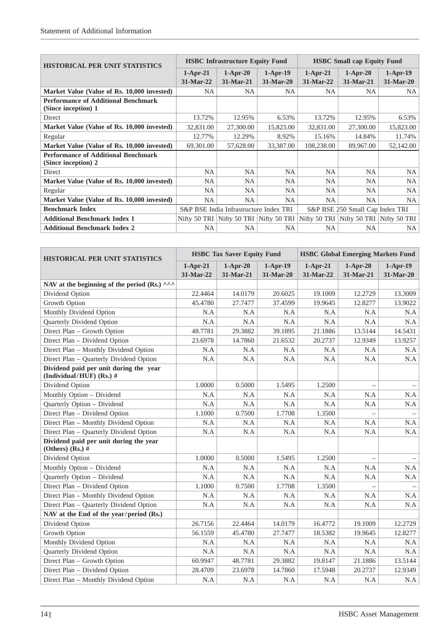| <b>HISTORICAL PER UNIT STATISTICS</b>                             |             | <b>HSBC</b> Infrastructure Equity Fund |                                                                               | <b>HSBC Small cap Equity Fund</b> |                                 |            |
|-------------------------------------------------------------------|-------------|----------------------------------------|-------------------------------------------------------------------------------|-----------------------------------|---------------------------------|------------|
|                                                                   | $1-Apr-21$  | $1-Apr-20$                             | $1-Apr-19$                                                                    | $1-Apr-21$                        | $1-Apr-20$                      | $1-Apr-19$ |
|                                                                   | $31-Mar-22$ | $31-Mar-21$                            | $31-Mar-20$                                                                   | $31-Mar-22$                       | $31-Mar-21$                     | 31-Mar-20  |
| Market Value (Value of Rs. 10,000 invested)                       | NA.         | NA.                                    | NA.                                                                           | NA.                               | NA.                             | NA.        |
| <b>Performance of Additional Benchmark</b><br>(Since inception) 1 |             |                                        |                                                                               |                                   |                                 |            |
| Direct                                                            | 13.72%      | 12.95%                                 | 6.53%                                                                         | 13.72%                            | 12.95%                          | 6.53%      |
| Market Value (Value of Rs. 10,000 invested)                       | 32,831.00   | 27,300.00                              | 15,823.00                                                                     | 32,831.00                         | 27,300.00                       | 15,823.00  |
| Regular                                                           | 12.77%      | 12.29%                                 | 8.92%                                                                         | 15.16%                            | 14.84%                          | 11.74%     |
| Market Value (Value of Rs. 10,000 invested)                       | 69,301.00   | 57,628.00                              | 33,387.00                                                                     | 108,238.00                        | 89,967.00                       | 52,142.00  |
| <b>Performance of Additional Benchmark</b><br>(Since inception) 2 |             |                                        |                                                                               |                                   |                                 |            |
| <b>Direct</b>                                                     | <b>NA</b>   | <b>NA</b>                              | <b>NA</b>                                                                     | <b>NA</b>                         | <b>NA</b>                       | <b>NA</b>  |
| Market Value (Value of Rs. 10,000 invested)                       | <b>NA</b>   | <b>NA</b>                              | <b>NA</b>                                                                     | NA.                               | <b>NA</b>                       | <b>NA</b>  |
| Regular                                                           | <b>NA</b>   | <b>NA</b>                              | <b>NA</b>                                                                     | <b>NA</b>                         | <b>NA</b>                       | <b>NA</b>  |
| Market Value (Value of Rs. 10,000 invested)                       | NA          | <b>NA</b>                              | <b>NA</b>                                                                     | <b>NA</b>                         | <b>NA</b>                       | NA         |
| <b>Benchmark Index</b>                                            |             | S&P BSE India Infrastructure Index TRI |                                                                               |                                   | S&P BSE 250 Small Cap Index TRI |            |
| <b>Additional Benchmark Index 1</b>                               |             |                                        | Nifty 50 TRI Nifty 50 TRI Nifty 50 TRI Nifty 50 TRI Nifty 50 TRI Nifty 50 TRI |                                   |                                 |            |
| <b>Additional Benchmark Index 2</b>                               | NA          | <b>NA</b>                              | <b>NA</b>                                                                     | <b>NA</b>                         | NA                              | NA         |

| <b>HISTORICAL PER UNIT STATISTICS</b>                              |                         | <b>HSBC Tax Saver Equity Fund</b> |                         | <b>HSBC Global Emerging Markets Fund</b> |                         |                         |
|--------------------------------------------------------------------|-------------------------|-----------------------------------|-------------------------|------------------------------------------|-------------------------|-------------------------|
|                                                                    | $1-Apr-21$<br>31-Mar-22 | $1-Apr-20$<br>31-Mar-21           | $1-Apr-19$<br>31-Mar-20 | $1-Apr-21$<br>31-Mar-22                  | $1-Apr-20$<br>31-Mar-21 | $1-Apr-19$<br>31-Mar-20 |
| NAV at the beginning of the period (Rs.) $\wedge\wedge\wedge$      |                         |                                   |                         |                                          |                         |                         |
| Dividend Option                                                    | 22.4464                 | 14.0179                           | 20.6025                 | 19.1009                                  | 12.2729                 | 13.3009                 |
| Growth Option                                                      | 45.4780                 | 27.7477                           | 37.4599                 | 19.9645                                  | 12.8277                 | 13.9022                 |
| Monthly Dividend Option                                            | N.A                     | N.A                               | N.A                     | N.A                                      | N.A                     | N.A                     |
| Quarterly Dividend Option                                          | N.A                     | N.A                               | N.A                     | N.A                                      | N.A                     | N.A                     |
| Direct Plan - Growth Option                                        | 48.7781                 | 29.3882                           | 39.1895                 | 21.1886                                  | 13.5144                 | 14.5431                 |
| Direct Plan - Dividend Option                                      | 23.6978                 | 14.7860                           | 21.6532                 | 20.2737                                  | 12.9349                 | 13.9257                 |
| Direct Plan - Monthly Dividend Option                              | N.A                     | N.A                               | N.A                     | N.A                                      | N.A                     | N.A                     |
| Direct Plan - Quarterly Dividend Option                            | N.A                     | N.A                               | N.A                     | N.A                                      | N.A                     | N.A                     |
| Dividend paid per unit during the year<br>(Individual/HUF) (Rs.) # |                         |                                   |                         |                                          |                         |                         |
| Dividend Option                                                    | 1.0000                  | 0.5000                            | 1.5495                  | 1.2500                                   |                         |                         |
| Monthly Option - Dividend                                          | N.A                     | N.A                               | N.A                     | N.A                                      | N.A                     | N.A                     |
| Quarterly Option - Dividend                                        | N.A                     | N.A                               | N.A                     | N.A                                      | N.A                     | N.A                     |
| Direct Plan - Dividend Option                                      | 1.1000                  | 0.7500                            | 1.7708                  | 1.3500                                   |                         |                         |
| Direct Plan - Monthly Dividend Option                              | N.A                     | N.A                               | N.A                     | N.A                                      | N.A                     | N.A                     |
| Direct Plan - Quarterly Dividend Option                            | N.A                     | N.A                               | N.A                     | N.A                                      | N.A                     | N.A                     |
| Dividend paid per unit during the year<br>(Others) $(Rs.)$ #       |                         |                                   |                         |                                          |                         |                         |
| Dividend Option                                                    | 1.0000                  | 0.5000                            | 1.5495                  | 1.2500                                   |                         |                         |
| Monthly Option - Dividend                                          | N.A                     | N.A                               | N.A                     | N.A                                      | N.A                     | N.A                     |
| Quarterly Option - Dividend                                        | N.A                     | N.A                               | N.A                     | N.A                                      | N.A                     | N.A                     |
| Direct Plan - Dividend Option                                      | 1.1000                  | 0.7500                            | 1.7708                  | 1.3500                                   |                         |                         |
| Direct Plan - Monthly Dividend Option                              | N.A                     | N.A                               | N.A                     | N.A                                      | N.A                     | N.A                     |
| Direct Plan - Quarterly Dividend Option                            | N.A                     | N.A                               | N.A                     | N.A                                      | N.A                     | N.A                     |
| NAV at the End of the year/period (Rs.)                            |                         |                                   |                         |                                          |                         |                         |
| Dividend Option                                                    | 26.7156                 | 22.4464                           | 14.0179                 | 16.4772                                  | 19.1009                 | 12.2729                 |
| Growth Option                                                      | 56.1559                 | 45.4780                           | 27.7477                 | 18.5382                                  | 19.9645                 | 12.8277                 |
| Monthly Dividend Option                                            | N.A                     | N.A                               | N.A                     | N.A                                      | N.A                     | N.A                     |
| Quarterly Dividend Option                                          | N.A                     | N.A                               | N.A                     | N.A                                      | N.A                     | N.A                     |
| Direct Plan - Growth Option                                        | 60.9947                 | 48.7781                           | 29.3882                 | 19.8147                                  | 21.1886                 | 13.5144                 |
| Direct Plan - Dividend Option                                      | 28.4709                 | 23.6978                           | 14.7860                 | 17.5948                                  | 20.2737                 | 12.9349                 |
| Direct Plan - Monthly Dividend Option                              | N.A                     | N.A                               | N.A                     | N.A                                      | N.A                     | N.A                     |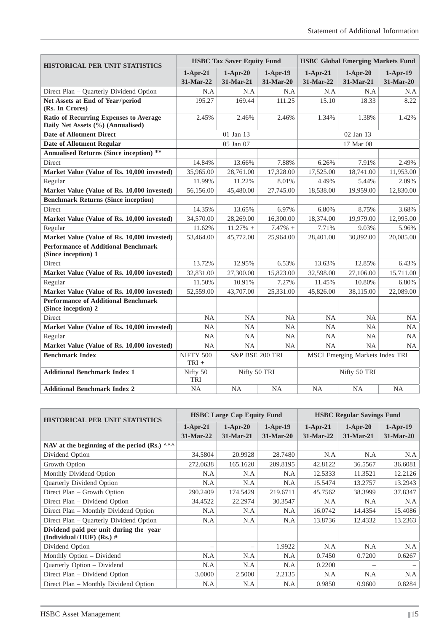| <b>HISTORICAL PER UNIT STATISTICS</b>                                              | <b>HSBC Tax Saver Equity Fund</b> |                           |                         | <b>HSBC Global Emerging Markets Fund</b> |                                 |                         |
|------------------------------------------------------------------------------------|-----------------------------------|---------------------------|-------------------------|------------------------------------------|---------------------------------|-------------------------|
|                                                                                    | $1-Apr-21$<br>31-Mar-22           | $1-Apr-20$<br>$31-Mar-21$ | $1-Apr-19$<br>31-Mar-20 | $1-Apr-21$<br>31-Mar-22                  | $1-Apr-20$<br>31-Mar-21         | $1-Apr-19$<br>31-Mar-20 |
| Direct Plan - Quarterly Dividend Option                                            | N.A                               | N.A                       | N.A                     | N.A                                      | N.A                             | N.A                     |
| Net Assets at End of Year/period<br>(Rs. In Crores)                                | 195.27                            | 169.44                    | 111.25                  | 15.10                                    | 18.33                           | 8.22                    |
| <b>Ratio of Recurring Expenses to Average</b><br>Daily Net Assets (%) (Annualised) | 2.45%                             | 2.46%                     | 2.46%                   | 1.34%                                    | 1.38%                           | 1.42%                   |
| <b>Date of Allotment Direct</b>                                                    |                                   | 01 Jan 13                 |                         |                                          | 02 Jan 13                       |                         |
| <b>Date of Allotment Regular</b>                                                   |                                   | 05 Jan 07                 |                         |                                          | 17 Mar 08                       |                         |
| **<br><b>Annualised Returns (Since inception)</b>                                  |                                   |                           |                         |                                          |                                 |                         |
| <b>Direct</b>                                                                      | 14.84%                            | 13.66%                    | 7.88%                   | 6.26%                                    | 7.91%                           | 2.49%                   |
| Market Value (Value of Rs. 10,000 invested)                                        | 35,965.00                         | 28,761.00                 | 17,328.00               | 17,525.00                                | 18,741.00                       | 11,953.00               |
| Regular                                                                            | 11.99%                            | 11.22%                    | 8.01%                   | 4.49%                                    | 5.44%                           | 2.09%                   |
| Market Value (Value of Rs. 10,000 invested)                                        | 56,156.00                         | 45,480.00                 | 27,745.00               | 18,538.00                                | 19,959.00                       | 12,830.00               |
| <b>Benchmark Returns (Since inception)</b>                                         |                                   |                           |                         |                                          |                                 |                         |
| Direct                                                                             | 14.35%                            | 13.65%                    | 6.97%                   | 6.80%                                    | 8.75%                           | 3.68%                   |
| Market Value (Value of Rs. 10,000 invested)                                        | 34,570.00                         | 28,269.00                 | 16,300.00               | 18,374.00                                | 19,979.00                       | 12,995.00               |
| Regular                                                                            | 11.62%                            | $11.27%$ +                | $7.47\%$ +              | 7.71%                                    | 9.03%                           | 5.96%                   |
| Market Value (Value of Rs. 10,000 invested)                                        | 53,464.00                         | 45,772.00                 | 25,964.00               | 28,401.00                                | 30,892.00                       | 20,085.00               |
| <b>Performance of Additional Benchmark</b><br>(Since inception) 1                  |                                   |                           |                         |                                          |                                 |                         |
| Direct                                                                             | 13.72%                            | 12.95%                    | 6.53%                   | 13.63%                                   | 12.85%                          | 6.43%                   |
| Market Value (Value of Rs. 10,000 invested)                                        | 32,831.00                         | 27,300.00                 | 15,823.00               | 32,598.00                                | 27,106.00                       | 15,711.00               |
| Regular                                                                            | 11.50%                            | 10.91%                    | 7.27%                   | 11.45%                                   | 10.80%                          | 6.80%                   |
| Market Value (Value of Rs. 10,000 invested)                                        | 52,559.00                         | 43,707.00                 | 25,331.00               | 45,826.00                                | 38,115.00                       | 22,089.00               |
| <b>Performance of Additional Benchmark</b><br>(Since inception) 2                  |                                   |                           |                         |                                          |                                 |                         |
| Direct                                                                             | <b>NA</b>                         | <b>NA</b>                 | NA                      | <b>NA</b>                                | <b>NA</b>                       | <b>NA</b>               |
| Market Value (Value of Rs. 10,000 invested)                                        | NA                                | NA                        | NA                      | NA                                       | NA                              | NA                      |
| Regular                                                                            | <b>NA</b>                         | <b>NA</b>                 | <b>NA</b>               | <b>NA</b>                                | <b>NA</b>                       | <b>NA</b>               |
| Market Value (Value of Rs. 10,000 invested)                                        | <b>NA</b>                         | <b>NA</b>                 | <b>NA</b>               | <b>NA</b>                                | <b>NA</b>                       | <b>NA</b>               |
| <b>Benchmark Index</b>                                                             | <b>NIFTY 500</b><br>$TRI +$       | S&P BSE 200 TRI           |                         |                                          | MSCI Emerging Markets Index TRI |                         |
| <b>Additional Benchmark Index 1</b>                                                | Nifty 50<br><b>TRI</b>            | Nifty 50 TRI              |                         |                                          | Nifty 50 TRI                    |                         |
| <b>Additional Benchmark Index 2</b>                                                | <b>NA</b>                         | <b>NA</b>                 | <b>NA</b>               | <b>NA</b>                                | NA                              | <b>NA</b>               |

| <b>HISTORICAL PER UNIT STATISTICS</b>                                |             | <b>HSBC Large Cap Equity Fund</b> |             | <b>HSBC Regular Savings Fund</b> |             |             |
|----------------------------------------------------------------------|-------------|-----------------------------------|-------------|----------------------------------|-------------|-------------|
|                                                                      | $1-Apr-21$  | $1-Apr-20$                        | $1-Apr-19$  | $1-Apr-21$                       | $1-Apr-20$  | $1-Apr-19$  |
|                                                                      | $31-Mar-22$ | $31-Mar-21$                       | $31-Mar-20$ | $31-Mar-22$                      | $31-Mar-21$ | $31-Mar-20$ |
| NAV at the beginning of the period (Rs.) $\wedge \wedge \wedge$      |             |                                   |             |                                  |             |             |
| Dividend Option                                                      | 34.5804     | 20.9928                           | 28.7480     | N.A                              | N.A         | N.A         |
| Growth Option                                                        | 272.0638    | 165.1620                          | 209.8195    | 42.8122                          | 36.5567     | 36.6081     |
| Monthly Dividend Option                                              | N.A         | N.A                               | N.A         | 12.5333                          | 11.3521     | 12.2126     |
| Quarterly Dividend Option                                            | N.A         | N.A                               | N.A         | 15.5474                          | 13.2757     | 13.2943     |
| Direct Plan – Growth Option                                          | 290.2409    | 174.5429                          | 219.6711    | 45.7562                          | 38.3999     | 37.8347     |
| Direct Plan – Dividend Option                                        | 34.4522     | 22.2974                           | 30.3547     | N.A                              | N.A         | N.A         |
| Direct Plan – Monthly Dividend Option                                | N.A         | N.A                               | N.A         | 16.0742                          | 14.4354     | 15.4086     |
| Direct Plan - Quarterly Dividend Option                              | N.A         | N.A                               | N.A         | 13.8736                          | 12.4332     | 13.2363     |
| Dividend paid per unit during the year<br>(Individual/HUF) (Rs.) $#$ |             |                                   |             |                                  |             |             |
| Dividend Option                                                      |             |                                   | 1.9922      | N.A                              | N.A         | N.A         |
| Monthly Option – Dividend                                            | N.A         | N.A                               | N.A         | 0.7450                           | 0.7200      | 0.6267      |
| Quarterly Option - Dividend                                          | N.A         | N.A                               | N.A         | 0.2200                           |             |             |
| Direct Plan – Dividend Option                                        | 3.0000      | 2.5000                            | 2.2135      | N.A                              | N.A         | N.A         |
| Direct Plan - Monthly Dividend Option                                | N.A         | N.A                               | N.A         | 0.9850                           | 0.9600      | 0.8284      |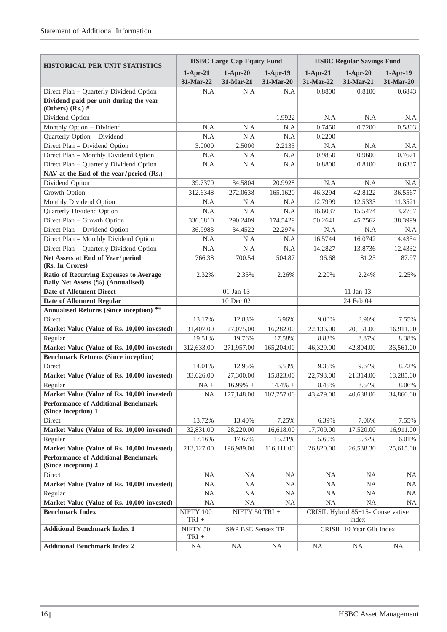| <b>HISTORICAL PER UNIT STATISTICS</b>                                       |                          | <b>HSBC Large Cap Equity Fund</b> |                         |                         | <b>HSBC Regular Savings Fund</b>           |                         |
|-----------------------------------------------------------------------------|--------------------------|-----------------------------------|-------------------------|-------------------------|--------------------------------------------|-------------------------|
|                                                                             | $1-Apr-21$<br>31-Mar-22  | $1-Apr-20$<br>31-Mar-21           | $1-Apr-19$<br>31-Mar-20 | $1-Apr-21$<br>31-Mar-22 | $1-Apr-20$<br>31-Mar-21                    | $1-Apr-19$<br>31-Mar-20 |
| Direct Plan - Quarterly Dividend Option                                     | N.A                      | N.A                               | N.A                     | 0.8800                  | 0.8100                                     | 0.6843                  |
| Dividend paid per unit during the year<br>(Others) (Rs.) $#$                |                          |                                   |                         |                         |                                            |                         |
| Dividend Option                                                             | $\overline{\phantom{0}}$ | $\qquad \qquad -$                 | 1.9922                  | N.A                     | N.A                                        | N.A                     |
| Monthly Option - Dividend                                                   | N.A                      | N.A                               | N.A                     | 0.7450                  | 0.7200                                     | 0.5803                  |
| Quarterly Option - Dividend                                                 | N.A                      | N.A                               | N.A                     | 0.2200                  |                                            |                         |
| Direct Plan - Dividend Option                                               | 3.0000                   | 2.5000                            | 2.2135                  | N.A                     | N.A                                        | N.A                     |
| Direct Plan - Monthly Dividend Option                                       | N.A                      | N.A                               | N.A                     | 0.9850                  | 0.9600                                     | 0.7671                  |
| Direct Plan - Quarterly Dividend Option                                     | N.A                      | N.A                               | N.A                     | 0.8800                  | 0.8100                                     | 0.6337                  |
| NAV at the End of the year/period (Rs.)                                     |                          |                                   |                         |                         |                                            |                         |
| Dividend Option                                                             | 39.7370                  | 34.5804                           | 20.9928                 | N.A                     | N.A                                        | N.A                     |
| Growth Option                                                               | 312.6348                 | 272.0638                          | 165.1620                | 46.3294                 | 42.8122                                    | 36.5567                 |
| Monthly Dividend Option                                                     | N.A                      | N.A                               | N.A                     | 12.7999                 | 12.5333                                    | 11.3521                 |
| Quarterly Dividend Option                                                   | N.A                      | N.A                               | N.A                     | 16.6037                 | 15.5474                                    | 13.2757                 |
| Direct Plan - Growth Option                                                 | 336.6810                 | 290.2409                          | 174.5429                | 50.2641                 | 45.7562                                    | 38.3999                 |
| Direct Plan - Dividend Option                                               | 36.9983                  | 34.4522                           | 22.2974                 | N.A                     | N.A                                        | N.A                     |
| Direct Plan - Monthly Dividend Option                                       | N.A                      | N.A                               | N.A                     | 16.5744                 | 16.0742                                    | 14.4354                 |
| Direct Plan - Quarterly Dividend Option                                     | N.A                      | N.A                               | N.A                     | 14.2827                 | 13.8736                                    | 12.4332                 |
| Net Assets at End of Year/period                                            | 766.38                   | 700.54                            | 504.87                  | 96.68                   | 81.25                                      | 87.97                   |
| (Rs. In Crores)                                                             |                          |                                   |                         |                         |                                            |                         |
| Ratio of Recurring Expenses to Average<br>Daily Net Assets (%) (Annualised) | 2.32%                    | 2.35%                             | 2.26%                   | 2.20%                   | 2.24%                                      | 2.25%                   |
| <b>Date of Allotment Direct</b>                                             |                          | 01 Jan 13                         |                         |                         | 11 Jan 13                                  |                         |
| <b>Date of Allotment Regular</b>                                            |                          | 10 Dec 02                         |                         |                         | 24 Feb 04                                  |                         |
| <b>Annualised Returns (Since inception)</b> **                              |                          |                                   |                         |                         |                                            |                         |
| Direct                                                                      | 13.17%                   | 12.83%                            | 6.96%                   | 9.00%                   | 8.90%                                      | 7.55%                   |
| Market Value (Value of Rs. 10,000 invested)                                 | 31,407.00                | 27,075.00                         | 16,282.00               | 22,136.00               | 20,151.00                                  | 16,911.00               |
| Regular                                                                     | 19.51%                   | 19.76%                            | 17.58%                  | 8.83%                   | 8.87%                                      | 8.38%                   |
| Market Value (Value of Rs. 10,000 invested)                                 | 312,633.00               | 271,957.00                        | 165,204.00              | 46,329.00               | 42,804.00                                  | 36,561.00               |
| <b>Benchmark Returns (Since inception)</b>                                  |                          |                                   |                         |                         |                                            |                         |
| Direct                                                                      | 14.01%                   | 12.95%                            | 6.53%                   | 9.35%                   | 9.64%                                      | 8.72%                   |
| Market Value (Value of Rs. 10,000 invested)                                 | 33,626.00                | 27,300.00                         | 15,823.00               | 22,793.00               | 21,314.00                                  | 18,285.00               |
| Regular                                                                     | $NA +$                   | $16.99\%$ +                       | $14.4\% +$              | 8.45%                   | 8.54%                                      | 8.06%                   |
| Market Value (Value of Rs. 10,000 invested)                                 | NA                       | 177,148.00                        | 102,757.00              | 43,479.00               | 40,638.00                                  | 34,860.00               |
| <b>Performance of Additional Benchmark</b><br>(Since inception) 1           |                          |                                   |                         |                         |                                            |                         |
| Direct                                                                      | 13.72%                   | 13.40%                            | 7.25%                   | 6.39%                   | 7.06%                                      | 7.55%                   |
| Market Value (Value of Rs. 10,000 invested)                                 | 32,831.00                | 28,220.00                         | 16,618.00               | 17,709.00               | 17,520.00                                  | 16,911.00               |
| Regular                                                                     | 17.16%                   | 17.67%                            | 15.21%                  | 5.60%                   | 5.87%                                      | 6.01%                   |
| Market Value (Value of Rs. 10,000 invested)                                 | 213,127.00               | 196,989.00                        | 116,111.00              | 26,820.00               | 26,538.30                                  | 25,615.00               |
| <b>Performance of Additional Benchmark</b><br>(Since inception) 2           |                          |                                   |                         |                         |                                            |                         |
| Direct                                                                      | <b>NA</b>                | <b>NA</b>                         | <b>NA</b>               | <b>NA</b>               | <b>NA</b>                                  | <b>NA</b>               |
| Market Value (Value of Rs. 10,000 invested)                                 | NA                       | <b>NA</b>                         | <b>NA</b>               | <b>NA</b>               | <b>NA</b>                                  | <b>NA</b>               |
| Regular                                                                     | NA                       | <b>NA</b>                         | <b>NA</b>               | <b>NA</b>               | NA                                         | <b>NA</b>               |
| Market Value (Value of Rs. 10,000 invested)                                 | <b>NA</b>                | <b>NA</b>                         | <b>NA</b>               | <b>NA</b>               | <b>NA</b>                                  | NA                      |
| <b>Benchmark Index</b>                                                      | NIFTY 100<br>$TRI +$     | NIFTY 50 TRI $+$                  |                         |                         | CRISIL Hybrid 85+15- Conservative<br>index |                         |
| <b>Additional Benchmark Index 1</b>                                         | NIFTY 50<br>$TRI +$      | S&P BSE Sensex TRI                |                         |                         | CRISIL 10 Year Gilt Index                  |                         |
| <b>Additional Benchmark Index 2</b>                                         | $\rm NA$                 | <b>NA</b>                         | $\rm NA$                | <b>NA</b>               | $\rm NA$                                   | <b>NA</b>               |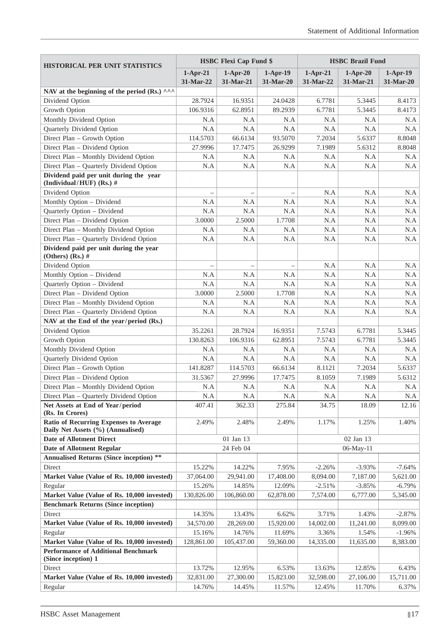| <b>HISTORICAL PER UNIT STATISTICS</b>                                            |                  | <b>HSBC Flexi Cap Fund \$</b> |                    |                  | <b>HSBC Brazil Fund</b> |                  |
|----------------------------------------------------------------------------------|------------------|-------------------------------|--------------------|------------------|-------------------------|------------------|
|                                                                                  | $1-Apr-21$       | $1-Apr-20$                    | $1-Apr-19$         | $1-Apr-21$       | $1-Apr-20$              | $1-Apr-19$       |
|                                                                                  | 31-Mar-22        | 31-Mar-21                     | 31-Mar-20          | 31-Mar-22        | 31-Mar-21               | 31-Mar-20        |
| NAV at the beginning of the period (Rs.) ^^^                                     |                  |                               |                    |                  |                         |                  |
| Dividend Option                                                                  | 28.7924          | 16.9351                       | 24.0428            | 6.7781           | 5.3445                  | 8.4173           |
| Growth Option                                                                    | 106.9316         | 62.8951                       | 89.2939            | 6.7781           | 5.3445                  | 8.4173           |
| Monthly Dividend Option                                                          | N.A              | N.A                           | N.A                | N.A              | N.A                     | N.A              |
| Quarterly Dividend Option                                                        | N.A              | N.A                           | N.A                | N.A              | N.A                     | N.A              |
| Direct Plan - Growth Option                                                      | 114.5703         | 66.6134                       | 93.5070            | 7.2034           | 5.6337                  | 8.8048           |
| Direct Plan - Dividend Option                                                    | 27.9996          | 17.7475                       | 26.9299            | 7.1989           | 5.6312                  | 8.8048           |
| Direct Plan - Monthly Dividend Option                                            | N.A              | N.A                           | N.A                | N.A              | N.A                     | N.A              |
| Direct Plan - Quarterly Dividend Option                                          | N.A              | N.A                           | N.A                | N.A              | N.A                     | N.A              |
| Dividend paid per unit during the year<br>(Individual/HUF) (Rs.) #               |                  |                               |                    |                  |                         |                  |
| Dividend Option                                                                  |                  |                               |                    | N.A              | N.A                     | N.A              |
| Monthly Option - Dividend                                                        | N.A              | N.A                           | N.A                | N.A              | N.A                     | N.A              |
| Quarterly Option - Dividend                                                      | N.A              | N.A                           | N.A                | N.A              | N.A                     | N.A              |
| Direct Plan - Dividend Option                                                    | 3.0000           | 2.5000                        | 1.7708             | N.A              | N.A                     | N.A              |
| Direct Plan - Monthly Dividend Option                                            | N.A              | N.A                           | N.A                | N.A              | N.A                     | N.A              |
| Direct Plan - Quarterly Dividend Option                                          | N.A              | N.A                           | N.A                | N.A              | N.A                     | N.A              |
| Dividend paid per unit during the year<br>(Others) (Rs.) $#$                     |                  |                               |                    |                  |                         |                  |
| Dividend Option                                                                  |                  |                               |                    | N.A              | N.A                     | N.A              |
| Monthly Option - Dividend                                                        | N.A              | N.A                           | N.A                | N.A              | N.A                     | N.A              |
| Quarterly Option - Dividend                                                      | N.A              | N.A                           | N.A                | N.A              | N.A                     | N.A              |
| Direct Plan - Dividend Option                                                    | 3.0000           | 2.5000                        | 1.7708             | N.A              | N.A                     | N.A              |
| Direct Plan - Monthly Dividend Option                                            | N.A              | N.A                           | N.A                | N.A              | N.A                     | N.A              |
| Direct Plan - Quarterly Dividend Option                                          | N.A              | N.A                           | N.A                | N.A              | N.A                     | N.A              |
| NAV at the End of the year/period (Rs.)                                          |                  |                               |                    |                  |                         |                  |
| Dividend Option                                                                  | 35.2261          | 28.7924                       | 16.9351            | 7.5743           | 6.7781                  | 5.3445           |
| Growth Option                                                                    | 130.8263         | 106.9316                      | 62.8951            | 7.5743           | 6.7781                  | 5.3445           |
| Monthly Dividend Option                                                          | N.A              | N.A                           | N.A                | N.A              | N.A                     | N.A              |
| Quarterly Dividend Option                                                        | N.A              | N.A                           | N.A                | N.A              | N.A                     | N.A              |
| Direct Plan - Growth Option<br>Direct Plan - Dividend Option                     | 141.8287         | 114.5703<br>27.9996           | 66.6134<br>17.7475 | 8.1121<br>8.1059 | 7.2034<br>7.1989        | 5.6337<br>5.6312 |
|                                                                                  | 31.5367          |                               | N.A                |                  |                         |                  |
| Direct Plan - Monthly Dividend Option<br>Direct Plan - Quarterly Dividend Option | N.A<br>$\rm N.A$ | N.A<br>$\rm N.A$              | $\rm N.A$          | N.A<br>$\rm N.A$ | N.A<br>$\rm N.A$        | N.A<br>N.A       |
| Net Assets at End of Year/period                                                 | 407.41           | 362.33                        | 275.84             | 34.75            | 18.09                   | 12.16            |
| (Rs. In Crores)                                                                  |                  |                               |                    |                  |                         |                  |
| Ratio of Recurring Expenses to Average<br>Daily Net Assets (%) (Annualised)      | 2.49%            | 2.48%                         | 2.49%              | 1.17%            | 1.25%                   | 1.40%            |
| <b>Date of Allotment Direct</b>                                                  |                  | 01 Jan 13                     |                    |                  | 02 Jan 13               |                  |
| <b>Date of Allotment Regular</b>                                                 |                  | 24 Feb 04                     |                    |                  | 06-May-11               |                  |
| <b>Annualised Returns (Since inception)</b> **                                   |                  |                               |                    |                  |                         |                  |
| Direct                                                                           | 15.22%           | 14.22%                        | 7.95%              | $-2.26%$         | $-3.93%$                | $-7.64%$         |
| Market Value (Value of Rs. 10,000 invested)                                      | 37,064.00        | 29,941.00                     | 17,408.00          | 8,094.00         | 7,187.00                | 5,621.00         |
| Regular                                                                          | 15.26%           | 14.85%                        | 12.09%             | $-2.51%$         | $-3.85%$                | $-6.79%$         |
| Market Value (Value of Rs. 10,000 invested)                                      | 130,826.00       | 106,860.00                    | 62,878.00          | 7,574.00         | 6,777.00                | 5,345.00         |
| <b>Benchmark Returns (Since inception)</b>                                       |                  |                               |                    |                  |                         |                  |
| Direct                                                                           | 14.35%           | 13.43%                        | 6.62%              | 3.71%            | 1.43%                   | $-2.87%$         |
| Market Value (Value of Rs. 10,000 invested)                                      | 34,570.00        | 28,269.00                     | 15,920.00          | 14,002.00        | 11,241.00               | 8,099.00         |
| Regular                                                                          | 15.16%           | 14.76%                        | 11.69%             | 3.36%            | 1.54%                   | $-1.96%$         |
| Market Value (Value of Rs. 10,000 invested)                                      | 128,861.00       | 105,437.00                    | 59,360.00          | 14,335.00        | 11,635.00               | 8,383.00         |
| <b>Performance of Additional Benchmark</b><br>(Since inception) 1                |                  |                               |                    |                  |                         |                  |
| Direct                                                                           | 13.72%           | 12.95%                        | 6.53%              | 13.63%           | 12.85%                  | 6.43%            |
| Market Value (Value of Rs. 10,000 invested)                                      | 32,831.00        | 27,300.00                     | 15,823.00          | 32,598.00        | 27,106.00               | 15,711.00        |
| Regular                                                                          | 14.76%           | 14.45%                        | 11.57%             | 12.45%           | 11.70%                  | 6.37%            |
|                                                                                  |                  |                               |                    |                  |                         |                  |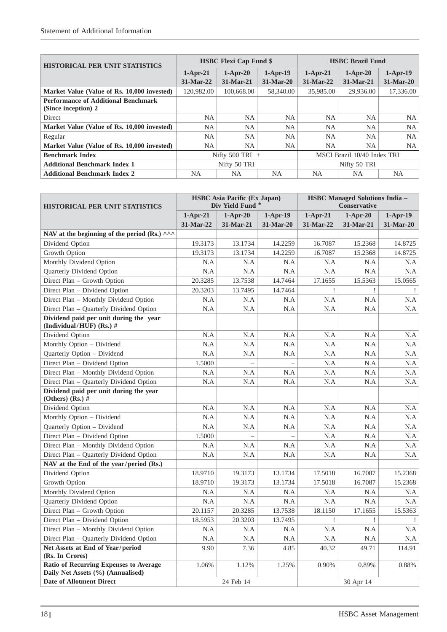| <b>HISTORICAL PER UNIT STATISTICS</b>                             | <b>HSBC Flexi Cap Fund \$</b> |                           |             | <b>HSBC Brazil Fund</b> |                             |            |
|-------------------------------------------------------------------|-------------------------------|---------------------------|-------------|-------------------------|-----------------------------|------------|
|                                                                   | $1-Apr-21$                    | $1-Apr-20$                | $1-Apr-19$  | $1-Apr-21$              | $1-Apr-20$                  | $1-Apr-19$ |
|                                                                   | $31-Mar-22$                   | $31-Mar-21$               | $31-Mar-20$ | $31-Mar-22$             | 31-Mar-21                   | 31-Mar-20  |
| Market Value (Value of Rs. 10,000 invested)                       | 120.982.00                    | 100,668.00                | 58,340.00   | 35,985.00               | 29,936.00                   | 17,336.00  |
| <b>Performance of Additional Benchmark</b><br>(Since inception) 2 |                               |                           |             |                         |                             |            |
| <b>Direct</b>                                                     | NA                            | <b>NA</b>                 | <b>NA</b>   | NA                      | NA                          | NA.        |
| Market Value (Value of Rs. 10,000 invested)                       | <b>NA</b>                     | <b>NA</b>                 | <b>NA</b>   | <b>NA</b>               | <b>NA</b>                   | <b>NA</b>  |
| Regular                                                           | <b>NA</b>                     | <b>NA</b>                 | <b>NA</b>   | <b>NA</b>               | <b>NA</b>                   | NA.        |
| Market Value (Value of Rs. 10,000 invested)                       | NA                            | NA                        | NA          | NA                      | NA                          | NA.        |
| <b>Benchmark Index</b>                                            |                               | Nifty $500 \text{ TRI}$ + |             |                         | MSCI Brazil 10/40 Index TRI |            |
| <b>Additional Benchmark Index 1</b>                               | Nifty 50 TRI                  |                           |             | Nifty 50 TRI            |                             |            |
| <b>Additional Benchmark Index 2</b>                               | NA.                           | <b>NA</b>                 | NA.         | NA.                     | NA.                         | NA.        |

| <b>HISTORICAL PER UNIT STATISTICS</b>                                       | <b>HSBC</b> Asia Pacific (Ex Japan)<br>Div Yield Fund <sup>*</sup> |            |            | <b>HSBC Managed Solutions India -</b><br>Conservative |            |            |
|-----------------------------------------------------------------------------|--------------------------------------------------------------------|------------|------------|-------------------------------------------------------|------------|------------|
|                                                                             | $1-Apr-21$                                                         | $1-Apr-20$ | $1-Apr-19$ | $1-Apr-21$                                            | $1-Apr-20$ | $1-Apr-19$ |
|                                                                             | 31-Mar-22                                                          | 31-Mar-21  | 31-Mar-20  | 31-Mar-22                                             | 31-Mar-21  | 31-Mar-20  |
| NAV at the beginning of the period (Rs.) $\wedge \wedge \wedge$             |                                                                    |            |            |                                                       |            |            |
| Dividend Option                                                             | 19.3173                                                            | 13.1734    | 14.2259    | 16.7087                                               | 15.2368    | 14.8725    |
| Growth Option                                                               | 19.3173                                                            | 13.1734    | 14.2259    | 16.7087                                               | 15.2368    | 14.8725    |
| Monthly Dividend Option                                                     | N.A                                                                | N.A        | N.A        | N.A                                                   | N.A        | N.A        |
| Quarterly Dividend Option                                                   | N.A                                                                | N.A        | N.A        | N.A                                                   | N.A        | N.A        |
| Direct Plan - Growth Option                                                 | 20.3285                                                            | 13.7538    | 14.7464    | 17.1655                                               | 15.5363    | 15.0565    |
| Direct Plan - Dividend Option                                               | 20.3203                                                            | 13.7495    | 14.7464    | Ţ                                                     | Ţ          |            |
| Direct Plan - Monthly Dividend Option                                       | N.A                                                                | N.A        | N.A        | N.A                                                   | N.A        | N.A        |
| Direct Plan - Quarterly Dividend Option                                     | N.A                                                                | N.A        | N.A        | N.A                                                   | N.A        | N.A        |
| Dividend paid per unit during the year<br>(Individual/HUF) (Rs.) #          |                                                                    |            |            |                                                       |            |            |
| Dividend Option                                                             | N.A                                                                | N.A        | N.A        | N.A                                                   | N.A        | N.A        |
| Monthly Option - Dividend                                                   | N.A                                                                | N.A        | N.A        | N.A                                                   | N.A        | N.A        |
| Quarterly Option - Dividend                                                 | N.A                                                                | N.A        | N.A        | N.A                                                   | N.A        | N.A        |
| Direct Plan - Dividend Option                                               | 1.5000                                                             |            |            | N.A                                                   | N.A        | N.A        |
| Direct Plan - Monthly Dividend Option                                       | N.A                                                                | N.A        | N.A        | N.A                                                   | N.A        | N.A        |
| Direct Plan - Quarterly Dividend Option                                     | N.A                                                                | N.A        | N.A        | N.A                                                   | N.A        | N.A        |
| Dividend paid per unit during the year<br>(Others) (Rs.) $#$                |                                                                    |            |            |                                                       |            |            |
| Dividend Option                                                             | N.A                                                                | N.A        | N.A        | N.A                                                   | N.A        | N.A        |
| Monthly Option - Dividend                                                   | N.A                                                                | N.A        | N.A        | N.A                                                   | N.A        | N.A        |
| Quarterly Option - Dividend                                                 | N.A                                                                | N.A        | N.A        | N.A                                                   | N.A        | N.A        |
| Direct Plan - Dividend Option                                               | 1.5000                                                             |            |            | N.A                                                   | N.A        | N.A        |
| Direct Plan - Monthly Dividend Option                                       | N.A                                                                | N.A        | N.A        | N.A                                                   | N.A        | N.A        |
| Direct Plan - Quarterly Dividend Option                                     | N.A                                                                | N.A        | N.A        | N.A                                                   | N.A        | N.A        |
| NAV at the End of the year/period (Rs.)                                     |                                                                    |            |            |                                                       |            |            |
| Dividend Option                                                             | 18.9710                                                            | 19.3173    | 13.1734    | 17.5018                                               | 16.7087    | 15.2368    |
| Growth Option                                                               | 18.9710                                                            | 19.3173    | 13.1734    | 17.5018                                               | 16.7087    | 15.2368    |
| Monthly Dividend Option                                                     | N.A                                                                | N.A        | N.A        | N.A                                                   | N.A        | N.A        |
| Quarterly Dividend Option                                                   | N.A                                                                | N.A        | N.A        | N.A                                                   | N.A        | N.A        |
| Direct Plan - Growth Option                                                 | 20.1157                                                            | 20.3285    | 13.7538    | 18.1150                                               | 17.1655    | 15.5363    |
| Direct Plan - Dividend Option                                               | 18.5953                                                            | 20.3203    | 13.7495    | Ţ                                                     |            |            |
| Direct Plan - Monthly Dividend Option                                       | $\rm N.A$                                                          | N.A        | $\rm N.A$  | $\rm N.A$                                             | $\rm N.A$  | N.A        |
| Direct Plan - Quarterly Dividend Option                                     | N.A                                                                | N.A        | N.A        | N.A                                                   | N.A        | N.A        |
| Net Assets at End of Year/period<br>(Rs. In Crores)                         | 9.90                                                               | 7.36       | 4.85       | 40.32                                                 | 49.71      | 114.91     |
| Ratio of Recurring Expenses to Average<br>Daily Net Assets (%) (Annualised) | 1.06%                                                              | 1.12%      | 1.25%      | 0.90%                                                 | 0.89%      | 0.88%      |
| <b>Date of Allotment Direct</b>                                             |                                                                    | 24 Feb 14  |            | 30 Apr 14                                             |            |            |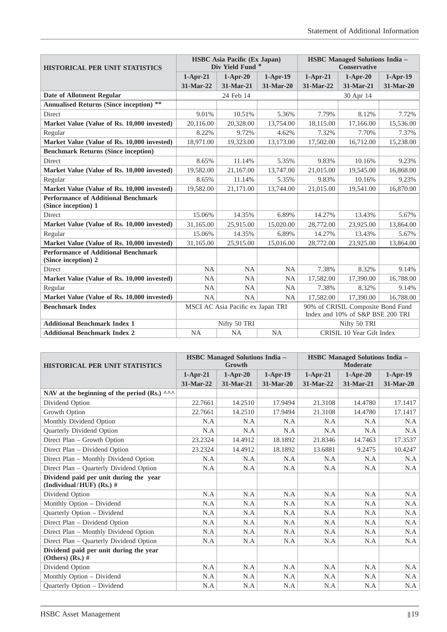| <b>HISTORICAL PER UNIT STATISTICS</b>                             |            | <b>HSBC</b> Asia Pacific (Ex Japan)<br>Div Yield Fund <sup>*</sup> |            | <b>HSBC Managed Solutions India -</b><br><b>Conservative</b> |                                                                       |            |
|-------------------------------------------------------------------|------------|--------------------------------------------------------------------|------------|--------------------------------------------------------------|-----------------------------------------------------------------------|------------|
|                                                                   | $1-Apr-21$ | $1-Apr-20$                                                         | $1-Apr-19$ | $1-Apr-21$                                                   | $1-Apr-20$                                                            | $1-Apr-19$ |
|                                                                   | 31-Mar-22  | 31-Mar-21                                                          | 31-Mar-20  | 31-Mar-22                                                    | 31-Mar-21                                                             | 31-Mar-20  |
| <b>Date of Allotment Regular</b>                                  |            | 24 Feb 14                                                          |            |                                                              | 30 Apr 14                                                             |            |
| <b>Annualised Returns (Since inception)</b> **                    |            |                                                                    |            |                                                              |                                                                       |            |
| <b>Direct</b>                                                     | 9.01%      | 10.51%                                                             | 5.36%      | 7.79%                                                        | 8.12%                                                                 | 7.72%      |
| Market Value (Value of Rs. 10,000 invested)                       | 20,116.00  | 20,328.00                                                          | 13,754.00  | 18,115.00                                                    | 17,166.00                                                             | 15,536.00  |
| Regular                                                           | 8.22%      | 9.72%                                                              | 4.62%      | 7.32%                                                        | 7.70%                                                                 | 7.37%      |
| Market Value (Value of Rs. 10,000 invested)                       | 18,971.00  | 19,323.00                                                          | 13,173.00  | 17,502.00                                                    | 16,712.00                                                             | 15,238.00  |
| <b>Benchmark Returns (Since inception)</b>                        |            |                                                                    |            |                                                              |                                                                       |            |
| <b>Direct</b>                                                     | 8.65%      | 11.14%                                                             | 5.35%      | 9.83%                                                        | 10.16%                                                                | 9.23%      |
| Market Value (Value of Rs. 10,000 invested)                       | 19,582.00  | 21,167.00                                                          | 13,747.00  | 21,015.00                                                    | 19,545.00                                                             | 16,868.00  |
| Regular                                                           | 8.65%      | 11.14%                                                             | 5.35%      | 9.83%                                                        | 10.16%                                                                | 9.23%      |
| Market Value (Value of Rs. 10,000 invested)                       | 19,582.00  | 21,171.00                                                          | 13,744.00  | 21,015.00                                                    | 19,541.00                                                             | 16,870.00  |
| <b>Performance of Additional Benchmark</b><br>(Since inception) 1 |            |                                                                    |            |                                                              |                                                                       |            |
| Direct                                                            | 15.06%     | 14.35%                                                             | 6.89%      | 14.27%                                                       | 13.43%                                                                | 5.67%      |
| Market Value (Value of Rs. 10,000 invested)                       | 31.165.00  | 25.915.00                                                          | 15,020.00  | 28,772.00                                                    | 23,925.00                                                             | 13,864.00  |
| Regular                                                           | 15.06%     | 14.35%                                                             | 6.89%      | 14.27%                                                       | 13.43%                                                                | 5.67%      |
| Market Value (Value of Rs. 10,000 invested)                       | 31,165.00  | 25,915.00                                                          | 15,016.00  | 28,772.00                                                    | 23,925.00                                                             | 13,864.00  |
| <b>Performance of Additional Benchmark</b><br>(Since inception) 2 |            |                                                                    |            |                                                              |                                                                       |            |
| <b>Direct</b>                                                     | <b>NA</b>  | <b>NA</b>                                                          | <b>NA</b>  | 7.38%                                                        | 8.32%                                                                 | 9.14%      |
| Market Value (Value of Rs. 10,000 invested)                       | <b>NA</b>  | <b>NA</b>                                                          | <b>NA</b>  | 17,582.00                                                    | 17,390.00                                                             | 16,788.00  |
| Regular                                                           | <b>NA</b>  | <b>NA</b>                                                          | NA         | 7.38%                                                        | 8.32%                                                                 | 9.14%      |
| Market Value (Value of Rs. 10,000 invested)                       | <b>NA</b>  | <b>NA</b>                                                          | <b>NA</b>  | 17,582.00                                                    | 17,390.00                                                             | 16,788.00  |
| <b>Benchmark Index</b>                                            |            | MSCI AC Asia Pacific ex Japan TRI                                  |            |                                                              | 90% of CRISIL Composite Bond Fund<br>Index and 10% of S&P BSE 200 TRI |            |
| <b>Additional Benchmark Index 1</b>                               |            | Nifty 50 TRI                                                       |            |                                                              | Nifty 50 TRI                                                          |            |
| <b>Additional Benchmark Index 2</b>                               | <b>NA</b>  | <b>NA</b>                                                          | <b>NA</b>  |                                                              | CRISIL 10 Year Gilt Index                                             |            |

| <b>HISTORICAL PER UNIT STATISTICS</b>                              | <b>HSBC Managed Solutions India -</b><br>Growth |             |            | <b>HSBC Managed Solutions India -</b><br><b>Moderate</b> |             |            |
|--------------------------------------------------------------------|-------------------------------------------------|-------------|------------|----------------------------------------------------------|-------------|------------|
|                                                                    | $1-Apr-21$                                      | $1-Apr-20$  | $1-Apr-19$ | $1-Apr-21$                                               | $1-Apr-20$  | $1-Apr-19$ |
|                                                                    | 31-Mar-22                                       | $31-Mar-21$ | 31-Mar-20  | 31-Mar-22                                                | $31-Mar-21$ | 31-Mar-20  |
| NAV at the beginning of the period (Rs.) $\wedge\wedge\wedge$      |                                                 |             |            |                                                          |             |            |
| Dividend Option                                                    | 22.7661                                         | 14.2510     | 17.9494    | 21.3108                                                  | 14.4780     | 17.1417    |
| Growth Option                                                      | 22.7661                                         | 14.2510     | 17.9494    | 21.3108                                                  | 14.4780     | 17.1417    |
| Monthly Dividend Option                                            | N.A                                             | N.A         | N.A        | N.A                                                      | N.A         | N.A        |
| Quarterly Dividend Option                                          | N.A                                             | N.A         | N.A        | N.A                                                      | N.A         | N.A        |
| Direct Plan – Growth Option                                        | 23.2324                                         | 14.4912     | 18.1892    | 21.8346                                                  | 14.7463     | 17.3537    |
| Direct Plan - Dividend Option                                      | 23.2324                                         | 14.4912     | 18.1892    | 13.6881                                                  | 9.2475      | 10.4247    |
| Direct Plan - Monthly Dividend Option                              | N.A                                             | N.A         | N.A        | N.A                                                      | N.A         | N.A        |
| Direct Plan - Quarterly Dividend Option                            | N.A                                             | N.A         | N.A        | N.A                                                      | N.A         | N.A        |
| Dividend paid per unit during the year<br>(Individual/HUF) (Rs.) # |                                                 |             |            |                                                          |             |            |
| Dividend Option                                                    | N.A                                             | N.A         | N.A        | N.A                                                      | N.A         | N.A        |
| Monthly Option - Dividend                                          | N.A                                             | N.A         | N.A        | N.A                                                      | N.A         | N.A        |
| <b>Ouarterly Option - Dividend</b>                                 | N.A                                             | N.A         | N.A        | N.A                                                      | N.A         | N.A        |
| Direct Plan - Dividend Option                                      | N.A                                             | N.A         | N.A        | N.A                                                      | N.A         | N.A        |
| Direct Plan – Monthly Dividend Option                              | N.A                                             | N.A         | N.A        | N.A                                                      | N.A         | N.A        |
| Direct Plan – Quarterly Dividend Option                            | N.A                                             | N.A         | N.A        | N.A                                                      | N.A         | N.A        |
| Dividend paid per unit during the year<br>(Others) $(Rs.)$ #       |                                                 |             |            |                                                          |             |            |
| Dividend Option                                                    | N.A                                             | N.A         | N.A        | N.A                                                      | N.A         | N.A        |
| Monthly Option - Dividend                                          | N.A                                             | N.A         | N.A        | N.A                                                      | N.A         | N.A        |
| <b>Ouarterly Option - Dividend</b>                                 | N.A                                             | N.A         | N.A        | N.A                                                      | N.A         | N.A        |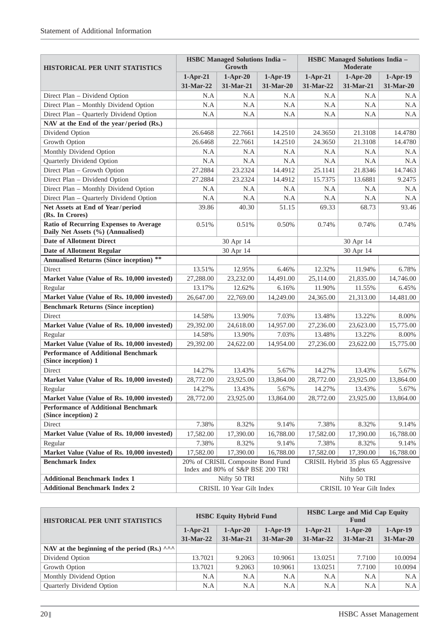| <b>HISTORICAL PER UNIT STATISTICS</b>                                              |            | <b>HSBC Managed Solutions India -</b><br>Growth                       |            |            | <b>HSBC Managed Solutions India -</b><br><b>Moderate</b> |            |  |
|------------------------------------------------------------------------------------|------------|-----------------------------------------------------------------------|------------|------------|----------------------------------------------------------|------------|--|
|                                                                                    | $1-Apr-21$ | $1-Apr-20$                                                            | $1-Apr-19$ | $1-Apr-21$ | $1-Apr-20$                                               | $1-Apr-19$ |  |
|                                                                                    | 31-Mar-22  | 31-Mar-21                                                             | 31-Mar-20  | 31-Mar-22  | 31-Mar-21                                                | 31-Mar-20  |  |
| Direct Plan - Dividend Option                                                      | N.A        | N.A                                                                   | N.A        | N.A        | N.A                                                      | $\rm N.A$  |  |
| Direct Plan - Monthly Dividend Option                                              | N.A        | N.A                                                                   | N.A        | N.A        | N.A                                                      | N.A        |  |
| Direct Plan - Quarterly Dividend Option                                            | N.A        | N.A                                                                   | N.A        | N.A        | N.A                                                      | N.A        |  |
| NAV at the End of the year/period (Rs.)                                            |            |                                                                       |            |            |                                                          |            |  |
| Dividend Option                                                                    | 26.6468    | 22.7661                                                               | 14.2510    | 24.3650    | 21.3108                                                  | 14.4780    |  |
| Growth Option                                                                      | 26.6468    | 22.7661                                                               | 14.2510    | 24.3650    | 21.3108                                                  | 14.4780    |  |
| Monthly Dividend Option                                                            | N.A        | N.A                                                                   | N.A        | N.A        | N.A                                                      | N.A        |  |
| Quarterly Dividend Option                                                          | N.A        | N.A                                                                   | N.A        | N.A        | N.A                                                      | N.A        |  |
| Direct Plan - Growth Option                                                        | 27.2884    | 23.2324                                                               | 14.4912    | 25.1141    | 21.8346                                                  | 14.7463    |  |
| Direct Plan - Dividend Option                                                      | 27.2884    | 23.2324                                                               | 14.4912    | 15.7375    | 13.6881                                                  | 9.2475     |  |
| Direct Plan - Monthly Dividend Option                                              | N.A        | N.A                                                                   | N.A        | N.A        | N.A                                                      | N.A        |  |
| Direct Plan - Quarterly Dividend Option                                            | N.A        | N.A                                                                   | N.A        | N.A        | N.A                                                      | N.A        |  |
| Net Assets at End of Year/period<br>(Rs. In Crores)                                | 39.86      | 40.30                                                                 | 51.15      | 69.33      | 68.73                                                    | 93.46      |  |
| <b>Ratio of Recurring Expenses to Average</b><br>Daily Net Assets (%) (Annualised) | 0.51%      | 0.51%                                                                 | 0.50%      | 0.74%      | 0.74%                                                    | 0.74%      |  |
| <b>Date of Allotment Direct</b>                                                    |            | 30 Apr 14                                                             |            | 30 Apr 14  |                                                          |            |  |
| <b>Date of Allotment Regular</b>                                                   |            | 30 Apr 14                                                             |            |            | 30 Apr 14                                                |            |  |
| <b>Annualised Returns (Since inception)</b> **                                     |            |                                                                       |            |            |                                                          |            |  |
| Direct                                                                             | 13.51%     | 12.95%                                                                | 6.46%      | 12.32%     | 11.94%                                                   | 6.78%      |  |
| Market Value (Value of Rs. 10,000 invested)                                        | 27,288.00  | 23,232.00                                                             | 14,491.00  | 25,114.00  | 21,835.00                                                | 14,746.00  |  |
| Regular                                                                            | 13.17%     | 12.62%                                                                | 6.16%      | 11.90%     | 11.55%                                                   | 6.45%      |  |
| Market Value (Value of Rs. 10,000 invested)                                        | 26,647.00  | 22,769.00                                                             | 14,249.00  | 24,365.00  | 21,313.00                                                | 14,481.00  |  |
| <b>Benchmark Returns (Since inception)</b>                                         |            |                                                                       |            |            |                                                          |            |  |
| Direct                                                                             | 14.58%     | 13.90%                                                                | 7.03%      | 13.48%     | 13.22%                                                   | 8.00%      |  |
| Market Value (Value of Rs. 10,000 invested)                                        | 29,392.00  | 24,618.00                                                             | 14,957.00  | 27,236.00  | 23,623.00                                                | 15,775.00  |  |
| Regular                                                                            | 14.58%     | 13.90%                                                                | 7.03%      | 13.48%     | 13.22%                                                   | 8.00%      |  |
| Market Value (Value of Rs. 10,000 invested)                                        | 29,392.00  | 24,622.00                                                             | 14,954.00  | 27,236.00  | 23,622.00                                                | 15,775.00  |  |
| <b>Performance of Additional Benchmark</b><br>(Since inception) 1                  |            |                                                                       |            |            |                                                          |            |  |
| Direct                                                                             | 14.27%     | 13.43%                                                                | 5.67%      | 14.27%     | 13.43%                                                   | 5.67%      |  |
| Market Value (Value of Rs. 10,000 invested)                                        | 28,772.00  | 23,925.00                                                             | 13,864.00  | 28,772.00  | 23,925.00                                                | 13,864.00  |  |
| Regular                                                                            | 14.27%     | 13.43%                                                                | 5.67%      | 14.27%     | 13.43%                                                   | 5.67%      |  |
| Market Value (Value of Rs. 10,000 invested)                                        | 28,772.00  | 23,925.00                                                             | 13,864.00  | 28,772.00  | 23,925.00                                                | 13,864.00  |  |
| <b>Performance of Additional Benchmark</b><br>(Since inception) 2                  |            |                                                                       |            |            |                                                          |            |  |
| Direct                                                                             | 7.38%      | 8.32%                                                                 | 9.14%      | 7.38%      | 8.32%                                                    | 9.14%      |  |
| Market Value (Value of Rs. 10,000 invested)                                        | 17,582.00  | 17,390.00                                                             | 16,788.00  | 17,582.00  | 17,390.00                                                | 16,788.00  |  |
| Regular                                                                            | 7.38%      | 8.32%                                                                 | 9.14%      | 7.38%      | 8.32%                                                    | 9.14%      |  |
| Market Value (Value of Rs. 10,000 invested)                                        | 17,582.00  | 17,390.00                                                             | 16,788.00  | 17,582.00  | 17,390.00                                                | 16,788.00  |  |
| <b>Benchmark Index</b>                                                             |            | 20% of CRISIL Composite Bond Fund<br>Index and 80% of S&P BSE 200 TRI |            |            | CRISIL Hybrid 35 plus 65 Aggressive<br>Index             |            |  |
| <b>Additional Benchmark Index 1</b>                                                |            | Nifty 50 TRI                                                          |            |            | Nifty 50 TRI                                             |            |  |
| <b>Additional Benchmark Index 2</b>                                                |            | CRISIL 10 Year Gilt Index                                             |            |            | CRISIL 10 Year Gilt Index                                |            |  |

| <b>HISTORICAL PER UNIT STATISTICS</b>       |             | <b>HSBC Equity Hybrid Fund</b> |             | <b>HSBC</b> Large and Mid Cap Equity<br>Fund |            |            |
|---------------------------------------------|-------------|--------------------------------|-------------|----------------------------------------------|------------|------------|
|                                             | $1-Apr-21$  | $1-Apr-20$                     | $1-Apr-19$  | $1-Apr-21$                                   | $1-Apr-20$ | $1-Apr-19$ |
|                                             | $31-Mar-22$ | 31-Mar-21                      | $31-Mar-20$ | $31-Mar-22$                                  | 31-Mar-21  | 31-Mar-20  |
| NAV at the beginning of the period $(Rs)$ . |             |                                |             |                                              |            |            |
| Dividend Option                             | 13.7021     | 9.2063                         | 10.9061     | 13.0251                                      | 7.7100     | 10.0094    |
| Growth Option                               | 13.7021     | 9.2063                         | 10.9061     | 13.0251                                      | 7.7100     | 10.0094    |
| Monthly Dividend Option                     | N.A         | N.A                            | N.A         | N.A                                          | N.A        | N.A        |
| <b>Ouarterly Dividend Option</b>            | N.A         | N.A                            | N.A         | N.A                                          | N.A        | N.A        |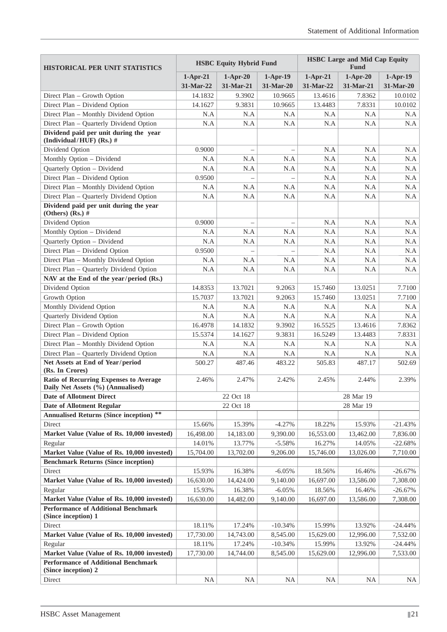| <b>HISTORICAL PER UNIT STATISTICS</b>                                       |            | <b>HSBC Equity Hybrid Fund</b> |                   | <b>HSBC Large and Mid Cap Equity</b><br><b>Fund</b> |            |            |  |
|-----------------------------------------------------------------------------|------------|--------------------------------|-------------------|-----------------------------------------------------|------------|------------|--|
|                                                                             | $1-Apr-21$ | $1-Apr-20$                     | $1-Apr-19$        | $1-Apr-21$                                          | $1-Apr-20$ | $1-Apr-19$ |  |
|                                                                             | 31-Mar-22  | 31-Mar-21                      | 31-Mar-20         | 31-Mar-22                                           | 31-Mar-21  | 31-Mar-20  |  |
| Direct Plan - Growth Option                                                 | 14.1832    | 9.3902                         | 10.9665           | 13.4616                                             | 7.8362     | 10.0102    |  |
| Direct Plan - Dividend Option                                               | 14.1627    | 9.3831                         | 10.9665           | 13.4483                                             | 7.8331     | 10.0102    |  |
| Direct Plan - Monthly Dividend Option                                       | N.A        | N.A                            | N.A               | N.A                                                 | N.A        | N.A        |  |
| Direct Plan - Quarterly Dividend Option                                     | N.A        | N.A                            | N.A               | N.A                                                 | N.A        | N.A        |  |
| Dividend paid per unit during the year<br>(Individual/HUF) (Rs.) #          |            |                                |                   |                                                     |            |            |  |
| Dividend Option                                                             | 0.9000     |                                |                   | N.A                                                 | N.A        | N.A        |  |
| Monthly Option - Dividend                                                   | N.A        | N.A                            | N.A               | N.A                                                 | N.A        | N.A        |  |
| Quarterly Option - Dividend                                                 | N.A        | N.A                            | N.A               | N.A                                                 | N.A        | N.A        |  |
| Direct Plan - Dividend Option                                               | 0.9500     |                                |                   | N.A                                                 | N.A        | N.A        |  |
| Direct Plan - Monthly Dividend Option                                       | N.A        | N.A                            | N.A               | N.A                                                 | N.A        | N.A        |  |
| Direct Plan - Quarterly Dividend Option                                     | N.A        | N.A                            | N.A               | N.A                                                 | N.A        | N.A        |  |
| Dividend paid per unit during the year<br>(Others) $(Rs.)$ #                |            |                                |                   |                                                     |            |            |  |
| Dividend Option                                                             | 0.9000     | $\equiv$                       | $\qquad \qquad -$ | N.A                                                 | N.A        | N.A        |  |
| Monthly Option - Dividend                                                   | N.A        | N.A                            | N.A               | N.A                                                 | N.A        | N.A        |  |
| Quarterly Option - Dividend                                                 | N.A        | N.A                            | N.A               | N.A                                                 | N.A        | N.A        |  |
| Direct Plan - Dividend Option                                               | 0.9500     |                                |                   | N.A                                                 | N.A        | N.A        |  |
| Direct Plan - Monthly Dividend Option                                       | N.A        | N.A                            | N.A               | N.A                                                 | N.A        | N.A        |  |
| Direct Plan - Quarterly Dividend Option                                     | N.A        | N.A                            | N.A               | N.A                                                 | N.A        | N.A        |  |
| NAV at the End of the year/period (Rs.)                                     |            |                                |                   |                                                     |            |            |  |
| Dividend Option                                                             | 14.8353    | 13.7021                        | 9.2063            | 15.7460                                             | 13.0251    | 7.7100     |  |
| Growth Option                                                               | 15.7037    | 13.7021                        | 9.2063            | 15.7460                                             | 13.0251    | 7.7100     |  |
| Monthly Dividend Option                                                     | N.A        | N.A                            | N.A               | N.A                                                 | N.A        | N.A        |  |
| Quarterly Dividend Option                                                   | N.A        | N.A                            | N.A               | N.A                                                 | N.A        | N.A        |  |
| Direct Plan - Growth Option                                                 | 16.4978    | 14.1832                        | 9.3902            | 16.5525                                             | 13.4616    | 7.8362     |  |
| Direct Plan - Dividend Option                                               | 15.5374    | 14.1627                        | 9.3831            | 16.5249                                             | 13.4483    | 7.8331     |  |
| Direct Plan - Monthly Dividend Option                                       | N.A        | N.A                            | N.A               | N.A                                                 | N.A        | N.A        |  |
| Direct Plan - Quarterly Dividend Option                                     | N.A        | N.A                            | N.A               | N.A                                                 | N.A        | N.A        |  |
| Net Assets at End of Year/period<br>(Rs. In Crores)                         | 500.27     | 487.46                         | 483.22            | 505.83                                              | 487.17     | 502.69     |  |
| Ratio of Recurring Expenses to Average<br>Daily Net Assets (%) (Annualised) | 2.46%      | 2.47%                          | 2.42%             | 2.45%                                               | 2.44%      | 2.39%      |  |
| <b>Date of Allotment Direct</b>                                             |            | 22 Oct 18                      |                   | 28 Mar 19                                           |            |            |  |
| <b>Date of Allotment Regular</b>                                            |            | 22 Oct 18                      |                   |                                                     | 28 Mar 19  |            |  |
| **<br><b>Annualised Returns (Since inception)</b>                           |            |                                |                   |                                                     |            |            |  |
| Direct                                                                      | 15.66%     | 15.39%                         | $-4.27%$          | 18.22%                                              | 15.93%     | $-21.43%$  |  |
| Market Value (Value of Rs. 10,000 invested)                                 | 16,498.00  | 14,183.00                      | 9,390.00          | 16,553.00                                           | 13,462.00  | 7,836.00   |  |
| Regular                                                                     | 14.01%     | 13.77%                         | $-5.58%$          | 16.27%                                              | 14.05%     | $-22.68%$  |  |
| Market Value (Value of Rs. 10,000 invested)                                 | 15,704.00  | 13,702.00                      | 9,206.00          | 15,746.00                                           | 13,026.00  | 7,710.00   |  |
| <b>Benchmark Returns (Since inception)</b>                                  |            |                                |                   |                                                     |            |            |  |
| Direct                                                                      | 15.93%     | 16.38%                         | $-6.05%$          | 18.56%                                              | 16.46%     | $-26.67%$  |  |
| Market Value (Value of Rs. 10,000 invested)                                 | 16,630.00  | 14,424.00                      | 9,140.00          | 16,697.00                                           | 13,586.00  | 7,308.00   |  |
| Regular                                                                     | 15.93%     | 16.38%                         | $-6.05%$          | 18.56%                                              | 16.46%     | $-26.67%$  |  |
| Market Value (Value of Rs. 10,000 invested)                                 | 16,630.00  | 14,482.00                      | 9,140.00          | 16,697.00                                           | 13,586.00  | 7,308.00   |  |
| <b>Performance of Additional Benchmark</b><br>(Since inception) 1           |            |                                |                   |                                                     |            |            |  |
| Direct                                                                      | 18.11%     | 17.24%                         | $-10.34%$         | 15.99%                                              | 13.92%     | $-24.44%$  |  |
| Market Value (Value of Rs. 10,000 invested)                                 | 17,730.00  | 14,743.00                      | 8,545.00          | 15,629.00                                           | 12,996.00  | 7,532.00   |  |
| Regular                                                                     | 18.11%     | 17.24%                         | $-10.34%$         | 15.99%                                              | 13.92%     | $-24.44%$  |  |
| Market Value (Value of Rs. 10,000 invested)                                 | 17,730.00  | 14,744.00                      | 8,545.00          | 15,629.00                                           | 12,996.00  | 7,533.00   |  |
| <b>Performance of Additional Benchmark</b><br>(Since inception) 2           |            |                                |                   |                                                     |            |            |  |
| Direct                                                                      | <b>NA</b>  | <b>NA</b>                      | <b>NA</b>         | <b>NA</b>                                           | <b>NA</b>  | NA         |  |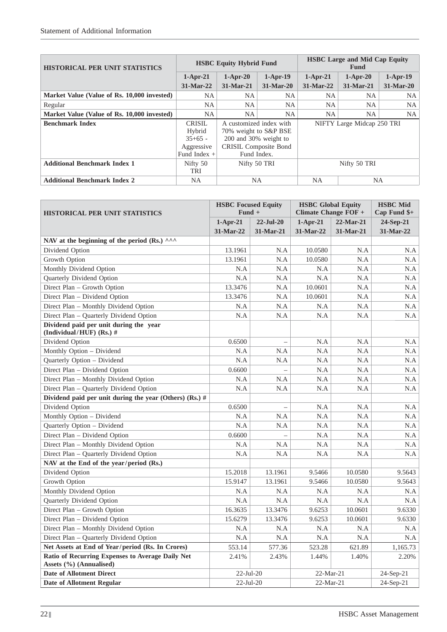| <b>HISTORICAL PER UNIT STATISTICS</b>       | <b>HSBC Equity Hybrid Fund</b>                                       |                                                                                                                          |             | <b>HSBC</b> Large and Mid Cap Equity<br><b>Fund</b> |                            |            |
|---------------------------------------------|----------------------------------------------------------------------|--------------------------------------------------------------------------------------------------------------------------|-------------|-----------------------------------------------------|----------------------------|------------|
|                                             | $1-Apr-21$                                                           | $1-Apr-20$                                                                                                               | $1-Apr-19$  | $1-Apr-21$                                          | $1-Apr-20$                 | $1-Apr-19$ |
|                                             | $31-Mar-22$                                                          | $31-Mar-21$                                                                                                              | $31-Mar-20$ | $31-Mar-22$                                         | $31-Mar-21$                | 31-Mar-20  |
| Market Value (Value of Rs. 10,000 invested) | NA.                                                                  | NA.                                                                                                                      | NA.         | NA.                                                 | <b>NA</b>                  | NA         |
| Regular                                     | NA.                                                                  | NA.                                                                                                                      | NA.         | NA                                                  | <b>NA</b>                  | <b>NA</b>  |
| Market Value (Value of Rs. 10,000 invested) | <b>NA</b>                                                            | <b>NA</b>                                                                                                                | NA          | NA                                                  | NA                         | NA         |
| <b>Benchmark Index</b>                      | <b>CRISIL</b><br>Hybrid<br>$35+65$ -<br>Aggressive<br>Fund Index $+$ | A customized index with<br>70% weight to S&P BSE<br>200 and 30% weight to<br><b>CRISIL Composite Bond</b><br>Fund Index. |             |                                                     | NIFTY Large Midcap 250 TRI |            |
| <b>Additional Benchmark Index 1</b>         | Nifty 50<br>TRI                                                      | Nifty 50 TRI                                                                                                             |             | Nifty 50 TRI                                        |                            |            |
| <b>Additional Benchmark Index 2</b>         | NA                                                                   | NA.                                                                                                                      |             | NA.                                                 | NA                         |            |

| <b>HISTORICAL PER UNIT STATISTICS</b>                                       | <b>HSBC</b> Focused Equity<br>$Fund +$ |              | <b>HSBC Global Equity</b><br>Climate Change FOF + | <b>HSBC</b> Mid<br>$Cap$ Fund $\frac{1}{2}$ + |           |
|-----------------------------------------------------------------------------|----------------------------------------|--------------|---------------------------------------------------|-----------------------------------------------|-----------|
|                                                                             | $1-Apr-21$                             | $22$ -Jul-20 | $1-Apr-21$                                        | 22-Mar-21                                     | 24-Sep-21 |
|                                                                             | 31-Mar-22                              | 31-Mar-21    | 31-Mar-22                                         | 31-Mar-21                                     | 31-Mar-22 |
| NAV at the beginning of the period (Rs.) ^^^                                |                                        |              |                                                   |                                               |           |
| Dividend Option                                                             | 13.1961                                | N.A          | 10.0580                                           | N.A                                           | N.A       |
| Growth Option                                                               | 13.1961                                | N.A          | 10.0580                                           | N.A                                           | N.A       |
| Monthly Dividend Option                                                     | N.A                                    | N.A          | N.A                                               | N.A                                           | N.A       |
| Quarterly Dividend Option                                                   | N.A                                    | N.A          | N.A                                               | N.A                                           | N.A       |
| Direct Plan - Growth Option                                                 | 13.3476                                | N.A          | 10.0601                                           | N.A                                           | N.A       |
| Direct Plan - Dividend Option                                               | 13.3476                                | N.A          | 10.0601                                           | N.A                                           | N.A       |
| Direct Plan – Monthly Dividend Option                                       | N.A                                    | N.A          | N.A                                               | N.A                                           | N.A       |
| Direct Plan - Quarterly Dividend Option                                     | N.A                                    | N.A          | N.A                                               | N.A                                           | N.A       |
| Dividend paid per unit during the year<br>(Individual/HUF) (Rs.) $#$        |                                        |              |                                                   |                                               |           |
| Dividend Option                                                             | 0.6500                                 | $\equiv$     | N.A                                               | N.A                                           | N.A       |
| Monthly Option - Dividend                                                   | N.A                                    | N.A          | N.A                                               | N.A                                           | N.A       |
| Quarterly Option - Dividend                                                 | N.A                                    | N.A          | N.A                                               | N.A                                           | N.A       |
| Direct Plan - Dividend Option                                               | 0.6600                                 |              | N.A                                               | N.A                                           | N.A       |
| Direct Plan – Monthly Dividend Option                                       | N.A                                    | N.A          | N.A                                               | N.A                                           | N.A       |
| Direct Plan - Quarterly Dividend Option                                     | N.A                                    | N.A          | N.A                                               | N.A                                           | N.A       |
| Dividend paid per unit during the year (Others) (Rs.) $#$                   |                                        |              |                                                   |                                               |           |
| Dividend Option                                                             | 0.6500                                 |              | N.A                                               | N.A                                           | N.A       |
| Monthly Option - Dividend                                                   | N.A                                    | N.A          | N.A                                               | N.A                                           | N.A       |
| Quarterly Option - Dividend                                                 | N.A                                    | N.A          | N.A                                               | N.A                                           | N.A       |
| Direct Plan - Dividend Option                                               | 0.6600                                 | $\equiv$     | N.A                                               | N.A                                           | N.A       |
| Direct Plan - Monthly Dividend Option                                       | N.A                                    | N.A          | N.A                                               | N.A                                           | N.A       |
| Direct Plan – Quarterly Dividend Option                                     | N.A                                    | N.A          | N.A                                               | N.A                                           | N.A       |
| NAV at the End of the year/period (Rs.)                                     |                                        |              |                                                   |                                               |           |
| Dividend Option                                                             | 15.2018                                | 13.1961      | 9.5466                                            | 10.0580                                       | 9.5643    |
| Growth Option                                                               | 15.9147                                | 13.1961      | 9.5466                                            | 10.0580                                       | 9.5643    |
| Monthly Dividend Option                                                     | N.A                                    | N.A          | N.A                                               | N.A                                           | N.A       |
| Quarterly Dividend Option                                                   | N.A                                    | N.A          | N.A                                               | N.A                                           | N.A       |
| Direct Plan – Growth Option                                                 | 16.3635                                | 13.3476      | 9.6253                                            | 10.0601                                       | 9.6330    |
| Direct Plan - Dividend Option                                               | 15.6279                                | 13.3476      | 9.6253                                            | 10.0601                                       | 9.6330    |
| Direct Plan – Monthly Dividend Option                                       | N.A                                    | N.A          | N.A                                               | N.A                                           | N.A       |
| Direct Plan - Quarterly Dividend Option                                     | N.A                                    | N.A          | N.A                                               | N.A                                           | N.A       |
| Net Assets at End of Year/period (Rs. In Crores)                            | 553.14                                 | 577.36       | 523.28                                            | 621.89                                        | 1,165.73  |
| Ratio of Recurring Expenses to Average Daily Net<br>Assets (%) (Annualised) | 2.41%                                  | 2.43%        | 1.44%                                             | 1.40%                                         | 2.20%     |
| <b>Date of Allotment Direct</b>                                             | $22$ -Jul- $20$                        |              | $22-Mar-21$                                       |                                               | 24-Sep-21 |
| <b>Date of Allotment Regular</b>                                            | $22$ -Jul- $20$                        |              | $22-Mar-21$                                       |                                               | 24-Sep-21 |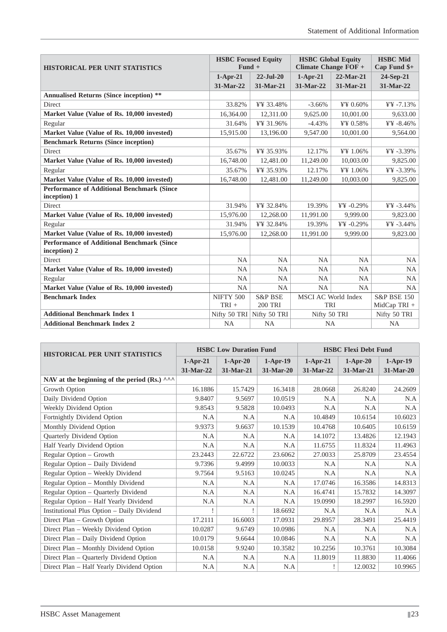| <b>HISTORICAL PER UNIT STATISTICS</b>                             | <b>HSBC Focused Equity</b><br>$Fund +$ |                    | <b>HSBC Global Equity</b><br>Climate Change FOF + | <b>HSBC</b> Mid<br>Cap Fund \$+ |                        |
|-------------------------------------------------------------------|----------------------------------------|--------------------|---------------------------------------------------|---------------------------------|------------------------|
|                                                                   | $1-Apr-21$                             | $22$ -Jul-20       | $1-Apr-21$                                        | $22$ -Mar-21                    | 24-Sep-21              |
|                                                                   | 31-Mar-22                              | 31-Mar-21          | 31-Mar-22                                         | 31-Mar-21                       | 31-Mar-22              |
| <b>Annualised Returns (Since inception) **</b>                    |                                        |                    |                                                   |                                 |                        |
| <b>Direct</b>                                                     | 33.82%                                 | ¥¥ 33.48%          | $-3.66%$                                          | ¥¥ 0.60%                        | $44 + 7.13%$           |
| Market Value (Value of Rs. 10,000 invested)                       | 16,364.00                              | 12,311.00          | 9,625.00                                          | 10,001.00                       | 9,633.00               |
| Regular                                                           | 31.64%                                 | ¥¥ 31.96%          | $-4.43%$                                          | ¥¥ 0.58%                        | ¥¥ -8.46%              |
| Market Value (Value of Rs. 10,000 invested)                       | 15,915.00                              | 13,196.00          | 9,547.00                                          | 10,001.00                       | 9,564.00               |
| <b>Benchmark Returns (Since inception)</b>                        |                                        |                    |                                                   |                                 |                        |
| <b>Direct</b>                                                     | 35.67%                                 | ¥¥ 35.93%          | 12.17%                                            | ¥¥ 1.06%                        | $44 + 3.39\%$          |
| Market Value (Value of Rs. 10,000 invested)                       | 16,748.00                              | 12,481.00          | 11,249.00                                         | 10,003.00                       | 9,825.00               |
| Regular                                                           | 35.67%                                 | ¥¥ 35.93%          | 12.17%                                            | ¥¥ 1.06%                        | $44 + 3.39\%$          |
| Market Value (Value of Rs. 10,000 invested)                       | 16,748.00                              | 12,481.00          | 11,249.00                                         | 10,003.00                       | 9,825.00               |
| <b>Performance of Additional Benchmark (Since</b>                 |                                        |                    |                                                   |                                 |                        |
| inception) 1                                                      |                                        |                    |                                                   |                                 |                        |
| Direct                                                            | 31.94%                                 | ¥¥ 32.84%          | 19.39%                                            | ¥¥ -0.29%                       | $44\% - 3.44\%$        |
| Market Value (Value of Rs. 10,000 invested)                       | 15,976.00                              | 12,268.00          | 11,991.00                                         | 9.999.00                        | 9,823.00               |
| Regular                                                           | 31.94%                                 | ¥¥ 32.84%          | 19.39%                                            | $YY - 0.29%$                    | $44\%$ -3.44%          |
| Market Value (Value of Rs. 10,000 invested)                       | 15,976.00                              | 12,268.00          | 11,991.00                                         | 9,999.00                        | 9,823.00               |
| <b>Performance of Additional Benchmark (Since</b><br>inception) 2 |                                        |                    |                                                   |                                 |                        |
| Direct                                                            | <b>NA</b>                              | <b>NA</b>          | <b>NA</b>                                         | <b>NA</b>                       | <b>NA</b>              |
| Market Value (Value of Rs. 10,000 invested)                       | <b>NA</b>                              | <b>NA</b>          | <b>NA</b>                                         | <b>NA</b>                       | <b>NA</b>              |
| Regular                                                           | <b>NA</b>                              | <b>NA</b>          | <b>NA</b>                                         | <b>NA</b>                       | <b>NA</b>              |
| Market Value (Value of Rs. 10,000 invested)                       | <b>NA</b>                              | <b>NA</b>          | NA                                                | <b>NA</b>                       | <b>NA</b>              |
| <b>Benchmark Index</b>                                            | NIFTY 500                              | <b>S&amp;P BSE</b> | <b>MSCI AC World Index</b>                        |                                 | <b>S&amp;P BSE 150</b> |
|                                                                   | $TRI +$                                | <b>200 TRI</b>     | <b>TRI</b>                                        |                                 | MidCap TRI +           |
| <b>Additional Benchmark Index 1</b>                               | Nifty 50 TRI                           | Nifty 50 TRI       | Nifty 50 TRI                                      |                                 | Nifty 50 TRI           |
| <b>Additional Benchmark Index 2</b>                               | <b>NA</b>                              | <b>NA</b>          | <b>NA</b>                                         |                                 | <b>NA</b>              |

| <b>HISTORICAL PER UNIT STATISTICS</b>                         | <b>HSBC Low Duration Fund</b> |            |            | <b>HSBC Flexi Debt Fund</b> |            |            |
|---------------------------------------------------------------|-------------------------------|------------|------------|-----------------------------|------------|------------|
|                                                               | $1-Apr-21$                    | $1-Apr-20$ | $1-Apr-19$ | $1-Apr-21$                  | $1-Apr-20$ | $1-Apr-19$ |
|                                                               | 31-Mar-22                     | 31-Mar-21  | 31-Mar-20  | 31-Mar-22                   | 31-Mar-21  | 31-Mar-20  |
| NAV at the beginning of the period (Rs.) $\wedge\wedge\wedge$ |                               |            |            |                             |            |            |
| Growth Option                                                 | 16.1886                       | 15.7429    | 16.3418    | 28.0668                     | 26.8240    | 24.2609    |
| Daily Dividend Option                                         | 9.8407                        | 9.5697     | 10.0519    | N.A                         | N.A        | N.A        |
| Weekly Dividend Option                                        | 9.8543                        | 9.5828     | 10.0493    | N.A                         | N.A        | N.A        |
| Fortnightly Dividend Option                                   | N.A                           | N.A        | N.A        | 10.4849                     | 10.6154    | 10.6023    |
| Monthly Dividend Option                                       | 9.9373                        | 9.6637     | 10.1539    | 10.4768                     | 10.6405    | 10.6159    |
| Quarterly Dividend Option                                     | N.A                           | N.A        | N.A        | 14.1072                     | 13.4826    | 12.1943    |
| Half Yearly Dividend Option                                   | N.A                           | N.A        | N.A        | 11.6755                     | 11.8324    | 11.4963    |
| Regular Option – Growth                                       | 23.2443                       | 22.6722    | 23.6062    | 27.0033                     | 25.8709    | 23.4554    |
| Regular Option - Daily Dividend                               | 9.7396                        | 9.4999     | 10.0033    | N.A                         | N.A        | N.A        |
| Regular Option - Weekly Dividend                              | 9.7564                        | 9.5163     | 10.0245    | N.A                         | N.A        | N.A        |
| Regular Option - Monthly Dividend                             | N.A                           | N.A        | N.A        | 17.0746                     | 16.3586    | 14.8313    |
| Regular Option - Quarterly Dividend                           | N.A                           | N.A        | N.A        | 16.4741                     | 15.7832    | 14.3097    |
| Regular Option - Half Yearly Dividend                         | N.A                           | N.A        | N.A        | 19.0990                     | 18.2997    | 16.5920    |
| Institutional Plus Option - Daily Dividend                    |                               |            | 18.6692    | N.A                         | N.A        | N.A        |
| Direct Plan – Growth Option                                   | 17.2111                       | 16.6003    | 17.0931    | 29.8957                     | 28.3491    | 25.4419    |
| Direct Plan - Weekly Dividend Option                          | 10.0287                       | 9.6749     | 10.0986    | N.A                         | N.A        | N.A        |
| Direct Plan - Daily Dividend Option                           | 10.0179                       | 9.6644     | 10.0846    | N.A                         | N.A        | N.A        |
| Direct Plan - Monthly Dividend Option                         | 10.0158                       | 9.9240     | 10.3582    | 10.2256                     | 10.3761    | 10.3084    |
| Direct Plan – Quarterly Dividend Option                       | N.A                           | N.A        | N.A        | 11.8019                     | 11.8830    | 11.4066    |
| Direct Plan - Half Yearly Dividend Option                     | N.A                           | N.A        | N.A        |                             | 12.0032    | 10.9965    |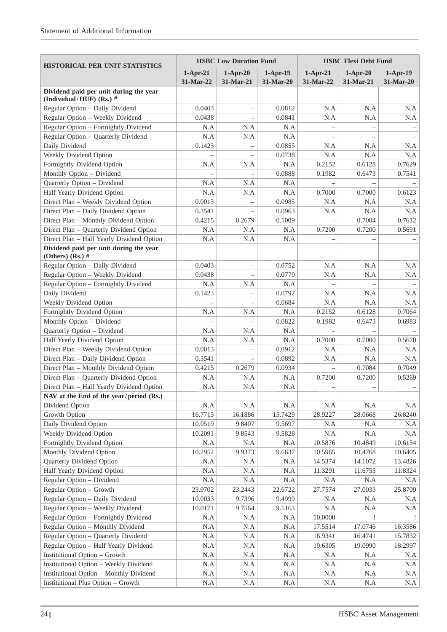| <b>HISTORICAL PER UNIT STATISTICS</b>                                                | <b>HSBC Low Duration Fund</b> |                          |                         | <b>HSBC Flexi Debt Fund</b> |                          |                         |  |
|--------------------------------------------------------------------------------------|-------------------------------|--------------------------|-------------------------|-----------------------------|--------------------------|-------------------------|--|
|                                                                                      | $1-Apr-21$<br>31-Mar-22       | $1-Apr-20$<br>31-Mar-21  | $1-Apr-19$<br>31-Mar-20 | $1-Apr-21$<br>31-Mar-22     | $1-Apr-20$<br>31-Mar-21  | $1-Apr-19$<br>31-Mar-20 |  |
| Dividend paid per unit during the year<br>(Individual/HUF) (Rs.) $#$                 |                               |                          |                         |                             |                          |                         |  |
| Regular Option - Daily Dividend                                                      | 0.0403                        |                          | 0.0812                  | N.A                         | N.A                      | N.A                     |  |
| Regular Option - Weekly Dividend                                                     | 0.0438                        | $\qquad \qquad -$        | 0.0841                  | N.A                         | N.A                      | N.A                     |  |
| Regular Option - Fortnightly Dividend                                                | N.A                           | N.A                      | N.A                     |                             |                          |                         |  |
| Regular Option - Quarterly Dividend                                                  | N.A                           | N.A                      | N.A                     |                             | $\overline{\phantom{0}}$ |                         |  |
| Daily Dividend                                                                       | 0.1423                        |                          | 0.0855                  | N.A                         | N.A                      | N.A                     |  |
| Weekly Dividend Option                                                               |                               | $\overline{\phantom{0}}$ | 0.0738                  | N.A                         | N.A                      | N.A                     |  |
| Fortnightly Dividend Option                                                          | N.A                           | N.A                      | N.A                     | 0.2152                      | 0.6128                   | 0.7629                  |  |
| Monthly Option - Dividend                                                            |                               |                          | 0.0888                  | 0.1982                      | 0.6473                   | 0.7541                  |  |
| Quarterly Option - Dividend                                                          | N.A                           | N.A                      | N.A                     |                             |                          |                         |  |
| Half Yearly Dividend Option                                                          | N.A                           | N.A                      | N.A                     | 0.7000                      | 0.7000                   | 0.6123                  |  |
| Direct Plan - Weekly Dividend Option                                                 | 0.0013                        |                          | 0.0985                  | N.A                         | N.A                      | N.A                     |  |
| Direct Plan - Daily Dividend Option                                                  | 0.3541                        |                          | 0.0963                  | N.A                         | N.A                      | N.A                     |  |
| Direct Plan - Monthly Dividend Option                                                | 0.4215                        | 0.2679                   | 0.1009                  |                             | 0.7084                   | 0.7612                  |  |
| Direct Plan - Quarterly Dividend Option                                              | N.A                           | N.A                      | N.A                     | 0.7200                      | 0.7200                   | 0.5691                  |  |
| Direct Plan - Half Yearly Dividend Option                                            | N.A                           | N.A                      | N.A                     |                             |                          |                         |  |
| Dividend paid per unit during the year<br>(Others) (Rs.) $#$                         |                               |                          |                         |                             |                          |                         |  |
| Regular Option - Daily Dividend                                                      | 0.0403                        |                          | 0.0752                  | N.A                         | N.A                      | N.A                     |  |
| Regular Option - Weekly Dividend                                                     | 0.0438                        |                          | 0.0779                  | N.A                         | N.A                      | N.A                     |  |
| Regular Option - Fortnightly Dividend                                                | N.A                           | N.A                      | N.A                     |                             |                          |                         |  |
| Daily Dividend                                                                       | 0.1423                        |                          | 0.0792                  | N.A                         | N.A                      | N.A                     |  |
| Weekly Dividend Option                                                               |                               |                          | 0.0684                  | N.A                         | N.A                      | N.A                     |  |
| Fortnightly Dividend Option                                                          | N.A                           | N.A                      | N.A                     | 0.2152                      | 0.6128                   | 0.7064                  |  |
| Monthly Option - Dividend                                                            |                               |                          | 0.0822                  | 0.1982                      | 0.6473                   | 0.6983                  |  |
| Quarterly Option - Dividend                                                          | N.A                           | N.A                      | N.A                     |                             |                          |                         |  |
| Half Yearly Dividend Option                                                          | N.A                           | N.A                      | N.A                     | 0.7000                      | 0.7000                   | 0.5670                  |  |
| Direct Plan - Weekly Dividend Option                                                 | 0.0013                        |                          | 0.0912                  | N.A                         | N.A                      | N.A                     |  |
| Direct Plan - Daily Dividend Option                                                  | 0.3541                        |                          | 0.0892                  | N.A                         | N.A                      | N.A                     |  |
| Direct Plan - Monthly Dividend Option                                                | 0.4215                        | 0.2679                   | 0.0934                  |                             | 0.7084                   | 0.7049                  |  |
| Direct Plan - Quarterly Dividend Option                                              | N.A                           | N.A                      | N.A                     | 0.7200                      | 0.7200                   | 0.5269                  |  |
| Direct Plan - Half Yearly Dividend Option                                            | N.A                           | N.A                      | N.A                     | $\overline{\phantom{0}}$    |                          |                         |  |
| NAV at the End of the year/period (Rs.)                                              |                               |                          |                         |                             |                          |                         |  |
| Dividend Option                                                                      | N.A                           | N.A                      | N.A                     | N.A                         | N.A                      | N.A                     |  |
| Growth Option                                                                        | 16.7715                       | 16.1886                  | 15.7429                 | 28.9227                     | 28.0668                  | 26.8240                 |  |
| Daily Dividend Option                                                                | 10.0519                       | 9.8407                   | 9.5697                  | N.A                         | N.A                      | N.A                     |  |
| Weekly Dividend Option                                                               | 10.2091                       | 9.8543                   | 9.5828                  | N.A                         | N.A                      | N.A                     |  |
| Fortnightly Dividend Option                                                          | $\rm N.A$                     | N.A                      | N.A                     | 10.5876                     | 10.4849                  | 10.6154                 |  |
| Monthly Dividend Option                                                              | 10.2952                       | 9.9373                   | 9.6637                  | 10.5965                     | 10.4768                  | 10.6405                 |  |
| Quarterly Dividend Option                                                            | N.A                           | N.A                      | N.A                     | 14.5374                     | 14.1072                  | 13.4826                 |  |
| Half Yearly Dividend Option                                                          | N.A                           | N.A                      | N.A                     | 11.3291                     | 11.6755                  | 11.8324                 |  |
| Regular Option - Dividend                                                            | $\rm N.A$                     | N.A                      | N.A                     | N.A                         | N.A                      | N.A                     |  |
| Regular Option - Growth                                                              | 23.9702                       | 23.2443                  | 22.6722                 | 27.7574                     | 27.0033                  | 25.8709                 |  |
| Regular Option - Daily Dividend                                                      | 10.0033                       | 9.7396                   | 9.4999                  | N.A                         | N.A                      | N.A                     |  |
| Regular Option - Weekly Dividend                                                     | 10.0171                       | 9.7564                   | 9.5163                  | N.A                         | $\rm N.A$                | N.A                     |  |
| Regular Option - Fortnightly Dividend                                                | $\rm N.A$                     | N.A                      | N.A                     | 10.0000                     |                          |                         |  |
| Regular Option - Monthly Dividend                                                    | $\rm N.A$                     | N.A                      | N.A                     | 17.5514                     | 17.0746                  | 16.3586                 |  |
| Regular Option - Quarterly Dividend                                                  | N.A                           | N.A                      | N.A                     | 16.9341                     | 16.4741                  | 15.7832                 |  |
| Regular Option - Half Yearly Dividend                                                | N.A                           | N.A                      | N.A                     | 19.6305                     | 19.0990                  | 18.2997                 |  |
| <b>Institutional Option - Growth</b>                                                 | N.A                           | N.A                      | N.A                     | N.A                         | N.A                      | N.A                     |  |
| <b>Institutional Option - Weekly Dividend</b>                                        | N.A                           | N.A                      | N.A                     | N.A                         | N.A                      | N.A                     |  |
| <b>Institutional Option - Monthly Dividend</b><br>Institutional Plus Option - Growth | N.A                           | $\rm N.A$                | N.A                     | N.A                         | N.A                      | $\rm N.A$               |  |
|                                                                                      | N.A                           | N.A                      | N.A                     | N.A                         | N.A                      | N.A                     |  |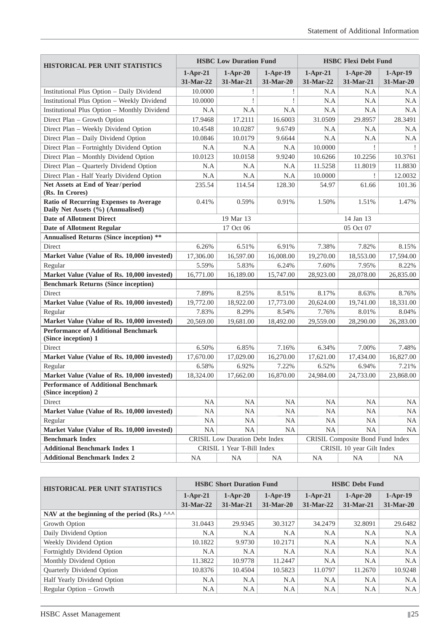| <b>HISTORICAL PER UNIT STATISTICS</b>                                       |                         | <b>HSBC Low Duration Fund</b>  |                         | <b>HSBC Flexi Debt Fund</b> |                                  |                         |  |  |
|-----------------------------------------------------------------------------|-------------------------|--------------------------------|-------------------------|-----------------------------|----------------------------------|-------------------------|--|--|
|                                                                             | $1-Apr-21$<br>31-Mar-22 | $1-Apr-20$<br>31-Mar-21        | $1-Apr-19$<br>31-Mar-20 | $1-Apr-21$<br>31-Mar-22     | $1-Apr-20$<br>31-Mar-21          | $1-Apr-19$<br>31-Mar-20 |  |  |
| Institutional Plus Option - Daily Dividend                                  | 10.0000                 |                                |                         | N.A                         | N.A                              | N.A                     |  |  |
| <b>Institutional Plus Option - Weekly Dividend</b>                          | 10.0000                 | I                              | I                       | N.A                         | N.A                              | N.A                     |  |  |
| <b>Institutional Plus Option - Monthly Dividend</b>                         | N.A                     | N.A                            | N.A                     | N.A                         | N.A                              | N.A                     |  |  |
| Direct Plan - Growth Option                                                 | 17.9468                 | 17.2111                        | 16.6003                 | 31.0509                     | 29.8957                          | 28.3491                 |  |  |
| Direct Plan - Weekly Dividend Option                                        | 10.4548                 | 10.0287                        | 9.6749                  | N.A                         | N.A                              | N.A                     |  |  |
| Direct Plan - Daily Dividend Option                                         | 10.0846                 | 10.0179                        | 9.6644                  | N.A                         | N.A                              | N.A                     |  |  |
| Direct Plan - Fortnightly Dividend Option                                   | N.A                     | N.A                            | N.A                     | 10.0000                     |                                  |                         |  |  |
| Direct Plan - Monthly Dividend Option                                       | 10.0123                 | 10.0158                        | 9.9240                  | 10.6266                     | 10.2256                          | 10.3761                 |  |  |
| Direct Plan - Quarterly Dividend Option                                     | N.A                     | N.A                            | N.A                     | 11.5258                     | 11.8019                          | 11.8830                 |  |  |
| Direct Plan - Half Yearly Dividend Option                                   | N.A                     | N.A                            | N.A                     | 10.0000                     |                                  | 12.0032                 |  |  |
| Net Assets at End of Year/period<br>(Rs. In Crores)                         | 235.54                  | 114.54                         | 128.30                  | 54.97                       | 61.66                            | 101.36                  |  |  |
| Ratio of Recurring Expenses to Average<br>Daily Net Assets (%) (Annualised) | 0.41%                   | 0.59%                          | 0.91%                   | 1.50%                       | 1.51%                            | 1.47%                   |  |  |
| <b>Date of Allotment Direct</b>                                             |                         | 19 Mar 13                      |                         |                             | 14 Jan 13                        |                         |  |  |
| <b>Date of Allotment Regular</b>                                            |                         | 17 Oct 06                      |                         |                             | 05 Oct 07                        |                         |  |  |
| <b>Annualised Returns (Since inception)</b> **                              |                         |                                |                         |                             |                                  |                         |  |  |
| Direct                                                                      | 6.26%                   | 6.51%                          | 6.91%                   | 7.38%                       | 7.82%                            | 8.15%                   |  |  |
| Market Value (Value of Rs. 10,000 invested)                                 | 17,306.00               | 16,597.00                      | 16,008.00               | 19,270.00                   | 18,553.00                        | 17,594.00               |  |  |
| Regular                                                                     | 5.59%                   | 5.83%                          | 6.24%                   | 7.60%                       | 7.95%                            | 8.22%                   |  |  |
| Market Value (Value of Rs. 10,000 invested)                                 | 16,771.00               | 16,189.00                      | 15,747.00               | 28,923.00                   | 28,078.00                        | 26,835.00               |  |  |
| <b>Benchmark Returns (Since inception)</b>                                  |                         |                                |                         |                             |                                  |                         |  |  |
| Direct                                                                      | 7.89%                   | 8.25%                          | 8.51%                   | 8.17%                       | 8.63%                            | 8.76%                   |  |  |
| Market Value (Value of Rs. 10,000 invested)                                 | 19,772.00               | 18,922.00                      | 17,773.00               | 20,624.00                   | 19,741.00                        | 18,331.00               |  |  |
| Regular                                                                     | 7.83%                   | 8.29%                          | 8.54%                   | 7.76%                       | 8.01%                            | 8.04%                   |  |  |
| Market Value (Value of Rs. 10,000 invested)                                 | 20,569.00               | 19,681.00                      | 18,492.00               | 29,559.00                   | 28,290.00                        | 26,283.00               |  |  |
| <b>Performance of Additional Benchmark</b><br>(Since inception) 1           |                         |                                |                         |                             |                                  |                         |  |  |
| Direct                                                                      | 6.50%                   | 6.85%                          | 7.16%                   | 6.34%                       | 7.00%                            | 7.48%                   |  |  |
| Market Value (Value of Rs. 10,000 invested)                                 | 17,670.00               | 17,029.00                      | 16,270.00               | 17,621.00                   | 17,434.00                        | 16,827.00               |  |  |
| Regular                                                                     | 6.58%                   | 6.92%                          | 7.22%                   | 6.52%                       | 6.94%                            | 7.21%                   |  |  |
| Market Value (Value of Rs. 10,000 invested)                                 | 18,324.00               | 17,662.00                      | 16,870.00               | 24,984.00                   | 24,733.00                        | 23,868.00               |  |  |
| <b>Performance of Additional Benchmark</b><br>(Since inception) 2           |                         |                                |                         |                             |                                  |                         |  |  |
| Direct                                                                      | <b>NA</b>               | <b>NA</b>                      | <b>NA</b>               | <b>NA</b>                   | <b>NA</b>                        | NA                      |  |  |
| Market Value (Value of Rs. 10,000 invested)                                 | <b>NA</b>               | <b>NA</b>                      | NA                      | NA                          | <b>NA</b>                        | NA.                     |  |  |
| Regular                                                                     | NA                      | <b>NA</b>                      | NA                      | NA                          | NA                               | NA.                     |  |  |
| Market Value (Value of Rs. 10,000 invested)                                 | <b>NA</b>               | <b>NA</b>                      | <b>NA</b>               | <b>NA</b>                   | <b>NA</b>                        | <b>NA</b>               |  |  |
| <b>Benchmark Index</b>                                                      |                         | CRISIL Low Duration Debt Index |                         |                             | CRISIL Composite Bond Fund Index |                         |  |  |
| <b>Additional Benchmark Index 1</b>                                         |                         | CRISIL 1 Year T-Bill Index     |                         |                             | CRISIL 10 year Gilt Index        |                         |  |  |
| <b>Additional Benchmark Index 2</b>                                         | NA                      | <b>NA</b>                      | <b>NA</b>               | NA                          | <b>NA</b>                        | NA                      |  |  |

| <b>HISTORICAL PER UNIT STATISTICS</b>                           | <b>HSBC Short Duration Fund</b> |             |             | <b>HSBC Debt Fund</b> |             |            |
|-----------------------------------------------------------------|---------------------------------|-------------|-------------|-----------------------|-------------|------------|
|                                                                 | $1-Apr-21$                      | $1-Apr-20$  | $1-Apr-19$  | $1-Apr-21$            | $1-Apr-20$  | $1-Apr-19$ |
|                                                                 | $31-Mar-22$                     | $31-Mar-21$ | $31-Mar-20$ | $31-Mar-22$           | $31-Mar-21$ | 31-Mar-20  |
| NAV at the beginning of the period (Rs.) $\wedge \wedge \wedge$ |                                 |             |             |                       |             |            |
| Growth Option                                                   | 31.0443                         | 29.9345     | 30.3127     | 34.2479               | 32.8091     | 29.6482    |
| Daily Dividend Option                                           | N.A                             | N.A         | N.A         | N.A                   | N.A         | N.A        |
| Weekly Dividend Option                                          | 10.1822                         | 9.9730      | 10.2171     | N.A                   | N.A         | N.A        |
| Fortnightly Dividend Option                                     | N.A                             | N.A         | N.A         | N.A                   | N.A         | N.A        |
| Monthly Dividend Option                                         | 11.3822                         | 10.9778     | 11.2447     | N.A                   | N.A         | N.A        |
| <b>Ouarterly Dividend Option</b>                                | 10.8376                         | 10.4504     | 10.5823     | 11.0797               | 11.2670     | 10.9248    |
| Half Yearly Dividend Option                                     | N.A                             | N.A         | N.A         | N.A                   | N.A         | N.A        |
| Regular Option – Growth                                         | N.A                             | N.A         | N.A         | N.A                   | N.A         | N.A        |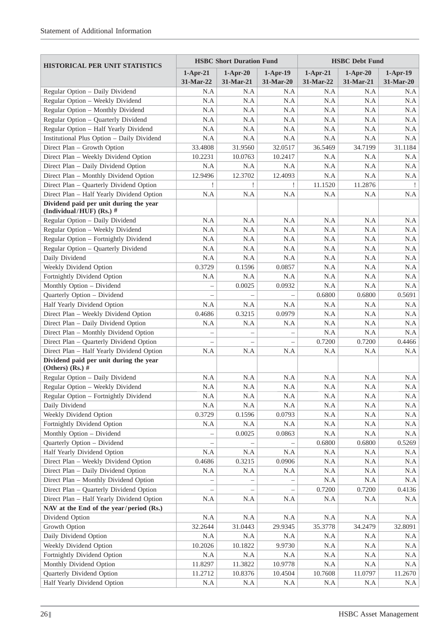| <b>HISTORICAL PER UNIT STATISTICS</b>                                |             | <b>HSBC Short Duration Fund</b> |            | <b>HSBC</b> Debt Fund |            |            |  |
|----------------------------------------------------------------------|-------------|---------------------------------|------------|-----------------------|------------|------------|--|
|                                                                      | $1-Apr-21$  | $1-Apr-20$                      | $1-Apr-19$ | $1-Apr-21$            | $1-Apr-20$ | $1-Apr-19$ |  |
|                                                                      | $31-Mar-22$ | 31-Mar-21                       | 31-Mar-20  | 31-Mar-22             | 31-Mar-21  | 31-Mar-20  |  |
| Regular Option - Daily Dividend                                      | N.A         | N.A                             | N.A        | N.A                   | N.A        | N.A        |  |
| Regular Option - Weekly Dividend                                     | N.A         | N.A                             | N.A        | N.A                   | N.A        | N.A        |  |
| Regular Option - Monthly Dividend                                    | N.A         | N.A                             | N.A        | N.A                   | N.A        | N.A        |  |
| Regular Option - Quarterly Dividend                                  | N.A         | N.A                             | N.A        | N.A                   | N.A        | N.A        |  |
| Regular Option - Half Yearly Dividend                                | N.A         | N.A                             | N.A        | N.A                   | N.A        | N.A        |  |
| Institutional Plus Option - Daily Dividend                           | N.A         | N.A                             | N.A        | N.A                   | N.A        | N.A        |  |
| Direct Plan - Growth Option                                          | 33.4808     | 31.9560                         | 32.0517    | 36.5469               | 34.7199    | 31.1184    |  |
| Direct Plan - Weekly Dividend Option                                 | 10.2231     | 10.0763                         | 10.2417    | N.A                   | N.A        | N.A        |  |
| Direct Plan - Daily Dividend Option                                  | N.A         | N.A                             | N.A        | N.A                   | N.A        | N.A        |  |
| Direct Plan - Monthly Dividend Option                                | 12.9496     | 12.3702                         | 12.4093    | N.A                   | N.A        | N.A        |  |
| Direct Plan - Quarterly Dividend Option                              |             |                                 |            | 11.1520               | 11.2876    |            |  |
| Direct Plan - Half Yearly Dividend Option                            | N.A         | N.A                             | N.A        | N.A                   | N.A        | N.A        |  |
| Dividend paid per unit during the year<br>(Individual/HUF) (Rs.) $#$ |             |                                 |            |                       |            |            |  |
| Regular Option - Daily Dividend                                      | N.A         | N.A                             | N.A        | N.A                   | N.A        | N.A        |  |
| Regular Option - Weekly Dividend                                     | N.A         | N.A                             | N.A        | N.A                   | N.A        | N.A        |  |
| Regular Option - Fortnightly Dividend                                | N.A         | N.A                             | N.A        | N.A                   | N.A        | N.A        |  |
| Regular Option - Quarterly Dividend                                  | N.A         | N.A                             | N.A        | N.A                   | N.A        | N.A        |  |
| Daily Dividend                                                       | N.A         | N.A                             | N.A        | N.A                   | N.A        | N.A        |  |
| Weekly Dividend Option                                               | 0.3729      | 0.1596                          | 0.0857     | N.A                   | N.A        | N.A        |  |
| Fortnightly Dividend Option                                          | N.A         | N.A                             | N.A        | N.A                   | N.A        | N.A        |  |
| Monthly Option - Dividend                                            |             | 0.0025                          | 0.0932     | N.A                   | N.A        | N.A        |  |
| Quarterly Option - Dividend                                          |             |                                 |            | 0.6800                | 0.6800     | 0.5691     |  |
| Half Yearly Dividend Option                                          | N.A         | N.A                             | N.A        | N.A                   | N.A        | N.A        |  |
| Direct Plan - Weekly Dividend Option                                 | 0.4686      | 0.3215                          | 0.0979     | N.A                   | N.A        | N.A        |  |
| Direct Plan - Daily Dividend Option                                  | N.A         | N.A                             | N.A        | N.A                   | N.A        | N.A        |  |
| Direct Plan - Monthly Dividend Option                                |             |                                 |            | N.A                   | N.A        | N.A        |  |
| Direct Plan - Quarterly Dividend Option                              |             |                                 |            | 0.7200                | 0.7200     | 0.4466     |  |
| Direct Plan - Half Yearly Dividend Option                            | N.A         | N.A                             | N.A        | N.A                   | N.A        | N.A        |  |
| Dividend paid per unit during the year<br>(Others) (Rs.) $#$         |             |                                 |            |                       |            |            |  |
| Regular Option - Daily Dividend                                      | N.A         | N.A                             | N.A        | N.A                   | N.A        | N.A        |  |
| Regular Option - Weekly Dividend                                     | N.A         | N.A                             | N.A        | N.A                   | N.A        | N.A        |  |
| Regular Option - Fortnightly Dividend                                | N.A         | N.A                             | N.A        | N.A                   | N.A        | N.A        |  |
| Daily Dividend                                                       | N.A         | N.A                             | N.A        | N.A                   | N.A        | N.A        |  |
| Weekly Dividend Option                                               | 0.3729      | 0.1596                          | 0.0793     | N.A                   | N.A        | N.A        |  |
| Fortnightly Dividend Option                                          | N.A         | $\rm N.A$                       | N.A        | N.A                   | N.A        | $\rm N.A$  |  |
| Monthly Option - Dividend                                            |             | 0.0025                          | 0.0863     | N.A                   | N.A        | N.A        |  |
| Quarterly Option - Dividend                                          |             |                                 |            | 0.6800                | 0.6800     | 0.5269     |  |
| Half Yearly Dividend Option                                          | N.A         | $\rm N.A$                       | N.A        | N.A                   | N.A        | N.A        |  |
| Direct Plan - Weekly Dividend Option                                 | 0.4686      | 0.3215                          | 0.0906     | N.A                   | N.A        | N.A        |  |
| Direct Plan - Daily Dividend Option                                  | N.A         | N.A                             | N.A        | N.A                   | N.A        | N.A        |  |
| Direct Plan - Monthly Dividend Option                                |             |                                 |            | N.A                   | $\rm N.A$  | N.A        |  |
| Direct Plan - Quarterly Dividend Option                              |             |                                 |            | 0.7200                | 0.7200     | 0.4136     |  |
| Direct Plan - Half Yearly Dividend Option                            | N.A         | N.A                             | N.A        | N.A                   | N.A        | N.A        |  |
| NAV at the End of the year/period $(Rs.)$                            |             |                                 |            |                       |            |            |  |
| Dividend Option                                                      | N.A         | N.A                             | N.A        | N.A                   | N.A        | N.A        |  |
| Growth Option                                                        | 32.2644     | 31.0443                         | 29.9345    | 35.3778               | 34.2479    | 32.8091    |  |
| Daily Dividend Option                                                | N.A         | N.A                             | N.A        | N.A                   | N.A        | N.A        |  |
| Weekly Dividend Option                                               | 10.2026     | 10.1822                         | 9.9730     | N.A                   | N.A        | N.A        |  |
| Fortnightly Dividend Option                                          | $\rm N.A$   | $\rm N.A$                       | $\rm N.A$  | N.A                   | N.A        | N.A        |  |
| Monthly Dividend Option                                              | 11.8297     | 11.3822                         | 10.9778    | N.A                   | N.A        | N.A        |  |
| Quarterly Dividend Option                                            | 11.2712     | 10.8376                         | 10.4504    | 10.7608               | 11.0797    | 11.2670    |  |
| Half Yearly Dividend Option                                          | N.A         | N.A                             | N.A        | N.A                   | N.A        | N.A        |  |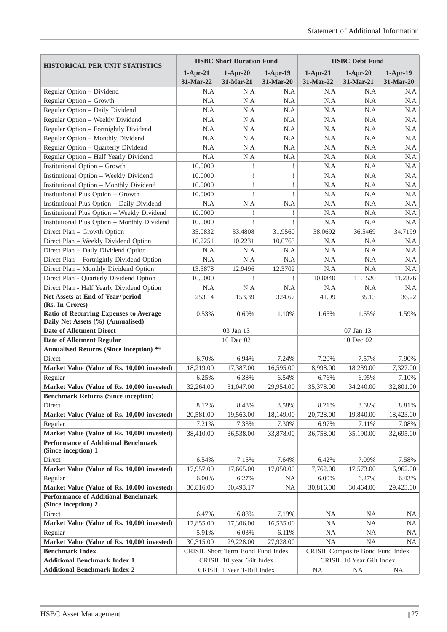| <b>HISTORICAL PER UNIT STATISTICS</b>                                       |            | <b>HSBC Short Duration Fund</b>   |            | <b>HSBC</b> Debt Fund |                                  |            |
|-----------------------------------------------------------------------------|------------|-----------------------------------|------------|-----------------------|----------------------------------|------------|
|                                                                             | $1-Apr-21$ | $1-Apr-20$                        | $1-Apr-19$ | $1-Apr-21$            | $1-Apr-20$                       | $1-Apr-19$ |
|                                                                             | 31-Mar-22  | 31-Mar-21                         | 31-Mar-20  | 31-Mar-22             | 31-Mar-21                        | 31-Mar-20  |
| Regular Option - Dividend                                                   | N.A        | N.A                               | N.A        | N.A                   | N.A                              | N.A        |
| Regular Option - Growth                                                     | N.A        | N.A                               | N.A        | N.A                   | N.A                              | N.A        |
| Regular Option - Daily Dividend                                             | N.A        | N.A                               | N.A        | N.A                   | N.A                              | N.A        |
| Regular Option - Weekly Dividend                                            | N.A        | N.A                               | N.A        | N.A                   | N.A                              | N.A        |
| Regular Option - Fortnightly Dividend                                       | N.A        | N.A                               | N.A        | N.A                   | N.A                              | N.A        |
| Regular Option - Monthly Dividend                                           | N.A        | N.A                               | N.A        | N.A                   | N.A                              | N.A        |
| Regular Option - Quarterly Dividend                                         | N.A        | N.A                               | N.A        | N.A                   | N.A                              | N.A        |
| Regular Option - Half Yearly Dividend                                       | N.A        | N.A                               | N.A        | N.A                   | N.A                              | N.A        |
| <b>Institutional Option - Growth</b>                                        | 10.0000    |                                   |            | N.A                   | N.A                              | N.A        |
| <b>Institutional Option - Weekly Dividend</b>                               | 10.0000    | Ţ                                 | Ţ          | N.A                   | N.A                              | N.A        |
| <b>Institutional Option - Monthly Dividend</b>                              | 10.0000    | Ţ                                 | Ţ          | N.A                   | N.A                              | N.A        |
| <b>Institutional Plus Option - Growth</b>                                   | 10.0000    | Ţ                                 |            | N.A                   | N.A                              | N.A        |
| <b>Institutional Plus Option - Daily Dividend</b>                           | N.A        | N.A                               | N.A        | N.A                   | N.A                              | N.A        |
| <b>Institutional Plus Option - Weekly Dividend</b>                          | 10.0000    |                                   |            | N.A                   | N.A                              | N.A        |
| <b>Institutional Plus Option - Monthly Dividend</b>                         | 10.0000    | I                                 |            | N.A                   | N.A                              | N.A        |
| Direct Plan - Growth Option                                                 | 35.0832    | 33.4808                           | 31.9560    | 38.0692               | 36.5469                          | 34.7199    |
| Direct Plan - Weekly Dividend Option                                        | 10.2251    | 10.2231                           | 10.0763    | N.A                   | N.A                              | N.A        |
| Direct Plan - Daily Dividend Option                                         | N.A        | N.A                               | N.A        | N.A                   | N.A                              | N.A        |
| Direct Plan - Fortnightly Dividend Option                                   | N.A        | N.A                               | N.A        | N.A                   | N.A                              | N.A        |
| Direct Plan - Monthly Dividend Option                                       | 13.5878    | 12.9496                           | 12.3702    | N.A                   | N.A                              | N.A        |
| Direct Plan - Quarterly Dividend Option                                     | 10.0000    | Ţ                                 | Ţ          | 10.8840               | 11.1520                          | 11.2876    |
| Direct Plan - Half Yearly Dividend Option                                   | N.A        | N.A                               | N.A        | N.A                   | N.A                              | N.A        |
| Net Assets at End of Year/period<br>(Rs. In Crores)                         | 253.14     | 153.39                            | 324.67     | 41.99                 | 35.13                            | 36.22      |
| Ratio of Recurring Expenses to Average<br>Daily Net Assets (%) (Annualised) | 0.53%      | 0.69%                             | 1.10%      | 1.65%                 | 1.65%                            | 1.59%      |
| <b>Date of Allotment Direct</b>                                             |            | 03 Jan 13                         |            |                       | 07 Jan 13                        |            |
| <b>Date of Allotment Regular</b>                                            |            | 10 Dec 02                         |            |                       | 10 Dec 02                        |            |
| <b>Annualised Returns (Since inception) **</b>                              |            |                                   |            |                       |                                  |            |
| Direct                                                                      | 6.70%      | 6.94%                             | 7.24%      | 7.20%                 | 7.57%                            | 7.90%      |
| Market Value (Value of Rs. 10,000 invested)                                 | 18,219.00  | 17,387.00                         | 16,595.00  | 18,998.00             | 18,239.00                        | 17,327.00  |
| Regular                                                                     | 6.25%      | 6.38%                             | 6.54%      | 6.76%                 | 6.95%                            | 7.10%      |
| Market Value (Value of Rs. 10,000 invested)                                 | 32,264.00  | 31,047.00                         | 29,954.00  | 35,378.00             | 34,240.00                        | 32,801.00  |
| <b>Benchmark Returns (Since inception)</b>                                  |            |                                   |            |                       |                                  |            |
| Direct                                                                      | 8.12%      | 8.48%                             | 8.58%      | 8.21%                 | 8.68%                            | 8.81%      |
| Market Value (Value of Rs. 10,000 invested)                                 | 20,581.00  | 19,563.00                         | 18,149.00  | 20,728.00             | 19,840.00                        | 18,423.00  |
| Regular                                                                     | 7.21%      | 7.33%                             | 7.30%      | 6.97%                 | 7.11%                            | 7.08%      |
| Market Value (Value of Rs. 10,000 invested)                                 | 38,410.00  | 36,538.00                         | 33,878.00  | 36,758.00             | 35,190.00                        | 32,695.00  |
| <b>Performance of Additional Benchmark</b><br>(Since inception) 1           |            |                                   |            |                       |                                  |            |
| Direct                                                                      | 6.54%      | 7.15%                             | 7.64%      | 6.42%                 | 7.09%                            | 7.58%      |
| Market Value (Value of Rs. 10,000 invested)                                 | 17,957.00  | 17,665.00                         | 17,050.00  | 17,762.00             | 17,573.00                        | 16,962.00  |
| Regular                                                                     | 6.00%      | 6.27%                             | <b>NA</b>  | 6.00%                 | 6.27%                            | 6.43%      |
| Market Value (Value of Rs. 10,000 invested)                                 | 30,816.00  | 30,493.17                         | <b>NA</b>  | 30,816.00             | 30,464.00                        | 29,423.00  |
| <b>Performance of Additional Benchmark</b><br>(Since inception) 2           |            |                                   |            |                       |                                  |            |
| Direct                                                                      | 6.47%      | 6.88%                             | 7.19%      | <b>NA</b>             | <b>NA</b>                        | <b>NA</b>  |
| Market Value (Value of Rs. 10,000 invested)                                 | 17,855.00  | 17,306.00                         | 16,535.00  | <b>NA</b>             | <b>NA</b>                        | <b>NA</b>  |
| Regular                                                                     | 5.91%      | 6.03%                             | 6.11%      | <b>NA</b>             | <b>NA</b>                        | NA         |
| Market Value (Value of Rs. 10,000 invested)                                 | 30,315.00  | 29,228.00                         | 27,928.00  | <b>NA</b>             | <b>NA</b>                        | <b>NA</b>  |
| <b>Benchmark Index</b>                                                      |            | CRISIL Short Term Bond Fund Index |            |                       | CRISIL Composite Bond Fund Index |            |
| <b>Additional Benchmark Index 1</b>                                         |            | CRISIL 10 year Gilt Index         |            |                       | CRISIL 10 Year Gilt Index        |            |
| <b>Additional Benchmark Index 2</b>                                         |            | CRISIL 1 Year T-Bill Index        |            | <b>NA</b>             | <b>NA</b>                        | <b>NA</b>  |
|                                                                             |            |                                   |            |                       |                                  |            |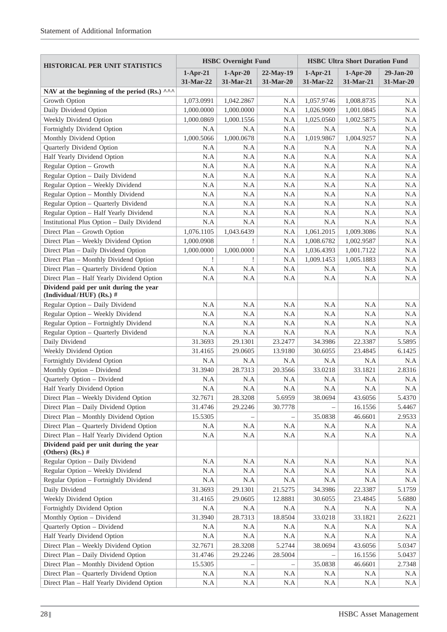| HISTORICAL PER UNIT STATISTICS                                                                            | <b>HSBC</b> Overnight Fund |                         |                          | <b>HSBC Ultra Short Duration Fund</b> |                         |                          |  |
|-----------------------------------------------------------------------------------------------------------|----------------------------|-------------------------|--------------------------|---------------------------------------|-------------------------|--------------------------|--|
|                                                                                                           | $1-Apr-21$<br>31-Mar-22    | $1-Apr-20$<br>31-Mar-21 | $22-May-19$<br>31-Mar-20 | $1-Apr-21$<br>31-Mar-22               | $1-Apr-20$<br>31-Mar-21 | $29-Jan-20$<br>31-Mar-20 |  |
| NAV at the beginning of the period (Rs.) $\wedge\wedge\wedge$                                             |                            |                         |                          |                                       |                         |                          |  |
| Growth Option                                                                                             | 1,073.0991                 | 1,042.2867              | N.A                      | 1,057.9746                            | 1,008.8735              | N.A                      |  |
| Daily Dividend Option                                                                                     | 1,000.0000                 | 1,000.0000              | N.A                      | 1,026.9009                            | 1,001.0845              | N.A                      |  |
| Weekly Dividend Option                                                                                    | 1,000.0869                 | 1,000.1556              | N.A                      | 1,025.0560                            | 1,002.5875              | N.A                      |  |
| Fortnightly Dividend Option                                                                               | N.A                        | N.A                     | N.A                      | N.A                                   | N.A                     | N.A                      |  |
| Monthly Dividend Option                                                                                   | 1,000.5066                 | 1,000.0678              | N.A                      | 1,019.9867                            | 1,004.9257              | N.A                      |  |
| Quarterly Dividend Option                                                                                 | N.A                        | N.A                     | N.A                      | N.A                                   | N.A                     | N.A                      |  |
| Half Yearly Dividend Option                                                                               | N.A                        | N.A                     | N.A                      | N.A                                   | N.A                     | N.A                      |  |
| Regular Option - Growth                                                                                   | N.A                        | N.A                     | N.A                      | N.A                                   | N.A                     | N.A                      |  |
| Regular Option - Daily Dividend                                                                           | N.A                        | N.A                     | N.A                      | N.A                                   | N.A                     | N.A                      |  |
| Regular Option - Weekly Dividend                                                                          | N.A                        | N.A                     | N.A                      | N.A                                   | N.A                     | N.A                      |  |
| Regular Option - Monthly Dividend                                                                         | N.A                        | N.A                     | N.A                      | N.A                                   | N.A                     | N.A                      |  |
| Regular Option - Quarterly Dividend                                                                       | N.A                        | N.A                     | N.A                      | N.A                                   | N.A                     | N.A                      |  |
| Regular Option - Half Yearly Dividend                                                                     | N.A                        | N.A                     | N.A                      | N.A                                   | N.A                     | N.A                      |  |
| <b>Institutional Plus Option - Daily Dividend</b>                                                         | N.A                        | N.A                     | N.A                      | N.A                                   | N.A                     | N.A                      |  |
| Direct Plan - Growth Option                                                                               | 1,076.1105                 | 1,043.6439              | N.A                      | 1,061.2015                            | 1,009.3086              | N.A                      |  |
| Direct Plan - Weekly Dividend Option                                                                      | 1,000.0908                 | ţ                       | N.A                      | 1,008.6782                            | 1,002.9587              | N.A                      |  |
| Direct Plan - Daily Dividend Option                                                                       | 1,000.0000                 | 1,000.0000              | N.A                      | 1,036.4393                            | 1,001.7122              | N.A                      |  |
| Direct Plan - Monthly Dividend Option                                                                     | Ţ                          |                         | N.A                      | 1,009.1453                            | 1,005.1883              | N.A                      |  |
| Direct Plan - Quarterly Dividend Option                                                                   | N.A                        | N.A                     | N.A                      | N.A                                   | N.A                     | N.A                      |  |
| Direct Plan - Half Yearly Dividend Option                                                                 | N.A                        | N.A                     | N.A                      | N.A                                   | N.A                     | N.A                      |  |
| Dividend paid per unit during the year<br>(Individual/HUF) (Rs.) $#$                                      |                            |                         |                          |                                       |                         |                          |  |
| Regular Option - Daily Dividend                                                                           | N.A                        | N.A                     | N.A                      | N.A                                   | N.A                     | N.A                      |  |
| Regular Option - Weekly Dividend                                                                          | N.A                        | N.A                     | N.A                      | N.A                                   | N.A                     | N.A                      |  |
| Regular Option - Fortnightly Dividend                                                                     | N.A                        | N.A                     | N.A                      | N.A                                   | N.A                     | N.A                      |  |
| Regular Option - Quarterly Dividend                                                                       | N.A                        | N.A                     | N.A                      | N.A                                   | N.A                     | N.A                      |  |
| Daily Dividend                                                                                            | 31.3693                    | 29.1301                 | 23.2477                  | 34.3986                               | 22.3387                 | 5.5895                   |  |
| Weekly Dividend Option                                                                                    | 31.4165                    | 29.0605                 | 13.9180                  | 30.6055                               | 23.4845                 | 6.1425                   |  |
| Fortnightly Dividend Option                                                                               | N.A                        | N.A                     | N.A                      | N.A                                   | N.A                     | N.A                      |  |
| Monthly Option - Dividend                                                                                 | 31.3940                    | 28.7313                 | 20.3566                  | 33.0218                               | 33.1821                 | 2.8316                   |  |
| Quarterly Option - Dividend                                                                               | N.A                        | N.A                     | N.A                      | N.A                                   | N.A                     | N.A                      |  |
| Half Yearly Dividend Option                                                                               | $\rm N.A$                  | $\rm N.A$               | $\rm N.A$                | $\rm N.A$                             | $\rm N.A$               | $\rm N.A$                |  |
| Direct Plan - Weekly Dividend Option                                                                      | 32.7671                    | 28.3208                 | 5.6959                   | 38.0694                               | 43.6056                 | 5.4370                   |  |
| Direct Plan - Daily Dividend Option                                                                       | 31.4746                    | 29.2246                 | 30.7778                  |                                       | 16.1556                 | 5.4467                   |  |
| Direct Plan - Monthly Dividend Option                                                                     | 15.5305                    |                         |                          | 35.0838                               | 46.6601                 | 2.9533                   |  |
| Direct Plan - Quarterly Dividend Option                                                                   | N.A                        | N.A                     | N.A                      | N.A                                   | N.A                     | N.A                      |  |
| Direct Plan - Half Yearly Dividend Option<br>Dividend paid per unit during the year<br>(Others) $(Rs.)$ # | N.A                        | N.A                     | N.A                      | N.A                                   | N.A                     | N.A                      |  |
| Regular Option - Daily Dividend                                                                           | N.A                        | N.A                     | N.A                      | N.A                                   | N.A                     | N.A                      |  |
| Regular Option - Weekly Dividend                                                                          | N.A                        | N.A                     | N.A                      | N.A                                   | N.A                     | N.A                      |  |
| Regular Option - Fortnightly Dividend                                                                     | N.A                        | $\rm N.A$               | N.A                      | N.A                                   | N.A                     | N.A                      |  |
| Daily Dividend                                                                                            | 31.3693                    | 29.1301                 | 21.5275                  | 34.3986                               | 22.3387                 | 5.1759                   |  |
| Weekly Dividend Option                                                                                    | 31.4165                    | 29.0605                 | 12.8881                  | 30.6055                               | 23.4845                 | 5.6880                   |  |
| Fortnightly Dividend Option                                                                               | N.A                        | N.A                     | N.A                      | N.A                                   | N.A                     | N.A                      |  |
| Monthly Option - Dividend                                                                                 | 31.3940                    | 28.7313                 | 18.8504                  | 33.0218                               | 33.1821                 | 2.6221                   |  |
| Quarterly Option - Dividend                                                                               | N.A                        | N.A                     | N.A                      | N.A                                   | N.A                     | N.A                      |  |
| Half Yearly Dividend Option                                                                               | N.A                        | N.A                     | N.A                      | N.A                                   | N.A                     | N.A                      |  |
| Direct Plan - Weekly Dividend Option                                                                      | 32.7671                    | 28.3208                 | 5.2744                   | 38.0694                               | 43.6056                 | 5.0347                   |  |
| Direct Plan - Daily Dividend Option                                                                       | 31.4746                    | 29.2246                 | 28.5004                  |                                       | 16.1556                 | 5.0437                   |  |
| Direct Plan - Monthly Dividend Option                                                                     | 15.5305                    |                         |                          | 35.0838                               | 46.6601                 | 2.7348                   |  |
| Direct Plan - Quarterly Dividend Option                                                                   | N.A                        | N.A                     | N.A                      | N.A                                   | N.A                     | N.A                      |  |
| Direct Plan - Half Yearly Dividend Option                                                                 | N.A                        | N.A                     | N.A                      | N.A                                   | N.A                     | N.A                      |  |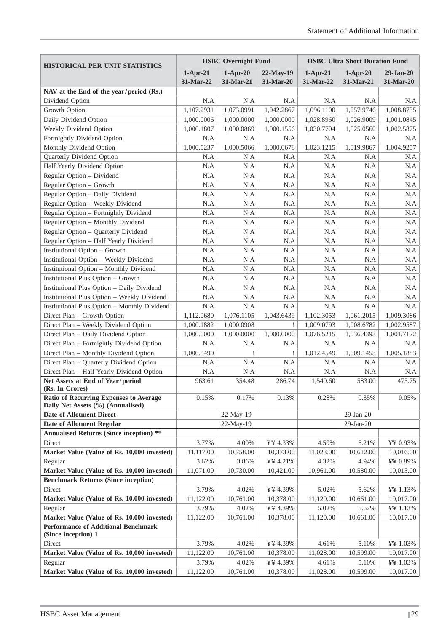| <b>HISTORICAL PER UNIT STATISTICS</b>                                       | <b>HSBC</b> Overnight Fund |            |            | <b>HSBC Ultra Short Duration Fund</b> |                 |             |  |
|-----------------------------------------------------------------------------|----------------------------|------------|------------|---------------------------------------|-----------------|-------------|--|
|                                                                             | $1-Apr-21$                 | $1-Apr-20$ | 22-May-19  | $1-Apr-21$                            | $1-Apr-20$      | $29-Jan-20$ |  |
|                                                                             | 31-Mar-22                  | 31-Mar-21  | 31-Mar-20  | 31-Mar-22                             | 31-Mar-21       | 31-Mar-20   |  |
| NAV at the End of the year/period (Rs.)                                     |                            |            |            |                                       |                 |             |  |
| Dividend Option                                                             | N.A                        | N.A        | N.A        | N.A                                   | N.A             | N.A         |  |
| Growth Option                                                               | 1,107.2931                 | 1,073.0991 | 1,042.2867 | 1,096.1100                            | 1,057.9746      | 1,008.8735  |  |
| Daily Dividend Option                                                       | 1,000.0006                 | 1,000.0000 | 1,000.0000 | 1,028.8960                            | 1,026.9009      | 1,001.0845  |  |
| Weekly Dividend Option                                                      | 1,000.1807                 | 1,000.0869 | 1,000.1556 | 1,030.7704                            | 1,025.0560      | 1,002.5875  |  |
| Fortnightly Dividend Option                                                 | N.A                        | N.A        | N.A        | N.A                                   | N.A             | N.A         |  |
| Monthly Dividend Option                                                     | 1,000.5237                 | 1,000.5066 | 1,000.0678 | 1,023.1215                            | 1,019.9867      | 1,004.9257  |  |
| Quarterly Dividend Option                                                   | N.A                        | N.A        | N.A        | N.A                                   | N.A             | N.A         |  |
| Half Yearly Dividend Option                                                 | N.A                        | N.A        | N.A        | N.A                                   | N.A             | N.A         |  |
| Regular Option - Dividend                                                   | N.A                        | N.A        | N.A        | N.A                                   | N.A             | N.A         |  |
| Regular Option - Growth                                                     | N.A                        | N.A        | N.A        | N.A                                   | N.A             | N.A         |  |
| Regular Option - Daily Dividend                                             | N.A                        | N.A        | N.A        | N.A                                   | N.A             | N.A         |  |
| Regular Option - Weekly Dividend                                            | N.A                        | N.A        | N.A        | N.A                                   | N.A             | N.A         |  |
| Regular Option - Fortnightly Dividend                                       | N.A                        | N.A        | N.A        | N.A                                   | N.A             | N.A         |  |
| Regular Option - Monthly Dividend                                           | N.A                        | N.A        | N.A        | N.A                                   | N.A             | N.A         |  |
| Regular Option - Quarterly Dividend                                         | N.A                        | N.A        | N.A        | N.A                                   | N.A             | N.A         |  |
| Regular Option - Half Yearly Dividend                                       | N.A                        | N.A        | N.A        | N.A                                   | N.A             | N.A         |  |
| <b>Institutional Option - Growth</b>                                        | N.A                        | N.A        | N.A        | N.A                                   | N.A             | N.A         |  |
| <b>Institutional Option - Weekly Dividend</b>                               | N.A                        | N.A        | N.A        | N.A                                   | N.A             | N.A         |  |
| <b>Institutional Option - Monthly Dividend</b>                              | N.A                        | N.A        | N.A        | N.A                                   | N.A             | N.A         |  |
| Institutional Plus Option - Growth                                          | N.A                        | N.A        | N.A        | N.A                                   | N.A             | N.A         |  |
| Institutional Plus Option - Daily Dividend                                  | N.A                        | N.A        | N.A        | N.A                                   | N.A             | N.A         |  |
| <b>Institutional Plus Option - Weekly Dividend</b>                          | N.A                        | N.A        | N.A        | N.A                                   | N.A             | N.A         |  |
| <b>Institutional Plus Option - Monthly Dividend</b>                         | N.A                        | N.A        | N.A        | N.A                                   | N.A             | N.A         |  |
| Direct Plan - Growth Option                                                 | 1,112.0680                 | 1,076.1105 | 1,043.6439 | 1,102.3053                            | 1,061.2015      | 1,009.3086  |  |
| Direct Plan - Weekly Dividend Option                                        | 1,000.1882                 | 1,000.0908 | Ţ          | 1,009.0793                            | 1,008.6782      | 1,002.9587  |  |
| Direct Plan - Daily Dividend Option                                         | 1,000.0000                 | 1,000.0000 | 1,000.0000 | 1,076.5215                            | 1,036.4393      | 1,001.7122  |  |
| Direct Plan - Fortnightly Dividend Option                                   | N.A                        | N.A        | N.A        | N.A                                   | N.A             | N.A         |  |
| Direct Plan - Monthly Dividend Option                                       | 1,000.5490                 | 1          |            | 1,012.4549                            | 1,009.1453      | 1,005.1883  |  |
| Direct Plan - Quarterly Dividend Option                                     | N.A                        | N.A        | N.A        | N.A                                   | N.A             | N.A         |  |
| Direct Plan - Half Yearly Dividend Option                                   | N.A                        | N.A        | N.A        | N.A                                   | N.A             | N.A         |  |
| Net Assets at End of Year/period                                            | 963.61                     | 354.48     | 286.74     | 1,540.60                              | 583.00          | 475.75      |  |
| (Rs. In Crores)                                                             |                            |            |            |                                       |                 |             |  |
| Ratio of Recurring Expenses to Average<br>Daily Net Assets (%) (Annualised) | 0.15%                      | 0.17%      | 0.13%      | 0.28%                                 | 0.35%           | 0.05%       |  |
| <b>Date of Allotment Direct</b>                                             |                            | 22-May-19  |            |                                       | $29$ -Jan- $20$ |             |  |
| <b>Date of Allotment Regular</b>                                            |                            | 22-May-19  |            |                                       | 29-Jan-20       |             |  |
| <b>Annualised Returns (Since inception) **</b>                              |                            |            |            |                                       |                 |             |  |
| Direct                                                                      | 3.77%                      | 4.00%      | ¥¥ 4.33%   | 4.59%                                 | 5.21%           | ¥¥ 0.93%    |  |
| Market Value (Value of Rs. 10,000 invested)                                 | 11,117.00                  | 10,758.00  | 10,373.00  | 11,023.00                             | 10,612.00       | 10,016.00   |  |
| Regular                                                                     | 3.62%                      | 3.86%      | ¥¥ 4.21%   | 4.32%                                 | 4.94%           | ¥¥ 0.89%    |  |
| Market Value (Value of Rs. 10,000 invested)                                 | 11,071.00                  | 10,730.00  | 10,421.00  | 10,961.00                             | 10,580.00       | 10,015.00   |  |
| <b>Benchmark Returns (Since inception)</b>                                  |                            |            |            |                                       |                 |             |  |
| Direct                                                                      | 3.79%                      | 4.02%      | ¥¥ 4.39%   | 5.02%                                 | 5.62%           | ¥¥ 1.13%    |  |
| Market Value (Value of Rs. 10,000 invested)                                 | 11,122.00                  | 10,761.00  | 10,378.00  | 11,120.00                             | 10,661.00       | 10,017.00   |  |
| Regular                                                                     | 3.79%                      | 4.02%      | ¥¥ 4.39%   | 5.02%                                 | 5.62%           | ¥¥ 1.13%    |  |
| Market Value (Value of Rs. 10,000 invested)                                 | 11,122.00                  | 10,761.00  | 10,378.00  | 11,120.00                             | 10,661.00       | 10,017.00   |  |
| <b>Performance of Additional Benchmark</b><br>(Since inception) 1           |                            |            |            |                                       |                 |             |  |
| Direct                                                                      | 3.79%                      | 4.02%      | ¥¥ 4.39%   | 4.61%                                 | 5.10%           | ¥¥ 1.03%    |  |
| Market Value (Value of Rs. 10,000 invested)                                 | 11,122.00                  | 10,761.00  | 10,378.00  | 11,028.00                             | 10,599.00       | 10,017.00   |  |
| Regular                                                                     | 3.79%                      | 4.02%      | ¥¥ 4.39%   | 4.61%                                 | 5.10%           | ¥¥ 1.03%    |  |
| Market Value (Value of Rs. 10,000 invested)                                 | 11,122.00                  | 10,761.00  | 10,378.00  | 11,028.00                             | 10,599.00       | 10,017.00   |  |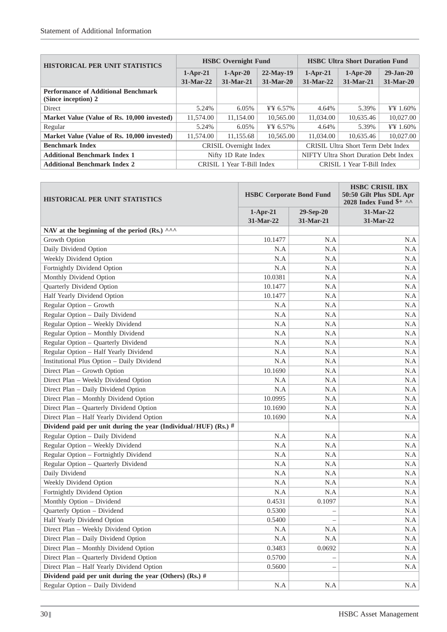| <b>HISTORICAL PER UNIT STATISTICS</b>                             | <b>HSBC</b> Overnight Fund                                   |             |                | <b>HSBC Ultra Short Duration Fund</b> |             |                 |
|-------------------------------------------------------------------|--------------------------------------------------------------|-------------|----------------|---------------------------------------|-------------|-----------------|
|                                                                   | $1-Apr-21$                                                   | $1-Apr-20$  | $22-Mav-19$    | $1-Apr-21$                            | $1-Apr-20$  | $29 - Jan - 20$ |
|                                                                   | $31-Mar-22$                                                  | $31-Mar-21$ | $31-Mar-20$    | $31-Mar-22$                           | $31-Mar-21$ | $31-Mar-20$     |
| <b>Performance of Additional Benchmark</b><br>(Since inception) 2 |                                                              |             |                |                                       |             |                 |
| <b>Direct</b>                                                     | 5.24%                                                        | 6.05%       | $44.57\%$      | 4.64%                                 | 5.39%       | ¥\\ 1.60\%      |
| Market Value (Value of Rs. 10,000 invested)                       | 11,574.00                                                    | 11,154.00   | 10,565.00      | 11.034.00                             | 10,635.46   | 10,027.00       |
| Regular                                                           | 5.24%                                                        | 6.05%       | ¥\\ E\, 6.57\% | 4.64%                                 | 5.39%       | ¥¥ 1.60%        |
| Market Value (Value of Rs. 10,000 invested)                       | 11.574.00                                                    | 11.155.68   | 10.565.00      | 11.034.00                             | 10.635.46   | 10.027.00       |
| <b>Benchmark Index</b>                                            | CRISIL Ultra Short Term Debt Index<br>CRISIL Overnight Index |             |                |                                       |             |                 |
| <b>Additional Benchmark Index 1</b>                               | Nifty 1D Rate Index                                          |             |                | NIFTY Ultra Short Duration Debt Index |             |                 |
| <b>Additional Benchmark Index 2</b>                               | CRISIL 1 Year T-Bill Index<br>CRISIL 1 Year T-Bill Index     |             |                |                                       |             |                 |

| <b>HISTORICAL PER UNIT STATISTICS</b>                             | <b>HSBC Corporate Bond Fund</b> |           | <b>HSBC CRISIL IBX</b><br>50:50 Gilt Plus SDL Apr<br>2028 Index Fund $\frac{1}{2}$ ^^ |  |
|-------------------------------------------------------------------|---------------------------------|-----------|---------------------------------------------------------------------------------------|--|
|                                                                   | $1-Apr-21$                      | 29-Sep-20 | 31-Mar-22                                                                             |  |
|                                                                   | 31-Mar-22                       | 31-Mar-21 | 31-Mar-22                                                                             |  |
| NAV at the beginning of the period (Rs.) ^^^                      |                                 |           |                                                                                       |  |
| Growth Option                                                     | 10.1477                         | N.A       | N.A                                                                                   |  |
| Daily Dividend Option                                             | N.A                             | N.A       | N.A                                                                                   |  |
| Weekly Dividend Option                                            | N.A                             | N.A       | N.A                                                                                   |  |
| Fortnightly Dividend Option                                       | N.A                             | N.A       | N.A                                                                                   |  |
| Monthly Dividend Option                                           | 10.0381                         | N.A       | N.A                                                                                   |  |
| Quarterly Dividend Option                                         | 10.1477                         | N.A       | N.A                                                                                   |  |
| Half Yearly Dividend Option                                       | 10.1477                         | N.A       | N.A                                                                                   |  |
| Regular Option - Growth                                           | N.A                             | N.A       | N.A                                                                                   |  |
| Regular Option - Daily Dividend                                   | N.A                             | N.A       | N.A                                                                                   |  |
| Regular Option - Weekly Dividend                                  | N.A                             | N.A       | N.A                                                                                   |  |
| Regular Option - Monthly Dividend                                 | N.A                             | N.A       | N.A                                                                                   |  |
| Regular Option - Quarterly Dividend                               | N.A                             | N.A       | N.A                                                                                   |  |
| Regular Option - Half Yearly Dividend                             | N.A                             | N.A       | N.A                                                                                   |  |
| Institutional Plus Option - Daily Dividend                        | N.A                             | N.A       | N.A                                                                                   |  |
| Direct Plan - Growth Option                                       | 10.1690                         | N.A       | N.A                                                                                   |  |
| Direct Plan - Weekly Dividend Option                              | N.A                             | N.A       | N.A                                                                                   |  |
| Direct Plan - Daily Dividend Option                               | N.A                             | N.A       | N.A                                                                                   |  |
| Direct Plan - Monthly Dividend Option                             | 10.0995                         | N.A       | N.A                                                                                   |  |
| Direct Plan - Quarterly Dividend Option                           | 10.1690                         | N.A       | N.A                                                                                   |  |
| Direct Plan - Half Yearly Dividend Option                         | 10.1690                         | N.A       | N.A                                                                                   |  |
| Dividend paid per unit during the year (Individual/HUF) (Rs.) $#$ |                                 |           |                                                                                       |  |
| Regular Option - Daily Dividend                                   | N.A                             | N.A       | N.A                                                                                   |  |
| Regular Option - Weekly Dividend                                  | N.A                             | N.A       | N.A                                                                                   |  |
| Regular Option - Fortnightly Dividend                             | N.A                             | N.A       | N.A                                                                                   |  |
| Regular Option - Quarterly Dividend                               | N.A                             | N.A       | N.A                                                                                   |  |
| Daily Dividend                                                    | N.A                             | N.A       | N.A                                                                                   |  |
| Weekly Dividend Option                                            | N.A                             | N.A       | N.A                                                                                   |  |
| Fortnightly Dividend Option                                       | N.A                             | N.A       | N.A                                                                                   |  |
| Monthly Option - Dividend                                         | 0.4531                          | 0.1097    | N.A                                                                                   |  |
| Quarterly Option - Dividend                                       | 0.5300                          |           | N.A                                                                                   |  |
| Half Yearly Dividend Option                                       | 0.5400                          |           | N.A                                                                                   |  |
| Direct Plan - Weekly Dividend Option                              | N.A                             | N.A       | N.A                                                                                   |  |
| Direct Plan - Daily Dividend Option                               | N.A                             | N.A       | N.A                                                                                   |  |
| Direct Plan - Monthly Dividend Option                             | 0.3483                          | 0.0692    | N.A                                                                                   |  |
| Direct Plan - Quarterly Dividend Option                           | 0.5700                          |           | $\rm N.A$                                                                             |  |
| Direct Plan - Half Yearly Dividend Option                         | 0.5600                          |           | N.A                                                                                   |  |
| Dividend paid per unit during the year (Others) (Rs.) #           |                                 |           |                                                                                       |  |
| Regular Option - Daily Dividend                                   | N.A                             | N.A       | N.A                                                                                   |  |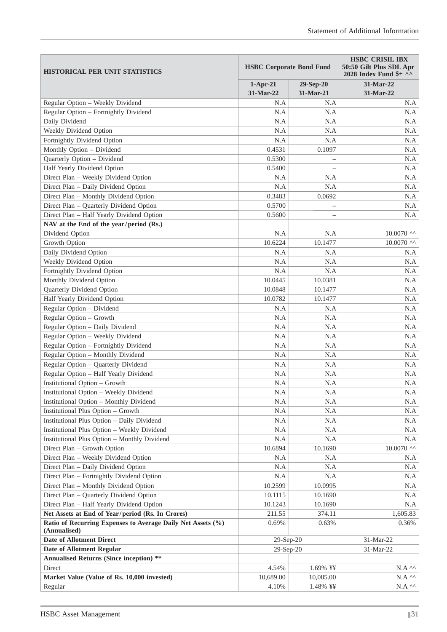| <b>HISTORICAL PER UNIT STATISTICS</b>                       | <b>HSBC Corporate Bond Fund</b> |                          | <b>HSBC CRISIL IBX</b><br>50:50 Gilt Plus SDL Apr<br>2028 Index Fund \$+ ^^ |  |
|-------------------------------------------------------------|---------------------------------|--------------------------|-----------------------------------------------------------------------------|--|
|                                                             | $1-Apr-21$<br>31-Mar-22         | $29-Sep-20$<br>31-Mar-21 | 31-Mar-22<br>31-Mar-22                                                      |  |
| Regular Option - Weekly Dividend                            | N.A                             | N.A                      | N.A                                                                         |  |
| Regular Option - Fortnightly Dividend                       | N.A                             | N.A                      | N.A                                                                         |  |
| Daily Dividend                                              | N.A                             | N.A                      | N.A                                                                         |  |
| Weekly Dividend Option                                      | N.A                             | N.A                      | N.A                                                                         |  |
| Fortnightly Dividend Option                                 | N.A                             | N.A                      | N.A                                                                         |  |
| Monthly Option - Dividend                                   | 0.4531                          | 0.1097                   | N.A                                                                         |  |
| Quarterly Option - Dividend                                 | 0.5300                          |                          | N.A                                                                         |  |
| Half Yearly Dividend Option                                 | 0.5400                          |                          | N.A                                                                         |  |
| Direct Plan - Weekly Dividend Option                        | N.A                             | N.A                      | N.A                                                                         |  |
| Direct Plan - Daily Dividend Option                         | N.A                             | N.A                      | N.A                                                                         |  |
| Direct Plan - Monthly Dividend Option                       | 0.3483                          | 0.0692                   | N.A                                                                         |  |
| Direct Plan - Quarterly Dividend Option                     | 0.5700                          | $\overline{\phantom{0}}$ | N.A                                                                         |  |
| Direct Plan - Half Yearly Dividend Option                   | 0.5600                          | $\overline{\phantom{0}}$ | N.A                                                                         |  |
| NAV at the End of the year/period (Rs.)                     |                                 |                          |                                                                             |  |
| Dividend Option                                             | N.A                             | N.A                      | $10.0070$ ^^                                                                |  |
| Growth Option                                               | 10.6224                         | 10.1477                  | $10.0070$ ^^                                                                |  |
| Daily Dividend Option                                       | N.A                             | N.A                      | N.A                                                                         |  |
| Weekly Dividend Option                                      | N.A                             | N.A                      | N.A                                                                         |  |
| Fortnightly Dividend Option                                 | N.A                             | N.A                      | N.A                                                                         |  |
| Monthly Dividend Option                                     | 10.0445                         | 10.0381                  | N.A                                                                         |  |
| Quarterly Dividend Option                                   | 10.0848                         | 10.1477                  | N.A                                                                         |  |
| Half Yearly Dividend Option                                 | 10.0782                         | 10.1477                  | N.A                                                                         |  |
| Regular Option - Dividend                                   | N.A                             | N.A                      | N.A                                                                         |  |
| Regular Option - Growth                                     | N.A                             | N.A                      | N.A                                                                         |  |
| Regular Option - Daily Dividend                             | N.A                             | N.A                      | N.A                                                                         |  |
| Regular Option - Weekly Dividend                            | N.A                             | N.A                      | N.A                                                                         |  |
| Regular Option - Fortnightly Dividend                       | N.A                             | N.A                      | N.A                                                                         |  |
| Regular Option - Monthly Dividend                           | N.A                             | N.A                      | N.A                                                                         |  |
| Regular Option - Quarterly Dividend                         | N.A                             | N.A                      | N.A                                                                         |  |
| Regular Option - Half Yearly Dividend                       | N.A                             | N.A                      | N.A                                                                         |  |
| <b>Institutional Option - Growth</b>                        | N.A                             | N.A                      | N.A                                                                         |  |
| Institutional Option - Weekly Dividend                      | N.A                             | N.A                      | $\rm N.A$                                                                   |  |
| <b>Institutional Option - Monthly Dividend</b>              | N.A                             | N.A                      | N.A                                                                         |  |
| Institutional Plus Option - Growth                          | N.A                             | N.A                      | N.A                                                                         |  |
| Institutional Plus Option - Daily Dividend                  | $\rm N.A$                       | $\rm N.A$                | N.A                                                                         |  |
| <b>Institutional Plus Option - Weekly Dividend</b>          | N.A                             | $\rm N.A$                | N.A                                                                         |  |
| <b>Institutional Plus Option - Monthly Dividend</b>         | $\rm N.A$                       | N.A                      | N.A                                                                         |  |
| Direct Plan - Growth Option                                 | 10.6894                         | 10.1690                  | $10.0070$ ^^                                                                |  |
| Direct Plan - Weekly Dividend Option                        | N.A                             | N.A                      | N.A                                                                         |  |
| Direct Plan - Daily Dividend Option                         | N.A                             | N.A                      | N.A                                                                         |  |
| Direct Plan - Fortnightly Dividend Option                   | N.A                             | N.A                      | N.A                                                                         |  |
| Direct Plan - Monthly Dividend Option                       | 10.2599                         | 10.0995                  | N.A                                                                         |  |
| Direct Plan - Quarterly Dividend Option                     | 10.1115                         | 10.1690                  | N.A                                                                         |  |
| Direct Plan - Half Yearly Dividend Option                   | 10.1243                         | 10.1690                  | N.A                                                                         |  |
| Net Assets at End of Year/period (Rs. In Crores)            | 211.55                          | 374.11                   | 1,605.83                                                                    |  |
| Ratio of Recurring Expenses to Average Daily Net Assets (%) | 0.69%                           | 0.63%                    | 0.36%                                                                       |  |
| (Annualised)                                                |                                 |                          |                                                                             |  |
| <b>Date of Allotment Direct</b>                             | $29-Sep-20$                     |                          | 31-Mar-22                                                                   |  |
| <b>Date of Allotment Regular</b>                            | 29-Sep-20                       |                          | 31-Mar-22                                                                   |  |
| <b>Annualised Returns (Since inception) **</b>              |                                 |                          |                                                                             |  |
| Direct                                                      | 4.54%                           | 1.69% ¥¥                 | $N.A \sim$                                                                  |  |
| Market Value (Value of Rs. 10,000 invested)                 | 10,689.00                       | 10,085.00                | $\rm N.A$ $^{\wedge\wedge}$                                                 |  |
| Regular                                                     | 4.10%                           | 1.48% ¥¥                 | $N.A \sim$                                                                  |  |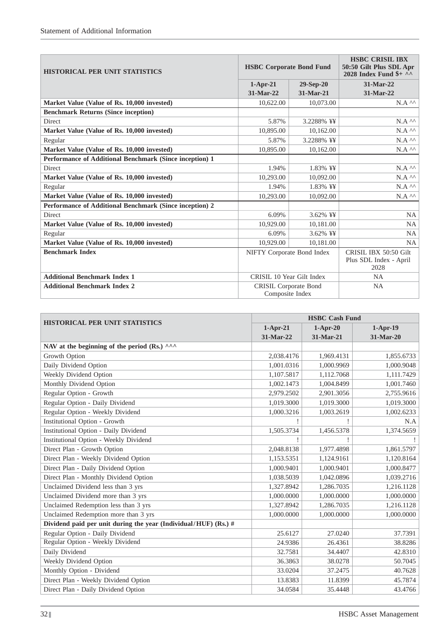| <b>HISTORICAL PER UNIT STATISTICS</b>                   | <b>HSBC Corporate Bond Fund</b> |             | <b>HSBC CRISIL IBX</b><br>50:50 Gilt Plus SDL Apr<br>2028 Index Fund $\frac{1}{2}$ ^^ |  |
|---------------------------------------------------------|---------------------------------|-------------|---------------------------------------------------------------------------------------|--|
|                                                         | $1-Apr-21$                      | $29-Sep-20$ | 31-Mar-22                                                                             |  |
|                                                         | 31-Mar-22                       | 31-Mar-21   | 31-Mar-22                                                                             |  |
| Market Value (Value of Rs. 10,000 invested)             | 10,622.00                       | 10,073.00   | $N.A^{\wedge\wedge}$                                                                  |  |
| <b>Benchmark Returns (Since inception)</b>              |                                 |             |                                                                                       |  |
| <b>Direct</b>                                           | 5.87%                           | 3.2288% ¥¥  | $N.A^{\wedge\wedge}$                                                                  |  |
| Market Value (Value of Rs. 10,000 invested)             | 10,895.00                       | 10,162.00   | $\rm N.A$ $^{\wedge\wedge}$                                                           |  |
| Regular                                                 | 5.87%                           | 3.2288% ¥¥  | $N.A^{\wedge\wedge}$                                                                  |  |
| Market Value (Value of Rs. 10,000 invested)             | 10,895.00                       | 10,162.00   | $N.A^{\wedge\wedge}$                                                                  |  |
| Performance of Additional Benchmark (Since inception) 1 |                                 |             |                                                                                       |  |
| <b>Direct</b>                                           | 1.94%                           | 1.83% ¥¥    | $N.A^{\wedge\wedge}$                                                                  |  |
| Market Value (Value of Rs. 10,000 invested)             | 10,293.00                       | 10,092.00   | $N.A$ $\wedge$                                                                        |  |
| Regular                                                 | 1.94%                           | 1.83% ¥¥    | $N.A^{\wedge\wedge}$                                                                  |  |
| Market Value (Value of Rs. 10,000 invested)             | 10.293.00                       | 10.092.00   | $N.A^{\wedge\wedge}$                                                                  |  |
| Performance of Additional Benchmark (Since inception) 2 |                                 |             |                                                                                       |  |
| Direct                                                  | 6.09%                           | 3.62% ¥¥    | <b>NA</b>                                                                             |  |
| Market Value (Value of Rs. 10,000 invested)             | 10.929.00                       | 10,181.00   | <b>NA</b>                                                                             |  |
| Regular                                                 | 6.09%                           | 3.62% ¥¥    | <b>NA</b>                                                                             |  |
| Market Value (Value of Rs. 10,000 invested)             | 10,929.00                       | 10.181.00   | <b>NA</b>                                                                             |  |
| <b>Benchmark Index</b>                                  | NIFTY Corporate Bond Index      |             | CRISIL IBX 50:50 Gilt                                                                 |  |
|                                                         |                                 |             | Plus SDL Index - April<br>2028                                                        |  |
| <b>Additional Benchmark Index 1</b>                     | CRISIL 10 Year Gilt Index       |             | <b>NA</b>                                                                             |  |
| <b>Additional Benchmark Index 2</b>                     | <b>CRISIL Corporate Bond</b>    |             | <b>NA</b>                                                                             |  |
|                                                         | Composite Index                 |             |                                                                                       |  |

| <b>HISTORICAL PER UNIT STATISTICS</b>                           | <b>HSBC Cash Fund</b> |            |            |  |
|-----------------------------------------------------------------|-----------------------|------------|------------|--|
|                                                                 | $1-Apr-21$            | $1-Apr-20$ | $1-Apr-19$ |  |
|                                                                 | 31-Mar-22             | 31-Mar-21  | 31-Mar-20  |  |
| NAV at the beginning of the period (Rs.) ^^^                    |                       |            |            |  |
| Growth Option                                                   | 2,038.4176            | 1,969.4131 | 1,855.6733 |  |
| Daily Dividend Option                                           | 1,001.0316            | 1,000.9969 | 1,000.9048 |  |
| Weekly Dividend Option                                          | 1,107.5817            | 1,112.7068 | 1,111.7429 |  |
| Monthly Dividend Option                                         | 1,002.1473            | 1,004.8499 | 1,001.7460 |  |
| Regular Option - Growth                                         | 2,979.2502            | 2,901.3056 | 2,755.9616 |  |
| Regular Option - Daily Dividend                                 | 1,019.3000            | 1,019.3000 | 1,019.3000 |  |
| Regular Option - Weekly Dividend                                | 1,000.3216            | 1,003.2619 | 1,002.6233 |  |
| <b>Institutional Option - Growth</b>                            |                       |            | N.A        |  |
| <b>Institutional Option - Daily Dividend</b>                    | 1,505.3734            | 1,456.5378 | 1,374.5659 |  |
| <b>Institutional Option - Weekly Dividend</b>                   |                       |            |            |  |
| Direct Plan - Growth Option                                     | 2,048.8138            | 1,977.4898 | 1,861.5797 |  |
| Direct Plan - Weekly Dividend Option                            | 1,153.5351            | 1,124.9161 | 1,120.8164 |  |
| Direct Plan - Daily Dividend Option                             | 1,000.9401            | 1,000.9401 | 1,000.8477 |  |
| Direct Plan - Monthly Dividend Option                           | 1,038.5039            | 1,042.0896 | 1,039.2716 |  |
| Unclaimed Dividend less than 3 yrs                              | 1,327.8942            | 1,286.7035 | 1,216.1128 |  |
| Unclaimed Dividend more than 3 yrs                              | 1,000.0000            | 1,000.0000 | 1,000.0000 |  |
| Unclaimed Redemption less than 3 yrs                            | 1,327.8942            | 1,286.7035 | 1,216.1128 |  |
| Unclaimed Redemption more than 3 yrs                            | 1,000.0000            | 1,000.0000 | 1,000.0000 |  |
| Dividend paid per unit during the year (Individual/HUF) (Rs.) # |                       |            |            |  |
| Regular Option - Daily Dividend                                 | 25.6127               | 27.0240    | 37.7391    |  |
| Regular Option - Weekly Dividend                                | 24.9386               | 26.4361    | 38.8286    |  |
| Daily Dividend                                                  | 32.7581               | 34.4407    | 42.8310    |  |
| Weekly Dividend Option                                          | 36.3863               | 38.0278    | 50.7045    |  |
| Monthly Option - Dividend                                       | 33.0204               | 37.2475    | 40.7628    |  |
| Direct Plan - Weekly Dividend Option                            | 13.8383               | 11.8399    | 45.7874    |  |
| Direct Plan - Daily Dividend Option                             | 34.0584               | 35.4448    | 43.4766    |  |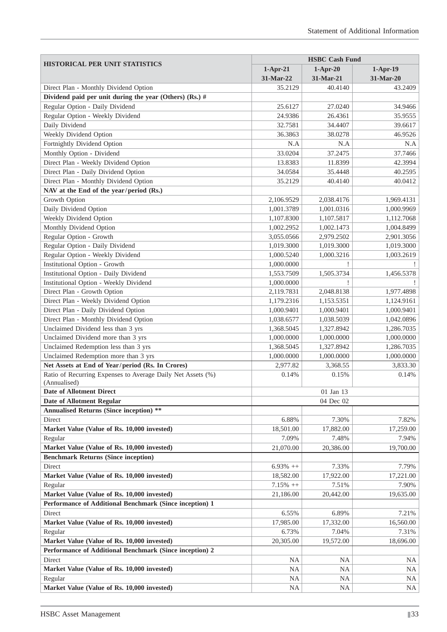| <b>HISTORICAL PER UNIT STATISTICS</b><br>$1-Apr-19$<br>$1-Apr-21$<br>$1-Apr-20$<br>31-Mar-22<br>31-Mar-21<br>31-Mar-20<br>35.2129<br>Direct Plan - Monthly Dividend Option<br>40.4140<br>43.2409<br>Dividend paid per unit during the year (Others) (Rs.) #<br>Regular Option - Daily Dividend<br>25.6127<br>27.0240<br>34.9466<br>Regular Option - Weekly Dividend<br>24.9386<br>35.9555<br>26.4361<br>Daily Dividend<br>32.7581<br>34.4407<br>39.6617<br>Weekly Dividend Option<br>36.3863<br>38.0278<br>46.9526<br>Fortnightly Dividend Option<br>N.A<br>N.A<br>N.A<br>Monthly Option - Dividend<br>33.0204<br>37.2475<br>37.7466<br>Direct Plan - Weekly Dividend Option<br>13.8383<br>11.8399<br>42.3994<br>Direct Plan - Daily Dividend Option<br>34.0584<br>40.2595<br>35.4448<br>Direct Plan - Monthly Dividend Option<br>35.2129<br>40.0412<br>40.4140<br>NAV at the End of the year/period (Rs.)<br>Growth Option<br>2,106.9529<br>2,038.4176<br>1,969.4131<br>Daily Dividend Option<br>1,000.9969<br>1,001.3789<br>1,001.0316<br>Weekly Dividend Option<br>1,112.7068<br>1,107.8300<br>1,107.5817<br>Monthly Dividend Option<br>1,004.8499<br>1,002.2952<br>1,002.1473<br>Regular Option - Growth<br>3,055.0566<br>2,901.3056<br>2,979.2502<br>Regular Option - Daily Dividend<br>1,019.3000<br>1,019.3000<br>1,019.3000<br>Regular Option - Weekly Dividend<br>1,000.5240<br>1,000.3216<br>1,003.2619<br><b>Institutional Option - Growth</b><br>1,000.0000<br>Institutional Option - Daily Dividend<br>1,505.3734<br>1,456.5378<br>1,553.7509<br>Institutional Option - Weekly Dividend<br>1,000.0000<br>Direct Plan - Growth Option<br>2,048.8138<br>2,119.7831<br>1,977.4898<br>Direct Plan - Weekly Dividend Option<br>1,179.2316<br>1,153.5351<br>1,124.9161<br>Direct Plan - Daily Dividend Option<br>1,000.9401<br>1,000.9401<br>1,000.9401<br>Direct Plan - Monthly Dividend Option<br>1,038.6577<br>1,038.5039<br>1,042.0896<br>Unclaimed Dividend less than 3 yrs<br>1,368.5045<br>1,286.7035<br>1,327.8942<br>Unclaimed Dividend more than 3 yrs<br>1,000.0000<br>1,000.0000<br>1,000.0000<br>Unclaimed Redemption less than 3 yrs<br>1,368.5045<br>1,327.8942<br>1,286.7035<br>Unclaimed Redemption more than 3 yrs<br>1,000.0000<br>1,000.0000<br>1,000.0000<br>Net Assets at End of Year/period (Rs. In Crores)<br>2,977.82<br>3,368.55<br>3,833.30<br>Ratio of Recurring Expenses to Average Daily Net Assets (%)<br>0.14%<br>0.15%<br>0.14%<br>(Annualised)<br><b>Date of Allotment Direct</b><br>01 Jan 13<br><b>Date of Allotment Regular</b><br>04 Dec 02<br><b>Annualised Returns (Since inception) **</b><br>6.88%<br>7.30%<br>7.82%<br>Direct<br>Market Value (Value of Rs. 10,000 invested)<br>18,501.00<br>17,882.00<br>17,259.00<br>Regular<br>7.09%<br>7.48%<br>7.94%<br>Market Value (Value of Rs. 10,000 invested)<br>21,070.00<br>20,386.00<br>19,700.00<br><b>Benchmark Returns (Since inception)</b><br>Direct<br>$6.93\% ++$<br>7.33%<br>7.79%<br>18,582.00<br>17,221.00<br>Market Value (Value of Rs. 10,000 invested)<br>17,922.00<br>Regular<br>$7.15% ++$<br>7.51%<br>7.90%<br>Market Value (Value of Rs. 10,000 invested)<br>21,186.00<br>20,442.00<br>19,635.00<br>Performance of Additional Benchmark (Since inception) 1<br>Direct<br>6.55%<br>6.89%<br>7.21%<br>Market Value (Value of Rs. 10,000 invested)<br>17,332.00<br>17,985.00<br>16,560.00<br>Regular<br>6.73%<br>7.04%<br>7.31%<br>Market Value (Value of Rs. 10,000 invested)<br>20,305.00<br>19,572.00<br>18,696.00<br>Performance of Additional Benchmark (Since inception) 2<br>Direct<br><b>NA</b><br><b>NA</b><br>NA<br>Market Value (Value of Rs. 10,000 invested)<br><b>NA</b><br><b>NA</b><br>NA<br>Regular<br>NA<br><b>NA</b><br>NA |                                             | <b>HSBC Cash Fund</b> |           |    |  |
|-------------------------------------------------------------------------------------------------------------------------------------------------------------------------------------------------------------------------------------------------------------------------------------------------------------------------------------------------------------------------------------------------------------------------------------------------------------------------------------------------------------------------------------------------------------------------------------------------------------------------------------------------------------------------------------------------------------------------------------------------------------------------------------------------------------------------------------------------------------------------------------------------------------------------------------------------------------------------------------------------------------------------------------------------------------------------------------------------------------------------------------------------------------------------------------------------------------------------------------------------------------------------------------------------------------------------------------------------------------------------------------------------------------------------------------------------------------------------------------------------------------------------------------------------------------------------------------------------------------------------------------------------------------------------------------------------------------------------------------------------------------------------------------------------------------------------------------------------------------------------------------------------------------------------------------------------------------------------------------------------------------------------------------------------------------------------------------------------------------------------------------------------------------------------------------------------------------------------------------------------------------------------------------------------------------------------------------------------------------------------------------------------------------------------------------------------------------------------------------------------------------------------------------------------------------------------------------------------------------------------------------------------------------------------------------------------------------------------------------------------------------------------------------------------------------------------------------------------------------------------------------------------------------------------------------------------------------------------------------------------------------------------------------------------------------------------------------------------------------------------------------------------------------------------------------------------------------------------------------------------------------------------------------------------------------------------------------------------------------------------------------------------------------------------------------------------------------------------------------------------------------------------------------------------------------------------------------------------------------------------------------------------------------------------------------------------------------------------------------------------------------|---------------------------------------------|-----------------------|-----------|----|--|
|                                                                                                                                                                                                                                                                                                                                                                                                                                                                                                                                                                                                                                                                                                                                                                                                                                                                                                                                                                                                                                                                                                                                                                                                                                                                                                                                                                                                                                                                                                                                                                                                                                                                                                                                                                                                                                                                                                                                                                                                                                                                                                                                                                                                                                                                                                                                                                                                                                                                                                                                                                                                                                                                                                                                                                                                                                                                                                                                                                                                                                                                                                                                                                                                                                                                                                                                                                                                                                                                                                                                                                                                                                                                                                                                                             |                                             |                       |           |    |  |
|                                                                                                                                                                                                                                                                                                                                                                                                                                                                                                                                                                                                                                                                                                                                                                                                                                                                                                                                                                                                                                                                                                                                                                                                                                                                                                                                                                                                                                                                                                                                                                                                                                                                                                                                                                                                                                                                                                                                                                                                                                                                                                                                                                                                                                                                                                                                                                                                                                                                                                                                                                                                                                                                                                                                                                                                                                                                                                                                                                                                                                                                                                                                                                                                                                                                                                                                                                                                                                                                                                                                                                                                                                                                                                                                                             |                                             |                       |           |    |  |
|                                                                                                                                                                                                                                                                                                                                                                                                                                                                                                                                                                                                                                                                                                                                                                                                                                                                                                                                                                                                                                                                                                                                                                                                                                                                                                                                                                                                                                                                                                                                                                                                                                                                                                                                                                                                                                                                                                                                                                                                                                                                                                                                                                                                                                                                                                                                                                                                                                                                                                                                                                                                                                                                                                                                                                                                                                                                                                                                                                                                                                                                                                                                                                                                                                                                                                                                                                                                                                                                                                                                                                                                                                                                                                                                                             |                                             |                       |           |    |  |
|                                                                                                                                                                                                                                                                                                                                                                                                                                                                                                                                                                                                                                                                                                                                                                                                                                                                                                                                                                                                                                                                                                                                                                                                                                                                                                                                                                                                                                                                                                                                                                                                                                                                                                                                                                                                                                                                                                                                                                                                                                                                                                                                                                                                                                                                                                                                                                                                                                                                                                                                                                                                                                                                                                                                                                                                                                                                                                                                                                                                                                                                                                                                                                                                                                                                                                                                                                                                                                                                                                                                                                                                                                                                                                                                                             |                                             |                       |           |    |  |
|                                                                                                                                                                                                                                                                                                                                                                                                                                                                                                                                                                                                                                                                                                                                                                                                                                                                                                                                                                                                                                                                                                                                                                                                                                                                                                                                                                                                                                                                                                                                                                                                                                                                                                                                                                                                                                                                                                                                                                                                                                                                                                                                                                                                                                                                                                                                                                                                                                                                                                                                                                                                                                                                                                                                                                                                                                                                                                                                                                                                                                                                                                                                                                                                                                                                                                                                                                                                                                                                                                                                                                                                                                                                                                                                                             |                                             |                       |           |    |  |
|                                                                                                                                                                                                                                                                                                                                                                                                                                                                                                                                                                                                                                                                                                                                                                                                                                                                                                                                                                                                                                                                                                                                                                                                                                                                                                                                                                                                                                                                                                                                                                                                                                                                                                                                                                                                                                                                                                                                                                                                                                                                                                                                                                                                                                                                                                                                                                                                                                                                                                                                                                                                                                                                                                                                                                                                                                                                                                                                                                                                                                                                                                                                                                                                                                                                                                                                                                                                                                                                                                                                                                                                                                                                                                                                                             |                                             |                       |           |    |  |
|                                                                                                                                                                                                                                                                                                                                                                                                                                                                                                                                                                                                                                                                                                                                                                                                                                                                                                                                                                                                                                                                                                                                                                                                                                                                                                                                                                                                                                                                                                                                                                                                                                                                                                                                                                                                                                                                                                                                                                                                                                                                                                                                                                                                                                                                                                                                                                                                                                                                                                                                                                                                                                                                                                                                                                                                                                                                                                                                                                                                                                                                                                                                                                                                                                                                                                                                                                                                                                                                                                                                                                                                                                                                                                                                                             |                                             |                       |           |    |  |
|                                                                                                                                                                                                                                                                                                                                                                                                                                                                                                                                                                                                                                                                                                                                                                                                                                                                                                                                                                                                                                                                                                                                                                                                                                                                                                                                                                                                                                                                                                                                                                                                                                                                                                                                                                                                                                                                                                                                                                                                                                                                                                                                                                                                                                                                                                                                                                                                                                                                                                                                                                                                                                                                                                                                                                                                                                                                                                                                                                                                                                                                                                                                                                                                                                                                                                                                                                                                                                                                                                                                                                                                                                                                                                                                                             |                                             |                       |           |    |  |
|                                                                                                                                                                                                                                                                                                                                                                                                                                                                                                                                                                                                                                                                                                                                                                                                                                                                                                                                                                                                                                                                                                                                                                                                                                                                                                                                                                                                                                                                                                                                                                                                                                                                                                                                                                                                                                                                                                                                                                                                                                                                                                                                                                                                                                                                                                                                                                                                                                                                                                                                                                                                                                                                                                                                                                                                                                                                                                                                                                                                                                                                                                                                                                                                                                                                                                                                                                                                                                                                                                                                                                                                                                                                                                                                                             |                                             |                       |           |    |  |
|                                                                                                                                                                                                                                                                                                                                                                                                                                                                                                                                                                                                                                                                                                                                                                                                                                                                                                                                                                                                                                                                                                                                                                                                                                                                                                                                                                                                                                                                                                                                                                                                                                                                                                                                                                                                                                                                                                                                                                                                                                                                                                                                                                                                                                                                                                                                                                                                                                                                                                                                                                                                                                                                                                                                                                                                                                                                                                                                                                                                                                                                                                                                                                                                                                                                                                                                                                                                                                                                                                                                                                                                                                                                                                                                                             |                                             |                       |           |    |  |
|                                                                                                                                                                                                                                                                                                                                                                                                                                                                                                                                                                                                                                                                                                                                                                                                                                                                                                                                                                                                                                                                                                                                                                                                                                                                                                                                                                                                                                                                                                                                                                                                                                                                                                                                                                                                                                                                                                                                                                                                                                                                                                                                                                                                                                                                                                                                                                                                                                                                                                                                                                                                                                                                                                                                                                                                                                                                                                                                                                                                                                                                                                                                                                                                                                                                                                                                                                                                                                                                                                                                                                                                                                                                                                                                                             |                                             |                       |           |    |  |
|                                                                                                                                                                                                                                                                                                                                                                                                                                                                                                                                                                                                                                                                                                                                                                                                                                                                                                                                                                                                                                                                                                                                                                                                                                                                                                                                                                                                                                                                                                                                                                                                                                                                                                                                                                                                                                                                                                                                                                                                                                                                                                                                                                                                                                                                                                                                                                                                                                                                                                                                                                                                                                                                                                                                                                                                                                                                                                                                                                                                                                                                                                                                                                                                                                                                                                                                                                                                                                                                                                                                                                                                                                                                                                                                                             |                                             |                       |           |    |  |
|                                                                                                                                                                                                                                                                                                                                                                                                                                                                                                                                                                                                                                                                                                                                                                                                                                                                                                                                                                                                                                                                                                                                                                                                                                                                                                                                                                                                                                                                                                                                                                                                                                                                                                                                                                                                                                                                                                                                                                                                                                                                                                                                                                                                                                                                                                                                                                                                                                                                                                                                                                                                                                                                                                                                                                                                                                                                                                                                                                                                                                                                                                                                                                                                                                                                                                                                                                                                                                                                                                                                                                                                                                                                                                                                                             |                                             |                       |           |    |  |
|                                                                                                                                                                                                                                                                                                                                                                                                                                                                                                                                                                                                                                                                                                                                                                                                                                                                                                                                                                                                                                                                                                                                                                                                                                                                                                                                                                                                                                                                                                                                                                                                                                                                                                                                                                                                                                                                                                                                                                                                                                                                                                                                                                                                                                                                                                                                                                                                                                                                                                                                                                                                                                                                                                                                                                                                                                                                                                                                                                                                                                                                                                                                                                                                                                                                                                                                                                                                                                                                                                                                                                                                                                                                                                                                                             |                                             |                       |           |    |  |
|                                                                                                                                                                                                                                                                                                                                                                                                                                                                                                                                                                                                                                                                                                                                                                                                                                                                                                                                                                                                                                                                                                                                                                                                                                                                                                                                                                                                                                                                                                                                                                                                                                                                                                                                                                                                                                                                                                                                                                                                                                                                                                                                                                                                                                                                                                                                                                                                                                                                                                                                                                                                                                                                                                                                                                                                                                                                                                                                                                                                                                                                                                                                                                                                                                                                                                                                                                                                                                                                                                                                                                                                                                                                                                                                                             |                                             |                       |           |    |  |
|                                                                                                                                                                                                                                                                                                                                                                                                                                                                                                                                                                                                                                                                                                                                                                                                                                                                                                                                                                                                                                                                                                                                                                                                                                                                                                                                                                                                                                                                                                                                                                                                                                                                                                                                                                                                                                                                                                                                                                                                                                                                                                                                                                                                                                                                                                                                                                                                                                                                                                                                                                                                                                                                                                                                                                                                                                                                                                                                                                                                                                                                                                                                                                                                                                                                                                                                                                                                                                                                                                                                                                                                                                                                                                                                                             |                                             |                       |           |    |  |
|                                                                                                                                                                                                                                                                                                                                                                                                                                                                                                                                                                                                                                                                                                                                                                                                                                                                                                                                                                                                                                                                                                                                                                                                                                                                                                                                                                                                                                                                                                                                                                                                                                                                                                                                                                                                                                                                                                                                                                                                                                                                                                                                                                                                                                                                                                                                                                                                                                                                                                                                                                                                                                                                                                                                                                                                                                                                                                                                                                                                                                                                                                                                                                                                                                                                                                                                                                                                                                                                                                                                                                                                                                                                                                                                                             |                                             |                       |           |    |  |
|                                                                                                                                                                                                                                                                                                                                                                                                                                                                                                                                                                                                                                                                                                                                                                                                                                                                                                                                                                                                                                                                                                                                                                                                                                                                                                                                                                                                                                                                                                                                                                                                                                                                                                                                                                                                                                                                                                                                                                                                                                                                                                                                                                                                                                                                                                                                                                                                                                                                                                                                                                                                                                                                                                                                                                                                                                                                                                                                                                                                                                                                                                                                                                                                                                                                                                                                                                                                                                                                                                                                                                                                                                                                                                                                                             |                                             |                       |           |    |  |
|                                                                                                                                                                                                                                                                                                                                                                                                                                                                                                                                                                                                                                                                                                                                                                                                                                                                                                                                                                                                                                                                                                                                                                                                                                                                                                                                                                                                                                                                                                                                                                                                                                                                                                                                                                                                                                                                                                                                                                                                                                                                                                                                                                                                                                                                                                                                                                                                                                                                                                                                                                                                                                                                                                                                                                                                                                                                                                                                                                                                                                                                                                                                                                                                                                                                                                                                                                                                                                                                                                                                                                                                                                                                                                                                                             |                                             |                       |           |    |  |
|                                                                                                                                                                                                                                                                                                                                                                                                                                                                                                                                                                                                                                                                                                                                                                                                                                                                                                                                                                                                                                                                                                                                                                                                                                                                                                                                                                                                                                                                                                                                                                                                                                                                                                                                                                                                                                                                                                                                                                                                                                                                                                                                                                                                                                                                                                                                                                                                                                                                                                                                                                                                                                                                                                                                                                                                                                                                                                                                                                                                                                                                                                                                                                                                                                                                                                                                                                                                                                                                                                                                                                                                                                                                                                                                                             |                                             |                       |           |    |  |
|                                                                                                                                                                                                                                                                                                                                                                                                                                                                                                                                                                                                                                                                                                                                                                                                                                                                                                                                                                                                                                                                                                                                                                                                                                                                                                                                                                                                                                                                                                                                                                                                                                                                                                                                                                                                                                                                                                                                                                                                                                                                                                                                                                                                                                                                                                                                                                                                                                                                                                                                                                                                                                                                                                                                                                                                                                                                                                                                                                                                                                                                                                                                                                                                                                                                                                                                                                                                                                                                                                                                                                                                                                                                                                                                                             |                                             |                       |           |    |  |
|                                                                                                                                                                                                                                                                                                                                                                                                                                                                                                                                                                                                                                                                                                                                                                                                                                                                                                                                                                                                                                                                                                                                                                                                                                                                                                                                                                                                                                                                                                                                                                                                                                                                                                                                                                                                                                                                                                                                                                                                                                                                                                                                                                                                                                                                                                                                                                                                                                                                                                                                                                                                                                                                                                                                                                                                                                                                                                                                                                                                                                                                                                                                                                                                                                                                                                                                                                                                                                                                                                                                                                                                                                                                                                                                                             |                                             |                       |           |    |  |
|                                                                                                                                                                                                                                                                                                                                                                                                                                                                                                                                                                                                                                                                                                                                                                                                                                                                                                                                                                                                                                                                                                                                                                                                                                                                                                                                                                                                                                                                                                                                                                                                                                                                                                                                                                                                                                                                                                                                                                                                                                                                                                                                                                                                                                                                                                                                                                                                                                                                                                                                                                                                                                                                                                                                                                                                                                                                                                                                                                                                                                                                                                                                                                                                                                                                                                                                                                                                                                                                                                                                                                                                                                                                                                                                                             |                                             |                       |           |    |  |
|                                                                                                                                                                                                                                                                                                                                                                                                                                                                                                                                                                                                                                                                                                                                                                                                                                                                                                                                                                                                                                                                                                                                                                                                                                                                                                                                                                                                                                                                                                                                                                                                                                                                                                                                                                                                                                                                                                                                                                                                                                                                                                                                                                                                                                                                                                                                                                                                                                                                                                                                                                                                                                                                                                                                                                                                                                                                                                                                                                                                                                                                                                                                                                                                                                                                                                                                                                                                                                                                                                                                                                                                                                                                                                                                                             |                                             |                       |           |    |  |
|                                                                                                                                                                                                                                                                                                                                                                                                                                                                                                                                                                                                                                                                                                                                                                                                                                                                                                                                                                                                                                                                                                                                                                                                                                                                                                                                                                                                                                                                                                                                                                                                                                                                                                                                                                                                                                                                                                                                                                                                                                                                                                                                                                                                                                                                                                                                                                                                                                                                                                                                                                                                                                                                                                                                                                                                                                                                                                                                                                                                                                                                                                                                                                                                                                                                                                                                                                                                                                                                                                                                                                                                                                                                                                                                                             |                                             |                       |           |    |  |
|                                                                                                                                                                                                                                                                                                                                                                                                                                                                                                                                                                                                                                                                                                                                                                                                                                                                                                                                                                                                                                                                                                                                                                                                                                                                                                                                                                                                                                                                                                                                                                                                                                                                                                                                                                                                                                                                                                                                                                                                                                                                                                                                                                                                                                                                                                                                                                                                                                                                                                                                                                                                                                                                                                                                                                                                                                                                                                                                                                                                                                                                                                                                                                                                                                                                                                                                                                                                                                                                                                                                                                                                                                                                                                                                                             |                                             |                       |           |    |  |
|                                                                                                                                                                                                                                                                                                                                                                                                                                                                                                                                                                                                                                                                                                                                                                                                                                                                                                                                                                                                                                                                                                                                                                                                                                                                                                                                                                                                                                                                                                                                                                                                                                                                                                                                                                                                                                                                                                                                                                                                                                                                                                                                                                                                                                                                                                                                                                                                                                                                                                                                                                                                                                                                                                                                                                                                                                                                                                                                                                                                                                                                                                                                                                                                                                                                                                                                                                                                                                                                                                                                                                                                                                                                                                                                                             |                                             |                       |           |    |  |
|                                                                                                                                                                                                                                                                                                                                                                                                                                                                                                                                                                                                                                                                                                                                                                                                                                                                                                                                                                                                                                                                                                                                                                                                                                                                                                                                                                                                                                                                                                                                                                                                                                                                                                                                                                                                                                                                                                                                                                                                                                                                                                                                                                                                                                                                                                                                                                                                                                                                                                                                                                                                                                                                                                                                                                                                                                                                                                                                                                                                                                                                                                                                                                                                                                                                                                                                                                                                                                                                                                                                                                                                                                                                                                                                                             |                                             |                       |           |    |  |
|                                                                                                                                                                                                                                                                                                                                                                                                                                                                                                                                                                                                                                                                                                                                                                                                                                                                                                                                                                                                                                                                                                                                                                                                                                                                                                                                                                                                                                                                                                                                                                                                                                                                                                                                                                                                                                                                                                                                                                                                                                                                                                                                                                                                                                                                                                                                                                                                                                                                                                                                                                                                                                                                                                                                                                                                                                                                                                                                                                                                                                                                                                                                                                                                                                                                                                                                                                                                                                                                                                                                                                                                                                                                                                                                                             |                                             |                       |           |    |  |
|                                                                                                                                                                                                                                                                                                                                                                                                                                                                                                                                                                                                                                                                                                                                                                                                                                                                                                                                                                                                                                                                                                                                                                                                                                                                                                                                                                                                                                                                                                                                                                                                                                                                                                                                                                                                                                                                                                                                                                                                                                                                                                                                                                                                                                                                                                                                                                                                                                                                                                                                                                                                                                                                                                                                                                                                                                                                                                                                                                                                                                                                                                                                                                                                                                                                                                                                                                                                                                                                                                                                                                                                                                                                                                                                                             |                                             |                       |           |    |  |
|                                                                                                                                                                                                                                                                                                                                                                                                                                                                                                                                                                                                                                                                                                                                                                                                                                                                                                                                                                                                                                                                                                                                                                                                                                                                                                                                                                                                                                                                                                                                                                                                                                                                                                                                                                                                                                                                                                                                                                                                                                                                                                                                                                                                                                                                                                                                                                                                                                                                                                                                                                                                                                                                                                                                                                                                                                                                                                                                                                                                                                                                                                                                                                                                                                                                                                                                                                                                                                                                                                                                                                                                                                                                                                                                                             |                                             |                       |           |    |  |
|                                                                                                                                                                                                                                                                                                                                                                                                                                                                                                                                                                                                                                                                                                                                                                                                                                                                                                                                                                                                                                                                                                                                                                                                                                                                                                                                                                                                                                                                                                                                                                                                                                                                                                                                                                                                                                                                                                                                                                                                                                                                                                                                                                                                                                                                                                                                                                                                                                                                                                                                                                                                                                                                                                                                                                                                                                                                                                                                                                                                                                                                                                                                                                                                                                                                                                                                                                                                                                                                                                                                                                                                                                                                                                                                                             |                                             |                       |           |    |  |
|                                                                                                                                                                                                                                                                                                                                                                                                                                                                                                                                                                                                                                                                                                                                                                                                                                                                                                                                                                                                                                                                                                                                                                                                                                                                                                                                                                                                                                                                                                                                                                                                                                                                                                                                                                                                                                                                                                                                                                                                                                                                                                                                                                                                                                                                                                                                                                                                                                                                                                                                                                                                                                                                                                                                                                                                                                                                                                                                                                                                                                                                                                                                                                                                                                                                                                                                                                                                                                                                                                                                                                                                                                                                                                                                                             |                                             |                       |           |    |  |
|                                                                                                                                                                                                                                                                                                                                                                                                                                                                                                                                                                                                                                                                                                                                                                                                                                                                                                                                                                                                                                                                                                                                                                                                                                                                                                                                                                                                                                                                                                                                                                                                                                                                                                                                                                                                                                                                                                                                                                                                                                                                                                                                                                                                                                                                                                                                                                                                                                                                                                                                                                                                                                                                                                                                                                                                                                                                                                                                                                                                                                                                                                                                                                                                                                                                                                                                                                                                                                                                                                                                                                                                                                                                                                                                                             |                                             |                       |           |    |  |
|                                                                                                                                                                                                                                                                                                                                                                                                                                                                                                                                                                                                                                                                                                                                                                                                                                                                                                                                                                                                                                                                                                                                                                                                                                                                                                                                                                                                                                                                                                                                                                                                                                                                                                                                                                                                                                                                                                                                                                                                                                                                                                                                                                                                                                                                                                                                                                                                                                                                                                                                                                                                                                                                                                                                                                                                                                                                                                                                                                                                                                                                                                                                                                                                                                                                                                                                                                                                                                                                                                                                                                                                                                                                                                                                                             |                                             |                       |           |    |  |
|                                                                                                                                                                                                                                                                                                                                                                                                                                                                                                                                                                                                                                                                                                                                                                                                                                                                                                                                                                                                                                                                                                                                                                                                                                                                                                                                                                                                                                                                                                                                                                                                                                                                                                                                                                                                                                                                                                                                                                                                                                                                                                                                                                                                                                                                                                                                                                                                                                                                                                                                                                                                                                                                                                                                                                                                                                                                                                                                                                                                                                                                                                                                                                                                                                                                                                                                                                                                                                                                                                                                                                                                                                                                                                                                                             |                                             |                       |           |    |  |
|                                                                                                                                                                                                                                                                                                                                                                                                                                                                                                                                                                                                                                                                                                                                                                                                                                                                                                                                                                                                                                                                                                                                                                                                                                                                                                                                                                                                                                                                                                                                                                                                                                                                                                                                                                                                                                                                                                                                                                                                                                                                                                                                                                                                                                                                                                                                                                                                                                                                                                                                                                                                                                                                                                                                                                                                                                                                                                                                                                                                                                                                                                                                                                                                                                                                                                                                                                                                                                                                                                                                                                                                                                                                                                                                                             |                                             |                       |           |    |  |
|                                                                                                                                                                                                                                                                                                                                                                                                                                                                                                                                                                                                                                                                                                                                                                                                                                                                                                                                                                                                                                                                                                                                                                                                                                                                                                                                                                                                                                                                                                                                                                                                                                                                                                                                                                                                                                                                                                                                                                                                                                                                                                                                                                                                                                                                                                                                                                                                                                                                                                                                                                                                                                                                                                                                                                                                                                                                                                                                                                                                                                                                                                                                                                                                                                                                                                                                                                                                                                                                                                                                                                                                                                                                                                                                                             |                                             |                       |           |    |  |
|                                                                                                                                                                                                                                                                                                                                                                                                                                                                                                                                                                                                                                                                                                                                                                                                                                                                                                                                                                                                                                                                                                                                                                                                                                                                                                                                                                                                                                                                                                                                                                                                                                                                                                                                                                                                                                                                                                                                                                                                                                                                                                                                                                                                                                                                                                                                                                                                                                                                                                                                                                                                                                                                                                                                                                                                                                                                                                                                                                                                                                                                                                                                                                                                                                                                                                                                                                                                                                                                                                                                                                                                                                                                                                                                                             |                                             |                       |           |    |  |
|                                                                                                                                                                                                                                                                                                                                                                                                                                                                                                                                                                                                                                                                                                                                                                                                                                                                                                                                                                                                                                                                                                                                                                                                                                                                                                                                                                                                                                                                                                                                                                                                                                                                                                                                                                                                                                                                                                                                                                                                                                                                                                                                                                                                                                                                                                                                                                                                                                                                                                                                                                                                                                                                                                                                                                                                                                                                                                                                                                                                                                                                                                                                                                                                                                                                                                                                                                                                                                                                                                                                                                                                                                                                                                                                                             |                                             |                       |           |    |  |
|                                                                                                                                                                                                                                                                                                                                                                                                                                                                                                                                                                                                                                                                                                                                                                                                                                                                                                                                                                                                                                                                                                                                                                                                                                                                                                                                                                                                                                                                                                                                                                                                                                                                                                                                                                                                                                                                                                                                                                                                                                                                                                                                                                                                                                                                                                                                                                                                                                                                                                                                                                                                                                                                                                                                                                                                                                                                                                                                                                                                                                                                                                                                                                                                                                                                                                                                                                                                                                                                                                                                                                                                                                                                                                                                                             |                                             |                       |           |    |  |
|                                                                                                                                                                                                                                                                                                                                                                                                                                                                                                                                                                                                                                                                                                                                                                                                                                                                                                                                                                                                                                                                                                                                                                                                                                                                                                                                                                                                                                                                                                                                                                                                                                                                                                                                                                                                                                                                                                                                                                                                                                                                                                                                                                                                                                                                                                                                                                                                                                                                                                                                                                                                                                                                                                                                                                                                                                                                                                                                                                                                                                                                                                                                                                                                                                                                                                                                                                                                                                                                                                                                                                                                                                                                                                                                                             |                                             |                       |           |    |  |
|                                                                                                                                                                                                                                                                                                                                                                                                                                                                                                                                                                                                                                                                                                                                                                                                                                                                                                                                                                                                                                                                                                                                                                                                                                                                                                                                                                                                                                                                                                                                                                                                                                                                                                                                                                                                                                                                                                                                                                                                                                                                                                                                                                                                                                                                                                                                                                                                                                                                                                                                                                                                                                                                                                                                                                                                                                                                                                                                                                                                                                                                                                                                                                                                                                                                                                                                                                                                                                                                                                                                                                                                                                                                                                                                                             |                                             |                       |           |    |  |
|                                                                                                                                                                                                                                                                                                                                                                                                                                                                                                                                                                                                                                                                                                                                                                                                                                                                                                                                                                                                                                                                                                                                                                                                                                                                                                                                                                                                                                                                                                                                                                                                                                                                                                                                                                                                                                                                                                                                                                                                                                                                                                                                                                                                                                                                                                                                                                                                                                                                                                                                                                                                                                                                                                                                                                                                                                                                                                                                                                                                                                                                                                                                                                                                                                                                                                                                                                                                                                                                                                                                                                                                                                                                                                                                                             |                                             |                       |           |    |  |
|                                                                                                                                                                                                                                                                                                                                                                                                                                                                                                                                                                                                                                                                                                                                                                                                                                                                                                                                                                                                                                                                                                                                                                                                                                                                                                                                                                                                                                                                                                                                                                                                                                                                                                                                                                                                                                                                                                                                                                                                                                                                                                                                                                                                                                                                                                                                                                                                                                                                                                                                                                                                                                                                                                                                                                                                                                                                                                                                                                                                                                                                                                                                                                                                                                                                                                                                                                                                                                                                                                                                                                                                                                                                                                                                                             |                                             |                       |           |    |  |
|                                                                                                                                                                                                                                                                                                                                                                                                                                                                                                                                                                                                                                                                                                                                                                                                                                                                                                                                                                                                                                                                                                                                                                                                                                                                                                                                                                                                                                                                                                                                                                                                                                                                                                                                                                                                                                                                                                                                                                                                                                                                                                                                                                                                                                                                                                                                                                                                                                                                                                                                                                                                                                                                                                                                                                                                                                                                                                                                                                                                                                                                                                                                                                                                                                                                                                                                                                                                                                                                                                                                                                                                                                                                                                                                                             |                                             |                       |           |    |  |
|                                                                                                                                                                                                                                                                                                                                                                                                                                                                                                                                                                                                                                                                                                                                                                                                                                                                                                                                                                                                                                                                                                                                                                                                                                                                                                                                                                                                                                                                                                                                                                                                                                                                                                                                                                                                                                                                                                                                                                                                                                                                                                                                                                                                                                                                                                                                                                                                                                                                                                                                                                                                                                                                                                                                                                                                                                                                                                                                                                                                                                                                                                                                                                                                                                                                                                                                                                                                                                                                                                                                                                                                                                                                                                                                                             |                                             |                       |           |    |  |
|                                                                                                                                                                                                                                                                                                                                                                                                                                                                                                                                                                                                                                                                                                                                                                                                                                                                                                                                                                                                                                                                                                                                                                                                                                                                                                                                                                                                                                                                                                                                                                                                                                                                                                                                                                                                                                                                                                                                                                                                                                                                                                                                                                                                                                                                                                                                                                                                                                                                                                                                                                                                                                                                                                                                                                                                                                                                                                                                                                                                                                                                                                                                                                                                                                                                                                                                                                                                                                                                                                                                                                                                                                                                                                                                                             |                                             |                       |           |    |  |
|                                                                                                                                                                                                                                                                                                                                                                                                                                                                                                                                                                                                                                                                                                                                                                                                                                                                                                                                                                                                                                                                                                                                                                                                                                                                                                                                                                                                                                                                                                                                                                                                                                                                                                                                                                                                                                                                                                                                                                                                                                                                                                                                                                                                                                                                                                                                                                                                                                                                                                                                                                                                                                                                                                                                                                                                                                                                                                                                                                                                                                                                                                                                                                                                                                                                                                                                                                                                                                                                                                                                                                                                                                                                                                                                                             |                                             |                       |           |    |  |
|                                                                                                                                                                                                                                                                                                                                                                                                                                                                                                                                                                                                                                                                                                                                                                                                                                                                                                                                                                                                                                                                                                                                                                                                                                                                                                                                                                                                                                                                                                                                                                                                                                                                                                                                                                                                                                                                                                                                                                                                                                                                                                                                                                                                                                                                                                                                                                                                                                                                                                                                                                                                                                                                                                                                                                                                                                                                                                                                                                                                                                                                                                                                                                                                                                                                                                                                                                                                                                                                                                                                                                                                                                                                                                                                                             |                                             |                       |           |    |  |
|                                                                                                                                                                                                                                                                                                                                                                                                                                                                                                                                                                                                                                                                                                                                                                                                                                                                                                                                                                                                                                                                                                                                                                                                                                                                                                                                                                                                                                                                                                                                                                                                                                                                                                                                                                                                                                                                                                                                                                                                                                                                                                                                                                                                                                                                                                                                                                                                                                                                                                                                                                                                                                                                                                                                                                                                                                                                                                                                                                                                                                                                                                                                                                                                                                                                                                                                                                                                                                                                                                                                                                                                                                                                                                                                                             |                                             |                       |           |    |  |
|                                                                                                                                                                                                                                                                                                                                                                                                                                                                                                                                                                                                                                                                                                                                                                                                                                                                                                                                                                                                                                                                                                                                                                                                                                                                                                                                                                                                                                                                                                                                                                                                                                                                                                                                                                                                                                                                                                                                                                                                                                                                                                                                                                                                                                                                                                                                                                                                                                                                                                                                                                                                                                                                                                                                                                                                                                                                                                                                                                                                                                                                                                                                                                                                                                                                                                                                                                                                                                                                                                                                                                                                                                                                                                                                                             |                                             |                       |           |    |  |
|                                                                                                                                                                                                                                                                                                                                                                                                                                                                                                                                                                                                                                                                                                                                                                                                                                                                                                                                                                                                                                                                                                                                                                                                                                                                                                                                                                                                                                                                                                                                                                                                                                                                                                                                                                                                                                                                                                                                                                                                                                                                                                                                                                                                                                                                                                                                                                                                                                                                                                                                                                                                                                                                                                                                                                                                                                                                                                                                                                                                                                                                                                                                                                                                                                                                                                                                                                                                                                                                                                                                                                                                                                                                                                                                                             |                                             |                       |           |    |  |
|                                                                                                                                                                                                                                                                                                                                                                                                                                                                                                                                                                                                                                                                                                                                                                                                                                                                                                                                                                                                                                                                                                                                                                                                                                                                                                                                                                                                                                                                                                                                                                                                                                                                                                                                                                                                                                                                                                                                                                                                                                                                                                                                                                                                                                                                                                                                                                                                                                                                                                                                                                                                                                                                                                                                                                                                                                                                                                                                                                                                                                                                                                                                                                                                                                                                                                                                                                                                                                                                                                                                                                                                                                                                                                                                                             |                                             |                       |           |    |  |
|                                                                                                                                                                                                                                                                                                                                                                                                                                                                                                                                                                                                                                                                                                                                                                                                                                                                                                                                                                                                                                                                                                                                                                                                                                                                                                                                                                                                                                                                                                                                                                                                                                                                                                                                                                                                                                                                                                                                                                                                                                                                                                                                                                                                                                                                                                                                                                                                                                                                                                                                                                                                                                                                                                                                                                                                                                                                                                                                                                                                                                                                                                                                                                                                                                                                                                                                                                                                                                                                                                                                                                                                                                                                                                                                                             | Market Value (Value of Rs. 10,000 invested) | $\rm NA$              | <b>NA</b> | NA |  |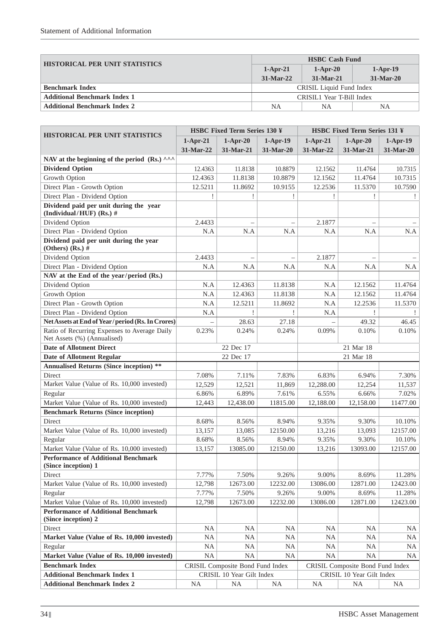| <b>HISTORICAL PER UNIT STATISTICS</b> | <b>HSBC Cash Fund</b>     |             |            |  |  |
|---------------------------------------|---------------------------|-------------|------------|--|--|
|                                       | $1-Apr-21$                | $1-Apr-20$  | $1-Apr-19$ |  |  |
|                                       | $31-Mar-22$               | $31-Mar-21$ | 31-Mar-20  |  |  |
| <b>Benchmark Index</b>                | CRISIL Liquid Fund Index  |             |            |  |  |
| <b>Additional Benchmark Index 1</b>   | CRISIL1 Year T-Bill Index |             |            |  |  |
| <b>Additional Benchmark Index 2</b>   | NA<br>NΑ<br>NΑ            |             |            |  |  |

| <b>HISTORICAL PER UNIT STATISTICS</b>                                       | <b>HSBC Fixed Term Series 130 ¥</b> |                                  |                          | <b>HSBC Fixed Term Series 131 ¥</b> |                                  |            |  |
|-----------------------------------------------------------------------------|-------------------------------------|----------------------------------|--------------------------|-------------------------------------|----------------------------------|------------|--|
|                                                                             | $1-Apr-21$                          | $1-Apr-20$                       | $1-Apr-19$               | $1-Apr-21$                          | $1-Apr-20$                       | $1-Apr-19$ |  |
|                                                                             | 31-Mar-22                           | 31-Mar-21                        | 31-Mar-20                | 31-Mar-22                           | 31-Mar-21                        | 31-Mar-20  |  |
| NAV at the beginning of the period (Rs.) ^^^                                |                                     |                                  |                          |                                     |                                  |            |  |
| <b>Dividend Option</b>                                                      | 12.4363                             | 11.8138                          | 10.8879                  | 12.1562                             | 11.4764                          | 10.7315    |  |
| Growth Option                                                               | 12.4363                             | 11.8138                          | 10.8879                  | 12.1562                             | 11.4764                          | 10.7315    |  |
| Direct Plan - Growth Option                                                 | 12.5211                             | 11.8692                          | 10.9155                  | 12.2536                             | 11.5370                          | 10.7590    |  |
| Direct Plan - Dividend Option                                               |                                     | 1                                |                          | Ţ                                   |                                  | Ţ          |  |
| Dividend paid per unit during the year<br>(Individual/HUF) (Rs.) #          |                                     |                                  |                          |                                     |                                  |            |  |
| Dividend Option                                                             | 2.4433                              | $\equiv$                         | $\overline{\phantom{m}}$ | 2.1877                              |                                  |            |  |
| Direct Plan - Dividend Option                                               | N.A                                 | N.A                              | N.A                      | N.A                                 | N.A                              | N.A        |  |
| Dividend paid per unit during the year<br>(Others) (Rs.) $#$                |                                     |                                  |                          |                                     |                                  |            |  |
| Dividend Option                                                             | 2.4433                              | $\overline{\phantom{m}}$         |                          | 2.1877                              |                                  |            |  |
| Direct Plan - Dividend Option                                               | N.A                                 | N.A                              | N.A                      | N.A                                 | N.A                              | N.A        |  |
| NAV at the End of the year/period (Rs.)                                     |                                     |                                  |                          |                                     |                                  |            |  |
| Dividend Option                                                             | N.A                                 | 12.4363                          | 11.8138                  | N.A                                 | 12.1562                          | 11.4764    |  |
| Growth Option                                                               | N.A                                 | 12.4363                          | 11.8138                  | N.A                                 | 12.1562                          | 11.4764    |  |
| Direct Plan - Growth Option                                                 | N.A                                 | 12.5211                          | 11.8692                  | N.A                                 | 12.2536                          | 11.5370    |  |
| Direct Plan - Dividend Option                                               | N.A                                 |                                  |                          | N.A                                 |                                  |            |  |
| Net Assets at End of Year/period (Rs. In Crores)                            |                                     | 28.63                            | 27.18                    |                                     | 49.32                            | 46.45      |  |
| Ratio of Recurring Expenses to Average Daily<br>Net Assets (%) (Annualised) | 0.23%                               | 0.24%                            | 0.24%                    | 0.09%                               | 0.10%                            | 0.10%      |  |
| <b>Date of Allotment Direct</b>                                             |                                     | 22 Dec 17                        |                          |                                     | 21 Mar 18                        |            |  |
| <b>Date of Allotment Regular</b>                                            |                                     | 22 Dec 17                        |                          |                                     | 21 Mar 18                        |            |  |
| <b>Annualised Returns (Since inception) **</b>                              |                                     |                                  |                          |                                     |                                  |            |  |
| Direct                                                                      | 7.08%                               | 7.11%                            | 7.83%                    | 6.83%                               | 6.94%                            | 7.30%      |  |
| Market Value (Value of Rs. 10,000 invested)                                 | 12,529                              | 12,521                           | 11,869                   | 12,288.00                           | 12,254                           | 11,537     |  |
| Regular                                                                     | 6.86%                               | 6.89%                            | 7.61%                    | 6.55%                               | 6.66%                            | 7.02%      |  |
| Market Value (Value of Rs. 10,000 invested)                                 | 12,443                              | 12,438.00                        | 11815.00                 | 12,188.00                           | 12,158.00                        | 11477.00   |  |
| <b>Benchmark Returns (Since inception)</b>                                  |                                     |                                  |                          |                                     |                                  |            |  |
| Direct                                                                      | 8.68%                               | 8.56%                            | 8.94%                    | 9.35%                               | 9.30%                            | 10.10%     |  |
| Market Value (Value of Rs. 10,000 invested)                                 | 13,157                              | 13,085                           | 12150.00                 | 13,216                              | 13,093                           | 12157.00   |  |
| Regular                                                                     | 8.68%                               | 8.56%                            | 8.94%                    | 9.35%                               | 9.30%                            | 10.10%     |  |
| Market Value (Value of Rs. 10,000 invested)                                 | 13,157                              | 13085.00                         | 12150.00                 | 13,216                              | 13093.00                         | 12157.00   |  |
| <b>Performance of Additional Benchmark</b><br>(Since inception) 1           |                                     |                                  |                          |                                     |                                  |            |  |
| Direct                                                                      | 7.77%                               | 7.50%                            | 9.26%                    | 9.00%                               | 8.69%                            | 11.28%     |  |
| Market Value (Value of Rs. 10,000 invested)                                 | 12,798                              | 12673.00                         | 12232.00                 | 13086.00                            | 12871.00                         | 12423.00   |  |
| Regular                                                                     | 7.77%                               | 7.50%                            | 9.26%                    | 9.00%                               | 8.69%                            | 11.28%     |  |
| Market Value (Value of Rs. 10,000 invested)                                 | 12,798                              | 12673.00                         | 12232.00                 | 13086.00                            | 12871.00                         | 12423.00   |  |
| <b>Performance of Additional Benchmark</b>                                  |                                     |                                  |                          |                                     |                                  |            |  |
| (Since inception) 2                                                         |                                     |                                  |                          |                                     |                                  |            |  |
| Direct                                                                      | <b>NA</b>                           | NA.                              | <b>NA</b>                | NA.                                 | <b>NA</b>                        | NA         |  |
| Market Value (Value of Rs. 10,000 invested)                                 | NA                                  | <b>NA</b>                        | <b>NA</b>                | <b>NA</b>                           | <b>NA</b>                        | NA         |  |
| Regular                                                                     | $\rm NA$                            | <b>NA</b>                        | <b>NA</b>                | <b>NA</b>                           | <b>NA</b>                        | <b>NA</b>  |  |
| Market Value (Value of Rs. 10,000 invested)                                 | $\rm NA$                            | $\rm NA$                         | NA                       | NA                                  | NA                               | <b>NA</b>  |  |
| <b>Benchmark Index</b>                                                      |                                     | CRISIL Composite Bond Fund Index |                          |                                     | CRISIL Composite Bond Fund Index |            |  |
| <b>Additional Benchmark Index 1</b>                                         |                                     | CRISIL 10 Year Gilt Index        |                          |                                     | CRISIL 10 Year Gilt Index        |            |  |
| <b>Additional Benchmark Index 2</b>                                         | <b>NA</b>                           | <b>NA</b>                        | <b>NA</b>                | <b>NA</b>                           | <b>NA</b>                        | NA         |  |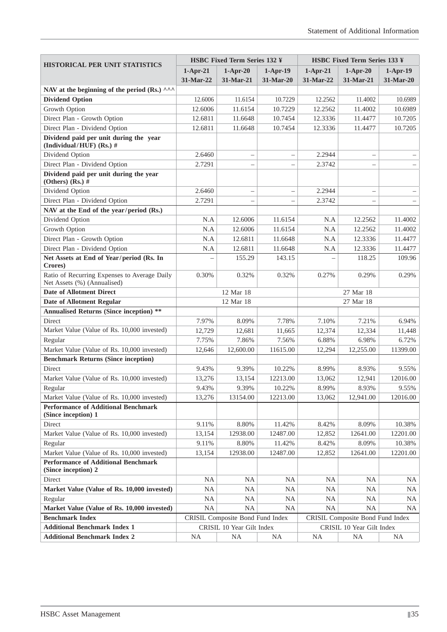| <b>HISTORICAL PER UNIT STATISTICS</b>                                       | <b>HSBC Fixed Term Series 132 ¥</b>                                  |                           |                          | <b>HSBC Fixed Term Series 133 ¥</b> |                           |            |
|-----------------------------------------------------------------------------|----------------------------------------------------------------------|---------------------------|--------------------------|-------------------------------------|---------------------------|------------|
|                                                                             | $1-Apr-21$                                                           | $1-Apr-20$                | $1-Apr-19$               | $1-Apr-21$                          | $1-Apr-20$                | $1-Apr-19$ |
|                                                                             | 31-Mar-22                                                            | 31-Mar-21                 | 31-Mar-20                | 31-Mar-22                           | 31-Mar-21                 | 31-Mar-20  |
| NAV at the beginning of the period (Rs.) ^^^                                |                                                                      |                           |                          |                                     |                           |            |
| <b>Dividend Option</b>                                                      | 12.6006                                                              | 11.6154                   | 10.7229                  | 12.2562                             | 11.4002                   | 10.6989    |
| Growth Option                                                               | 12.6006                                                              | 11.6154                   | 10.7229                  | 12.2562                             | 11.4002                   | 10.6989    |
| Direct Plan - Growth Option                                                 | 12.6811                                                              | 11.6648                   | 10.7454                  | 12.3336                             | 11.4477                   | 10.7205    |
| Direct Plan - Dividend Option                                               | 12.6811                                                              | 11.6648                   | 10.7454                  | 12.3336                             | 11.4477                   | 10.7205    |
| Dividend paid per unit during the year<br>(Individual/HUF) (Rs.) #          |                                                                      |                           |                          |                                     |                           |            |
| Dividend Option                                                             | 2.6460                                                               | $\overline{\phantom{0}}$  | $\overline{\phantom{0}}$ | 2.2944                              |                           |            |
| Direct Plan - Dividend Option                                               | 2.7291                                                               |                           |                          | 2.3742                              |                           |            |
| Dividend paid per unit during the year<br>(Others) (Rs.) $#$                |                                                                      |                           |                          |                                     |                           |            |
| Dividend Option                                                             | 2.6460                                                               | $\overline{\phantom{0}}$  | $\overline{\phantom{0}}$ | 2.2944                              | $\overline{\phantom{0}}$  |            |
| Direct Plan - Dividend Option                                               | 2.7291                                                               |                           |                          | 2.3742                              |                           |            |
| NAV at the End of the year/period (Rs.)                                     |                                                                      |                           |                          |                                     |                           |            |
| Dividend Option                                                             | N.A                                                                  | 12.6006                   | 11.6154                  | N.A                                 | 12.2562                   | 11.4002    |
| Growth Option                                                               | N.A                                                                  | 12.6006                   | 11.6154                  | N.A                                 | 12.2562                   | 11.4002    |
| Direct Plan - Growth Option                                                 | N.A                                                                  | 12.6811                   | 11.6648                  | N.A                                 | 12.3336                   | 11.4477    |
| Direct Plan - Dividend Option                                               | N.A                                                                  | 12.6811                   | 11.6648                  | N.A                                 | 12.3336                   | 11.4477    |
| Net Assets at End of Year/period (Rs. In<br>Crores)                         |                                                                      | 155.29                    | 143.15                   |                                     | 118.25                    | 109.96     |
| Ratio of Recurring Expenses to Average Daily<br>Net Assets (%) (Annualised) | 0.30%                                                                | 0.32%                     | 0.32%                    | 0.27%                               | 0.29%                     | 0.29%      |
| <b>Date of Allotment Direct</b>                                             | 12 Mar 18                                                            |                           |                          | 27 Mar 18                           |                           |            |
| <b>Date of Allotment Regular</b>                                            |                                                                      | 12 Mar 18                 |                          |                                     | 27 Mar 18                 |            |
| <b>Annualised Returns (Since inception) **</b>                              |                                                                      |                           |                          |                                     |                           |            |
| Direct                                                                      | 7.97%                                                                | 8.09%                     | 7.78%                    | 7.10%                               | 7.21%                     | 6.94%      |
| Market Value (Value of Rs. 10,000 invested)                                 | 12,729                                                               | 12,681                    | 11,665                   | 12,374                              | 12,334                    | 11,448     |
| Regular                                                                     | 7.75%                                                                | 7.86%                     | 7.56%                    | 6.88%                               | 6.98%                     | 6.72%      |
| Market Value (Value of Rs. 10,000 invested)                                 | 12,646                                                               | 12,600.00                 | 11615.00                 | 12,294                              | 12,255.00                 | 11399.00   |
| <b>Benchmark Returns (Since inception)</b>                                  |                                                                      |                           |                          |                                     |                           |            |
| Direct                                                                      | 9.43%                                                                | 9.39%                     | 10.22%                   | 8.99%                               | 8.93%                     | 9.55%      |
| Market Value (Value of Rs. 10,000 invested)                                 | 13,276                                                               | 13,154                    | 12213.00                 | 13,062                              | 12,941                    | 12016.00   |
| Regular                                                                     | 9.43%                                                                | 9.39%                     | 10.22%                   | 8.99%                               | 8.93%                     | 9.55%      |
| Market Value (Value of Rs. 10,000 invested)                                 | 13,276                                                               | 13154.00                  | 12213.00                 | 13,062                              | 12,941.00                 | 12016.00   |
| <b>Performance of Additional Benchmark</b><br>(Since inception) 1           |                                                                      |                           |                          |                                     |                           |            |
| Direct                                                                      | 9.11%                                                                | 8.80%                     | 11.42%                   | 8.42%                               | 8.09%                     | 10.38%     |
| Market Value (Value of Rs. 10,000 invested)                                 | 13,154                                                               | 12938.00                  | 12487.00                 | 12,852                              | 12641.00                  | 12201.00   |
| Regular                                                                     | 9.11%                                                                | 8.80%                     | 11.42%                   | 8.42%                               | 8.09%                     | 10.38%     |
| Market Value (Value of Rs. 10,000 invested)                                 | 13,154                                                               | 12938.00                  | 12487.00                 | 12,852                              | 12641.00                  | 12201.00   |
| <b>Performance of Additional Benchmark</b><br>(Since inception) 2           |                                                                      |                           |                          |                                     |                           |            |
| Direct                                                                      | <b>NA</b>                                                            | <b>NA</b>                 | <b>NA</b>                | <b>NA</b>                           | NA                        | NA         |
| Market Value (Value of Rs. 10,000 invested)                                 | <b>NA</b>                                                            | NA                        | <b>NA</b>                | <b>NA</b>                           | <b>NA</b>                 | NA         |
| Regular                                                                     | NA                                                                   | NA                        | <b>NA</b>                | <b>NA</b>                           | NA                        | NA         |
| Market Value (Value of Rs. 10,000 invested)                                 | <b>NA</b>                                                            | NA                        | <b>NA</b>                | <b>NA</b>                           | <b>NA</b>                 | NA.        |
| <b>Benchmark Index</b>                                                      | CRISIL Composite Bond Fund Index<br>CRISIL Composite Bond Fund Index |                           |                          |                                     |                           |            |
| <b>Additional Benchmark Index 1</b>                                         |                                                                      | CRISIL 10 Year Gilt Index |                          |                                     | CRISIL 10 Year Gilt Index |            |
| <b>Additional Benchmark Index 2</b>                                         | <b>NA</b>                                                            | <b>NA</b>                 | <b>NA</b>                | <b>NA</b>                           | <b>NA</b>                 | NA         |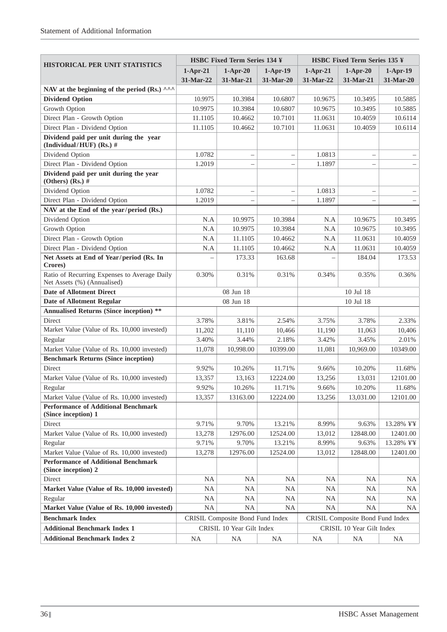| <b>HISTORICAL PER UNIT STATISTICS</b>                                       | <b>HSBC Fixed Term Series 134 ¥</b>                                  |                           |                          | <b>HSBC Fixed Term Series 135 ¥</b> |                           |            |
|-----------------------------------------------------------------------------|----------------------------------------------------------------------|---------------------------|--------------------------|-------------------------------------|---------------------------|------------|
|                                                                             | $1-Apr-21$                                                           | $1-Apr-20$                | $1-Apr-19$               | $1-Apr-21$                          | $1-Apr-20$                | $1-Apr-19$ |
|                                                                             | 31-Mar-22                                                            | 31-Mar-21                 | 31-Mar-20                | 31-Mar-22                           | 31-Mar-21                 | 31-Mar-20  |
| NAV at the beginning of the period (Rs.) ^^^                                |                                                                      |                           |                          |                                     |                           |            |
| <b>Dividend Option</b>                                                      | 10.9975                                                              | 10.3984                   | 10.6807                  | 10.9675                             | 10.3495                   | 10.5885    |
| Growth Option                                                               | 10.9975                                                              | 10.3984                   | 10.6807                  | 10.9675                             | 10.3495                   | 10.5885    |
| Direct Plan - Growth Option                                                 | 11.1105                                                              | 10.4662                   | 10.7101                  | 11.0631                             | 10.4059                   | 10.6114    |
| Direct Plan - Dividend Option                                               | 11.1105                                                              | 10.4662                   | 10.7101                  | 11.0631                             | 10.4059                   | 10.6114    |
| Dividend paid per unit during the year<br>(Individual/HUF) (Rs.) #          |                                                                      |                           |                          |                                     |                           |            |
| Dividend Option                                                             | 1.0782                                                               |                           | $\overline{\phantom{0}}$ | 1.0813                              |                           |            |
| Direct Plan - Dividend Option                                               | 1.2019                                                               |                           | $\overline{\phantom{0}}$ | 1.1897                              |                           |            |
| Dividend paid per unit during the year<br>(Others) (Rs.) $#$                |                                                                      |                           |                          |                                     |                           |            |
| Dividend Option                                                             | 1.0782                                                               |                           | $\overline{\phantom{0}}$ | 1.0813                              |                           |            |
| Direct Plan - Dividend Option                                               | 1.2019                                                               | $\equiv$                  | $\overline{\phantom{0}}$ | 1.1897                              | ÷                         |            |
| NAV at the End of the year/period (Rs.)                                     |                                                                      |                           |                          |                                     |                           |            |
| Dividend Option                                                             | N.A                                                                  | 10.9975                   | 10.3984                  | N.A                                 | 10.9675                   | 10.3495    |
| Growth Option                                                               | N.A                                                                  | 10.9975                   | 10.3984                  | N.A                                 | 10.9675                   | 10.3495    |
| Direct Plan - Growth Option                                                 | N.A                                                                  | 11.1105                   | 10.4662                  | N.A                                 | 11.0631                   | 10.4059    |
| Direct Plan - Dividend Option                                               | N.A                                                                  | 11.1105                   | 10.4662                  | N.A                                 | 11.0631                   | 10.4059    |
| Net Assets at End of Year/period (Rs. In<br>Crores)                         |                                                                      | 173.33                    | 163.68                   |                                     | 184.04                    | 173.53     |
| Ratio of Recurring Expenses to Average Daily<br>Net Assets (%) (Annualised) | 0.30%                                                                | 0.31%                     | 0.31%                    | 0.34%                               | 0.35%                     | 0.36%      |
| <b>Date of Allotment Direct</b>                                             |                                                                      | 08 Jun 18                 |                          | 10 Jul 18                           |                           |            |
| <b>Date of Allotment Regular</b>                                            |                                                                      | 08 Jun 18                 |                          |                                     | 10 Jul 18                 |            |
| <b>Annualised Returns (Since inception) **</b>                              |                                                                      |                           |                          |                                     |                           |            |
| Direct                                                                      | 3.78%                                                                | 3.81%                     | 2.54%                    | 3.75%                               | 3.78%                     | 2.33%      |
| Market Value (Value of Rs. 10,000 invested)                                 | 11,202                                                               | 11,110                    | 10,466                   | 11,190                              | 11,063                    | 10,406     |
| Regular                                                                     | 3.40%                                                                | 3.44%                     | 2.18%                    | 3.42%                               | 3.45%                     | 2.01%      |
| Market Value (Value of Rs. 10,000 invested)                                 | 11,078                                                               | 10,998.00                 | 10399.00                 | 11,081                              | 10,969.00                 | 10349.00   |
| <b>Benchmark Returns (Since inception)</b>                                  |                                                                      |                           |                          |                                     |                           |            |
| Direct                                                                      | 9.92%                                                                | 10.26%                    | 11.71%                   | 9.66%                               | 10.20%                    | 11.68%     |
| Market Value (Value of Rs. 10,000 invested)                                 | 13,357                                                               | 13,163                    | 12224.00                 | 13,256                              | 13,031                    | 12101.00   |
| Regular                                                                     | 9.92%                                                                | 10.26%                    | 11.71%                   | 9.66%                               | 10.20%                    | 11.68%     |
| Market Value (Value of Rs. 10,000 invested)                                 | 13,357                                                               | 13163.00                  | 12224.00                 | 13,256                              | 13,031.00                 | 12101.00   |
| <b>Performance of Additional Benchmark</b><br>(Since inception) 1           |                                                                      |                           |                          |                                     |                           |            |
| Direct                                                                      | 9.71%                                                                | 9.70%                     | 13.21%                   | 8.99%                               | 9.63%                     | 13.28% ¥¥  |
| Market Value (Value of Rs. 10,000 invested)                                 | 13,278                                                               | 12976.00                  | 12524.00                 | 13,012                              | 12848.00                  | 12401.00   |
| Regular                                                                     | 9.71%                                                                | 9.70%                     | 13.21%                   | 8.99%                               | 9.63%                     | 13.28% ¥¥  |
| Market Value (Value of Rs. 10,000 invested)                                 | 13,278                                                               | 12976.00                  | 12524.00                 | 13,012                              | 12848.00                  | 12401.00   |
| <b>Performance of Additional Benchmark</b><br>(Since inception) 2           |                                                                      |                           |                          |                                     |                           |            |
| Direct                                                                      | <b>NA</b>                                                            | <b>NA</b>                 | <b>NA</b>                | <b>NA</b>                           | NA.                       | NA         |
| Market Value (Value of Rs. 10,000 invested)                                 | <b>NA</b>                                                            | <b>NA</b>                 | <b>NA</b>                | <b>NA</b>                           | <b>NA</b>                 | <b>NA</b>  |
| Regular                                                                     | NA                                                                   | <b>NA</b>                 | NA                       | <b>NA</b>                           | NA                        | NA         |
| Market Value (Value of Rs. 10,000 invested)                                 | <b>NA</b>                                                            | <b>NA</b>                 | NA.                      | <b>NA</b>                           | <b>NA</b>                 | NA.        |
| <b>Benchmark Index</b>                                                      | CRISIL Composite Bond Fund Index<br>CRISIL Composite Bond Fund Index |                           |                          |                                     |                           |            |
| <b>Additional Benchmark Index 1</b>                                         |                                                                      | CRISIL 10 Year Gilt Index |                          |                                     | CRISIL 10 Year Gilt Index |            |
| <b>Additional Benchmark Index 2</b>                                         | <b>NA</b>                                                            | <b>NA</b>                 | <b>NA</b>                | <b>NA</b>                           | <b>NA</b>                 | <b>NA</b>  |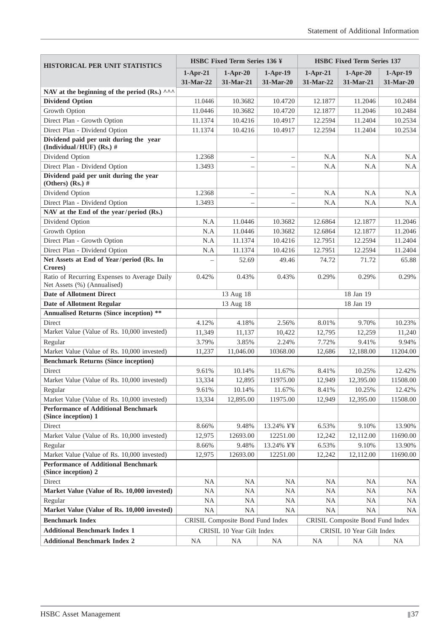| HISTORICAL PER UNIT STATISTICS                                              | HSBC Fixed Term Series 136 ¥                                         |            |            | <b>HSBC Fixed Term Series 137</b> |            |            |
|-----------------------------------------------------------------------------|----------------------------------------------------------------------|------------|------------|-----------------------------------|------------|------------|
|                                                                             | $1-Apr-21$                                                           | $1-Apr-20$ | $1-Apr-19$ | $1-Apr-21$                        | $1-Apr-20$ | $1-Apr-19$ |
|                                                                             | 31-Mar-22                                                            | 31-Mar-21  | 31-Mar-20  | 31-Mar-22                         | 31-Mar-21  | 31-Mar-20  |
| NAV at the beginning of the period (Rs.) ^^^                                |                                                                      |            |            |                                   |            |            |
| <b>Dividend Option</b>                                                      | 11.0446                                                              | 10.3682    | 10.4720    | 12.1877                           | 11.2046    | 10.2484    |
| Growth Option                                                               | 11.0446                                                              | 10.3682    | 10.4720    | 12.1877                           | 11.2046    | 10.2484    |
| Direct Plan - Growth Option                                                 | 11.1374                                                              | 10.4216    | 10.4917    | 12.2594                           | 11.2404    | 10.2534    |
| Direct Plan - Dividend Option                                               | 11.1374                                                              | 10.4216    | 10.4917    | 12.2594                           | 11.2404    | 10.2534    |
| Dividend paid per unit during the year<br>(Individual/HUF) (Rs.) #          |                                                                      |            |            |                                   |            |            |
| Dividend Option                                                             | 1.2368                                                               |            |            | N.A                               | N.A        | N.A        |
| Direct Plan - Dividend Option                                               | 1.3493                                                               |            |            | N.A                               | N.A        | N.A        |
| Dividend paid per unit during the year<br>(Others) (Rs.) $#$                |                                                                      |            |            |                                   |            |            |
| Dividend Option                                                             | 1.2368                                                               |            |            | N.A                               | N.A        | N.A        |
| Direct Plan - Dividend Option                                               | 1.3493                                                               |            |            | N.A                               | N.A        | N.A        |
| NAV at the End of the year/period (Rs.)                                     |                                                                      |            |            |                                   |            |            |
| Dividend Option                                                             | N.A                                                                  | 11.0446    | 10.3682    | 12.6864                           | 12.1877    | 11.2046    |
| Growth Option                                                               | N.A                                                                  | 11.0446    | 10.3682    | 12.6864                           | 12.1877    | 11.2046    |
| Direct Plan - Growth Option                                                 | N.A                                                                  | 11.1374    | 10.4216    | 12.7951                           | 12.2594    | 11.2404    |
| Direct Plan - Dividend Option                                               | N.A                                                                  | 11.1374    | 10.4216    | 12.7951                           | 12.2594    | 11.2404    |
| Net Assets at End of Year/period (Rs. In<br>Crores)                         |                                                                      | 52.69      | 49.46      | 74.72                             | 71.72      | 65.88      |
| Ratio of Recurring Expenses to Average Daily<br>Net Assets (%) (Annualised) | 0.42%                                                                | 0.43%      | 0.43%      | 0.29%                             | 0.29%      | 0.29%      |
| <b>Date of Allotment Direct</b>                                             | 13 Aug 18                                                            |            | 18 Jan 19  |                                   |            |            |
| <b>Date of Allotment Regular</b>                                            |                                                                      | 13 Aug 18  |            |                                   | 18 Jan 19  |            |
| <b>Annualised Returns (Since inception) **</b>                              |                                                                      |            |            |                                   |            |            |
| Direct                                                                      | 4.12%                                                                | 4.18%      | 2.56%      | 8.01%                             | 9.70%      | 10.23%     |
| Market Value (Value of Rs. 10,000 invested)                                 | 11,349                                                               | 11,137     | 10,422     | 12,795                            | 12,259     | 11,240     |
| Regular                                                                     | 3.79%                                                                | 3.85%      | 2.24%      | 7.72%                             | 9.41%      | 9.94%      |
| Market Value (Value of Rs. 10,000 invested)                                 | 11,237                                                               | 11,046.00  | 10368.00   | 12,686                            | 12,188.00  | 11204.00   |
| <b>Benchmark Returns (Since inception)</b>                                  |                                                                      |            |            |                                   |            |            |
| Direct                                                                      | 9.61%                                                                | 10.14%     | 11.67%     | 8.41%                             | 10.25%     | 12.42%     |
| Market Value (Value of Rs. 10,000 invested)                                 | 13,334                                                               | 12,895     | 11975.00   | 12,949                            | 12,395.00  | 11508.00   |
| Regular                                                                     | 9.61%                                                                | 10.14%     | 11.67%     | 8.41%                             | 10.25%     | 12.42%     |
| Market Value (Value of Rs. 10,000 invested)                                 | 13,334                                                               | 12,895.00  | 11975.00   | 12,949                            | 12,395.00  | 11508.00   |
| <b>Performance of Additional Benchmark</b><br>(Since inception) 1           |                                                                      |            |            |                                   |            |            |
| Direct                                                                      | 8.66%                                                                | 9.48%      | 13.24% ¥¥  | 6.53%                             | 9.10%      | 13.90%     |
| Market Value (Value of Rs. 10,000 invested)                                 | 12,975                                                               | 12693.00   | 12251.00   | 12,242                            | 12,112.00  | 11690.00   |
| Regular                                                                     | 8.66%                                                                | 9.48%      | 13.24% ¥¥  | 6.53%                             | 9.10%      | 13.90%     |
| Market Value (Value of Rs. 10,000 invested)                                 | 12,975                                                               | 12693.00   | 12251.00   | 12,242                            | 12,112.00  | 11690.00   |
| <b>Performance of Additional Benchmark</b><br>(Since inception) 2           |                                                                      |            |            |                                   |            |            |
| Direct                                                                      | <b>NA</b>                                                            | NA         | NA         | <b>NA</b>                         | <b>NA</b>  | NA.        |
| Market Value (Value of Rs. 10,000 invested)                                 | <b>NA</b>                                                            | <b>NA</b>  | NA         | <b>NA</b>                         | <b>NA</b>  | NA         |
| Regular                                                                     | NA                                                                   | <b>NA</b>  | NA         | <b>NA</b>                         | <b>NA</b>  | NA         |
| Market Value (Value of Rs. 10,000 invested)                                 | <b>NA</b>                                                            | <b>NA</b>  | <b>NA</b>  | <b>NA</b>                         | <b>NA</b>  | NA.        |
| <b>Benchmark Index</b>                                                      | CRISIL Composite Bond Fund Index<br>CRISIL Composite Bond Fund Index |            |            |                                   |            |            |
| <b>Additional Benchmark Index 1</b>                                         | CRISIL 10 Year Gilt Index<br>CRISIL 10 Year Gilt Index               |            |            |                                   |            |            |
| <b>Additional Benchmark Index 2</b>                                         | <b>NA</b>                                                            | <b>NA</b>  | <b>NA</b>  | <b>NA</b>                         | <b>NA</b>  | <b>NA</b>  |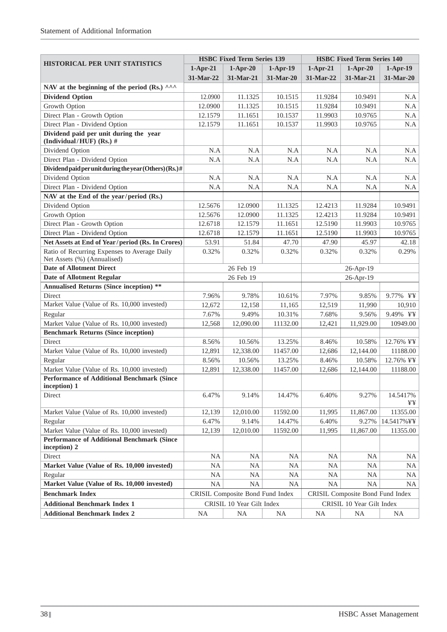|                                                                             | <b>HSBC Fixed Term Series 139</b>                                    |                           |            | <b>HSBC Fixed Term Series 140</b> |                           |                |
|-----------------------------------------------------------------------------|----------------------------------------------------------------------|---------------------------|------------|-----------------------------------|---------------------------|----------------|
| <b>HISTORICAL PER UNIT STATISTICS</b>                                       | $1-Apr-21$                                                           | $1-Apr-20$                | $1-Apr-19$ | $1-Apr-21$                        | $1-Apr-20$                | $1-Apr-19$     |
|                                                                             | 31-Mar-22                                                            | 31-Mar-21                 | 31-Mar-20  | 31-Mar-22                         | 31-Mar-21                 | 31-Mar-20      |
| NAV at the beginning of the period (Rs.) ^^^                                |                                                                      |                           |            |                                   |                           |                |
| <b>Dividend Option</b>                                                      | 12.0900                                                              | 11.1325                   | 10.1515    | 11.9284                           | 10.9491                   | N.A            |
| Growth Option                                                               | 12.0900                                                              | 11.1325                   | 10.1515    | 11.9284                           | 10.9491                   | N.A            |
| Direct Plan - Growth Option                                                 | 12.1579                                                              | 11.1651                   | 10.1537    | 11.9903                           | 10.9765                   | N.A            |
| Direct Plan - Dividend Option                                               | 12.1579                                                              | 11.1651                   | 10.1537    | 11.9903                           | 10.9765                   | N.A            |
| Dividend paid per unit during the year<br>(Individual/HUF) (Rs.) #          |                                                                      |                           |            |                                   |                           |                |
| Dividend Option                                                             | N.A                                                                  | N.A                       | N.A        | N.A                               | N.A                       | N.A            |
| Direct Plan - Dividend Option                                               | N.A                                                                  | N.A                       | N.A        | N.A                               | N.A                       | N.A            |
| Dividend paid per unit during the year (Others) (Rs.) $#$                   |                                                                      |                           |            |                                   |                           |                |
| Dividend Option                                                             | N.A                                                                  | N.A                       | N.A        | N.A                               | N.A                       | N.A            |
| Direct Plan - Dividend Option                                               | N.A                                                                  | N.A                       | N.A        | N.A                               | N.A                       | N.A            |
| NAV at the End of the year/period (Rs.)                                     |                                                                      |                           |            |                                   |                           |                |
| Dividend Option                                                             | 12.5676                                                              | 12.0900                   | 11.1325    | 12.4213                           | 11.9284                   | 10.9491        |
| Growth Option                                                               | 12.5676                                                              | 12.0900                   | 11.1325    | 12.4213                           | 11.9284                   | 10.9491        |
| Direct Plan - Growth Option                                                 | 12.6718                                                              | 12.1579                   | 11.1651    | 12.5190                           | 11.9903                   | 10.9765        |
| Direct Plan - Dividend Option                                               | 12.6718                                                              | 12.1579                   | 11.1651    | 12.5190                           | 11.9903                   | 10.9765        |
| Net Assets at End of Year/period (Rs. In Crores)                            | 53.91                                                                | 51.84                     | 47.70      | 47.90                             | 45.97                     | 42.18          |
| Ratio of Recurring Expenses to Average Daily<br>Net Assets (%) (Annualised) | 0.32%                                                                | 0.32%                     | 0.32%      | 0.32%                             | 0.32%                     | 0.29%          |
| <b>Date of Allotment Direct</b>                                             | 26 Feb 19                                                            |                           | 26-Apr-19  |                                   |                           |                |
| <b>Date of Allotment Regular</b>                                            |                                                                      | 26 Feb 19                 |            | 26-Apr-19                         |                           |                |
| <b>Annualised Returns (Since inception) **</b>                              |                                                                      |                           |            |                                   |                           |                |
| Direct                                                                      | 7.96%                                                                | 9.78%                     | 10.61%     | 7.97%                             | 9.85%                     | 9.77% ¥¥       |
| Market Value (Value of Rs. 10,000 invested)                                 | 12,672                                                               | 12,158                    | 11,165     | 12,519                            | 11,990                    | 10,910         |
| Regular                                                                     | 7.67%                                                                | 9.49%                     | 10.31%     | 7.68%                             | 9.56%                     | 9.49% ¥¥       |
| Market Value (Value of Rs. 10,000 invested)                                 | 12,568                                                               | 12,090.00                 | 11132.00   | 12,421                            | 11,929.00                 | 10949.00       |
| <b>Benchmark Returns (Since inception)</b>                                  |                                                                      |                           |            |                                   |                           |                |
| Direct                                                                      | 8.56%                                                                | 10.56%                    | 13.25%     | 8.46%                             | 10.58%                    | 12.76% ¥¥      |
| Market Value (Value of Rs. 10,000 invested)                                 | 12,891                                                               | 12,338.00                 | 11457.00   | 12,686                            | 12,144.00                 | 11188.00       |
| Regular                                                                     | 8.56%                                                                | 10.56%                    | 13.25%     | 8.46%                             | 10.58%                    | 12.76% ¥¥      |
| Market Value (Value of Rs. 10,000 invested)                                 | 12,891                                                               | 12,338.00                 | 11457.00   | 12,686                            | 12,144.00                 | 11188.00       |
| <b>Performance of Additional Benchmark (Since</b><br>inception) 1           |                                                                      |                           |            |                                   |                           |                |
| Direct                                                                      | 6.47%                                                                | 9.14%                     | 14.47%     | 6.40%                             | 9.27%                     | 14.5417%<br>¥¥ |
| Market Value (Value of Rs. 10,000 invested)                                 | 12,139                                                               | 12,010.00                 | 11592.00   | 11,995                            | 11,867.00                 | 11355.00       |
| Regular                                                                     | 6.47%                                                                | 9.14%                     | 14.47%     | 6.40%                             | 9.27%                     | 14.5417%¥¥     |
| Market Value (Value of Rs. 10,000 invested)                                 | 12,139                                                               | 12,010.00                 | 11592.00   | 11,995                            | 11,867.00                 | 11355.00       |
| <b>Performance of Additional Benchmark (Since</b>                           |                                                                      |                           |            |                                   |                           |                |
| inception) 2                                                                |                                                                      |                           |            |                                   |                           |                |
| Direct                                                                      | <b>NA</b>                                                            | <b>NA</b>                 | <b>NA</b>  | <b>NA</b>                         | <b>NA</b>                 | NA.            |
| Market Value (Value of Rs. 10,000 invested)                                 | <b>NA</b>                                                            | <b>NA</b>                 | <b>NA</b>  | <b>NA</b>                         | <b>NA</b>                 | <b>NA</b>      |
| Regular                                                                     | <b>NA</b>                                                            | NA                        | NA         | <b>NA</b>                         | NA                        | <b>NA</b>      |
| Market Value (Value of Rs. 10,000 invested)                                 | <b>NA</b>                                                            | NA                        | NA         | <b>NA</b>                         | NA                        | <b>NA</b>      |
| <b>Benchmark Index</b>                                                      | CRISIL Composite Bond Fund Index<br>CRISIL Composite Bond Fund Index |                           |            |                                   |                           |                |
| <b>Additional Benchmark Index 1</b>                                         |                                                                      | CRISIL 10 Year Gilt Index |            |                                   | CRISIL 10 Year Gilt Index |                |
| <b>Additional Benchmark Index 2</b>                                         | $\rm NA$                                                             | $\rm NA$                  | <b>NA</b>  | NA                                | $\rm NA$                  | <b>NA</b>      |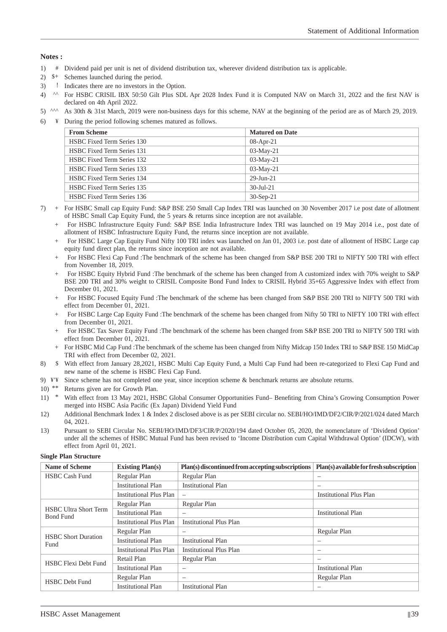#### **Notes :**

- 1) # Dividend paid per unit is net of dividend distribution tax, wherever dividend distribution tax is applicable.
- 2) \$+ Schemes launched during the period.
- 3) ! Indicates there are no investors in the Option.
- 4) <sup>^^</sup> For HSBC CRISIL IBX 50:50 Gilt Plus SDL Apr 2028 Index Fund it is Computed NAV on March 31, 2022 and the first NAV is declared on 4th April 2022.
- 5) ^^^ As 30th & 31st March, 2019 were non-business days for this scheme, NAV at the beginning of the period are as of March 29, 2019.
- 6)  $\frac{4}{3}$  During the period following schemes matured as follows.

| <b>From Scheme</b>                | <b>Matured on Date</b> |
|-----------------------------------|------------------------|
| <b>HSBC Fixed Term Series 130</b> | $08$ -Apr-21           |
| <b>HSBC Fixed Term Series 131</b> | $03-Mav-21$            |
| <b>HSBC Fixed Term Series 132</b> | $03-Mav-21$            |
| <b>HSBC Fixed Term Series 133</b> | $03-Mav-21$            |
| <b>HSBC Fixed Term Series 134</b> | $29 - Jun - 21$        |
| <b>HSBC Fixed Term Series 135</b> | $30 - \text{Jul} - 21$ |
| <b>HSBC Fixed Term Series 136</b> | $30-Sep-21$            |

- 7) + For HSBC Small cap Equity Fund: S&P BSE 250 Small Cap Index TRI was launched on 30 November 2017 i.e post date of allotment of HSBC Small Cap Equity Fund, the 5 years & returns since inception are not available.
	- + For HSBC Infrastructure Equity Fund: S&P BSE India Infrastructure Index TRI was launched on 19 May 2014 i.e., post date of allotment of HSBC Infrastructure Equity Fund, the returns since inception are not available.
	- + For HSBC Large Cap Equity Fund Nifty 100 TRI index was launched on Jan 01, 2003 i.e. post date of allotment of HSBC Large cap equity fund direct plan, the returns since inception are not available.
	- + For HSBC Flexi Cap Fund :The benchmark of the scheme has been changed from S&P BSE 200 TRI to NIFTY 500 TRI with effect from November 18, 2019.
	- + For HSBC Equity Hybrid Fund :The benchmark of the scheme has been changed from A customized index with 70% weight to S&P BSE 200 TRI and 30% weight to CRISIL Composite Bond Fund Index to CRISIL Hybrid 35+65 Aggressive Index with effect from December 01, 2021.
	- + For HSBC Focused Equity Fund :The benchmark of the scheme has been changed from S&P BSE 200 TRI to NIFTY 500 TRI with effect from December 01, 2021.
	- + For HSBC Large Cap Equity Fund :The benchmark of the scheme has been changed from Nifty 50 TRI to NIFTY 100 TRI with effect from December 01, 2021.
	- + For HSBC Tax Saver Equity Fund :The benchmark of the scheme has been changed from S&P BSE 200 TRI to NIFTY 500 TRI with effect from December 01, 2021.
	- + For HSBC Mid Cap Fund :The benchmark of the scheme has been changed from Nifty Midcap 150 Index TRI to S&P BSE 150 MidCap TRI with effect from December 02, 2021.
- 8) \$ With effect from January 28,2021, HSBC Multi Cap Equity Fund, a Multi Cap Fund had been re-categorized to Flexi Cap Fund and new name of the scheme is HSBC Flexi Cap Fund.
- 9) ¥'¥ Since scheme has not completed one year, since inception scheme & benchmark returns are absolute returns.
- 10) \*\* Returns given are for Growth Plan.
- 11) \* With effect from 13 May 2021, HSBC Global Consumer Opportunities Fund– Benefiting from China's Growing Consumption Power merged into HSBC Asia Pacific (Ex Japan) Dividend Yield Fund
- 12) Additional Benchmark Index 1 & Index 2 disclosed above is as per SEBI circular no. SEBI/HO/IMD/DF2/CIR/P/2021/024 dated March 04, 2021.
- 13) Pursuant to SEBI Circular No. SEBI/HO/IMD/DF3/CIR/P/2020/194 dated October 05, 2020, the nomenclature of 'Dividend Option' under all the schemes of HSBC Mutual Fund has been revised to 'Income Distribution cum Capital Withdrawal Option' (IDCW), with effect from April 01, 2021.

#### **Single Plan Structure**

| <b>Name of Scheme</b>                            | <b>Existing Plan(s)</b>        | Plan(s) discontinued from accepting subscriptions | Plan(s) available for fresh subscription |
|--------------------------------------------------|--------------------------------|---------------------------------------------------|------------------------------------------|
| <b>HSBC Cash Fund</b>                            | Regular Plan                   | Regular Plan                                      | —                                        |
|                                                  | <b>Institutional Plan</b>      | <b>Institutional Plan</b>                         | –                                        |
|                                                  | <b>Institutional Plus Plan</b> | $\overline{\phantom{0}}$                          | <b>Institutional Plus Plan</b>           |
|                                                  | Regular Plan                   | Regular Plan                                      |                                          |
| <b>HSBC Ultra Short Term</b><br><b>Bond Fund</b> | <b>Institutional Plan</b>      | $\overline{\phantom{0}}$                          | <b>Institutional Plan</b>                |
|                                                  | <b>Institutional Plus Plan</b> | <b>Institutional Plus Plan</b>                    |                                          |
|                                                  | Regular Plan                   | $\overline{\phantom{0}}$                          | Regular Plan                             |
| <b>HSBC</b> Short Duration<br>Fund               | <b>Institutional Plan</b>      | Institutional Plan                                | —                                        |
|                                                  | <b>Institutional Plus Plan</b> | <b>Institutional Plus Plan</b>                    | —                                        |
| <b>HSBC</b> Flexi Debt Fund                      | Retail Plan                    | Regular Plan                                      | —                                        |
|                                                  | <b>Institutional Plan</b>      | $\overline{\phantom{0}}$                          | <b>Institutional Plan</b>                |
| <b>HSBC</b> Debt Fund                            | Regular Plan                   | $\overline{\phantom{0}}$                          | Regular Plan                             |
|                                                  | Institutional Plan             | <b>Institutional Plan</b>                         |                                          |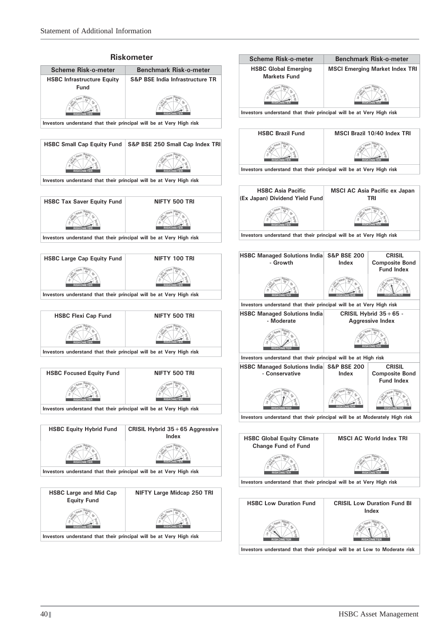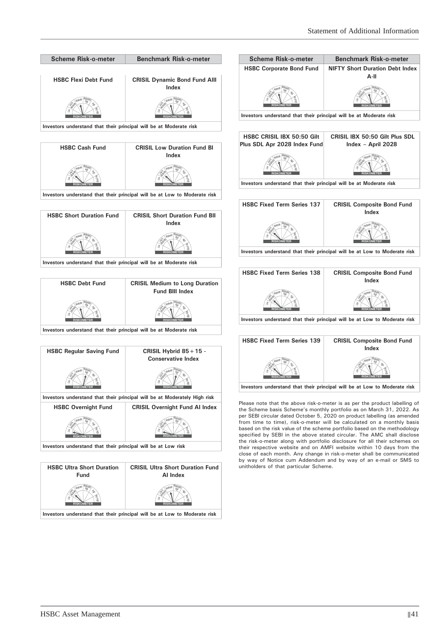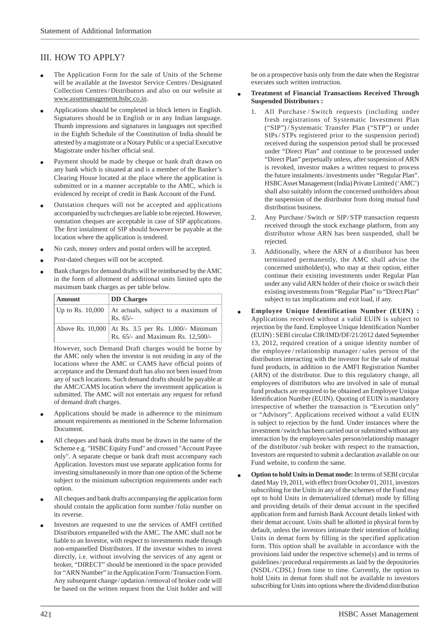# III. HOW TO APPLY?

- The Application Form for the sale of Units of the Scheme will be available at the Investor Service Centres / Designated Collection Centres / Distributors and also on our website at www.assetmanagement.hsbc.co.in.
- Applications should be completed in block letters in English. Signatures should be in English or in any Indian language. Thumb impressions and signatures in languages not specified in the Eighth Schedule of the Constitution of India should be attested by a magistrate or a Notary Public or a special Executive Magistrate under his/her official seal.
- Payment should be made by cheque or bank draft drawn on any bank which is situated at and is a member of the Banker's Clearing House located at the place where the application is submitted or in a manner acceptable to the AMC, which is evidenced by receipt of credit in Bank Account of the Fund.
- Outstation cheques will not be accepted and applications accompanied by such cheques are liable to be rejected. However, outstation cheques are acceptable in case of SIP applications. The first instalment of SIP should however be payable at the location where the application is tendered.
- No cash, money orders and postal orders will be accepted.
- Post-dated cheques will not be accepted.
- Bank charges for demand drafts will be reimbursed by the AMC in the form of allotment of additional units limited upto the maximum bank charges as per table below.

| <b>Amount</b>      | <b>DD</b> Charges                                                                          |
|--------------------|--------------------------------------------------------------------------------------------|
| Up to Rs. $10,000$ | At actuals, subject to a maximum of<br>$Rs. 65/-$                                          |
|                    | Above Rs. 10,000   At Rs. 3.5 per Rs. 1,000/- Minimum<br>Rs. 65/- and Maximum Rs. 12,500/- |

 However, such Demand Draft charges would be borne by the AMC only when the investor is not residing in any of the locations where the AMC or CAMS have official points of acceptance and the Demand draft has also not been issued from any of such locations. Such demand drafts should be payable at the AMC/CAMS location where the investment application is submitted. The AMC will not entertain any request for refund of demand draft charges.

- Applications should be made in adherence to the minimum amount requirements as mentioned in the Scheme Information Document.
- All cheques and bank drafts must be drawn in the name of the Scheme e.g. "HSBC Equity Fund" and crossed "Account Payee only". A separate cheque or bank draft must accompany each Application. Investors must use separate application forms for investing simultaneously in more than one option of the Scheme subject to the minimum subscription requirements under each option.
- All cheques and bank drafts accompanying the application form should contain the application form number/folio number on its reverse.
- Investors are requested to use the services of AMFI certified Distributors empanelled with the AMC. The AMC shall not be liable to an Investor, with respect to investments made through non-empanelled Distributors. If the investor wishes to invest directly, i.e. without involving the services of any agent or broker, "DIRECT" should be mentioned in the space provided for "ARN Number" in the Application Form / Transaction Form. Any subsequent change / updation / removal of broker code will be based on the written request from the Unit holder and will

be on a prospective basis only from the date when the Registrar executes such written instruction.

- **Treatment of Financial Transactions Received Through Suspended Distributors :**
	- All Purchase / Switch requests (including under fresh registrations of Systematic Investment Plan ("SIP") / Systematic Transfer Plan ("STP") or under SIPs / STPs registered prior to the suspension period) received during the suspension period shall be processed under "Direct Plan" and continue to be processed under "Direct Plan" perpetually unless, after suspension of ARN is revoked, investor makes a written request to process the future instalments / investments under "Regular Plan". HSBC Asset Management (India) Private Limited ('AMC') shall also suitably inform the concerned unitholders about the suspension of the distributor from doing mutual fund distribution business.
	- 2. Any Purchase/Switch or SIP/STP transaction requests received through the stock exchange platform, from any distributor whose ARN has been suspended, shall be rejected.
	- 3. Additionally, where the ARN of a distributor has been terminated permanently, the AMC shall advise the concerned unitholder(s), who may at their option, either continue their existing investments under Regular Plan under any valid ARN holder of their choice or switch their existing investments from "Regular Plan" to "Direct Plan" subject to tax implications and exit load, if any.
- **Employee Unique Identification Number (EUIN) :** Applications received without a valid EUIN is subject to rejection by the fund. Employee Unique Identification Number (EUIN) : SEBI circular CIR/IMD/DF/21/2012 dated September 13, 2012, required creation of a unique identity number of the employee / relationship manager / sales person of the distributors interacting with the investor for the sale of mutual fund products, in addition to the AMFI Registration Number (ARN) of the distributor. Due to this regulatory change, all employees of distributors who are involved in sale of mutual fund products are required to be obtained an Employee Unique Identification Number (EUIN). Quoting of EUIN is mandatory irrespective of whether the transaction is "Execution only" or "Advisory". Applications received without a valid EUIN is subject to rejection by the fund. Under instances where the investment / switch has been carried out or submitted without any interaction by the employee/sales person/relationship manager of the distributor / sub broker with respect to the transaction, Investors are requested to submit a declaration available on our Fund website, to confirm the same.
- **Option to hold Units in Demat mode:** In terms of SEBI circular dated May 19, 2011, with effect from October 01, 2011, investors subscribing for the Units in any of the schemes of the Fund may opt to hold Units in dematerialized (demat) mode by filling and providing details of their demat account in the specified application form and furnish Bank Account details linked with their demat account. Units shall be allotted in physical form by default, unless the investors intimate their intention of holding Units in demat form by filling in the specified application form. This option shall be available in accordance with the provisions laid under the respective scheme(s) and in terms of guidelines / procedural requirements as laid by the depositories (NSDL/CDSL) from time to time. Currently, the option to hold Units in demat form shall not be available to investors subscribing for Units into options where the dividend distribution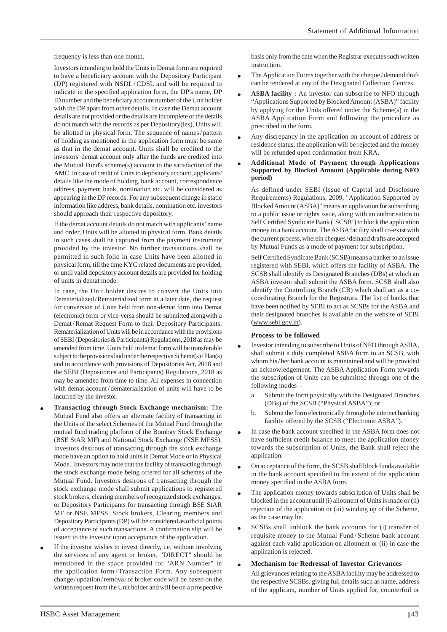frequency is less than one month.

 Investors intending to hold the Units in Demat form are required to have a beneficiary account with the Depository Participant (DP) registered with NSDL/CDSL and will be required to indicate in the specified application form, the DP's name, DP ID number and the beneficiary account number of the Unit holder with the DP apart from other details. In case the Demat account details are not provided or the details are incomplete or the details do not match with the records as per Depository(ies), Units will be allotted in physical form. The sequence of names / pattern of holding as mentioned in the application form must be same as that in the demat account. Units shall be credited to the investors' demat account only after the funds are credited into the Mutual Fund's scheme(s) account to the satisfaction of the AMC. In case of credit of Units to depository account, applicants' details like the mode of holding, bank account, correspondence address, payment bank, nomination etc. will be considered as appearing in the DP records. For any subsequent change in static information like address, bank details, nomination etc. investors should approach their respective depository.

 If the demat account details do not match with applicants' name and order, Units will be allotted in physical form. Bank details in such cases shall be captured from the payment instrument provided by the investor. No further transactions shall be permitted in such folio in case Units have been allotted in physical form, till the time KYC related documents are provided, or until valid depository account details are provided for holding of units in demat mode.

In case, the Unit holder desires to convert the Units into Dematerialized / Rematerialized form at a later date, the request for conversion of Units held from non-demat form into Demat (electronic) form or vice-versa should be submitted alongwith a Demat/Remat Request Form to their Depository Participants. Rematerialization of Units will be in accordance with the provisions of SEBI (Depositories & Participants) Regulations, 2018 as may be amended from time. Units held in demat form will be transferable subject to the provisions laid under the respective Scheme(s) / Plan(s) and in accordance with provisions of Depositories Act, 2018 and the SEBI (Depositories and Participants) Regulations, 2018 as may be amended from time to time. All expenses in connection with demat account/dematerialisation of units will have to be incurred by the investor.

- **Transacting through Stock Exchange mechanism:** The Mutual Fund also offers an alternate facility of transacting in the Units of the select Schemes of the Mutual Fund through the mutual fund trading platform of the Bombay Stock Exchange (BSE StAR MF) and National Stock Exchange (NSE MFSS). Investors desirous of transacting through the stock exchange mode have an option to hold units in Demat Mode or in Physical Mode.. Investors may note that the facility of transacting through the stock exchange mode being offered for all schemes of the Mutual Fund. Investors desirous of transacting through the stock exchange mode shall submit applications to registered stock brokers, clearing members of recognized stock exchanges, or Depository Participants for transacting through BSE StAR MF or NSE MFSS. Stock brokers, Clearing members and Depository Participants (DP) will be considered as official points of acceptance of such transactions. A confirmation slip will be issued to the investor upon acceptance of the application.
- If the investor wishes to invest directly, i.e. without involving the services of any agent or broker, "DIRECT" should be mentioned in the space provided for "ARN Number" in the application form / Transaction Form. Any subsequent change / updation / removal of broker code will be based on the written request from the Unit holder and will be on a prospective

basis only from the date when the Registrar executes such written instruction.

- The Application Forms together with the cheque / demand draft can be tendered at any of the Designated Collection Centres.
- **ASBA facility :** An investor can subscribe to NFO through "Applications Supported by Blocked Amount (ASBA)" facility by applying for the Units offered under the Scheme(s) in the ASBA Application Form and following the procedure as prescribed in the form.
- Any discrepancy in the application on account of address or residence status, the application will be rejected and the money will be refunded upon confirmation from KRA.
- **Additional Mode of Payment through Applications Supported by Blocked Amount (Applicable during NFO period)**

 As defined under SEBI (Issue of Capital and Disclosure Requirements) Regulations, 2009, "Application Supported by Blocked Amount (ASBA)" means an application for subscribing to a public issue or rights issue, along with an authorisation to Self Certified Syndicate Bank ('SCSB') to block the application money in a bank account. The ASBA facility shall co-exist with the current process, wherein cheques / demand drafts are accepted by Mutual Funds as a mode of payment for subscription.

Self Certified Syndicate Bank (SCSB) means a banker to an issue registered with SEBI, which offers the facility of ASBA. The SCSB shall identify its Designated Branches (DBs) at which an ASBA investor shall submit the ASBA form. SCSB shall also identify the Controlling Branch (CB) which shall act as a cocoordinating Branch for the Registrars. The list of banks that have been notified by SEBI to act as SCSBs for the ASBA and their designated branches is available on the website of SEBI (www.sebi.gov.in).

#### **Process to be followed**

- Investor intending to subscribe to Units of NFO through ASBA, shall submit a duly completed ASBA form to an SCSB, with whom his / her bank account is maintained and will be provided an acknowledgement. The ASBA Application Form towards the subscription of Units can be submitted through one of the following modes –
	- a. Submit the form physically with the Designated Branches (DBs) of the SCSB ("Physical ASBA"); or
	- b. Submit the form electronically through the internet banking facility offered by the SCSB ("Electronic ASBA").
- In case the bank account specified in the ASBA form does not have sufficient credit balance to meet the application money towards the subscription of Units, the Bank shall reject the application.
- On acceptance of the form, the SCSB shall block funds available in the bank account specified to the extent of the application money specified in the ASBA form.
- The application money towards subscription of Units shall be blocked in the account until (i) allotment of Units is made or (ii) rejection of the application or (iii) winding up of the Scheme, as the case may be.
- SCSBs shall unblock the bank accounts for (i) transfer of requisite money to the Mutual Fund / Scheme bank account against each valid application on allotment or (ii) in case the application is rejected.

### **Mechanism for Redressal of Investor Grievances**

 All grievances relating to the ASBA facility may be addressed to the respective SCSBs, giving full details such as name, address of the applicant, number of Units applied for, counterfoil or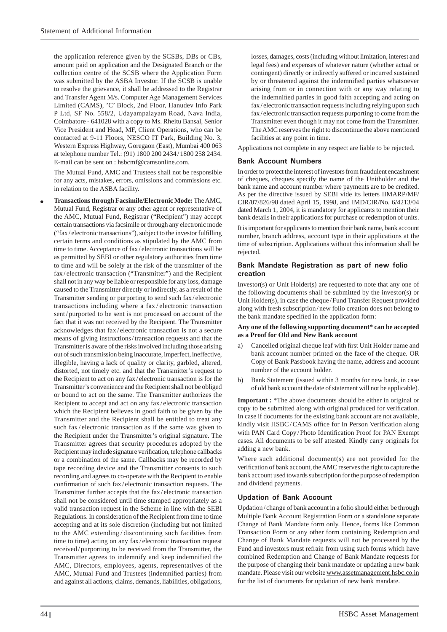the application reference given by the SCSBs, DBs or CBs, amount paid on application and the Designated Branch or the collection centre of the SCSB where the Application Form was submitted by the ASBA Investor. If the SCSB is unable to resolve the grievance, it shall be addressed to the Registrar and Transfer Agent M/s. Computer Age Management Services Limited (CAMS), 'C' Block, 2nd Floor, Hanudev Info Park P Ltd, SF No. 558/2, Udayampalayam Road, Nava India, Coimbatore - 641028 with a copy to Ms. Rheitu Bansal, Senior Vice President and Head, MF, Client Operations, who can be contacted at 9-11 Floors, NESCO IT Park, Building No. 3, Western Express Highway, Goregaon (East), Mumbai 400 063 at telephone number Tel.: (91) 1800 200 2434 / 1800 258 2434. E-mail can be sent on : hsbcmf@camsonline.com.

 The Mutual Fund, AMC and Trustees shall not be responsible for any acts, mistakes, errors, omissions and commissions etc. in relation to the ASBA facility.

 **Transactions through Facsimile/Electronic Mode:** The AMC, Mutual Fund, Registrar or any other agent or representative of the AMC, Mutual Fund, Registrar ("Recipient") may accept certain transactions via facsimile or through any electronic mode  $("fax/electronic transactions")$ , subject to the investor fulfilling certain terms and conditions as stipulated by the AMC from time to time. Acceptance of fax / electronic transactions will be as permitted by SEBI or other regulatory authorities from time to time and will be solely at the risk of the transmitter of the fax/electronic transaction ("Transmitter") and the Recipient shall not in any way be liable or responsible for any loss, damage caused to the Transmitter directly or indirectly, as a result of the Transmitter sending or purporting to send such fax / electronic transactions including where a fax / electronic transaction sent/purported to be sent is not processed on account of the fact that it was not received by the Recipient. The Transmitter acknowledges that fax / electronic transaction is not a secure means of giving instructions / transaction requests and that the Transmitter is aware of the risks involved including those arising out of such transmission being inaccurate, imperfect, ineffective, illegible, having a lack of quality or clarity, garbled, altered, distorted, not timely etc. and that the Transmitter's request to the Recipient to act on any fax / electronic transaction is for the Transmitter's convenience and the Recipient shall not be obliged or bound to act on the same. The Transmitter authorizes the Recipient to accept and act on any fax / electronic transaction which the Recipient believes in good faith to be given by the Transmitter and the Recipient shall be entitled to treat any such fax/electronic transaction as if the same was given to the Recipient under the Transmitter's original signature. The Transmitter agrees that security procedures adopted by the Recipient may include signature verification, telephone callbacks or a combination of the same. Callbacks may be recorded by tape recording device and the Transmitter consents to such recording and agrees to co-operate with the Recipient to enable confirmation of such fax/electronic transaction requests. The Transmitter further accepts that the fax / electronic transaction shall not be considered until time stamped appropriately as a valid transaction request in the Scheme in line with the SEBI Regulations. In consideration of the Recipient from time to time accepting and at its sole discretion (including but not limited to the AMC extending / discontinuing such facilities from time to time) acting on any fax / electronic transaction request received / purporting to be received from the Transmitter, the Transmitter agrees to indemnify and keep indemnified the AMC, Directors, employees, agents, representatives of the AMC, Mutual Fund and Trustees (indemnified parties) from and against all actions, claims, demands, liabilities, obligations,

losses, damages, costs (including without limitation, interest and legal fees) and expenses of whatever nature (whether actual or contingent) directly or indirectly suffered or incurred sustained by or threatened against the indemnified parties whatsoever arising from or in connection with or any way relating to the indemnified parties in good faith accepting and acting on fax / electronic transaction requests including relying upon such fax/electronic transaction requests purporting to come from the Transmitter even though it may not come from the Transmitter. The AMC reserves the right to discontinue the above mentioned facilities at any point in time.

Applications not complete in any respect are liable to be rejected.

### **Bank Account Numbers**

In order to protect the interest of investors from fraudulent encashment of cheques, cheques specify the name of the Unitholder and the bank name and account number where payments are to be credited. As per the directive issued by SEBI vide its letters IIMARP/MF/ CIR/07/826/98 dated April 15, 1998, and IMD/CIR/No. 6/4213/04 dated March 1, 2004, it is mandatory for applicants to mention their bank details in their applications for purchase or redemption of units.

It is important for applicants to mention their bank name, bank account number, branch address, account type in their applications at the time of subscription. Applications without this information shall be rejected.

### **Bank Mandate Registration as part of new folio creation**

Investor(s) or Unit Holder(s) are requested to note that any one of the following documents shall be submitted by the investor(s) or Unit Holder(s), in case the cheque / Fund Transfer Request provided along with fresh subscription / new folio creation does not belong to the bank mandate specified in the application form:

#### **Any one of the following supporting document\* can be accepted as a Proof for Old and New Bank account**

- Cancelled original cheque leaf with first Unit Holder name and bank account number printed on the face of the cheque. OR Copy of Bank Passbook having the name, address and account number of the account holder.
- b) Bank Statement (issued within 3 months for new bank, in case of old bank account the date of statement will not be applicable).

**Important :** \*The above documents should be either in original or copy to be submitted along with original produced for verification. In case if documents for the existing bank account are not available, kindly visit HSBC/CAMS office for In Person Verification along with PAN Card Copy/Photo Identification Proof for PAN Exempt cases. All documents to be self attested. Kindly carry originals for adding a new bank.

Where such additional document(s) are not provided for the verification of bank account, the AMC reserves the right to capture the bank account used towards subscription for the purpose of redemption and dividend payments.

### **Updation of Bank Account**

Updation / change of bank account in a folio should either be through Multiple Bank Account Registration Form or a standalone separate Change of Bank Mandate form only. Hence, forms like Common Transaction Form or any other form containing Redemption and Change of Bank Mandate requests will not be processed by the Fund and investors must refrain from using such forms which have combined Redemption and Change of Bank Mandate requests for the purpose of changing their bank mandate or updating a new bank mandate. Please visit our website www.assetmanagement.hsbc.co.in for the list of documents for updation of new bank mandate.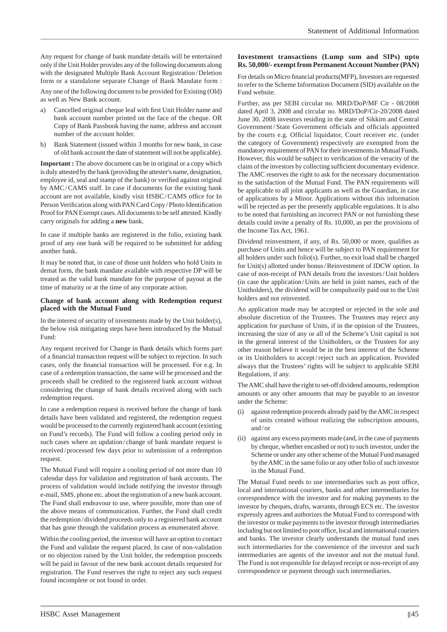Any request for change of bank mandate details will be entertained only if the Unit Holder provides any of the following documents along with the designated Multiple Bank Account Registration / Deletion form or a standalone separate Change of Bank Mandate form :

Any one of the following document to be provided for Existing (Old) as well as New Bank account.

- a) Cancelled original cheque leaf with first Unit Holder name and bank account number printed on the face of the cheque. OR Copy of Bank Passbook having the name, address and account number of the account holder.
- b) Bank Statement (issued within 3 months for new bank, in case of old bank account the date of statement will not be applicable).

**Important :** The above document can be in original or a copy which is duly attested by the bank (providing the attester's name, designation, employee id, seal and stamp of the bank) or verified against original by AMC / CAMS staff. In case if documents for the existing bank account are not available, kindly visit HSBC/CAMS office for In Person Verification along with PAN Card Copy / Photo Identification Proof for PAN Exempt cases. All documents to be self attested. Kindly carry originals for adding a **new** bank.

In case if multiple banks are registered in the folio, existing bank proof of any one bank will be required to be submitted for adding another bank.

It may be noted that, in case of those unit holders who hold Units in demat form, the bank mandate available with respective DP will be treated as the valid bank mandate for the purpose of payout at the time of maturity or at the time of any corporate action.

#### **Change of bank account along with Redemption request placed with the Mutual Fund**

In the interest of security of investments made by the Unit holder(s), the below risk mitigating steps have been introduced by the Mutual Fund:

Any request received for Change in Bank details which forms part of a financial transaction request will be subject to rejection. In such cases, only the financial transaction will be processed. For e.g. In case of a redemption transaction, the same will be processed and the proceeds shall be credited to the registered bank account without considering the change of bank details received along with such redemption request.

In case a redemption request is received before the change of bank details have been validated and registered, the redemption request would be processed to the currently registered bank account (existing on Fund's records). The Fund will follow a cooling period only in such cases where an updation/change of bank mandate request is received / processed few days prior to submission of a redemption request.

The Mutual Fund will require a cooling period of not more than 10 calendar days for validation and registration of bank accounts. The process of validation would include notifying the investor through e-mail, SMS, phone etc. about the registration of a new bank account. The Fund shall endeavour to use, where possible, more than one of the above means of communication. Further, the Fund shall credit the redemption / dividend proceeds only to a registered bank account that has gone through the validation process as enumerated above.

Within the cooling period, the investor will have an option to contact the Fund and validate the request placed. In case of non-validation or no objection raised by the Unit holder, the redemption proceeds will be paid in favour of the new bank account details requested for registration. The Fund reserves the right to reject any such request found incomplete or not found in order.

# **Investment transactions (Lump sum and SIPs) upto Rs. 50,000/- exempt from Permanent Account Number (PAN)**

For details on Micro financial products(MFP), Investors are requested to refer to the Scheme Information Document (SID) available on the Fund website.

Further, ass per SEBI circular no. MRD/DoP/MF Cir - 08/2008 dated April 3, 2008 and circular no. MRD/DoP/Cir-20/2008 dated June 30, 2008 investors residing in the state of Sikkim and Central Government/State Government officials and officials appointed by the courts e.g. Official liquidator, Court receiver etc. (under the category of Government) respectively are exempted from the mandatory requirement of PAN for their investments in Mutual Funds. However, this would be subject to verification of the veracity of the claim of the investors by collecting sufficient documentary evidence. The AMC reserves the right to ask for the necessary documentation to the satisfaction of the Mutual Fund. The PAN requirements will be applicable to all joint applicants as well as the Guardian, in case of applications by a Minor. Applications without this information will be rejected as per the presently applicable regulations. It is also to be noted that furnishing an incorrect PAN or not furnishing these details could invite a penalty of Rs. 10,000, as per the provisions of the Income Tax Act, 1961.

Dividend reinvestment, if any, of Rs. 50,000 or more, qualifies as purchase of Units and hence will be subject to PAN requirement for all holders under such folio(s). Further, no exit load shall be charged for Unit(s) allotted under bonus / Reinvestment of IDCW option. In case of non-receipt of PAN details from the investors / Unit holders (in case the application / Units are held in joint names, each of the Unitholders), the dividend will be compulsorily paid out to the Unit holders and not reinvested.

An application made may be accepted or rejected in the sole and absolute discretion of the Trustees. The Trustees may reject any application for purchase of Units, if in the opinion of the Trustees, increasing the size of any or all of the Scheme's Unit capital is not in the general interest of the Unitholders, or the Trustees for any other reason believe it would be in the best interest of the Scheme or its Unitholders to accept / reject such an application. Provided always that the Trustees' rights will be subject to applicable SEBI Regulations, if any.

The AMC shall have the right to set-off dividend amounts, redemption amounts or any other amounts that may be payable to an investor under the Scheme:

- against redemption proceeds already paid by the AMC in respect of units created without realizing the subscription amounts, and / or
- (ii) against any excess payments made (and, in the case of payments by cheque, whether encashed or not) to such investor, under the Scheme or under any other scheme of the Mutual Fund managed by the AMC in the same folio or any other folio of such investor in the Mutual Fund.

The Mutual Fund needs to use intermediaries such as post office. local and international couriers, banks and other intermediaries for correspondence with the investor and for making payments to the investor by cheques, drafts, warrants, through ECS etc. The investor expressly agrees and authorizes the Mutual Fund to correspond with the investor or make payments to the investor through intermediaries including but not limited to post office, local and international couriers and banks. The investor clearly understands the mutual fund uses such intermediaries for the convenience of the investor and such intermediaries are agents of the investor and not the mutual fund. The Fund is not responsible for delayed receipt or non-receipt of any correspondence or payment through such intermediaries.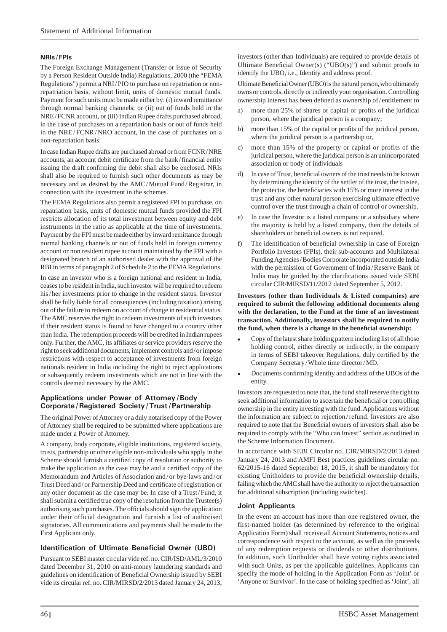### **NRIs / FPIs**

The Foreign Exchange Management (Transfer or Issue of Security by a Person Resident Outside India) Regulations, 2000 (the "FEMA Regulations") permit a NRI / PIO to purchase on repatriation or nonrepatriation basis, without limit, units of domestic mutual funds. Payment for such units must be made either by: (i) inward remittance through normal banking channels; or (ii) out of funds held in the NRE / FCNR account, or (iii) Indian Rupee drafts purchased abroad, in the case of purchases on a repatriation basis or out of funds held in the NRE/FCNR/NRO account, in the case of purchases on a non-repatriation basis.

In case Indian Rupee drafts are purchased abroad or from FCNR / NRE accounts, an account debit certificate from the bank/financial entity issuing the draft confirming the debit shall also be enclosed. NRIs shall also be required to furnish such other documents as may be necessary and as desired by the AMC / Mutual Fund / Registrar, in connection with the investment in the schemes.

The FEMA Regulations also permit a registered FPI to purchase, on repatriation basis, units of domestic mutual funds provided the FPI restricts allocation of its total investment between equity and debt instruments in the ratio as applicable at the time of investments. Payment by the FPI must be made either by inward remittance through normal banking channels or out of funds held in foreign currency account or non resident rupee account maintained by the FPI with a designated branch of an authorised dealer with the approval of the RBI in terms of paragraph 2 of Schedule 2 to the FEMA Regulations.

In case an investor who is a foreign national and resident in India, ceases to be resident in India, such investor will be required to redeem his / her investments prior to change in the resident status. Investor shall be fully liable for all consequences (including taxation) arising out of the failure to redeem on account of change in residential status. The AMC reserves the right to redeem investments of such investors if their resident status is found to have changed to a country other than India. The redemption proceeds will be credited in Indian rupees only. Further, the AMC, its affiliates or service providers reserve the right to seek additional documents, implement controls and / or impose restrictions with respect to acceptance of investments from foreign nationals resident in India including the right to reject applications or subsequently redeem investments which are not in line with the controls deemed necessary by the AMC.

### **Applications under Power of Attorney / Body Corporate / Registered Society / Trust / Partnership**

The original Power of Attorney or a duly notarised copy of the Power of Attorney shall be required to be submitted where applications are made under a Power of Attorney.

A company, body corporate, eligible institutions, registered society, trusts, partnership or other eligible non-individuals who apply in the Scheme should furnish a certified copy of resolution or authority to make the application as the case may be and a certified copy of the Memorandum and Articles of Association and / or bye-laws and / or Trust Deed and/or Partnership Deed and certificate of registration or any other document as the case may be. In case of a Trust / Fund, it shall submit a certified true copy of the resolution from the  $Trustee(s)$ authorising such purchases. The officials should sign the application under their official designation and furnish a list of authorised signatories. All communications and payments shall be made to the First Applicant only.

### **Identification of Ultimate Beneficial Owner (UBO)**

Pursuant to SEBI master circular vide ref. no. CIR/ISD/AML/3/2010 dated December 31, 2010 on anti-money laundering standards and guidelines on identification of Beneficial Ownership issued by SEBI vide its circular ref. no. CIR/MIRSD/2/2013 dated January 24, 2013,

investors (other than Individuals) are required to provide details of Ultimate Beneficial Owner(s) ("UBO(s)") and submit proofs to identify the UBO, i.e., Identity and address proof.

Ultimate Beneficial Owner (UBO) is the natural person, who ultimately owns or controls, directly or indirectly your organisation. Controlling ownership interest has been defined as ownership of/entitlement to

- a) more than 25% of shares or capital or profits of the juridical person, where the juridical person is a company;
- b) more than 15% of the capital or profits of the juridical person, where the juridical person is a partnership or,
- c) more than 15% of the property or capital or profits of the juridical person, where the juridical person is an unincorporated association or body of individuals
- In case of Trust, beneficial owners of the trust needs to be known by determining the identity of the settler of the trust, the trustee, the protector, the beneficiaries with 15% or more interest in the trust and any other natural person exercising ultimate effective control over the trust through a chain of control or ownership.
- e) In case the Investor is a listed company or a subsidiary where the majority is held by a listed company, then the details of shareholders or beneficial owners is not required.
- f) The identification of beneficial ownership in case of Foreign Portfolio Investors (FPIs), their sub-accounts and Multilateral Funding Agencies / Bodies Corporate incorporated outside India with the permission of Government of India / Reserve Bank of India may be guided by the clarifications issued vide SEBI circular CIR/MIRSD/11/2012 dated September 5, 2012.

#### **Investors (other than Individuals & Listed companies) are required to submit the following additional documents along with the declaration, to the Fund at the time of an investment transaction. Additionally, investors shall be required to notify**  the fund, when there is a change in the beneficial ownership:

- Copy of the latest share holding pattern including list of all those holding control, either directly or indirectly, in the company in terms of SEBI takeover Regulations, duly certified by the Company Secretary / Whole time director / MD.
- Documents confirming identity and address of the UBOs of the entity.

Investors are requested to note that, the fund shall reserve the right to seek additional information to ascertain the beneficial or controlling ownership in the entity investing with the fund. Applications without the information are subject to rejection / refund. Investors are also required to note that the Beneficial owners of investors shall also be required to comply with the "Who can Invest" section as outlined in the Scheme Information Document.

In accordance with SEBI Circular no. CIR/MIRSD/2/2013 dated January 24, 2013 and AMFI Best practices guidelines circular no. 62/2015-16 dated September 18, 2015, it shall be mandatory for existing Unitholders to provide the beneficial ownership details, failing which the AMC shall have the authority to reject the transaction for additional subscription (including switches).

### **Joint Applicants**

In the event an account has more than one registered owner, the first-named holder (as determined by reference to the original Application Form) shall receive all Account Statements, notices and correspondence with respect to the account, as well as the proceeds of any redemption requests or dividends or other distributions. In addition, such Unitholder shall have voting rights associated with such Units, as per the applicable guidelines. Applicants can specify the mode of holding in the Application Form as 'Joint' or 'Anyone or Survivor'. In the case of holding specified as 'Joint', all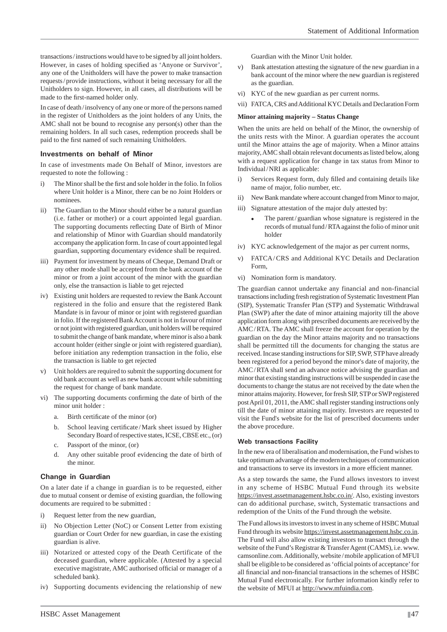transactions / instructions would have to be signed by all joint holders. However, in cases of holding specified as 'Anyone or Survivor', any one of the Unitholders will have the power to make transaction requests / provide instructions, without it being necessary for all the Unitholders to sign. However, in all cases, all distributions will be made to the first-named holder only.

In case of death / insolvency of any one or more of the persons named in the register of Unitholders as the joint holders of any Units, the AMC shall not be bound to recognise any person(s) other than the remaining holders. In all such cases, redemption proceeds shall be paid to the first named of such remaining Unitholders.

#### **Investments on behalf of Minor**

In case of investments made On Behalf of Minor, investors are requested to note the following :

- i) The Minor shall be the first and sole holder in the folio. In folios where Unit holder is a Minor, there can be no Joint Holders or nominees.
- ii) The Guardian to the Minor should either be a natural guardian (i.e. father or mother) or a court appointed legal guardian. The supporting documents reflecting Date of Birth of Minor and relationship of Minor with Guardian should mandatorily accompany the application form. In case of court appointed legal guardian, supporting documentary evidence shall be required.
- iii) Payment for investment by means of Cheque, Demand Draft or any other mode shall be accepted from the bank account of the minor or from a joint account of the minor with the guardian only, else the transaction is liable to get rejected
- iv) Existing unit holders are requested to review the Bank Account registered in the folio and ensure that the registered Bank Mandate is in favour of minor or joint with registered guardian in folio. If the registered Bank Account is not in favour of minor or not joint with registered guardian, unit holders will be required to submit the change of bank mandate, where minor is also a bank account holder (either single or joint with registered guardian), before initiation any redemption transaction in the folio, else the transaction is liable to get rejected
- v) Unit holders are required to submit the supporting document for old bank account as well as new bank account while submitting the request for change of bank mandate.
- vi) The supporting documents confirming the date of birth of the minor unit holder :
	- a. Birth certificate of the minor (or)
	- b. School leaving certificate/Mark sheet issued by Higher Secondary Board of respective states, ICSE, CBSE etc., (or)
	- c. Passport of the minor, (or)
	- d. Any other suitable proof evidencing the date of birth of the minor.

#### **Change in Guardian**

On a later date if a change in guardian is to be requested, either due to mutual consent or demise of existing guardian, the following documents are required to be submitted :

- i) Request letter from the new guardian,
- ii) No Objection Letter (NoC) or Consent Letter from existing guardian or Court Order for new guardian, in case the existing guardian is alive.
- iii) Notarized or attested copy of the Death Certificate of the deceased guardian, where applicable. (Attested by a special executive magistrate, AMC authorised official or manager of a scheduled bank).
- iv) Supporting documents evidencing the relationship of new

Guardian with the Minor Unit holder.

- v) Bank attestation attesting the signature of the new guardian in a bank account of the minor where the new guardian is registered as the guardian.
- vi) KYC of the new guardian as per current norms.
- vii) FATCA, CRS and Additional KYC Details and Declaration Form

#### **Minor attaining majority – Status Change**

When the units are held on behalf of the Minor, the ownership of the units rests with the Minor. A guardian operates the account until the Minor attains the age of majority. When a Minor attains majority, AMC shall obtain relevant documents as listed below, along with a request application for change in tax status from Minor to Individual / NRI as applicable:

- i) Services Request form, duly filled and containing details like name of major, folio number, etc.
- ii) New Bank mandate where account changed from Minor to major,
- iii) Signature attestation of the major duly attested by:
	- The parent/guardian whose signature is registered in the records of mutual fund / RTA against the folio of minor unit holder
- iv) KYC acknowledgement of the major as per current norms,
- v) FATCA/CRS and Additional KYC Details and Declaration Form,
- vi) Nomination form is mandatory.

The guardian cannot undertake any financial and non-financial transactions including fresh registration of Systematic Investment Plan (SIP), Systematic Transfer Plan (STP) and Systematic Withdrawal Plan (SWP) after the date of minor attaining majority till the above application form along with prescribed documents are received by the AMC / RTA. The AMC shall freeze the account for operation by the guardian on the day the Minor attains majority and no transactions shall be permitted till the documents for changing the status are received. Incase standing instructions for SIP, SWP, STP have already been registered for a period beyond the minor's date of majority, the AMC/RTA shall send an advance notice advising the guardian and minor that existing standing instructions will be suspended in case the documents to change the status are not received by the date when the minor attains majority. However, for fresh SIP, STP or SWP registered post April 01, 2011, the AMC shall register standing instructions only till the date of minor attaining majority. Investors are requested to visit the Fund's website for the list of prescribed documents under the above procedure.

#### **Web transactions Facility**

In the new era of liberalisation and modernisation, the Fund wishes to take optimum advantage of the modern techniques of communication and transactions to serve its investors in a more efficient manner.

As a step towards the same, the Fund allows investors to invest in any scheme of HSBC Mutual Fund through its website https://invest.assetmanagement.hsbc.co.in/. Also, existing investors can do additional purchase, switch, Systematic transactions and redemption of the Units of the Fund through the website.

The Fund allows its investors to invest in any scheme of HSBC Mutual Fund through its website https://invest.assetmanagement.hsbc.co.in. The Fund will also allow existing investors to transact through the website of the Fund's Registrar & Transfer Agent (CAMS), i.e. www. camsonline.com. Additionally, website / mobile application of MFUI shall be eligible to be considered as 'official points of acceptance' for all financial and non-financial transactions in the schemes of HSBC Mutual Fund electronically. For further information kindly refer to the website of MFUI at http://www.mfuindia.com.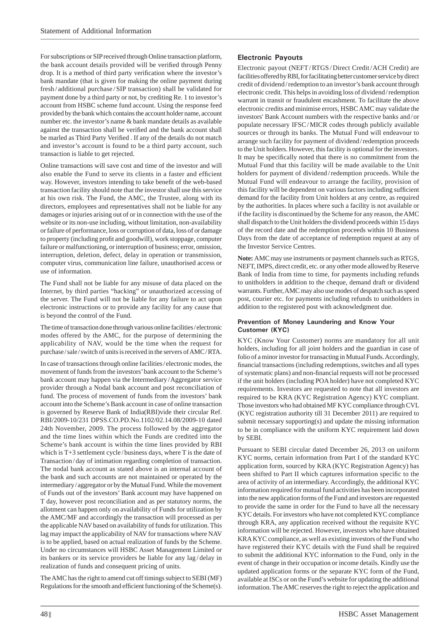For subscriptions or SIP received through Online transaction platform, the bank account details provided will be verified through Penny drop. It is a method of third party verification where the investor's bank mandate (that is given for making the online payment during fresh / additional purchase / SIP transaction) shall be validated for payment done by a third party or not, by crediting Re. 1 to investor's account from HSBC scheme fund account. Using the response feed provided by the bank which contains the account holder name, account number etc. the investor's name & bank mandate details as available against the transaction shall be verified and the bank account shall be marled as Third Party Verified . If any of the details do not match and investor's account is found to be a third party account, such transaction is liable to get rejected.

Online transactions will save cost and time of the investor and will also enable the Fund to serve its clients in a faster and efficient way. However, investors intending to take benefit of the web-based transaction facility should note that the investor shall use this service at his own risk. The Fund, the AMC, the Trustee, along with its directors, employees and representatives shall not be liable for any damages or injuries arising out of or in connection with the use of the website or its non-use including, without limitation, non-availability or failure of performance, loss or corruption of data, loss of or damage to property (including profit and goodwill), work stoppage, computer failure or malfunctioning, or interruption of business; error, omission, interruption, deletion, defect, delay in operation or transmission, computer virus, communication line failure, unauthorised access or use of information.

The Fund shall not be liable for any misuse of data placed on the Internet, by third parties "hacking" or unauthorized accessing of the server. The Fund will not be liable for any failure to act upon electronic instructions or to provide any facility for any cause that is beyond the control of the Fund.

The time of transaction done through various online facilities / electronic modes offered by the AMC, for the purpose of determining the applicability of NAV, would be the time when the request for purchase / sale / switch of units is received in the servers of AMC / RTA.

In case of transactions through online facilities / electronic modes, the movement of funds from the investors' bank account to the Scheme's bank account may happen via the Intermediary / Aggregator service provider through a Nodal bank account and post reconciliation of fund. The process of movement of funds from the investors' bank account into the Scheme's Bank account in case of online transaction is governed by Reserve Bank of India(RBI)vide their circular Ref. RBI/2009-10/231 DPSS.CO.PD.No.1102/02.14.08/2009-10 dated 24th November, 2009. The process followed by the aggregator and the time lines within which the Funds are credited into the Scheme's bank account is within the time lines provided by RBI which is T+3 settlement cycle / business days, where T is the date of Transaction / day of intimation regarding completion of transaction. The nodal bank account as stated above is an internal account of the bank and such accounts are not maintained or operated by the intermediary / aggregator or by the Mutual Fund. While the movement of Funds out of the investors' Bank account may have happened on T day, however post reconciliation and as per statutory norms, the allotment can happen only on availability of Funds for utilization by the AMC/MF and accordingly the transaction will processed as per the applicable NAV based on availability of funds for utilization. This lag may impact the applicability of NAV for transactions where NAV is to be applied, based on actual realization of funds by the Scheme. Under no circumstances will HSBC Asset Management Limited or its bankers or its service providers be liable for any lag / delay in realization of funds and consequent pricing of units.

The AMC has the right to amend cut off timings subject to SEBI (MF) Regulations for the smooth and efficient functioning of the Scheme(s).

## **Electronic Payouts**

Electronic payout (NEFT / RTGS / Direct Credit / ACH Credit) are facilities offered by RBI, for facilitating better customer service by direct credit of dividend / redemption to an investor's bank account through electronic credit. This helps in avoiding loss of dividend / redemption warrant in transit or fraudulent encashment. To facilitate the above electronic credits and minimise errors, HSBC AMC may validate the investors' Bank Account numbers with the respective banks and / or populate necessary IFSC / MICR codes through publicly available sources or through its banks. The Mutual Fund will endeavour to arrange such facility for payment of dividend / redemption proceeds to the Unit holders. However, this facility is optional for the investors. It may be specifically noted that there is no commitment from the Mutual Fund that this facility will be made available to the Unit holders for payment of dividend / redemption proceeds. While the Mutual Fund will endeavour to arrange the facility, provision of this facility will be dependent on various factors including sufficient demand for the facility from Unit holders at any centre, as required by the authorities. In places where such a facility is not available or if the facility is discontinued by the Scheme for any reason, the AMC shall dispatch to the Unit holders the dividend proceeds within 15 days of the record date and the redemption proceeds within 10 Business Days from the date of acceptance of redemption request at any of the Investor Service Centres.

**Note:** AMC may use instruments or payment channels such as RTGS, NEFT, IMPS, direct credit, etc. or any other mode allowed by Reserve Bank of India from time to time, for payments including refunds to unitholders in addition to the cheque, demand draft or dividend warrants. Further, AMC may also use modes of despatch such as speed post, courier etc. for payments including refunds to unitholders in addition to the registered post with acknowledgment due.

### **Prevention of Money Laundering and Know Your Customer (KYC)**

KYC (Know Your Customer) norms are mandatory for all unit holders, including for all joint holders and the guardian in case of folio of a minor investor for transacting in Mutual Funds. Accordingly, financial transactions (including redemptions, switches and all types of systematic plans) and non-financial requests will not be processed if the unit holders (including POA holder) have not completed KYC requirements. Investors are requested to note that all investors are required to be KRA (KYC Registration Agency) KYC compliant. Those investors who had obtained MF KYC compliance through CVL (KYC registration authority till 31 December 2011) are required to submit necessary supporting(s) and update the missing information to be in compliance with the uniform KYC requirement laid down by SEBI.

Pursuant to SEBI circular dated December 26, 2013 on uniform KYC norms, certain information from Part I of the standard KYC application form, sourced by KRA (KYC Registration Agency) has been shifted to Part II which captures information specific to the area of activity of an intermediary. Accordingly, the additional KYC information required for mutual fund activities has been incorporated into the new application forms of the Fund and investors are requested to provide the same in order for the Fund to have all the necessary KYC details. For investors who have not completed KYC compliance through KRA, any application received without the requisite KYC information will be rejected. However, investors who have obtained KRA KYC compliance, as well as existing investors of the Fund who have registered their KYC details with the Fund shall be required to submit the additional KYC information to the Fund, only in the event of change in their occupation or income details. Kindly use the updated application forms or the separate KYC form of the Fund, available at ISCs or on the Fund's website for updating the additional information. The AMC reserves the right to reject the application and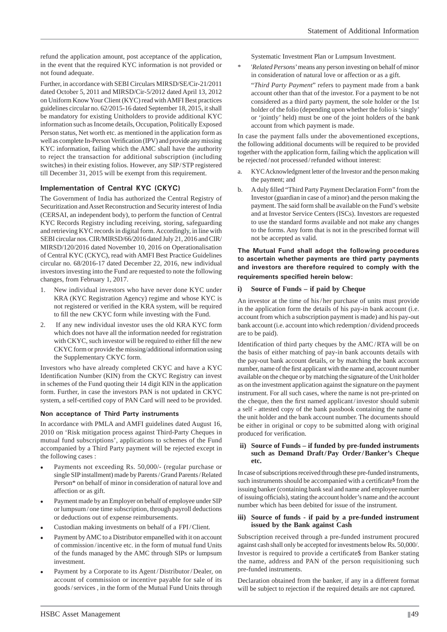refund the application amount, post acceptance of the application, in the event that the required KYC information is not provided or not found adequate.

Further, in accordance with SEBI Circulars MIRSD/SE/Cir-21/2011 dated October 5, 2011 and MIRSD/Cir-5/2012 dated April 13, 2012 on Uniform Know Your Client (KYC) read with AMFI Best practices guidelines circular no. 62/2015-16 dated September 18, 2015, it shall be mandatory for existing Unitholders to provide additional KYC information such as Income details, Occupation, Politically Exposed Person status, Net worth etc. as mentioned in the application form as well as complete In-Person Verification (IPV) and provide any missing KYC information, failing which the AMC shall have the authority to reject the transaction for additional subscription (including switches) in their existing folios. However, any SIP/STP registered till December 31, 2015 will be exempt from this requirement.

### **Implementation of Central KYC (CKYC)**

The Government of India has authorized the Central Registry of Securitization and Asset Reconstruction and Security interest of India (CERSAI, an independent body), to perform the function of Central KYC Records Registry including receiving, storing, safeguarding and retrieving KYC records in digital form. Accordingly, in line with SEBI circular nos. CIR/MIRSD/66/2016 dated July 21, 2016 and CIR/ MIRSD/120/2016 dated November 10, 2016 on Operationalisation of Central KYC (CKYC), read with AMFI Best Practice Guidelines circular no. 68/2016-17 dated December 22, 2016, new individual investors investing into the Fund are requested to note the following changes, from February 1, 2017.

- 1. New individual investors who have never done KYC under KRA (KYC Registration Agency) regime and whose KYC is not registered or verified in the KRA system, will be required to fill the new CKYC form while investing with the Fund.
- 2. If any new individual investor uses the old KRA KYC form which does not have all the information needed for registration with CKYC, such investor will be required to either fill the new CKYC form or provide the missing/additional information using the Supplementary CKYC form.

Investors who have already completed CKYC and have a KYC Identification Number (KIN) from the CKYC Registry can invest in schemes of the Fund quoting their 14 digit KIN in the application form. Further, in case the investors PAN is not updated in CKYC system, a self-certified copy of PAN Card will need to be provided.

#### **Non acceptance of Third Party instruments**

In accordance with PMLA and AMFI guidelines dated August 16, 2010 on 'Risk mitigation process against Third-Party Cheques in mutual fund subscriptions', applications to schemes of the Fund accompanied by a Third Party payment will be rejected except in the following cases :

- Payments not exceeding Rs. 50,000/- (regular purchase or single SIP installment) made by Parents / Grand Parents / Related Person\* on behalf of minor in consideration of natural love and affection or as gift.
- Payment made by an Employer on behalf of employee under SIP or lumpsum / one time subscription, through payroll deductions or deductions out of expense reimbursements.
- Custodian making investments on behalf of a FPI / Client.
- Payment by AMC to a Distributor empanelled with it on account of commission / incentive etc. in the form of mutual fund Units of the funds managed by the AMC through SIPs or lumpsum investment.
- Payment by a Corporate to its Agent/Distributor/Dealer, on account of commission or incentive payable for sale of its goods / services , in the form of the Mutual Fund Units through

Systematic Investment Plan or Lumpsum Investment.

'*Related Persons*' means any person investing on behalf of minor in consideration of natural love or affection or as a gift.

 "*Third Party Payment*" refers to payment made from a bank account other than that of the investor. For a payment to be not considered as a third party payment, the sole holder or the 1st holder of the folio (depending upon whether the folio is 'singly' or 'jointly' held) must be one of the joint holders of the bank account from which payment is made.

In case the payment falls under the abovementioned exceptions, the following additional documents will be required to be provided together with the application form, failing which the application will be rejected / not processed / refunded without interest:

- a. KYC Acknowledgment letter of the Investor and the person making the payment; and
- b. A duly filled "Third Party Payment Declaration Form" from the Investor (guardian in case of a minor) and the person making the payment. The said form shall be available on the Fund's website and at Investor Service Centers (ISCs). Investors are requested to use the standard forms available and not make any changes to the forms. Any form that is not in the prescribed format will not be accepted as valid.

#### **The Mutual Fund shall adopt the following procedures to ascertain whether payments are third party payments and investors are therefore required to comply with the requirements specified herein below:**

#### **i) Source of Funds – if paid by Cheque**

An investor at the time of his / her purchase of units must provide in the application form the details of his pay-in bank account (i.e. account from which a subscription payment is made) and his pay-out bank account (i.e. account into which redemption / dividend proceeds are to be paid).

Identification of third party cheques by the AMC/RTA will be on the basis of either matching of pay-in bank accounts details with the pay-out bank account details, or by matching the bank account number, name of the first applicant with the name and, account number available on the cheque or by matching the signature of the Unit holder as on the investment application against the signature on the payment instrument. For all such cases, where the name is not pre-printed on the cheque, then the first named applicant/investor should submit a self - attested copy of the bank passbook containing the name of the unit holder and the bank account number. The documents should be either in original or copy to be submitted along with original produced for verification.

#### **ii) Source of Funds – if funded by pre-funded instruments such as Demand Draft / Pay Order / Banker's Cheque etc.**

In case of subscriptions received through these pre-funded instruments, such instruments should be accompanied with a certificate<sup>\$</sup> from the issuing banker (containing bank seal and name and employee number of issuing officials), stating the account holder's name and the account number which has been debited for issue of the instrument.

#### **iii) Source of funds - if paid by a pre-funded instrument issued by the Bank against Cash**

Subscription received through a pre-funded instrument procured against cash shall only be accepted for investments below Rs. 50,000/. Investor is required to provide a certificate\$ from Banker stating the name, address and PAN of the person requisitioning such pre-funded instruments.

Declaration obtained from the banker, if any in a different format will be subject to rejection if the required details are not captured.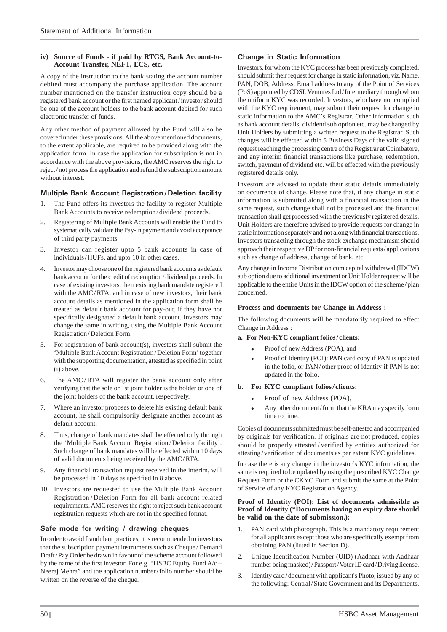### **iv) Source of Funds - if paid by RTGS, Bank Account-to-Account Transfer, NEFT, ECS, etc.**

A copy of the instruction to the bank stating the account number debited must accompany the purchase application. The account number mentioned on the transfer instruction copy should be a registered bank account or the first named applicant/investor should be one of the account holders to the bank account debited for such electronic transfer of funds.

Any other method of payment allowed by the Fund will also be covered under these provisions. All the above mentioned documents, to the extent applicable, are required to be provided along with the application form. In case the application for subscription is not in accordance with the above provisions, the AMC reserves the right to reject / not process the application and refund the subscription amount without interest.

## **Multiple Bank Account Registration / Deletion facility**

- 1. The Fund offers its investors the facility to register Multiple Bank Accounts to receive redemption / dividend proceeds.
- 2. Registering of Multiple Bank Accounts will enable the Fund to systematically validate the Pay-in payment and avoid acceptance of third party payments.
- 3. Investor can register upto 5 bank accounts in case of individuals / HUFs, and upto 10 in other cases.
- Investor may choose one of the registered bank accounts as default bank account for the credit of redemption / dividend proceeds. In case of existing investors, their existing bank mandate registered with the AMC/RTA, and in case of new investors, their bank account details as mentioned in the application form shall be treated as default bank account for pay-out, if they have not specifically designated a default bank account. Investors may change the same in writing, using the Multiple Bank Account Registration / Deletion Form.
- 5. For registration of bank account(s), investors shall submit the 'Multiple Bank Account Registration / Deletion Form' together with the supporting documentation, attested as specified in point (i) above.
- 6. The AMC / RTA will register the bank account only after verifying that the sole or 1st joint holder is the holder or one of the joint holders of the bank account, respectively.
- 7. Where an investor proposes to delete his existing default bank account, he shall compulsorily designate another account as default account.
- 8. Thus, change of bank mandates shall be effected only through the 'Multiple Bank Account Registration / Deletion facility'. Such change of bank mandates will be effected within 10 days of valid documents being received by the AMC / RTA.
- 9. Any financial transaction request received in the interim, will be processed in 10 days as specified in 8 above.
- 10. Investors are requested to use the Multiple Bank Account Registration / Deletion Form for all bank account related requirements. AMC reserves the right to reject such bank account registration requests which are not in the specified format.

# **Safe mode for writing / drawing cheques**

In order to avoid fraudulent practices, it is recommended to investors that the subscription payment instruments such as Cheque / Demand Draft / Pay Order be drawn in favour of the scheme account followed by the name of the first investor. For e.g. "HSBC Equity Fund  $A/c$  – Neeraj Mehra" and the application number / folio number should be written on the reverse of the cheque.

## **Change in Static Information**

Investors, for whom the KYC process has been previously completed, should submit their request for change in static information, viz. Name, PAN, DOB, Address, Email address to any of the Point of Services (PoS) appointed by CDSL Ventures Ltd / Intermediary through whom the uniform KYC was recorded. Investors, who have not complied with the KYC requirement, may submit their request for change in static information to the AMC's Registrar. Other information such as bank account details, dividend sub option etc. may be changed by Unit Holders by submitting a written request to the Registrar. Such changes will be effected within 5 Business Days of the valid signed request reaching the processing centre of the Registrar at Coimbatore, and any interim financial transactions like purchase, redemption, switch, payment of dividend etc. will be effected with the previously registered details only.

Investors are advised to update their static details immediately on occurrence of change. Please note that, if any change in static information is submitted along with a financial transaction in the same request, such change shall not be processed and the financial transaction shall get processed with the previously registered details. Unit Holders are therefore advised to provide requests for change in static information separately and not along with financial transactions. Investors transacting through the stock exchange mechanism should approach their respective DP for non-financial requests / applications such as change of address, change of bank, etc.

Any change in Income Distribution cum capital withdrawal (IDCW) sub option due to additional investment or Unit Holder request will be applicable to the entire Units in the IDCW option of the scheme / plan concerned.

### **Process and documents for Change in Address :**

The following documents will be mandatorily required to effect Change in Address :

### **a. For Non-KYC compliant folios / clients:**

- Proof of new Address (POA), and
- Proof of Identity (POI): PAN card copy if PAN is updated in the folio, or PAN / other proof of identity if PAN is not updated in the folio.

### **b. For KYC compliant folios / clients:**

- Proof of new Address (POA),
- Any other document / form that the KRA may specify form time to time.

Copies of documents submitted must be self-attested and accompanied by originals for verification. If originals are not produced, copies should be properly attested / verified by entities authorized for attesting/verification of documents as per extant KYC guidelines.

In case there is any change in the investor's KYC information, the same is required to be updated by using the prescribed KYC Change Request Form or the CKYC Form and submit the same at the Point of Service of any KYC Registration Agency.

#### **Proof of Identity (POI): List of documents admissible as Proof of Identity (\*Documents having an expiry date should be valid on the date of submission.):**

- 1. PAN card with photograph. This is a mandatory requirement for all applicants except those who are specifically exempt from obtaining PAN (listed in Section D).
- 2. Unique Identification Number (UID) (Aadhaar with Aadhaar number being masked) / Passport / Voter ID card / Driving license.
- 3. Identity card / document with applicant's Photo, issued by any of the following: Central / State Government and its Departments,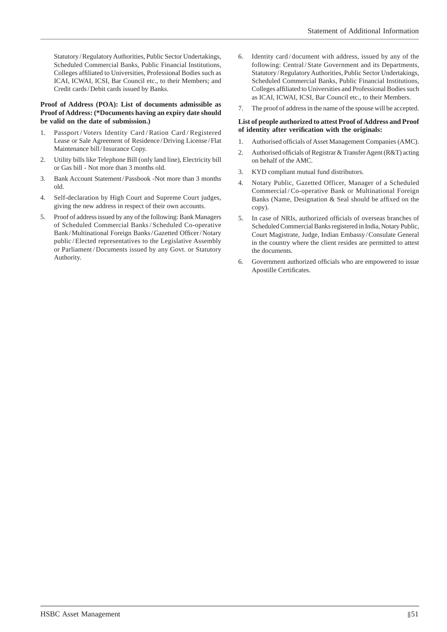Statutory / Regulatory Authorities, Public Sector Undertakings, Scheduled Commercial Banks, Public Financial Institutions, Colleges affiliated to Universities, Professional Bodies such as ICAI, ICWAI, ICSI, Bar Council etc., to their Members; and Credit cards / Debit cards issued by Banks.

#### **Proof of Address (POA): List of documents admissible as Proof of Address: (\*Documents having an expiry date should be valid on the date of submission.)**

- 1. Passport / Voters Identity Card / Ration Card / Registered Lease or Sale Agreement of Residence / Driving License / Flat Maintenance bill / Insurance Copy.
- 2. Utility bills like Telephone Bill (only land line), Electricity bill or Gas bill - Not more than 3 months old.
- 3. Bank Account Statement / Passbook -Not more than 3 months old.
- 4. Self-declaration by High Court and Supreme Court judges, giving the new address in respect of their own accounts.
- 5. Proof of address issued by any of the following: Bank Managers of Scheduled Commercial Banks / Scheduled Co-operative Bank/Multinational Foreign Banks/Gazetted Officer/Notary public / Elected representatives to the Legislative Assembly or Parliament/Documents issued by any Govt. or Statutory Authority.
- 6. Identity card / document with address, issued by any of the following: Central/State Government and its Departments, Statutory / Regulatory Authorities, Public Sector Undertakings, Scheduled Commercial Banks, Public Financial Institutions, Colleges affiliated to Universities and Professional Bodies such as ICAI, ICWAI, ICSI, Bar Council etc., to their Members.
- 7. The proof of address in the name of the spouse will be accepted.

#### **List of people authorized to attest Proof of Address and Proof**  of identity after verification with the originals:

- 1. Authorised officials of Asset Management Companies (AMC).
- 2. Authorised officials of Registrar & Transfer Agent (R&T) acting on behalf of the AMC.
- 3. KYD compliant mutual fund distributors.
- 4. Notary Public, Gazetted Officer, Manager of a Scheduled Commercial/Co-operative Bank or Multinational Foreign Banks (Name, Designation  $&$  Seal should be affixed on the copy).
- 5. In case of NRIs, authorized officials of overseas branches of Scheduled Commercial Banks registered in India, Notary Public, Court Magistrate, Judge, Indian Embassy / Consulate General in the country where the client resides are permitted to attest the documents.
- 6. Government authorized officials who are empowered to issue Apostille Certificates.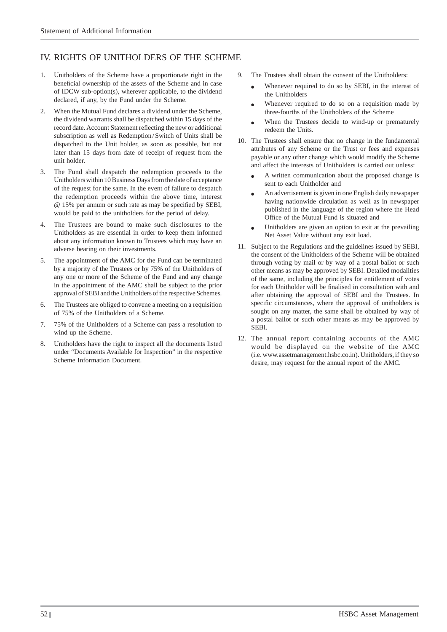# IV. RIGHTS OF UNITHOLDERS OF THE SCHEME

- 1. Unitholders of the Scheme have a proportionate right in the beneficial ownership of the assets of the Scheme and in case of IDCW sub-option(s), wherever applicable, to the dividend declared, if any, by the Fund under the Scheme.
- 2. When the Mutual Fund declares a dividend under the Scheme, the dividend warrants shall be dispatched within 15 days of the record date. Account Statement reflecting the new or additional subscription as well as Redemption/Switch of Units shall be dispatched to the Unit holder, as soon as possible, but not later than 15 days from date of receipt of request from the unit holder.
- 3. The Fund shall despatch the redemption proceeds to the Unitholders within 10 Business Days from the date of acceptance of the request for the same. In the event of failure to despatch the redemption proceeds within the above time, interest @ 15% per annum or such rate as may be specified by SEBI, would be paid to the unitholders for the period of delay.
- The Trustees are bound to make such disclosures to the Unitholders as are essential in order to keep them informed about any information known to Trustees which may have an adverse bearing on their investments.
- 5. The appointment of the AMC for the Fund can be terminated by a majority of the Trustees or by 75% of the Unitholders of any one or more of the Scheme of the Fund and any change in the appointment of the AMC shall be subject to the prior approval of SEBI and the Unitholders of the respective Schemes.
- 6. The Trustees are obliged to convene a meeting on a requisition of 75% of the Unitholders of a Scheme.
- 7. 75% of the Unitholders of a Scheme can pass a resolution to wind up the Scheme.
- 8. Unitholders have the right to inspect all the documents listed under "Documents Available for Inspection" in the respective Scheme Information Document.
- 9. The Trustees shall obtain the consent of the Unitholders:
	- Whenever required to do so by SEBI, in the interest of the Unitholders
	- Whenever required to do so on a requisition made by three-fourths of the Unitholders of the Scheme
	- When the Trustees decide to wind-up or prematurely redeem the Units.
- 10. The Trustees shall ensure that no change in the fundamental attributes of any Scheme or the Trust or fees and expenses payable or any other change which would modify the Scheme and affect the interests of Unitholders is carried out unless:
	- A written communication about the proposed change is sent to each Unitholder and
	- An advertisement is given in one English daily newspaper having nationwide circulation as well as in newspaper published in the language of the region where the Head Office of the Mutual Fund is situated and
	- Unitholders are given an option to exit at the prevailing Net Asset Value without any exit load.
- 11. Subject to the Regulations and the guidelines issued by SEBI, the consent of the Unitholders of the Scheme will be obtained through voting by mail or by way of a postal ballot or such other means as may be approved by SEBI. Detailed modalities of the same, including the principles for entitlement of votes for each Unitholder will be finalised in consultation with and after obtaining the approval of SEBI and the Trustees. In specific circumstances, where the approval of unitholders is sought on any matter, the same shall be obtained by way of a postal ballot or such other means as may be approved by SEBI.
- 12. The annual report containing accounts of the AMC would be displayed on the website of the AMC (i.e. www.assetmanagement.hsbc.co.in). Unitholders, if they so desire, may request for the annual report of the AMC.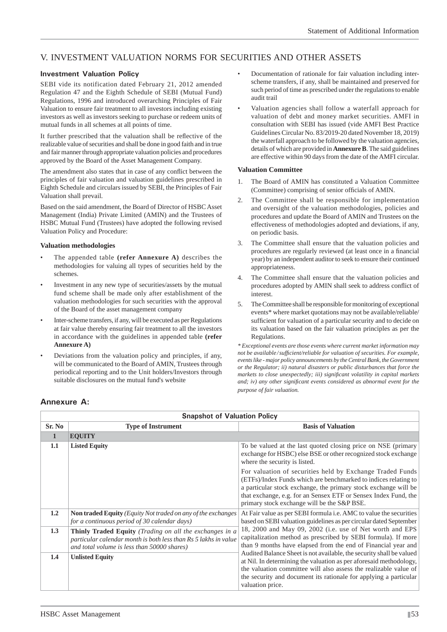# V. INVESTMENT VALUATION NORMS FOR SECURITIES AND OTHER ASSETS

## **Investment Valuation Policy**

SEBI vide its notification dated February 21, 2012 amended Regulation 47 and the Eighth Schedule of SEBI (Mutual Fund) Regulations, 1996 and introduced overarching Principles of Fair Valuation to ensure fair treatment to all investors including existing investors as well as investors seeking to purchase or redeem units of mutual funds in all schemes at all points of time.

It further prescribed that the valuation shall be reflective of the realizable value of securities and shall be done in good faith and in true and fair manner through appropriate valuation policies and procedures approved by the Board of the Asset Management Company.

The amendment also states that in case of any conflict between the principles of fair valuation and valuation guidelines prescribed in Eighth Schedule and circulars issued by SEBI, the Principles of Fair Valuation shall prevail.

Based on the said amendment, the Board of Director of HSBC Asset Management (India) Private Limited (AMIN) and the Trustees of HSBC Mutual Fund (Trustees) have adopted the following revised Valuation Policy and Procedure:

### **Valuation methodologies**

- The appended table **(refer Annexure A)** describes the methodologies for valuing all types of securities held by the schemes.
- Investment in any new type of securities/assets by the mutual fund scheme shall be made only after establishment of the valuation methodologies for such securities with the approval of the Board of the asset management company
- Inter-scheme transfers, if any, will be executed as per Regulations at fair value thereby ensuring fair treatment to all the investors in accordance with the guidelines in appended table **(refer Annexure A)**
- Deviations from the valuation policy and principles, if any, will be communicated to the Board of AMIN, Trustees through periodical reporting and to the Unit holders/Investors through suitable disclosures on the mutual fund's website
- Documentation of rationale for fair valuation including interscheme transfers, if any, shall be maintained and preserved for such period of time as prescribed under the regulations to enable audit trail
- Valuation agencies shall follow a waterfall approach for valuation of debt and money market securities. AMFI in consultation with SEBI has issued (vide AMFI Best Practice Guidelines Circular No. 83/2019-20 dated November 18, 2019) the waterfall approach to be followed by the valuation agencies, details of which are provided in **Annexure B**. The said guidelines are effective within 90 days from the date of the AMFI circular.

#### **Valuation Committee**

- 1. The Board of AMIN has constituted a Valuation Committee (Committee) comprising of senior officials of AMIN.
- 2. The Committee shall be responsible for implementation and oversight of the valuation methodologies, policies and procedures and update the Board of AMIN and Trustees on the effectiveness of methodologies adopted and deviations, if any, on periodic basis.
- 3. The Committee shall ensure that the valuation policies and procedures are regularly reviewed (at least once in a financial year) by an independent auditor to seek to ensure their continued appropriateness.
- 4. The Committee shall ensure that the valuation policies and procedures adopted by AMIN shall seek to address conflict of interest.
- 5. The Committee shall be responsible for monitoring of exceptional events\* where market quotations may not be available/reliable/ sufficient for valuation of a particular security and to decide on its valuation based on the fair valuation principles as per the Regulations.

*\* Exceptional events are those events where current market information may not be available / suffi cient/reliable for valuation of securities. For example, events like - major policy announcements by the Central Bank, the Government or the Regulator; ii) natural disasters or public disturbances that force the markets to close unexpectedly; iii) significant volatility in capital markets and; iv) any other significant events considered as abnormal event for the purpose of fair valuation.*

| <b>Snapshot of Valuation Policy</b> |                                                                                                                                                                                  |                                                                                                                                                                                                                                                                                                                   |  |  |  |
|-------------------------------------|----------------------------------------------------------------------------------------------------------------------------------------------------------------------------------|-------------------------------------------------------------------------------------------------------------------------------------------------------------------------------------------------------------------------------------------------------------------------------------------------------------------|--|--|--|
| Sr. No                              | <b>Type of Instrument</b>                                                                                                                                                        | <b>Basis of Valuation</b>                                                                                                                                                                                                                                                                                         |  |  |  |
| $\mathbf{1}$                        | <b>EQUITY</b>                                                                                                                                                                    |                                                                                                                                                                                                                                                                                                                   |  |  |  |
| 1.1                                 | <b>Listed Equity</b>                                                                                                                                                             | To be valued at the last quoted closing price on NSE (primary<br>exchange for HSBC) else BSE or other recognized stock exchange<br>where the security is listed.                                                                                                                                                  |  |  |  |
|                                     |                                                                                                                                                                                  | For valuation of securities held by Exchange Traded Funds<br>(ETFs)/Index Funds which are benchmarked to indices relating to<br>a particular stock exchange, the primary stock exchange will be<br>that exchange, e.g. for an Sensex ETF or Sensex Index Fund, the<br>primary stock exchange will be the S&P BSE. |  |  |  |
| 1.2                                 | <b>Non traded Equity</b> (Equity Not traded on any of the exchanges<br>for a continuous period of 30 calendar days)                                                              | At Fair value as per SEBI formula i.e. AMC to value the securities<br>based on SEBI valuation guidelines as per circular dated September                                                                                                                                                                          |  |  |  |
| 1.3                                 | <b>Thinly Traded Equity</b> (Trading on all the exchanges in a<br>particular calendar month is both less than Rs 5 lakhs in value<br>and total volume is less than 50000 shares) | 18, 2000 and May 09, 2002 (i.e. use of Net worth and EPS<br>capitalization method as prescribed by SEBI formula). If more<br>than 9 months have elapsed from the end of Financial year and                                                                                                                        |  |  |  |
| 1.4                                 | <b>Unlisted Equity</b>                                                                                                                                                           | Audited Balance Sheet is not available, the security shall be valued<br>at Nil. In determining the valuation as per aforesaid methodology,<br>the valuation committee will also assess the realizable value of<br>the security and document its rationale for applying a particular<br>valuation price.           |  |  |  |

# **Annexure A:**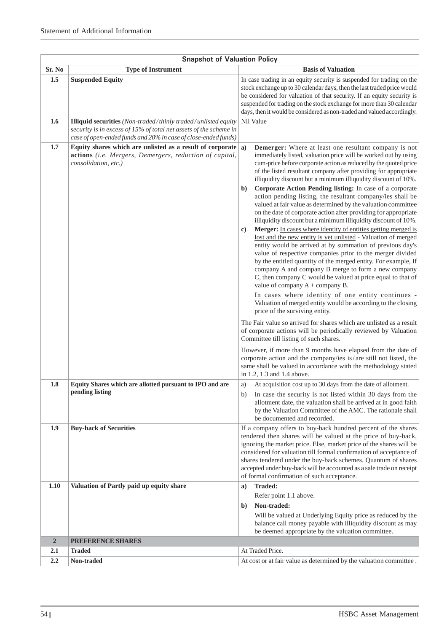|                | <b>Snapshot of Valuation Policy</b>                                                                                                                                                                         |                                                                                                                                                                                                                                                                                                                                                                                                                                                                                                                                                                                                                                                                                                                                                                                                                                                                                                                                                                                                                                                                                                                                                                                                                                                                                                                                                                                                                                                                                                                                                                                                                                                                                                                                  |  |  |
|----------------|-------------------------------------------------------------------------------------------------------------------------------------------------------------------------------------------------------------|----------------------------------------------------------------------------------------------------------------------------------------------------------------------------------------------------------------------------------------------------------------------------------------------------------------------------------------------------------------------------------------------------------------------------------------------------------------------------------------------------------------------------------------------------------------------------------------------------------------------------------------------------------------------------------------------------------------------------------------------------------------------------------------------------------------------------------------------------------------------------------------------------------------------------------------------------------------------------------------------------------------------------------------------------------------------------------------------------------------------------------------------------------------------------------------------------------------------------------------------------------------------------------------------------------------------------------------------------------------------------------------------------------------------------------------------------------------------------------------------------------------------------------------------------------------------------------------------------------------------------------------------------------------------------------------------------------------------------------|--|--|
| Sr. No         | <b>Type of Instrument</b>                                                                                                                                                                                   | <b>Basis of Valuation</b>                                                                                                                                                                                                                                                                                                                                                                                                                                                                                                                                                                                                                                                                                                                                                                                                                                                                                                                                                                                                                                                                                                                                                                                                                                                                                                                                                                                                                                                                                                                                                                                                                                                                                                        |  |  |
| 1.5            | <b>Suspended Equity</b>                                                                                                                                                                                     | In case trading in an equity security is suspended for trading on the<br>stock exchange up to 30 calendar days, then the last traded price would<br>be considered for valuation of that security. If an equity security is<br>suspended for trading on the stock exchange for more than 30 calendar<br>days, then it would be considered as non-traded and valued accordingly.                                                                                                                                                                                                                                                                                                                                                                                                                                                                                                                                                                                                                                                                                                                                                                                                                                                                                                                                                                                                                                                                                                                                                                                                                                                                                                                                                   |  |  |
| 1.6            | <b>Illiquid securities</b> (Non-traded/thinly traded/unlisted equity<br>security is in excess of 15% of total net assets of the scheme in<br>case of open-ended funds and 20% in case of close-ended funds) | Nil Value                                                                                                                                                                                                                                                                                                                                                                                                                                                                                                                                                                                                                                                                                                                                                                                                                                                                                                                                                                                                                                                                                                                                                                                                                                                                                                                                                                                                                                                                                                                                                                                                                                                                                                                        |  |  |
| 1.7            | Equity shares which are unlisted as a result of corporate $ a\rangle$<br>actions (i.e. Mergers, Demergers, reduction of capital,<br>consolidation, etc.)                                                    | Demerger: Where at least one resultant company is not<br>immediately listed, valuation price will be worked out by using<br>cum-price before corporate action as reduced by the quoted price<br>of the listed resultant company after providing for appropriate<br>illiquidity discount but a minimum illiquidity discount of 10%.<br>Corporate Action Pending listing: In case of a corporate<br>b)<br>action pending listing, the resultant company/ies shall be<br>valued at fair value as determined by the valuation committee<br>on the date of corporate action after providing for appropriate<br>illiquidity discount but a minimum illiquidity discount of 10%.<br>Merger: In cases where identity of entities getting merged is<br>$\bf c)$<br>lost and the new entity is yet unlisted - Valuation of merged<br>entity would be arrived at by summation of previous day's<br>value of respective companies prior to the merger divided<br>by the entitled quantity of the merged entity. For example, If<br>company A and company B merge to form a new company<br>C, then company C would be valued at price equal to that of<br>value of company $A$ + company B.<br>In cases where identity of one entity continues -<br>Valuation of merged entity would be according to the closing<br>price of the surviving entity.<br>The Fair value so arrived for shares which are unlisted as a result<br>of corporate actions will be periodically reviewed by Valuation<br>Committee till listing of such shares.<br>However, if more than 9 months have elapsed from the date of<br>corporate action and the company/ies is/are still not listed, the<br>same shall be valued in accordance with the methodology stated |  |  |
| 1.8            | Equity Shares which are allotted pursuant to IPO and are                                                                                                                                                    | in 1.2, 1.3 and 1.4 above.<br>At acquisition cost up to 30 days from the date of allotment.<br>a)                                                                                                                                                                                                                                                                                                                                                                                                                                                                                                                                                                                                                                                                                                                                                                                                                                                                                                                                                                                                                                                                                                                                                                                                                                                                                                                                                                                                                                                                                                                                                                                                                                |  |  |
|                | pending listing                                                                                                                                                                                             | In case the security is not listed within 30 days from the<br>b)<br>allotment date, the valuation shall be arrived at in good faith<br>by the Valuation Committee of the AMC. The rationale shall<br>be documented and recorded.                                                                                                                                                                                                                                                                                                                                                                                                                                                                                                                                                                                                                                                                                                                                                                                                                                                                                                                                                                                                                                                                                                                                                                                                                                                                                                                                                                                                                                                                                                 |  |  |
| 1.9            | <b>Buy-back of Securities</b>                                                                                                                                                                               | If a company offers to buy-back hundred percent of the shares<br>tendered then shares will be valued at the price of buy-back,<br>ignoring the market price. Else, market price of the shares will be<br>considered for valuation till formal confirmation of acceptance of<br>shares tendered under the buy-back schemes. Quantum of shares<br>accepted under buy-back will be accounted as a sale trade on receipt<br>of formal confirmation of such acceptance.                                                                                                                                                                                                                                                                                                                                                                                                                                                                                                                                                                                                                                                                                                                                                                                                                                                                                                                                                                                                                                                                                                                                                                                                                                                               |  |  |
| 1.10           | Valuation of Partly paid up equity share                                                                                                                                                                    | <b>Traded:</b><br>a)                                                                                                                                                                                                                                                                                                                                                                                                                                                                                                                                                                                                                                                                                                                                                                                                                                                                                                                                                                                                                                                                                                                                                                                                                                                                                                                                                                                                                                                                                                                                                                                                                                                                                                             |  |  |
|                |                                                                                                                                                                                                             | Refer point 1.1 above.                                                                                                                                                                                                                                                                                                                                                                                                                                                                                                                                                                                                                                                                                                                                                                                                                                                                                                                                                                                                                                                                                                                                                                                                                                                                                                                                                                                                                                                                                                                                                                                                                                                                                                           |  |  |
|                |                                                                                                                                                                                                             | Non-traded:<br>$\mathbf{b}$                                                                                                                                                                                                                                                                                                                                                                                                                                                                                                                                                                                                                                                                                                                                                                                                                                                                                                                                                                                                                                                                                                                                                                                                                                                                                                                                                                                                                                                                                                                                                                                                                                                                                                      |  |  |
|                |                                                                                                                                                                                                             | Will be valued at Underlying Equity price as reduced by the<br>balance call money payable with illiquidity discount as may<br>be deemed appropriate by the valuation committee.                                                                                                                                                                                                                                                                                                                                                                                                                                                                                                                                                                                                                                                                                                                                                                                                                                                                                                                                                                                                                                                                                                                                                                                                                                                                                                                                                                                                                                                                                                                                                  |  |  |
| $\overline{2}$ | PREFERENCE SHARES                                                                                                                                                                                           |                                                                                                                                                                                                                                                                                                                                                                                                                                                                                                                                                                                                                                                                                                                                                                                                                                                                                                                                                                                                                                                                                                                                                                                                                                                                                                                                                                                                                                                                                                                                                                                                                                                                                                                                  |  |  |
| 2.1            | <b>Traded</b>                                                                                                                                                                                               | At Traded Price.                                                                                                                                                                                                                                                                                                                                                                                                                                                                                                                                                                                                                                                                                                                                                                                                                                                                                                                                                                                                                                                                                                                                                                                                                                                                                                                                                                                                                                                                                                                                                                                                                                                                                                                 |  |  |
| 2.2            | Non-traded                                                                                                                                                                                                  | At cost or at fair value as determined by the valuation committee.                                                                                                                                                                                                                                                                                                                                                                                                                                                                                                                                                                                                                                                                                                                                                                                                                                                                                                                                                                                                                                                                                                                                                                                                                                                                                                                                                                                                                                                                                                                                                                                                                                                               |  |  |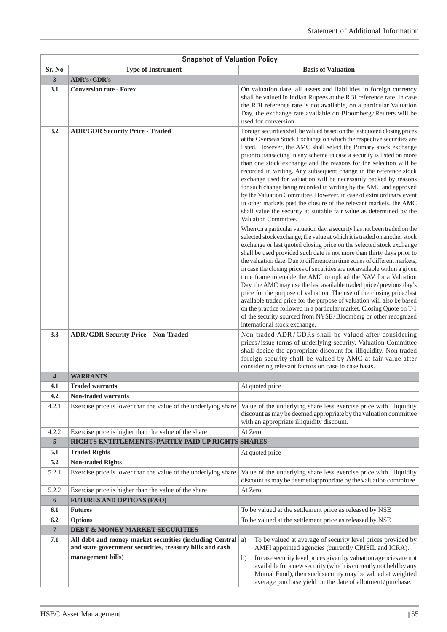|                         | <b>Snapshot of Valuation Policy</b>                                                                  |                                                                                                                                                                                                                                                                                                                                                                                                                                                                                                                                                                                                                                                                                                                                                                                                                                                                                                                                             |  |  |  |  |
|-------------------------|------------------------------------------------------------------------------------------------------|---------------------------------------------------------------------------------------------------------------------------------------------------------------------------------------------------------------------------------------------------------------------------------------------------------------------------------------------------------------------------------------------------------------------------------------------------------------------------------------------------------------------------------------------------------------------------------------------------------------------------------------------------------------------------------------------------------------------------------------------------------------------------------------------------------------------------------------------------------------------------------------------------------------------------------------------|--|--|--|--|
| Sr. No                  | <b>Type of Instrument</b>                                                                            | <b>Basis of Valuation</b>                                                                                                                                                                                                                                                                                                                                                                                                                                                                                                                                                                                                                                                                                                                                                                                                                                                                                                                   |  |  |  |  |
| $\mathbf{3}$            | ADR's/GDR's                                                                                          |                                                                                                                                                                                                                                                                                                                                                                                                                                                                                                                                                                                                                                                                                                                                                                                                                                                                                                                                             |  |  |  |  |
| 3.1                     | <b>Conversion rate - Forex</b>                                                                       | On valuation date, all assets and liabilities in foreign currency<br>shall be valued in Indian Rupees at the RBI reference rate. In case<br>the RBI reference rate is not available, on a particular Valuation<br>Day, the exchange rate available on Bloomberg/Reuters will be<br>used for conversion.                                                                                                                                                                                                                                                                                                                                                                                                                                                                                                                                                                                                                                     |  |  |  |  |
| 3.2                     | <b>ADR/GDR Security Price - Traded</b>                                                               | Foreign securities shall be valued based on the last quoted closing prices<br>at the Overseas Stock Exchange on which the respective securities are<br>listed. However, the AMC shall select the Primary stock exchange<br>prior to transacting in any scheme in case a security is listed on more<br>than one stock exchange and the reasons for the selection will be<br>recorded in writing. Any subsequent change in the reference stock<br>exchange used for valuation will be necessarily backed by reasons<br>for such change being recorded in writing by the AMC and approved<br>by the Valuation Committee. However, in case of extra ordinary event<br>in other markets post the closure of the relevant markets, the AMC<br>shall value the security at suitable fair value as determined by the<br>Valuation Committee.                                                                                                        |  |  |  |  |
|                         |                                                                                                      | When on a particular valuation day, a security has not been traded on the<br>selected stock exchange; the value at which it is traded on another stock<br>exchange or last quoted closing price on the selected stock exchange<br>shall be used provided such date is not more than thirty days prior to<br>the valuation date. Due to difference in time zones of different markets,<br>in case the closing prices of securities are not available within a given<br>time frame to enable the AMC to upload the NAV for a Valuation<br>Day, the AMC may use the last available traded price/previous day's<br>price for the purpose of valuation. The use of the closing price/last<br>available traded price for the purpose of valuation will also be based<br>on the practice followed in a particular market. Closing Quote on T-1<br>of the security sourced from NYSE/Bloomberg or other recognized<br>international stock exchange. |  |  |  |  |
| 3.3                     | <b>ADR/GDR Security Price - Non-Traded</b>                                                           | Non-traded ADR/GDRs shall be valued after considering<br>prices/issue terms of underlying security. Valuation Committee<br>shall decide the appropriate discount for illiquidity. Non traded<br>foreign security shall be valued by AMC at fair value after<br>considering relevant factors on case to case basis.                                                                                                                                                                                                                                                                                                                                                                                                                                                                                                                                                                                                                          |  |  |  |  |
| $\overline{\mathbf{4}}$ | <b>WARRANTS</b>                                                                                      |                                                                                                                                                                                                                                                                                                                                                                                                                                                                                                                                                                                                                                                                                                                                                                                                                                                                                                                                             |  |  |  |  |
| 4.1                     | <b>Traded warrants</b>                                                                               | At quoted price                                                                                                                                                                                                                                                                                                                                                                                                                                                                                                                                                                                                                                                                                                                                                                                                                                                                                                                             |  |  |  |  |
| 4.2                     | Non-traded warrants                                                                                  |                                                                                                                                                                                                                                                                                                                                                                                                                                                                                                                                                                                                                                                                                                                                                                                                                                                                                                                                             |  |  |  |  |
| 4.2.1                   | Exercise price is lower than the value of the underlying share                                       | Value of the underlying share less exercise price with illiquidity<br>discount as may be deemed appropriate by the valuation committee<br>with an appropriate illiquidity discount.                                                                                                                                                                                                                                                                                                                                                                                                                                                                                                                                                                                                                                                                                                                                                         |  |  |  |  |
| 4.2.2                   | Exercise price is higher than the value of the share                                                 | At Zero                                                                                                                                                                                                                                                                                                                                                                                                                                                                                                                                                                                                                                                                                                                                                                                                                                                                                                                                     |  |  |  |  |
| $\overline{5}$          | RIGHTS ENTITLEMENTS/PARTLY PAID UP RIGHTS SHARES                                                     |                                                                                                                                                                                                                                                                                                                                                                                                                                                                                                                                                                                                                                                                                                                                                                                                                                                                                                                                             |  |  |  |  |
| 5.1                     | <b>Traded Rights</b>                                                                                 | At quoted price                                                                                                                                                                                                                                                                                                                                                                                                                                                                                                                                                                                                                                                                                                                                                                                                                                                                                                                             |  |  |  |  |
| 5.2                     | <b>Non-traded Rights</b>                                                                             |                                                                                                                                                                                                                                                                                                                                                                                                                                                                                                                                                                                                                                                                                                                                                                                                                                                                                                                                             |  |  |  |  |
| 5.2.1                   | Exercise price is lower than the value of the underlying share                                       | Value of the underlying share less exercise price with illiquidity<br>discount as may be deemed appropriate by the valuation committee.                                                                                                                                                                                                                                                                                                                                                                                                                                                                                                                                                                                                                                                                                                                                                                                                     |  |  |  |  |
| 5.2.2                   | Exercise price is higher than the value of the share                                                 | At Zero                                                                                                                                                                                                                                                                                                                                                                                                                                                                                                                                                                                                                                                                                                                                                                                                                                                                                                                                     |  |  |  |  |
| 6                       | <b>FUTURES AND OPTIONS (F&amp;O)</b>                                                                 |                                                                                                                                                                                                                                                                                                                                                                                                                                                                                                                                                                                                                                                                                                                                                                                                                                                                                                                                             |  |  |  |  |
| 6.1                     | <b>Futures</b>                                                                                       | To be valued at the settlement price as released by NSE                                                                                                                                                                                                                                                                                                                                                                                                                                                                                                                                                                                                                                                                                                                                                                                                                                                                                     |  |  |  |  |
| 6.2                     | <b>Options</b>                                                                                       | To be valued at the settlement price as released by NSE                                                                                                                                                                                                                                                                                                                                                                                                                                                                                                                                                                                                                                                                                                                                                                                                                                                                                     |  |  |  |  |
| $\overline{7}$<br>7.1   | <b>DEBT &amp; MONEY MARKET SECURITIES</b><br>All debt and money market securities (including Central | To be valued at average of security level prices provided by<br>a)                                                                                                                                                                                                                                                                                                                                                                                                                                                                                                                                                                                                                                                                                                                                                                                                                                                                          |  |  |  |  |
|                         | and state government securities, treasury bills and cash<br>management bills)                        | AMFI appointed agencies (currently CRISIL and ICRA).<br>In case security level prices given by valuation agencies are not<br>b)<br>available for a new security (which is currently not held by any<br>Mutual Fund), then such security may be valued at weighted                                                                                                                                                                                                                                                                                                                                                                                                                                                                                                                                                                                                                                                                           |  |  |  |  |
|                         |                                                                                                      | average purchase yield on the date of allotment/purchase.                                                                                                                                                                                                                                                                                                                                                                                                                                                                                                                                                                                                                                                                                                                                                                                                                                                                                   |  |  |  |  |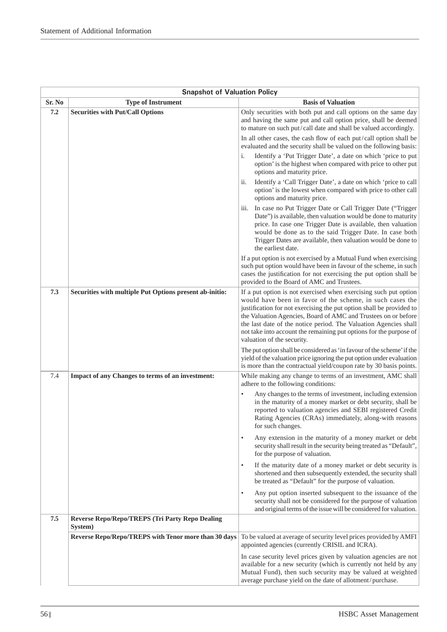|        | <b>Snapshot of Valuation Policy</b>                               |                                                                                                                                                                                                                                                                                                                                                                                                                                                 |  |  |
|--------|-------------------------------------------------------------------|-------------------------------------------------------------------------------------------------------------------------------------------------------------------------------------------------------------------------------------------------------------------------------------------------------------------------------------------------------------------------------------------------------------------------------------------------|--|--|
| Sr. No | <b>Type of Instrument</b>                                         | <b>Basis of Valuation</b>                                                                                                                                                                                                                                                                                                                                                                                                                       |  |  |
| 7.2    | <b>Securities with Put/Call Options</b>                           | Only securities with both put and call options on the same day<br>and having the same put and call option price, shall be deemed<br>to mature on such put/call date and shall be valued accordingly.                                                                                                                                                                                                                                            |  |  |
|        |                                                                   | In all other cases, the cash flow of each put/call option shall be<br>evaluated and the security shall be valued on the following basis:                                                                                                                                                                                                                                                                                                        |  |  |
|        |                                                                   | Identify a 'Put Trigger Date', a date on which 'price to put<br>1.<br>option' is the highest when compared with price to other put<br>options and maturity price.                                                                                                                                                                                                                                                                               |  |  |
|        |                                                                   | Identify a 'Call Trigger Date', a date on which 'price to call<br>$\overline{11}$ .<br>option' is the lowest when compared with price to other call<br>options and maturity price.                                                                                                                                                                                                                                                              |  |  |
|        |                                                                   | In case no Put Trigger Date or Call Trigger Date ("Trigger<br>111.<br>Date") is available, then valuation would be done to maturity<br>price. In case one Trigger Date is available, then valuation<br>would be done as to the said Trigger Date. In case both<br>Trigger Dates are available, then valuation would be done to<br>the earliest date.                                                                                            |  |  |
|        |                                                                   | If a put option is not exercised by a Mutual Fund when exercising<br>such put option would have been in favour of the scheme, in such<br>cases the justification for not exercising the put option shall be<br>provided to the Board of AMC and Trustees.                                                                                                                                                                                       |  |  |
| 7.3    | Securities with multiple Put Options present ab-initio:           | If a put option is not exercised when exercising such put option<br>would have been in favor of the scheme, in such cases the<br>justification for not exercising the put option shall be provided to<br>the Valuation Agencies, Board of AMC and Trustees on or before<br>the last date of the notice period. The Valuation Agencies shall<br>not take into account the remaining put options for the purpose of<br>valuation of the security. |  |  |
|        |                                                                   | The put option shall be considered as 'in favour of the scheme' if the<br>yield of the valuation price ignoring the put option under evaluation<br>is more than the contractual yield/coupon rate by 30 basis points.                                                                                                                                                                                                                           |  |  |
| 7.4    | Impact of any Changes to terms of an investment:                  | While making any change to terms of an investment, AMC shall<br>adhere to the following conditions:                                                                                                                                                                                                                                                                                                                                             |  |  |
|        |                                                                   | Any changes to the terms of investment, including extension<br>in the maturity of a money market or debt security, shall be<br>reported to valuation agencies and SEBI registered Credit<br>Rating Agencies (CRAs) immediately, along-with reasons<br>for such changes.                                                                                                                                                                         |  |  |
|        |                                                                   | Any extension in the maturity of a money market or debt<br>$\bullet$<br>security shall result in the security being treated as "Default",<br>for the purpose of valuation.                                                                                                                                                                                                                                                                      |  |  |
|        |                                                                   | If the maturity date of a money market or debt security is<br>$\bullet$<br>shortened and then subsequently extended, the security shall<br>be treated as "Default" for the purpose of valuation.                                                                                                                                                                                                                                                |  |  |
|        |                                                                   | Any put option inserted subsequent to the issuance of the<br>$\bullet$<br>security shall not be considered for the purpose of valuation<br>and original terms of the issue will be considered for valuation.                                                                                                                                                                                                                                    |  |  |
| 7.5    | <b>Reverse Repo/Repo/TREPS (Tri Party Repo Dealing</b><br>System) |                                                                                                                                                                                                                                                                                                                                                                                                                                                 |  |  |
|        | Reverse Repo/Repo/TREPS with Tenor more than 30 days              | To be valued at average of security level prices provided by AMFI<br>appointed agencies (currently CRISIL and ICRA).                                                                                                                                                                                                                                                                                                                            |  |  |
|        |                                                                   | In case security level prices given by valuation agencies are not<br>available for a new security (which is currently not held by any<br>Mutual Fund), then such security may be valued at weighted<br>average purchase yield on the date of allotment/purchase.                                                                                                                                                                                |  |  |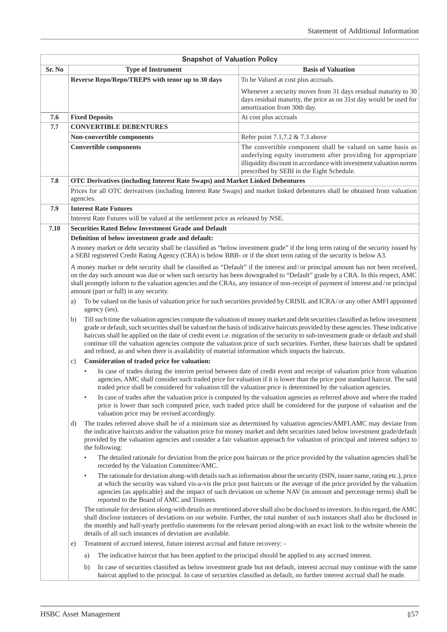|        | <b>Snapshot of Valuation Policy</b>                                                                                                                                                                                                                                                                                                                                                                                                                                                                                                                                                                                                                    |                                                                                                                                                                                                                                                                                                                                                                                                    |  |  |  |  |
|--------|--------------------------------------------------------------------------------------------------------------------------------------------------------------------------------------------------------------------------------------------------------------------------------------------------------------------------------------------------------------------------------------------------------------------------------------------------------------------------------------------------------------------------------------------------------------------------------------------------------------------------------------------------------|----------------------------------------------------------------------------------------------------------------------------------------------------------------------------------------------------------------------------------------------------------------------------------------------------------------------------------------------------------------------------------------------------|--|--|--|--|
| Sr. No | <b>Type of Instrument</b>                                                                                                                                                                                                                                                                                                                                                                                                                                                                                                                                                                                                                              | <b>Basis of Valuation</b>                                                                                                                                                                                                                                                                                                                                                                          |  |  |  |  |
|        | Reverse Repo/Repo/TREPS with tenor up to 30 days                                                                                                                                                                                                                                                                                                                                                                                                                                                                                                                                                                                                       | To be Valued at cost plus accruals.                                                                                                                                                                                                                                                                                                                                                                |  |  |  |  |
|        |                                                                                                                                                                                                                                                                                                                                                                                                                                                                                                                                                                                                                                                        | Whenever a security moves from 31 days residual maturity to 30<br>days residual maturity, the price as on 31st day would be used for<br>amortization from 30th day.                                                                                                                                                                                                                                |  |  |  |  |
| 7.6    | <b>Fixed Deposits</b>                                                                                                                                                                                                                                                                                                                                                                                                                                                                                                                                                                                                                                  | At cost plus accruals                                                                                                                                                                                                                                                                                                                                                                              |  |  |  |  |
| 7.7    | <b>CONVERTIBLE DEBENTURES</b>                                                                                                                                                                                                                                                                                                                                                                                                                                                                                                                                                                                                                          |                                                                                                                                                                                                                                                                                                                                                                                                    |  |  |  |  |
|        | Non-convertible components                                                                                                                                                                                                                                                                                                                                                                                                                                                                                                                                                                                                                             | Refer point 7.1,7.2 & 7.3 above                                                                                                                                                                                                                                                                                                                                                                    |  |  |  |  |
|        | <b>Convertible components</b>                                                                                                                                                                                                                                                                                                                                                                                                                                                                                                                                                                                                                          | The convertible component shall be valued on same basis as<br>underlying equity instrument after providing for appropriate<br>illiquidity discount in accordance with investment valuation norms<br>prescribed by SEBI in the Eight Schedule.                                                                                                                                                      |  |  |  |  |
| 7.8    | OTC Derivatives (including Interest Rate Swaps) and Market Linked Debentures                                                                                                                                                                                                                                                                                                                                                                                                                                                                                                                                                                           |                                                                                                                                                                                                                                                                                                                                                                                                    |  |  |  |  |
|        | agencies.                                                                                                                                                                                                                                                                                                                                                                                                                                                                                                                                                                                                                                              | Prices for all OTC derivatives (including Interest Rate Swaps) and market linked debentures shall be obtained from valuation                                                                                                                                                                                                                                                                       |  |  |  |  |
| 7.9    | <b>Interest Rate Futures</b>                                                                                                                                                                                                                                                                                                                                                                                                                                                                                                                                                                                                                           |                                                                                                                                                                                                                                                                                                                                                                                                    |  |  |  |  |
|        | Interest Rate Futures will be valued at the settlement price as released by NSE.                                                                                                                                                                                                                                                                                                                                                                                                                                                                                                                                                                       |                                                                                                                                                                                                                                                                                                                                                                                                    |  |  |  |  |
| 7.10   | <b>Securities Rated Below Investment Grade and Default</b>                                                                                                                                                                                                                                                                                                                                                                                                                                                                                                                                                                                             |                                                                                                                                                                                                                                                                                                                                                                                                    |  |  |  |  |
|        | Definition of below investment grade and default:                                                                                                                                                                                                                                                                                                                                                                                                                                                                                                                                                                                                      |                                                                                                                                                                                                                                                                                                                                                                                                    |  |  |  |  |
|        | a SEBI registered Credit Rating Agency (CRA) is below BBB- or if the short term rating of the security is below A3.                                                                                                                                                                                                                                                                                                                                                                                                                                                                                                                                    | A money market or debt security shall be classified as "below investment grade" if the long term rating of the security issued by                                                                                                                                                                                                                                                                  |  |  |  |  |
|        | amount (part or full) in any security.                                                                                                                                                                                                                                                                                                                                                                                                                                                                                                                                                                                                                 | A money market or debt security shall be classified as "Default" if the interest and/or principal amount has not been received,<br>on the day such amount was due or when such security has been downgraded to "Default" grade by a CRA. In this respect, AMC<br>shall promptly inform to the valuation agencies and the CRAs, any instance of non-receipt of payment of interest and/or principal |  |  |  |  |
|        | a)<br>agency (ies).                                                                                                                                                                                                                                                                                                                                                                                                                                                                                                                                                                                                                                    | To be valued on the basis of valuation price for such securities provided by CRISIL and ICRA/or any other AMFI appointed                                                                                                                                                                                                                                                                           |  |  |  |  |
|        | Till such time the valuation agencies compute the valuation of money market and debt securities classified as below investment<br>b)<br>grade or default, such securities shall be valued on the basis of indicative haircuts provided by these agencies. These indicative<br>haircuts shall be applied on the date of credit event i.e. migration of the security to sub-investment grade or default and shall<br>continue till the valuation agencies compute the valuation price of such securities. Further, these haircuts shall be updated<br>and refined, as and when there is availability of material information which impacts the haircuts. |                                                                                                                                                                                                                                                                                                                                                                                                    |  |  |  |  |
|        | Consideration of traded price for valuation:<br>$\mathbf{c})$                                                                                                                                                                                                                                                                                                                                                                                                                                                                                                                                                                                          |                                                                                                                                                                                                                                                                                                                                                                                                    |  |  |  |  |
|        |                                                                                                                                                                                                                                                                                                                                                                                                                                                                                                                                                                                                                                                        | In case of trades during the interim period between date of credit event and receipt of valuation price from valuation<br>agencies, AMC shall consider such traded price for valuation if it is lower than the price post standard haircut. The said<br>traded price shall be considered for valuation till the valuation price is determined by the valuation agencies.                           |  |  |  |  |
|        | valuation price may be revised accordingly.                                                                                                                                                                                                                                                                                                                                                                                                                                                                                                                                                                                                            | In case of trades after the valuation price is computed by the valuation agencies as referred above and where the traded<br>price is lower than such computed price, such traded price shall be considered for the purpose of valuation and the                                                                                                                                                    |  |  |  |  |
|        | d)<br>the following:                                                                                                                                                                                                                                                                                                                                                                                                                                                                                                                                                                                                                                   | The trades referred above shall be of a minimum size as determined by valuation agencies/AMFI.AMC may deviate from<br>the indicative haircuts and/or the valuation price for money market and debt securities rated below investment grade/default<br>provided by the valuation agencies and consider a fair valuation approach for valuation of principal and interest subject to                 |  |  |  |  |
|        | $\bullet$<br>recorded by the Valuation Committee/AMC.                                                                                                                                                                                                                                                                                                                                                                                                                                                                                                                                                                                                  | The detailed rationale for deviation from the price post haircuts or the price provided by the valuation agencies shall be                                                                                                                                                                                                                                                                         |  |  |  |  |
|        | $\bullet$<br>reported to the Board of AMC and Trustees.                                                                                                                                                                                                                                                                                                                                                                                                                                                                                                                                                                                                | The rationale for deviation along-with details such as information about the security (ISIN, issuer name, rating etc.), price<br>at which the security was valued vis-a-vis the price post haircuts or the average of the price provided by the valuation<br>agencies (as applicable) and the impact of such deviation on scheme NAV (in amount and percentage terms) shall be                     |  |  |  |  |
|        | details of all such instances of deviation are available.                                                                                                                                                                                                                                                                                                                                                                                                                                                                                                                                                                                              | The rationale for deviation along-with details as mentioned above shall also be disclosed to investors. In this regard, the AMC<br>shall disclose instances of deviations on our website. Further, the total number of such instances shall also be disclosed in<br>the monthly and half-yearly portfolio statements for the relevant period along-with an exact link to the website wherein the   |  |  |  |  |
|        | Treatment of accrued interest, future interest accrual and future recovery: -<br>e)                                                                                                                                                                                                                                                                                                                                                                                                                                                                                                                                                                    |                                                                                                                                                                                                                                                                                                                                                                                                    |  |  |  |  |
|        | The indicative haircut that has been applied to the principal should be applied to any accrued interest.<br>a)                                                                                                                                                                                                                                                                                                                                                                                                                                                                                                                                         |                                                                                                                                                                                                                                                                                                                                                                                                    |  |  |  |  |
|        | b)                                                                                                                                                                                                                                                                                                                                                                                                                                                                                                                                                                                                                                                     | In case of securities classified as below investment grade but not default, interest accrual may continue with the same<br>haircut applied to the principal. In case of securities classified as default, no further interest accrual shall be made.                                                                                                                                               |  |  |  |  |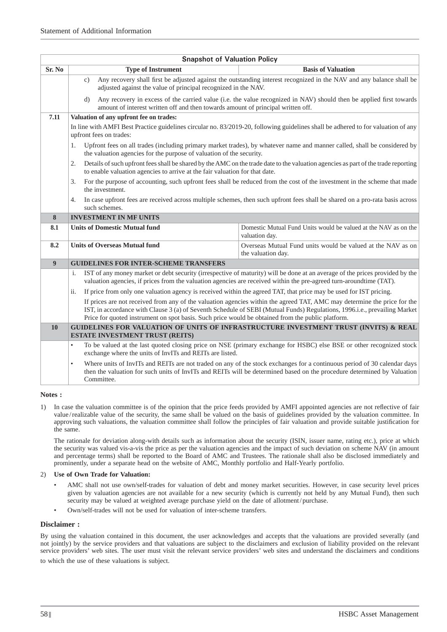|        | <b>Snapshot of Valuation Policy</b>                                                                                                                                                                                                                                                                                                                        |                                                                                                                                                                                                                                                     |  |  |  |  |
|--------|------------------------------------------------------------------------------------------------------------------------------------------------------------------------------------------------------------------------------------------------------------------------------------------------------------------------------------------------------------|-----------------------------------------------------------------------------------------------------------------------------------------------------------------------------------------------------------------------------------------------------|--|--|--|--|
| Sr. No | <b>Type of Instrument</b>                                                                                                                                                                                                                                                                                                                                  | <b>Basis of Valuation</b>                                                                                                                                                                                                                           |  |  |  |  |
|        | Any recovery shall first be adjusted against the outstanding interest recognized in the NAV and any balance shall be<br>$\mathbf{c}$ )<br>adjusted against the value of principal recognized in the NAV.                                                                                                                                                   |                                                                                                                                                                                                                                                     |  |  |  |  |
|        | Any recovery in excess of the carried value (i.e. the value recognized in NAV) should then be applied first towards<br>$\mathbf{d}$<br>amount of interest written off and then towards amount of principal written off.                                                                                                                                    |                                                                                                                                                                                                                                                     |  |  |  |  |
| 7.11   | Valuation of any upfront fee on trades:                                                                                                                                                                                                                                                                                                                    |                                                                                                                                                                                                                                                     |  |  |  |  |
|        | upfront fees on trades:                                                                                                                                                                                                                                                                                                                                    | In line with AMFI Best Practice guidelines circular no. 83/2019-20, following guidelines shall be adhered to for valuation of any                                                                                                                   |  |  |  |  |
|        | Upfront fees on all trades (including primary market trades), by whatever name and manner called, shall be considered by<br>1.<br>the valuation agencies for the purpose of valuation of the security.                                                                                                                                                     |                                                                                                                                                                                                                                                     |  |  |  |  |
|        | Details of such upfront fees shall be shared by the AMC on the trade date to the valuation agencies as part of the trade reporting<br>2.<br>to enable valuation agencies to arrive at the fair valuation for that date.                                                                                                                                    |                                                                                                                                                                                                                                                     |  |  |  |  |
|        | 3.<br>the investment.                                                                                                                                                                                                                                                                                                                                      | For the purpose of accounting, such upfront fees shall be reduced from the cost of the investment in the scheme that made                                                                                                                           |  |  |  |  |
|        | 4.<br>such schemes.                                                                                                                                                                                                                                                                                                                                        | In case upfront fees are received across multiple schemes, then such upfront fees shall be shared on a pro-rata basis across                                                                                                                        |  |  |  |  |
| 8      | <b>INVESTMENT IN MF UNITS</b>                                                                                                                                                                                                                                                                                                                              |                                                                                                                                                                                                                                                     |  |  |  |  |
| 8.1    | <b>Units of Domestic Mutual fund</b>                                                                                                                                                                                                                                                                                                                       | Domestic Mutual Fund Units would be valued at the NAV as on the<br>valuation day.                                                                                                                                                                   |  |  |  |  |
| 8.2    | <b>Units of Overseas Mutual fund</b>                                                                                                                                                                                                                                                                                                                       | Overseas Mutual Fund units would be valued at the NAV as on<br>the valuation day.                                                                                                                                                                   |  |  |  |  |
| 9      | <b>GUIDELINES FOR INTER-SCHEME TRANSFERS</b>                                                                                                                                                                                                                                                                                                               |                                                                                                                                                                                                                                                     |  |  |  |  |
|        | $\mathbf{i}$ .                                                                                                                                                                                                                                                                                                                                             | IST of any money market or debt security (irrespective of maturity) will be done at an average of the prices provided by the<br>valuation agencies, if prices from the valuation agencies are received within the pre-agreed turn-aroundtime (TAT). |  |  |  |  |
|        | If price from only one valuation agency is received within the agreed TAT, that price may be used for IST pricing.<br>ii.                                                                                                                                                                                                                                  |                                                                                                                                                                                                                                                     |  |  |  |  |
|        | If prices are not received from any of the valuation agencies within the agreed TAT, AMC may determine the price for the<br>IST, in accordance with Clause 3 (a) of Seventh Schedule of SEBI (Mutual Funds) Regulations, 1996.i.e., prevailing Market<br>Price for quoted instrument on spot basis. Such price would be obtained from the public platform. |                                                                                                                                                                                                                                                     |  |  |  |  |
| 10     | GUIDELINES FOR VALUATION OF UNITS OF INFRASTRUCTURE INVESTMENT TRUST (INVITS) & REAL<br><b>ESTATE INVESTMENT TRUST (REITS)</b>                                                                                                                                                                                                                             |                                                                                                                                                                                                                                                     |  |  |  |  |
|        | $\bullet$<br>exchange where the units of InvITs and REITs are listed.                                                                                                                                                                                                                                                                                      | To be valued at the last quoted closing price on NSE (primary exchange for HSBC) else BSE or other recognized stock                                                                                                                                 |  |  |  |  |
|        | Where units of InvITs and REITs are not traded on any of the stock exchanges for a continuous period of 30 calendar days<br>$\bullet$<br>then the valuation for such units of InvITs and REITs will be determined based on the procedure determined by Valuation<br>Committee.                                                                             |                                                                                                                                                                                                                                                     |  |  |  |  |

#### **Notes :**

1) In case the valuation committee is of the opinion that the price feeds provided by AMFI appointed agencies are not reflective of fair value / realizable value of the security, the same shall be valued on the basis of guidelines provided by the valuation committee. In approving such valuations, the valuation committee shall follow the principles of fair valuation and provide suitable justification for the same.

 The rationale for deviation along-with details such as information about the security (ISIN, issuer name, rating etc.), price at which the security was valued vis-a-vis the price as per the valuation agencies and the impact of such deviation on scheme NAV (in amount and percentage terms) shall be reported to the Board of AMC and Trustees. The rationale shall also be disclosed immediately and prominently, under a separate head on the website of AMC, Monthly portfolio and Half-Yearly portfolio.

#### 2) **Use of Own Trade for Valuation:**

- AMC shall not use own/self-trades for valuation of debt and money market securities. However, in case security level prices given by valuation agencies are not available for a new security (which is currently not held by any Mutual Fund), then such security may be valued at weighted average purchase yield on the date of allotment/purchase.
- Own/self-trades will not be used for valuation of inter-scheme transfers.

#### **Disclaimer :**

By using the valuation contained in this document, the user acknowledges and accepts that the valuations are provided severally (and not jointly) by the service providers and that valuations are subject to the disclaimers and exclusion of liability provided on the relevant service providers' web sites. The user must visit the relevant service providers' web sites and understand the disclaimers and conditions

to which the use of these valuations is subject.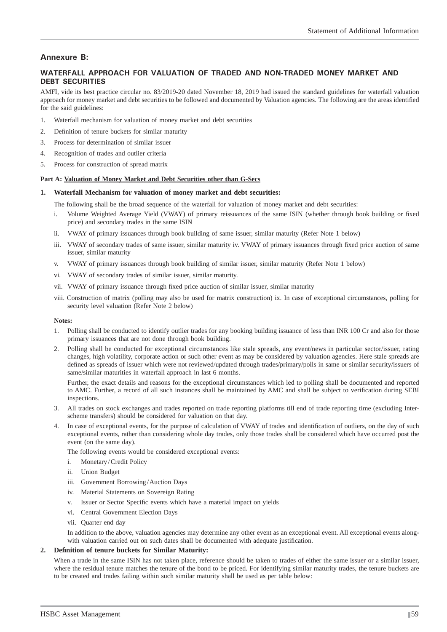# **Annexure B:**

### **WATERFALL APPROACH FOR VALUATION OF TRADED AND NON-TRADED MONEY MARKET AND DEBT SECURITIES**

AMFI, vide its best practice circular no. 83/2019-20 dated November 18, 2019 had issued the standard guidelines for waterfall valuation approach for money market and debt securities to be followed and documented by Valuation agencies. The following are the areas identified for the said guidelines:

- 1. Waterfall mechanism for valuation of money market and debt securities
- 2. Definition of tenure buckets for similar maturity
- 3. Process for determination of similar issuer
- 4. Recognition of trades and outlier criteria
- 5. Process for construction of spread matrix

#### **Part A: Valuation of Money Market and Debt Securities other than G-Secs**

#### **1. Waterfall Mechanism for valuation of money market and debt securities:**

The following shall be the broad sequence of the waterfall for valuation of money market and debt securities:

- i. Volume Weighted Average Yield (VWAY) of primary reissuances of the same ISIN (whether through book building or fixed price) and secondary trades in the same ISIN
- ii. VWAY of primary issuances through book building of same issuer, similar maturity (Refer Note 1 below)
- iii. VWAY of secondary trades of same issuer, similar maturity iv. VWAY of primary issuances through fixed price auction of same issuer, similar maturity
- v. VWAY of primary issuances through book building of similar issuer, similar maturity (Refer Note 1 below)
- vi. VWAY of secondary trades of similar issuer, similar maturity.
- vii. VWAY of primary issuance through fixed price auction of similar issuer, similar maturity
- viii. Construction of matrix (polling may also be used for matrix construction) ix. In case of exceptional circumstances, polling for security level valuation (Refer Note 2 below)

#### **Notes:**

- 1. Polling shall be conducted to identify outlier trades for any booking building issuance of less than INR 100 Cr and also for those primary issuances that are not done through book building.
- 2. Polling shall be conducted for exceptional circumstances like stale spreads, any event/news in particular sector/issuer, rating changes, high volatility, corporate action or such other event as may be considered by valuation agencies. Here stale spreads are defined as spreads of issuer which were not reviewed/updated through trades/primary/polls in same or similar security/issuers of same/similar maturities in waterfall approach in last 6 months.

 Further, the exact details and reasons for the exceptional circumstances which led to polling shall be documented and reported to AMC. Further, a record of all such instances shall be maintained by AMC and shall be subject to verification during SEBI inspections.

- 3. All trades on stock exchanges and trades reported on trade reporting platforms till end of trade reporting time (excluding Interscheme transfers) should be considered for valuation on that day.
- 4. In case of exceptional events, for the purpose of calculation of VWAY of trades and identification of outliers, on the day of such exceptional events, rather than considering whole day trades, only those trades shall be considered which have occurred post the event (on the same day).

The following events would be considered exceptional events:

- i. Monetary / Credit Policy
- ii. Union Budget
- iii. Government Borrowing / Auction Days
- iv. Material Statements on Sovereign Rating
- v. Issuer or Sector Specific events which have a material impact on yields
- vi. Central Government Election Days
- vii. Quarter end day

In addition to the above, valuation agencies may determine any other event as an exceptional event. All exceptional events alongwith valuation carried out on such dates shall be documented with adequate justification.

#### **2. Defi nition of tenure buckets for Similar Maturity:**

When a trade in the same ISIN has not taken place, reference should be taken to trades of either the same issuer or a similar issuer, where the residual tenure matches the tenure of the bond to be priced. For identifying similar maturity trades, the tenure buckets are to be created and trades failing within such similar maturity shall be used as per table below: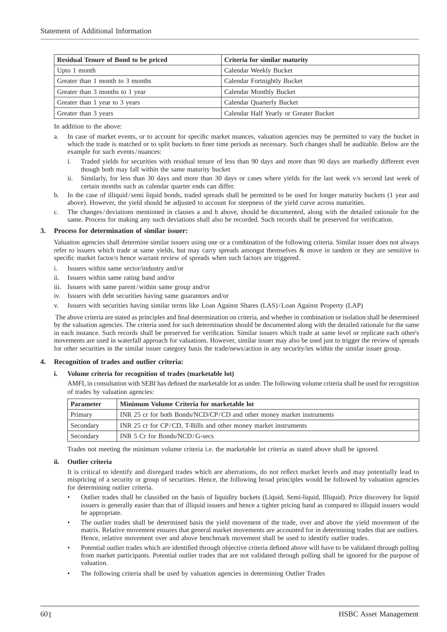| <b>Residual Tenure of Bond to be priced</b> | Criteria for similar maturity          |  |  |
|---------------------------------------------|----------------------------------------|--|--|
| Upto 1 month                                | Calendar Weekly Bucket                 |  |  |
| Greater than 1 month to 3 months            | Calendar Fortnightly Bucket            |  |  |
| Greater than 3 months to 1 year             | Calendar Monthly Bucket                |  |  |
| Greater than 1 year to 3 years              | Calendar Quarterly Bucket              |  |  |
| Greater than 3 years                        | Calendar Half Yearly or Greater Bucket |  |  |

In addition to the above:

- a. In case of market events, or to account for specific market nuances, valuation agencies may be permitted to vary the bucket in which the trade is matched or to split buckets to finer time periods as necessary. Such changes shall be auditable. Below are the example for such events / nuances:
	- i. Traded yields for securities with residual tenure of less than 90 days and more than 90 days are markedly different even though both may fall within the same maturity bucket
	- ii. Similarly, for less than 30 days and more than 30 days or cases where yields for the last week v/s second last week of certain months such as calendar quarter ends can differ.
- b. In the case of illiquid/semi liquid bonds, traded spreads shall be permitted to be used for longer maturity buckets (1 year and above). However, the yield should be adjusted to account for steepness of the yield curve across maturities.
- c. The changes / deviations mentioned in clauses a and b above, should be documented, along with the detailed rationale for the same. Process for making any such deviations shall also be recorded. Such records shall be preserved for verification.

#### **3. Process for determination of similar issuer:**

 Valuation agencies shall determine similar issuers using one or a combination of the following criteria. Similar issuer does not always refer to issuers which trade at same yields, but may carry spreads amongst themselves & move in tandem or they are sensitive to specific market factor/s hence warrant review of spreads when such factors are triggered.

- i. Issuers within same sector/industry and/or
- ii. Issuers within same rating band and/or
- iii. Issuers with same parent/within same group and/or
- iv. Issuers with debt securities having same guarantors and/or
- v. Issuers with securities having similar terms like Loan Against Shares (LAS) / Loan Against Property (LAP)

The above criteria are stated as principles and final determination on criteria, and whether in combination or isolation shall be determined by the valuation agencies. The criteria used for such determination should be documented along with the detailed rationale for the same in each instance. Such records shall be preserved for verification. Similar issuers which trade at same level or replicate each other's movements are used in waterfall approach for valuations. However, similar issuer may also be used just to trigger the review of spreads for other securities in the similar issuer category basis the trade/news/action in any security/ies within the similar issuer group.

#### **4. Recognition of trades and outlier criteria:**

#### **i. Volume criteria for recognition of trades (marketable lot)**

AMFI, in consultation with SEBI has defined the marketable lot as under. The following volume criteria shall be used for recognition of trades by valuation agencies:

| <b>Parameter</b> | Minimum Volume Criteria for marketable lot                            |  |  |
|------------------|-----------------------------------------------------------------------|--|--|
| Primary          | INR 25 cr for both Bonds/NCD/CP/CD and other money market instruments |  |  |
| Secondary        | INR 25 cr for CP/CD, T-Bills and other money market instruments       |  |  |
| Secondary        | INR $5$ Cr for Bonds/NCD/G-secs                                       |  |  |

Trades not meeting the minimum volume criteria i.e. the marketable lot criteria as stated above shall be ignored.

#### **ii. Outlier criteria**

It is critical to identify and disregard trades which are aberrations, do not reflect market levels and may potentially lead to mispricing of a security or group of securities. Hence, the following broad principles would be followed by valuation agencies for determining outlier criteria.

- Outlier trades shall be classified on the basis of liquidity buckets (Liquid, Semi-liquid, Illiquid). Price discovery for liquid issuers is generally easier than that of illiquid issuers and hence a tighter pricing band as compared to illiquid issuers would be appropriate.
- The outlier trades shall be determined basis the yield movement of the trade, over and above the yield movement of the matrix. Relative movement ensures that general market movements are accounted for in determining trades that are outliers. Hence, relative movement over and above benchmark movement shall be used to identify outlier trades.
- Potential outlier trades which are identified through objective criteria defined above will have to be validated through polling from market participants. Potential outlier trades that are not validated through polling shall be ignored for the purpose of valuation.
- The following criteria shall be used by valuation agencies in determining Outlier Trades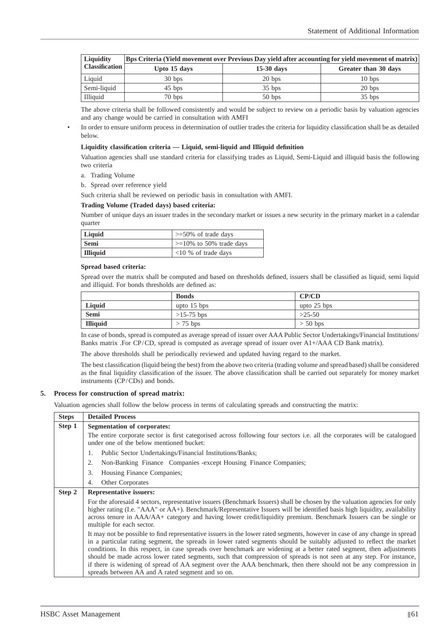| <b>Liquidity</b> | Bps Criteria (Yield movement over Previous Day yield after accounting for yield movement of matrix) |              |                      |  |  |  |
|------------------|-----------------------------------------------------------------------------------------------------|--------------|----------------------|--|--|--|
| Classification   | Upto 15 days                                                                                        | $15-30$ days | Greater than 30 days |  |  |  |
| Liquid           | 30 <sub>bps</sub>                                                                                   | 20 bps       | 10 <sub>bps</sub>    |  |  |  |
| Semi-liquid      | $45$ bps                                                                                            | $35$ bps     | 20 bps               |  |  |  |
| Illiquid         | $70$ bps                                                                                            | $50$ bps     | $35$ bps             |  |  |  |

 The above criteria shall be followed consistently and would be subject to review on a periodic basis by valuation agencies and any change would be carried in consultation with AMFI

In order to ensure uniform process in determination of outlier trades the criteria for liquidity classification shall be as detailed below.

#### Liquidity classification criteria — Liquid, semi-liquid and Illiquid definition

 Valuation agencies shall use standard criteria for classifying trades as Liquid, Semi-Liquid and illiquid basis the following two criteria

a. Trading Volume

b. Spread over reference yield

Such criteria shall be reviewed on periodic basis in consultation with AMFI.

#### **Trading Volume (Traded days) based criteria:**

 Number of unique days an issuer trades in the secondary market or issues a new security in the primary market in a calendar quarter

| Liquid   | $\geq$ =50% of trade days     |
|----------|-------------------------------|
| Semi     | $\geq$ =10% to 50% trade days |
| Illiquid | $< 10$ % of trade days        |

#### **Spread based criteria:**

Spread over the matrix shall be computed and based on thresholds defined, issuers shall be classified as liquid, semi liquid and illiquid. For bonds thresholds are defined as:

|                 | <b>Bonds</b>  | CP/CD         |  |
|-----------------|---------------|---------------|--|
| Liquid          | upto $15$ bps | upto $25$ bps |  |
| Semi            | $>15-75$ bps  | $>25-50$      |  |
| <b>Illiquid</b> | $> 75$ bps    | $> 50$ bps    |  |

 In case of bonds, spread is computed as average spread of issuer over AAA Public Sector Undertakings/Financial Institutions/ Banks matrix .For CP/CD, spread is computed as average spread of issuer over A1+/AAA CD Bank matrix).

The above thresholds shall be periodically reviewed and updated having regard to the market.

The best classification (liquid being the best) from the above two criteria (trading volume and spread based) shall be considered as the final liquidity classification of the issuer. The above classification shall be carried out separately for money market instruments (CP/CDs) and bonds.

#### **5. Process for construction of spread matrix:**

Valuation agencies shall follow the below process in terms of calculating spreads and constructing the matrix:

| <b>Steps</b> | <b>Detailed Process</b>                                                                                                                                                                                                                                                                                                                                                                                                                                                                                                                                                                                                |  |  |  |  |
|--------------|------------------------------------------------------------------------------------------------------------------------------------------------------------------------------------------------------------------------------------------------------------------------------------------------------------------------------------------------------------------------------------------------------------------------------------------------------------------------------------------------------------------------------------------------------------------------------------------------------------------------|--|--|--|--|
| Step 1       | Segmentation of corporates:                                                                                                                                                                                                                                                                                                                                                                                                                                                                                                                                                                                            |  |  |  |  |
|              | The entire corporate sector is first categorised across following four sectors <i>i.e.</i> all the corporates will be catalogued<br>under one of the below mentioned bucket:                                                                                                                                                                                                                                                                                                                                                                                                                                           |  |  |  |  |
|              | Public Sector Undertakings/Financial Institutions/Banks;<br>1.                                                                                                                                                                                                                                                                                                                                                                                                                                                                                                                                                         |  |  |  |  |
|              | Non-Banking Finance Companies - except Housing Finance Companies;<br>2.                                                                                                                                                                                                                                                                                                                                                                                                                                                                                                                                                |  |  |  |  |
|              | 3.<br>Housing Finance Companies;                                                                                                                                                                                                                                                                                                                                                                                                                                                                                                                                                                                       |  |  |  |  |
|              | <b>Other Corporates</b><br>4.                                                                                                                                                                                                                                                                                                                                                                                                                                                                                                                                                                                          |  |  |  |  |
| Step 2       | <b>Representative issuers:</b>                                                                                                                                                                                                                                                                                                                                                                                                                                                                                                                                                                                         |  |  |  |  |
|              | For the aforesaid 4 sectors, representative issuers (Benchmark Issuers) shall be chosen by the valuation agencies for only<br>higher rating (I.e. "AAA" or AA+). Benchmark/Representative Issuers will be identified basis high liquidity, availability<br>across tenure in AAA/AA+ category and having lower credit/liquidity premium. Benchmark Issuers can be single or<br>multiple for each sector.                                                                                                                                                                                                                |  |  |  |  |
|              | It may not be possible to find representative issuers in the lower rated segments, however in case of any change in spread<br>in a particular rating segment, the spreads in lower rated segments should be suitably adjusted to reflect the market<br>conditions. In this respect, in case spreads over benchmark are widening at a better rated segment, then adjustments<br>should be made across lower rated segments, such that compression of spreads is not seen at any step. For instance,<br>if there is widening of spread of AA segment over the AAA benchmark, then there should not be any compression in |  |  |  |  |
|              | spreads between AA and A rated segment and so on.                                                                                                                                                                                                                                                                                                                                                                                                                                                                                                                                                                      |  |  |  |  |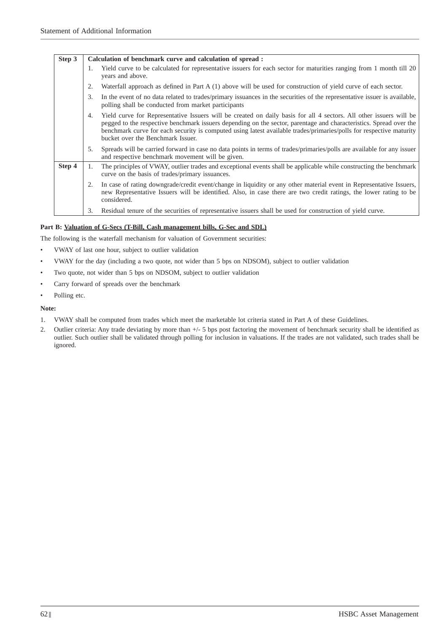| Step 3 |    | Calculation of benchmark curve and calculation of spread :                                                                                                                                                                                                                                                                                                                                           |  |  |  |  |
|--------|----|------------------------------------------------------------------------------------------------------------------------------------------------------------------------------------------------------------------------------------------------------------------------------------------------------------------------------------------------------------------------------------------------------|--|--|--|--|
|        | 1. | Yield curve to be calculated for representative issuers for each sector for maturities ranging from 1 month till 20<br>years and above.                                                                                                                                                                                                                                                              |  |  |  |  |
|        | 2. | Waterfall approach as defined in Part A (1) above will be used for construction of yield curve of each sector.                                                                                                                                                                                                                                                                                       |  |  |  |  |
|        | 3. | In the event of no data related to trades/primary issuances in the securities of the representative issuer is available,<br>polling shall be conducted from market participants                                                                                                                                                                                                                      |  |  |  |  |
|        | 4. | Yield curve for Representative Issuers will be created on daily basis for all 4 sectors. All other issuers will be<br>pegged to the respective benchmark issuers depending on the sector, parentage and characteristics. Spread over the<br>benchmark curve for each security is computed using latest available trades/primaries/polls for respective maturity<br>bucket over the Benchmark Issuer. |  |  |  |  |
|        | 5. | Spreads will be carried forward in case no data points in terms of trades/primaries/polls are available for any issuer<br>and respective benchmark movement will be given.                                                                                                                                                                                                                           |  |  |  |  |
| Step 4 | 1. | The principles of VWAY, outlier trades and exceptional events shall be applicable while constructing the benchmark<br>curve on the basis of trades/primary issuances.                                                                                                                                                                                                                                |  |  |  |  |
|        | 2. | In case of rating downgrade/credit event/change in liquidity or any other material event in Representative Issuers,<br>new Representative Issuers will be identified. Also, in case there are two credit ratings, the lower rating to be<br>considered.                                                                                                                                              |  |  |  |  |
|        | 3. | Residual tenure of the securities of representative issuers shall be used for construction of yield curve.                                                                                                                                                                                                                                                                                           |  |  |  |  |

### **Part B: Valuation of G-Secs (T-Bill, Cash management bills, G-Sec and SDL)**

The following is the waterfall mechanism for valuation of Government securities:

- VWAY of last one hour, subject to outlier validation
- VWAY for the day (including a two quote, not wider than 5 bps on NDSOM), subject to outlier validation
- Two quote, not wider than 5 bps on NDSOM, subject to outlier validation
- Carry forward of spreads over the benchmark
- Polling etc.

### **Note:**

- 1. VWAY shall be computed from trades which meet the marketable lot criteria stated in Part A of these Guidelines.
- 2. Outlier criteria: Any trade deviating by more than  $+/-$  5 bps post factoring the movement of benchmark security shall be identified as outlier. Such outlier shall be validated through polling for inclusion in valuations. If the trades are not validated, such trades shall be ignored.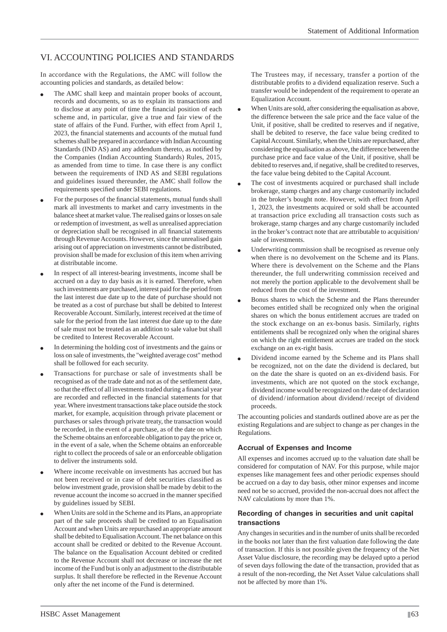# VI. ACCOUNTING POLICIES AND STANDARDS

In accordance with the Regulations, the AMC will follow the accounting policies and standards, as detailed below:

- The AMC shall keep and maintain proper books of account, records and documents, so as to explain its transactions and to disclose at any point of time the financial position of each scheme and, in particular, give a true and fair view of the state of affairs of the Fund. Further, with effect from April 1, 2023, the financial statements and accounts of the mutual fund schemes shall be prepared in accordance with Indian Accounting Standards (IND AS) and any addendum thereto, as notified by the Companies (Indian Accounting Standards) Rules, 2015, as amended from time to time. In case there is any conflict between the requirements of IND AS and SEBI regulations and guidelines issued thereunder, the AMC shall follow the requirements specified under SEBI regulations.
- For the purposes of the financial statements, mutual funds shall mark all investments to market and carry investments in the balance sheet at market value. The realised gains or losses on sale or redemption of investment, as well as unrealised appreciation or depreciation shall be recognised in all financial statements through Revenue Accounts. However, since the unrealised gain arising out of appreciation on investments cannot be distributed, provision shall be made for exclusion of this item when arriving at distributable income.
- In respect of all interest-bearing investments, income shall be accrued on a day to day basis as it is earned. Therefore, when such investments are purchased, interest paid for the period from the last interest due date up to the date of purchase should not be treated as a cost of purchase but shall be debited to Interest Recoverable Account. Similarly, interest received at the time of sale for the period from the last interest due date up to the date of sale must not be treated as an addition to sale value but shall be credited to Interest Recoverable Account.
- In determining the holding cost of investments and the gains or loss on sale of investments, the "weighted average cost" method shall be followed for each security.
- Transactions for purchase or sale of investments shall be recognised as of the trade date and not as of the settlement date, so that the effect of all investments traded during a financial year are recorded and reflected in the financial statements for that year. Where investment transactions take place outside the stock market, for example, acquisition through private placement or purchases or sales through private treaty, the transaction would be recorded, in the event of a purchase, as of the date on which the Scheme obtains an enforceable obligation to pay the price or, in the event of a sale, when the Scheme obtains an enforceable right to collect the proceeds of sale or an enforceable obligation to deliver the instruments sold.
- Where income receivable on investments has accrued but has not been received or in case of debt securities classified as below investment grade, provision shall be made by debit to the revenue account the income so accrued in the manner specified by guidelines issued by SEBI.
- When Units are sold in the Scheme and its Plans, an appropriate part of the sale proceeds shall be credited to an Equalisation Account and when Units are repurchased an appropriate amount shall be debited to Equalisation Account. The net balance on this account shall be credited or debited to the Revenue Account. The balance on the Equalisation Account debited or credited to the Revenue Account shall not decrease or increase the net income of the Fund but is only an adjustment to the distributable surplus. It shall therefore be reflected in the Revenue Account only after the net income of the Fund is determined.

 The Trustees may, if necessary, transfer a portion of the distributable profits to a dividend equalization reserve. Such a transfer would be independent of the requirement to operate an Equalization Account.

- When Units are sold, after considering the equalisation as above, the difference between the sale price and the face value of the Unit, if positive, shall be credited to reserves and if negative, shall be debited to reserve, the face value being credited to Capital Account. Similarly, when the Units are repurchased, after considering the equalisation as above, the difference between the purchase price and face value of the Unit, if positive, shall be debited to reserves and, if negative, shall be credited to reserves, the face value being debited to the Capital Account.
- The cost of investments acquired or purchased shall include brokerage, stamp charges and any charge customarily included in the broker's bought note. However, with effect from April 1, 2023, the investments acquired or sold shall be accounted at transaction price excluding all transaction costs such as brokerage, stamp charges and any charge customarily included in the broker's contract note that are attributable to acquisition/ sale of investments.
- Underwriting commission shall be recognised as revenue only when there is no devolvement on the Scheme and its Plans. Where there is devolvement on the Scheme and the Plans thereunder, the full underwriting commission received and not merely the portion applicable to the devolvement shall be reduced from the cost of the investment.
- Bonus shares to which the Scheme and the Plans thereunder becomes entitled shall be recognized only when the original shares on which the bonus entitlement accrues are traded on the stock exchange on an ex-bonus basis. Similarly, rights entitlements shall be recognized only when the original shares on which the right entitlement accrues are traded on the stock exchange on an ex-right basis.
- Dividend income earned by the Scheme and its Plans shall be recognized, not on the date the dividend is declared, but on the date the share is quoted on an ex-dividend basis. For investments, which are not quoted on the stock exchange, dividend income would be recognized on the date of declaration of dividend / information about dividend / receipt of dividend proceeds.

The accounting policies and standards outlined above are as per the existing Regulations and are subject to change as per changes in the Regulations.

### **Accrual of Expenses and Income**

All expenses and incomes accrued up to the valuation date shall be considered for computation of NAV. For this purpose, while major expenses like management fees and other periodic expenses should be accrued on a day to day basis, other minor expenses and income need not be so accrued, provided the non-accrual does not affect the NAV calculations by more than 1%.

#### **Recording of changes in securities and unit capital transactions**

Any changes in securities and in the number of units shall be recorded in the books not later than the first valuation date following the date of transaction. If this is not possible given the frequency of the Net Asset Value disclosure, the recording may be delayed upto a period of seven days following the date of the transaction, provided that as a result of the non-recording, the Net Asset Value calculations shall not be affected by more than 1%.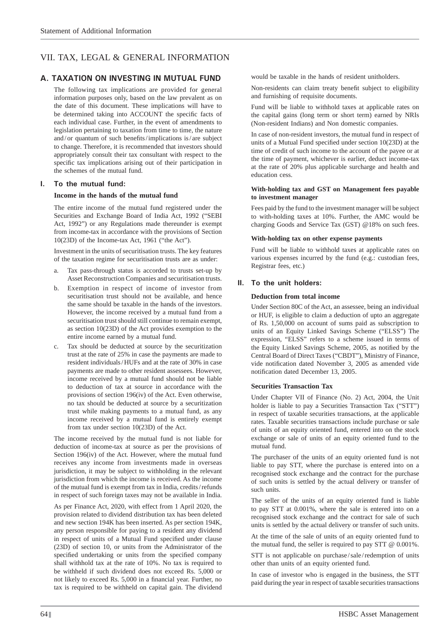# VII. TAX, LEGAL & GENERAL INFORMATION

# **A. TAXATION ON INVESTING IN MUTUAL FUND**

 The following tax implications are provided for general information purposes only, based on the law prevalent as on the date of this document. These implications will have to be determined taking into ACCOUNT the specific facts of each individual case. Further, in the event of amendments to legislation pertaining to taxation from time to time, the nature and/or quantum of such benefits/implications is/are subject to change. Therefore, it is recommended that investors should appropriately consult their tax consultant with respect to the specific tax implications arising out of their participation in the schemes of the mutual fund.

### **I. To the mutual fund:**

#### **Income in the hands of the mutual fund**

 The entire income of the mutual fund registered under the Securities and Exchange Board of India Act, 1992 ("SEBI Act, 1992") or any Regulations made thereunder is exempt from income-tax in accordance with the provisions of Section 10(23D) of the Income-tax Act, 1961 ("the Act").

 Investment in the units of securitisation trusts. The key features of the taxation regime for securitisation trusts are as under:

- a. Tax pass-through status is accorded to trusts set-up by Asset Reconstruction Companies and securitisation trusts.
- b. Exemption in respect of income of investor from securitisation trust should not be available, and hence the same should be taxable in the hands of the investors. However, the income received by a mutual fund from a securitisation trust should still continue to remain exempt, as section 10(23D) of the Act provides exemption to the entire income earned by a mutual fund.
- c. Tax should be deducted at source by the securitization trust at the rate of 25% in case the payments are made to resident individuals / HUFs and at the rate of 30% in case payments are made to other resident assessees. However, income received by a mutual fund should not be liable to deduction of tax at source in accordance with the provisions of section 196(iv) of the Act. Even otherwise, no tax should be deducted at source by a securitization trust while making payments to a mutual fund, as any income received by a mutual fund is entirely exempt from tax under section 10(23D) of the Act.

 The income received by the mutual fund is not liable for deduction of income-tax at source as per the provisions of Section 196(iv) of the Act. However, where the mutual fund receives any income from investments made in overseas jurisdiction, it may be subject to withholding in the relevant jurisdiction from which the income is received. As the income of the mutual fund is exempt from tax in India, credits / refunds in respect of such foreign taxes may not be available in India.

 As per Finance Act, 2020, with effect from 1 April 2020, the provision related to dividend distribution tax has been deleted and new section 194K has been inserted. As per section 194K, any person responsible for paying to a resident any dividend in respect of units of a Mutual Fund specified under clause (23D) of section 10, or units from the Administrator of the specified undertaking or units from the specified company shall withhold tax at the rate of 10%. No tax is required to be withheld if such dividend does not exceed Rs. 5,000 or not likely to exceed Rs. 5,000 in a financial year. Further, no tax is required to be withheld on capital gain. The dividend would be taxable in the hands of resident unitholders.

Non-residents can claim treaty benefit subject to eligibility and furnishing of requisite documents.

 Fund will be liable to withhold taxes at applicable rates on the capital gains (long term or short term) earned by NRIs (Non-resident Indians) and Non domestic companies.

 In case of non-resident investors, the mutual fund in respect of units of a Mutual Fund specified under section  $10(23D)$  at the time of credit of such income to the account of the payee or at the time of payment, whichever is earlier, deduct income-tax at the rate of 20% plus applicable surcharge and health and education cess.

#### **With-holding tax and GST on Management fees payable to investment manager**

 Fees paid by the fund to the investment manager will be subject to with-holding taxes at 10%. Further, the AMC would be charging Goods and Service Tax (GST) @18% on such fees.

#### **With-holding tax on other expense payments**

 Fund will be liable to withhold taxes at applicable rates on various expenses incurred by the fund (e.g.: custodian fees, Registrar fees, etc.)

### **II. To the unit holders:**

#### **Deduction from total income**

 Under Section 80C of the Act, an assessee, being an individual or HUF, is eligible to claim a deduction of upto an aggregate of Rs. 1,50,000 on account of sums paid as subscription to units of an Equity Linked Savings Scheme ("ELSS") The expression, "ELSS" refers to a scheme issued in terms of the Equity Linked Savings Scheme, 2005, as notified by the Central Board of Direct Taxes ("CBDT"), Ministry of Finance, vide notification dated November 3, 2005 as amended vide notification dated December 13, 2005.

### **Securities Transaction Tax**

 Under Chapter VII of Finance (No. 2) Act, 2004, the Unit holder is liable to pay a Securities Transaction Tax ("STT") in respect of taxable securities transactions, at the applicable rates. Taxable securities transactions include purchase or sale of units of an equity oriented fund, entered into on the stock exchange or sale of units of an equity oriented fund to the mutual fund.

 The purchaser of the units of an equity oriented fund is not liable to pay STT, where the purchase is entered into on a recognised stock exchange and the contract for the purchase of such units is settled by the actual delivery or transfer of such units.

 The seller of the units of an equity oriented fund is liable to pay STT at 0.001%, where the sale is entered into on a recognised stock exchange and the contract for sale of such units is settled by the actual delivery or transfer of such units.

 At the time of the sale of units of an equity oriented fund to the mutual fund, the seller is required to pay STT @ 0.001%.

 STT is not applicable on purchase / sale / redemption of units other than units of an equity oriented fund.

 In case of investor who is engaged in the business, the STT paid during the year in respect of taxable securities transactions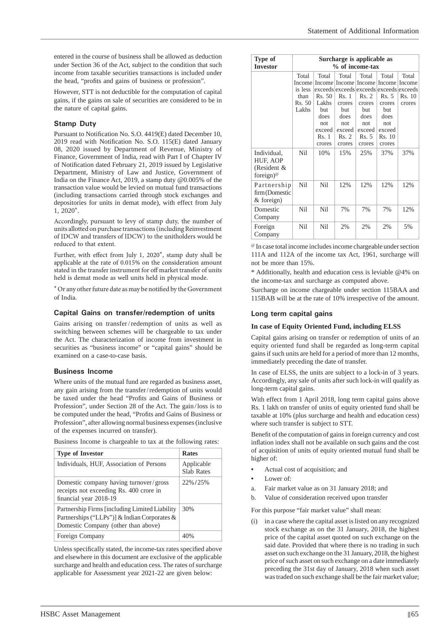entered in the course of business shall be allowed as deduction under Section 36 of the Act, subject to the condition that such income from taxable securities transactions is included under the head, "profits and gains of business or profession".

 However, STT is not deductible for the computation of capital gains, if the gains on sale of securities are considered to be in the nature of capital gains.

### **Stamp Duty**

Pursuant to Notification No. S.O. 4419(E) dated December 10,  $2019$  read with Notification No. S.O.  $115(E)$  dated January 08, 2020 issued by Department of Revenue, Ministry of Finance, Government of India, read with Part I of Chapter IV of Notification dated February 21, 2019 issued by Legislative Department, Ministry of Law and Justice, Government of India on the Finance Act, 2019, a stamp duty @0.005% of the transaction value would be levied on mutual fund transactions (including transactions carried through stock exchanges and depositories for units in demat mode), with effect from July 1, 2020\*.

 Accordingly, pursuant to levy of stamp duty, the number of units allotted on purchase transactions (including Reinvestment of IDCW and transfers of IDCW) to the unitholders would be reduced to that extent.

Further, with effect from July 1,  $2020^*$ , stamp duty shall be applicable at the rate of 0.015% on the consideration amount stated in the transfer instrument for off market transfer of units held is demat mode as well units held in physical mode.

 $^\star$  Or any other future date as may be notified by the Government of India.

#### **Capital Gains on transfer/redemption of units**

 Gains arising on transfer / redemption of units as well as switching between schemes will be chargeable to tax under the Act. The characterization of income from investment in securities as "business income" or "capital gains" should be examined on a case-to-case basis.

#### **Business Income**

 Where units of the mutual fund are regarded as business asset, any gain arising from the transfer / redemption of units would be taxed under the head "Profits and Gains of Business or Profession", under Section 28 of the Act. The gain / loss is to be computed under the head, "Profits and Gains of Business or Profession", after allowing normal business expenses (inclusive of the expenses incurred on transfer).

Business Income is chargeable to tax at the following rates:

| <b>Type of Investor</b>                                                                                                                | <b>Rates</b>                    |
|----------------------------------------------------------------------------------------------------------------------------------------|---------------------------------|
| Individuals, HUF, Association of Persons                                                                                               | Applicable<br><b>Slab Rates</b> |
| Domestic company having turnover/gross<br>receipts not exceeding Rs. 400 crore in<br>financial year 2018-19                            | 22%/25%                         |
| Partnership Firms [including Limited Liability]<br>Partnerships ("LLPs")] & Indian Corporates &<br>Domestic Company (other than above) | 30%                             |
| Foreign Company                                                                                                                        |                                 |

Unless specifically stated, the income-tax rates specified above and elsewhere in this document are exclusive of the applicable surcharge and health and education cess. The rates of surcharge applicable for Assessment year 2021-22 are given below:

| Type of<br>Surcharge is applicable as<br>% of income-tax<br><b>Investor</b> |                                                       |                                                                                                      |                                                                                                                         |                                                                                                     |                                                                                         |                                     |
|-----------------------------------------------------------------------------|-------------------------------------------------------|------------------------------------------------------------------------------------------------------|-------------------------------------------------------------------------------------------------------------------------|-----------------------------------------------------------------------------------------------------|-----------------------------------------------------------------------------------------|-------------------------------------|
|                                                                             | Total<br>Income<br>is less<br>than<br>Rs. 50<br>Lakhs | Total<br><b>Income</b><br>Rs. 50<br>Lakhs<br><b>but</b><br>does<br>not.<br>exceed<br>Rs. 1<br>crores | Total<br>exceeds exceeds exceeds exceeds exceeds<br>Rs. 1<br>crores<br>but<br>does<br>not.<br>exceed<br>Rs. 2<br>crores | Total<br>Income Income<br>Rs. 2<br>crores<br><b>but</b><br>does<br>not<br>exceed<br>Rs. 5<br>crores | Total<br>Income<br>Rs. 5<br>crores<br>but<br>does<br>not.<br>exceed<br>Rs. 10<br>crores | Total<br>Income<br>Rs. 10<br>crores |
| Individual,<br>HUF, AOP<br>(Resident &<br>foreign) <sup>®</sup>             | Nil                                                   | 10%                                                                                                  | 15%                                                                                                                     | 25%                                                                                                 | 37%                                                                                     | 37%                                 |
| Partnership<br>firm (Domestic<br>$&$ foreign)                               | Nil                                                   | Nil                                                                                                  | 12%                                                                                                                     | 12%                                                                                                 | 12%                                                                                     | 12%                                 |
| Domestic<br>Company                                                         | Nil                                                   | Nil                                                                                                  | 7%                                                                                                                      | 7%                                                                                                  | 7%                                                                                      | 12%                                 |
| Foreign<br>Company                                                          | Nil                                                   | Nil                                                                                                  | 2%                                                                                                                      | 2%                                                                                                  | 2%                                                                                      | 5%                                  |

@ In case total income includes income chargeable under section 111A and 112A of the income tax Act, 1961, surcharge will not be more than 15%.

 \* Additionally, health and education cess is leviable @4% on the income-tax and surcharge as computed above.

 Surcharge on income chargeable under section 115BAA and 115BAB will be at the rate of 10% irrespective of the amount.

### **Long term capital gains**

#### **In case of Equity Oriented Fund, including ELSS**

 Capital gains arising on transfer or redemption of units of an equity oriented fund shall be regarded as long-term capital gains if such units are held for a period of more than 12 months, immediately preceding the date of transfer.

 In case of ELSS, the units are subject to a lock-in of 3 years. Accordingly, any sale of units after such lock-in will qualify as long-term capital gains.

 With effect from 1 April 2018, long term capital gains above Rs. 1 lakh on transfer of units of equity oriented fund shall be taxable at 10% (plus surcharge and health and education cess) where such transfer is subject to STT.

Benefit of the computation of gains in foreign currency and cost inflation index shall not be available on such gains and the cost of acquisition of units of equity oriented mutual fund shall be higher of:

- Actual cost of acquisition; and
- Lower of:
- a. Fair market value as on 31 January 2018; and
- b. Value of consideration received upon transfer

For this purpose "fair market value" shall mean:

 (i) in a case where the capital asset is listed on any recognized stock exchange as on the 31 January, 2018, the highest price of the capital asset quoted on such exchange on the said date. Provided that where there is no trading in such asset on such exchange on the 31 January, 2018, the highest price of such asset on such exchange on a date immediately preceding the 31st day of January, 2018 when such asset was traded on such exchange shall be the fair market value;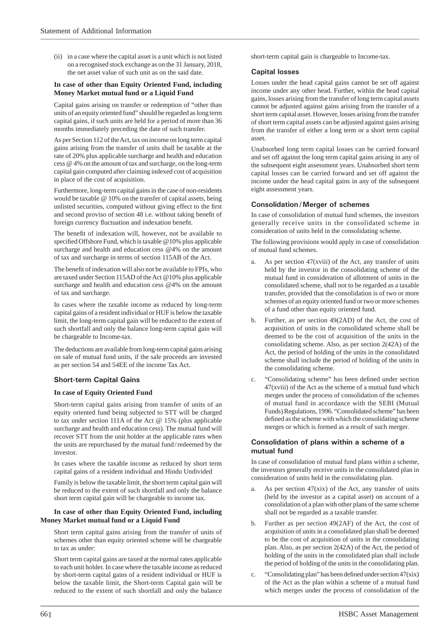(ii) in a case where the capital asset is a unit which is not listed on a recognised stock exchange as on the 31 January, 2018, the net asset value of such unit as on the said date.

### **In case of other than Equity Oriented Fund, including Money Market mutual fund or a Liquid Fund**

 Capital gains arising on transfer or redemption of "other than units of an equity oriented fund" should be regarded as long term capital gains, if such units are held for a period of more than 36 months immediately preceding the date of such transfer.

 As per Section 112 of the Act, tax on income on long term capital gains arising from the transfer of units shall be taxable at the rate of 20% plus applicable surcharge and health and education cess @ 4% on the amount of tax and surcharge, on the long-term capital gain computed after claiming indexed cost of acquisition in place of the cost of acquisition.

 Furthermore, long-term capital gains in the case of non-residents would be taxable @ 10% on the transfer of capital assets, being unlisted securities, computed without giving effect to the first and second proviso of section 48 i.e. without taking benefit of foreign currency fluctuation and indexation benefit.

The benefit of indexation will, however, not be available to specified Offshore Fund, which is taxable  $@10\%$  plus applicable surcharge and health and education cess @4% on the amount of tax and surcharge in terms of section 115AB of the Act.

The benefit of indexation will also not be available to FPIs, who are taxed under Section 115AD of the Act @10% plus applicable surcharge and health and education cess @4% on the amount of tax and surcharge.

 In cases where the taxable income as reduced by long-term capital gains of a resident individual or HUF is below the taxable limit, the long-term capital gain will be reduced to the extent of such shortfall and only the balance long-term capital gain will be chargeable to Income-tax.

 The deductions are available from long-term capital gains arising on sale of mutual fund units, if the sale proceeds are invested as per section 54 and 54EE of the income Tax Act.

# **Short-term Capital Gains**

### **In case of Equity Oriented Fund**

 Short-term capital gains arising from transfer of units of an equity oriented fund being subjected to STT will be charged to tax under section 111A of the Act @ 15% (plus applicable surcharge and health and education cess). The mutual fund will recover STT from the unit holder at the applicable rates when the units are repurchased by the mutual fund / redeemed by the investor.

 In cases where the taxable income as reduced by short term capital gains of a resident individual and Hindu Undivided

 Family is below the taxable limit, the short term capital gain will be reduced to the extent of such shortfall and only the balance short term capital gain will be chargeable to income tax.

#### **In case of other than Equity Oriented Fund, including Money Market mutual fund or a Liquid Fund**

 Short term capital gains arising from the transfer of units of schemes other than equity oriented scheme will be chargeable to tax as under:

 Short term capital gains are taxed at the normal rates applicable to each unit holder. In case where the taxable income as reduced by short-term capital gains of a resident individual or HUF is below the taxable limit, the Short-term Capital gain will be reduced to the extent of such shortfall and only the balance

short-term capital gain is chargeable to Income-tax.

## **Capital losses**

 Losses under the head capital gains cannot be set off against income under any other head. Further, within the head capital gains, losses arising from the transfer of long term capital assets cannot be adjusted against gains arising from the transfer of a short term capital asset. However, losses arising from the transfer of short term capital assets can be adjusted against gains arising from the transfer of either a long term or a short term capital asset.

 Unabsorbed long term capital losses can be carried forward and set off against the long term capital gains arising in any of the subsequent eight assessment years. Unabsorbed short term capital losses can be carried forward and set off against the income under the head capital gains in any of the subsequent eight assessment years.

# **Consolidation / Merger of schemes**

 In case of consolidation of mutual fund schemes, the investors generally receive units in the consolidated scheme in consideration of units held in the consolidating scheme.

 The following provisions would apply in case of consolidation of mutual fund schemes.

- a. As per section 47(xviii) of the Act, any transfer of units held by the investor in the consolidating scheme of the mutual fund in consideration of allotment of units in the consolidated scheme, shall not to be regarded as a taxable transfer, provided that the consolidation is of two or more schemes of an equity oriented fund or two or more schemes of a fund other than equity oriented fund.
- b. Further, as per section 49(2AD) of the Act, the cost of acquisition of units in the consolidated scheme shall be deemed to be the cost of acquisition of the units in the consolidating scheme. Also, as per section 2(42A) of the Act, the period of holding of the units in the consolidated scheme shall include the period of holding of the units in the consolidating scheme.
- c. "Consolidating scheme" has been defined under section 47(xviii) of the Act as the scheme of a mutual fund which merges under the process of consolidation of the schemes of mutual fund in accordance with the SEBI (Mutual Funds) Regulations, 1996. "Consolidated scheme" has been defined as the scheme with which the consolidating scheme merges or which is formed as a result of such merger.

### **Consolidation of plans within a scheme of a mutual fund**

 In case of consolidation of mutual fund plans within a scheme, the investors generally receive units in the consolidated plan in consideration of units held in the consolidating plan.

- a. As per section  $47(xix)$  of the Act, any transfer of units (held by the investor as a capital asset) on account of a consolidation of a plan with other plans of the same scheme shall not be regarded as a taxable transfer.
- b. Further as per section 49(2AF) of the Act, the cost of acquisition of units in a consolidated plan shall be deemed to be the cost of acquisition of units in the consolidating plan. Also, as per section 2(42A) of the Act, the period of holding of the units in the consolidated plan shall include the period of holding of the units in the consolidating plan.
- "Consolidating plan" has been defined under section 47(xix) of the Act as the plan within a scheme of a mutual fund which merges under the process of consolidation of the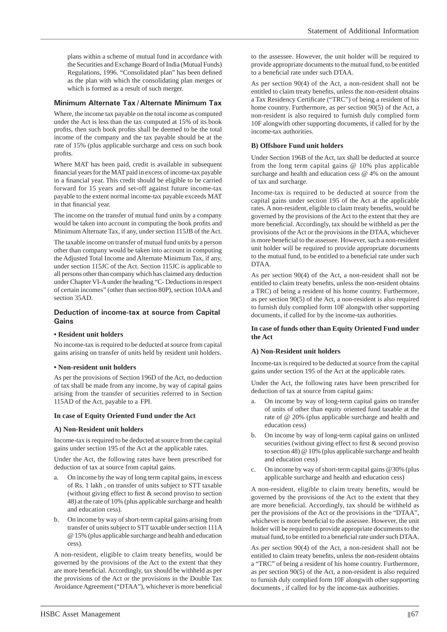plans within a scheme of mutual fund in accordance with the Securities and Exchange Board of India (Mutual Funds) Regulations, 1996. "Consolidated plan" has been defined as the plan with which the consolidating plan merges or which is formed as a result of such merger.

# **Minimum Alternate Tax / Alternate Minimum Tax**

 Where, the income tax payable on the total income as computed under the Act is less than the tax computed at 15% of its book profits, then such book profits shall be deemed to be the total income of the company and the tax payable should be at the rate of 15% (plus applicable surcharge and cess on such book profits.

Where MAT has been paid, credit is available in subsequent financial years for the MAT paid in excess of income-tax payable in a financial year. This credit should be eligible to be carried forward for 15 years and set-off against future income-tax payable to the extent normal income-tax payable exceeds MAT in that financial year.

 The income on the transfer of mutual fund units by a company would be taken into account in computing the book profits and Minimum Alternate Tax, if any, under section 115JB of the Act.

 The taxable income on transfer of mutual fund units by a person other than company would be taken into account in computing the Adjusted Total Income and Alternate Minimum Tax, if any, under section 115JC of the Act. Section 115JC is applicable to all persons other than company which has claimed any deduction under Chapter VI-A under the heading "C- Deductions in respect of certain incomes" (other than section 80P), section 10AA and section 35AD.

## **Deduction of income-tax at source from Capital Gains**

### **• Resident unit holders**

 No income-tax is required to be deducted at source from capital gains arising on transfer of units held by resident unit holders.

### **• Non-resident unit holders**

 As per the provisions of Section 196D of the Act, no deduction of tax shall be made from any income, by way of capital gains arising from the transfer of securities referred to in Section 115AD of the Act, payable to a FPI.

### **In case of Equity Oriented Fund under the Act**

### **A) Non-Resident unit holders**

 Income-tax is required to be deducted at source from the capital gains under section 195 of the Act at the applicable rates.

 Under the Act, the following rates have been prescribed for deduction of tax at source from capital gains.

- On income by the way of long term capital gains, in excess of Rs. 1 lakh , on transfer of units subject to STT taxable (without giving effect to first  $&$  second proviso to section 48) at the rate of 10% (plus applicable surcharge and health and education cess).
- b. On income by way of short-term capital gains arising from transfer of units subject to STT taxable under section 111A @ 15% (plus applicable surcharge and health and education cess).

 A non-resident, eligible to claim treaty benefits, would be governed by the provisions of the Act to the extent that they are more beneficial. Accordingly, tax should be withheld as per the provisions of the Act or the provisions in the Double Tax Avoidance Agreement ("DTAA"), whichever is more beneficial to the assessee. However, the unit holder will be required to provide appropriate documents to the mutual fund, to be entitled to a beneficial rate under such DTAA.

 As per section 90(4) of the Act, a non-resident shall not be entitled to claim treaty benefits, unless the non-resident obtains a Tax Residency Certificate ("TRC") of being a resident of his home country. Furthermore, as per section 90(5) of the Act, a non-resident is also required to furnish duly complied form 10F alongwith other supporting documents, if called for by the income-tax authorities.

### **B) Offshore Fund unit holders**

 Under Section 196B of the Act, tax shall be deducted at source from the long term capital gains @ 10% plus applicable surcharge and health and education cess @ 4% on the amount of tax and surcharge.

 Income-tax is required to be deducted at source from the capital gains under section 195 of the Act at the applicable rates. A non-resident, eligible to claim treaty benefits, would be governed by the provisions of the Act to the extent that they are more beneficial. Accordingly, tax should be withheld as per the provisions of the Act or the provisions in the DTAA, whichever is more beneficial to the assessee. However, such a non-resident unit holder will be required to provide appropriate documents to the mutual fund, to be entitled to a beneficial rate under such DTAA.

 As per section 90(4) of the Act, a non-resident shall not be entitled to claim treaty benefits, unless the non-resident obtains a TRC) of being a resident of his home country. Furthermore, as per section 90(5) of the Act, a non-resident is also required to furnish duly complied form 10F alongwith other supporting documents, if called for by the income-tax authorities.

### **In case of funds other than Equity Oriented Fund under the Act**

### **A) Non-Resident unit holders**

 Income-tax is required to be deducted at source from the capital gains under section 195 of the Act at the applicable rates.

 Under the Act, the following rates have been prescribed for deduction of tax at source from capital gains:

- a. On income by way of long-term capital gains on transfer of units of other than equity oriented fund taxable at the rate of @ 20% (plus applicable surcharge and health and education cess)
- b. On income by way of long-term capital gains on unlisted securities (without giving effect to first  $&$  second proviso to section 48) @ 10% (plus applicable surcharge and health and education cess)
- On income by way of short-term capital gains  $@30\%$  (plus applicable surcharge and health and education cess)

 A non-resident, eligible to claim treaty benefits, would be governed by the provisions of the Act to the extent that they are more beneficial. Accordingly, tax should be withheld as per the provisions of the Act or the provisions in the "DTAA", whichever is more beneficial to the assessee. However, the unit holder will be required to provide appropriate documents to the mutual fund, to be entitled to a beneficial rate under such DTAA.

 As per section 90(4) of the Act, a non-resident shall not be entitled to claim treaty benefits, unless the non-resident obtains a "TRC" of being a resident of his home country. Furthermore, as per section 90(5) of the Act, a non-resident is also required to furnish duly complied form 10F alongwith other supporting documents , if called for by the income-tax authorities.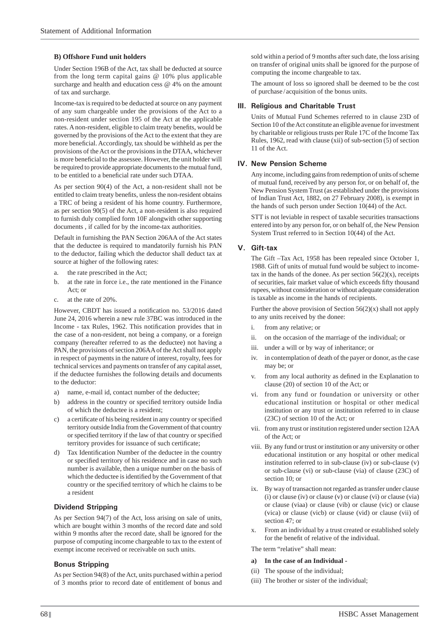#### **B) Offshore Fund unit holders**

 Under Section 196B of the Act, tax shall be deducted at source from the long term capital gains @ 10% plus applicable surcharge and health and education cess @ 4% on the amount of tax and surcharge.

 Income-tax is required to be deducted at source on any payment of any sum chargeable under the provisions of the Act to a non-resident under section 195 of the Act at the applicable rates. A non-resident, eligible to claim treaty benefits, would be governed by the provisions of the Act to the extent that they are more beneficial. Accordingly, tax should be withheld as per the provisions of the Act or the provisions in the DTAA, whichever is more beneficial to the assessee. However, the unit holder will be required to provide appropriate documents to the mutual fund, to be entitled to a beneficial rate under such DTAA.

 As per section 90(4) of the Act, a non-resident shall not be entitled to claim treaty benefits, unless the non-resident obtains a TRC of being a resident of his home country. Furthermore, as per section 90(5) of the Act, a non-resident is also required to furnish duly complied form 10F alongwith other supporting documents , if called for by the income-tax authorities.

 Default in furnishing the PAN Section 206AA of the Act states that the deductee is required to mandatorily furnish his PAN to the deductor, failing which the deductor shall deduct tax at source at higher of the following rates:

- a. the rate prescribed in the Act;
- b. at the rate in force i.e., the rate mentioned in the Finance Act; or
- c. at the rate of 20%.

However, CBDT has issued a notification no. 53/2016 dated June 24, 2016 wherein a new rule 37BC was introduced in the Income - tax Rules, 1962. This notification provides that in the case of a non-resident, not being a company, or a foreign company (hereafter referred to as the deductee) not having a PAN, the provisions of section 206AA of the Act shall not apply in respect of payments in the nature of interest, royalty, fees for technical services and payments on transfer of any capital asset, if the deductee furnishes the following details and documents to the deductor:

- a) name, e-mail id, contact number of the deductee;
- b) address in the country or specified territory outside India of which the deductee is a resident;
- c) a certificate of his being resident in any country or specified territory outside India from the Government of that country or specified territory if the law of that country or specified territory provides for issuance of such certificate;
- d) Tax Identification Number of the deductee in the country or specified territory of his residence and in case no such number is available, then a unique number on the basis of which the deductee is identified by the Government of that country or the specified territory of which he claims to be a resident

#### **Dividend Stripping**

 As per Section 94(7) of the Act, loss arising on sale of units, which are bought within 3 months of the record date and sold within 9 months after the record date, shall be ignored for the purpose of computing income chargeable to tax to the extent of exempt income received or receivable on such units.

### **Bonus Stripping**

 As per Section 94(8) of the Act, units purchased within a period of 3 months prior to record date of entitlement of bonus and

sold within a period of 9 months after such date, the loss arising on transfer of original units shall be ignored for the purpose of computing the income chargeable to tax.

 The amount of loss so ignored shall be deemed to be the cost of purchase / acquisition of the bonus units.

#### **III. Religious and Charitable Trust**

 Units of Mutual Fund Schemes referred to in clause 23D of Section 10 of the Act constitute an eligible avenue for investment by charitable or religious trusts per Rule 17C of the Income Tax Rules, 1962, read with clause (xii) of sub-section (5) of section 11 of the Act.

#### **IV. New Pension Scheme**

 Any income, including gains from redemption of units of scheme of mutual fund, received by any person for, or on behalf of, the New Pension System Trust (as established under the provisions of Indian Trust Act, 1882, on 27 February 2008), is exempt in the hands of such person under Section 10(44) of the Act.

 STT is not leviable in respect of taxable securities transactions entered into by any person for, or on behalf of, the New Pension System Trust referred to in Section 10(44) of the Act.

#### **V. Gift-tax**

 The Gift –Tax Act, 1958 has been repealed since October 1, 1988. Gift of units of mutual fund would be subject to incometax in the hands of the donee. As per section  $56(2)(x)$ , receipts of securities, fair market value of which exceeds fifty thousand rupees, without consideration or without adequate consideration is taxable as income in the hands of recipients.

 Further the above provision of Section 56(2)(x) shall not apply to any units received by the donee:

- i. from any relative; or
- ii. on the occasion of the marriage of the individual; or
- iii. under a will or by way of inheritance; or
- iv. in contemplation of death of the payer or donor, as the case may be; or
- v. from any local authority as defined in the Explanation to clause (20) of section 10 of the Act; or
- vi. from any fund or foundation or university or other educational institution or hospital or other medical institution or any trust or institution referred to in clause (23C) of section 10 of the Act; or
- vii. from any trust or institution registered under section 12AA of the Act; or
- viii. By any fund or trust or institution or any university or other educational institution or any hospital or other medical institution referred to in sub-clause (iv) or sub-clause (v) or sub-clause (vi) or sub-clause (via) of clause (23C) of section 10; or
- ix. By way of transaction not regarded as transfer under clause (i) or clause (iv) or clause (v) or clause (vi) or clause (via) or clause (viaa) or clause (vib) or clause (vic) or clause (vica) or clause (vicb) or clause (vid) or clause (vii) of section 47; or
- From an individual by a trust created or established solely for the benefit of relative of the individual.

The term "relative" shall mean:

#### **a) In the case of an Individual -**

- (ii) The spouse of the individual;
- (iii) The brother or sister of the individual;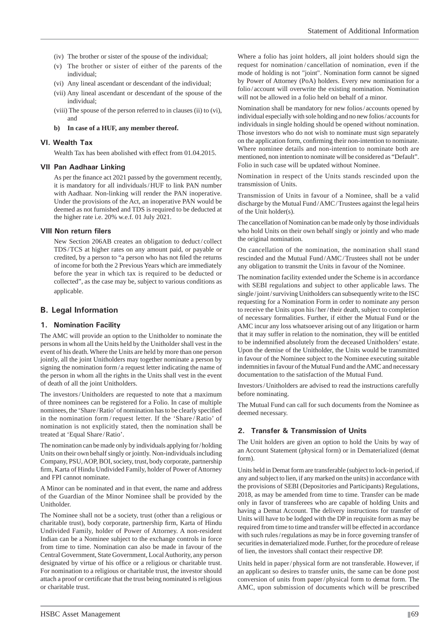- (iv) The brother or sister of the spouse of the individual;
- (v) The brother or sister of either of the parents of the individual;
- (vi) Any lineal ascendant or descendant of the individual;
- (vii) Any lineal ascendant or descendant of the spouse of the individual;
- (viii) The spouse of the person referred to in clauses (ii) to (vi), and

#### **b) In case of a HUF, any member thereof.**

### **VI. Wealth Tax**

Wealth Tax has been abolished with effect from 01.04.2015.

#### **VII Pan Aadhaar Linking**

As per the finance act 2021 passed by the government recently, it is mandatory for all individuals / HUF to link PAN number with Aadhaar. Non-linking will render the PAN inoperative. Under the provisions of the Act, an inoperative PAN would be deemed as not furnished and TDS is required to be deducted at the higher rate i.e. 20% w.e.f. 01 July 2021.

#### **VIII Non return filers**

 New Section 206AB creates an obligation to deduct / collect TDS/TCS at higher rates on any amount paid, or payable or credited, by a person to "a person who has not filed the returns of income for both the 2 Previous Years which are immediately before the year in which tax is required to be deducted or collected", as the case may be, subject to various conditions as applicable.

## **B. Legal Information**

### **1. Nomination Facility**

The AMC will provide an option to the Unitholder to nominate the persons in whom all the Units held by the Unitholder shall vest in the event of his death. Where the Units are held by more than one person jointly, all the joint Unitholders may together nominate a person by signing the nomination form / a request letter indicating the name of the person in whom all the rights in the Units shall vest in the event of death of all the joint Unitholders.

The investors/Unitholders are requested to note that a maximum of three nominees can be registered for a Folio. In case of multiple nominees, the 'Share/Ratio' of nomination has to be clearly specified in the nomination form / request letter. If the 'Share / Ratio' of nomination is not explicitly stated, then the nomination shall be treated at 'Equal Share / Ratio'.

The nomination can be made only by individuals applying for / holding Units on their own behalf singly or jointly. Non-individuals including Company, PSU, AOP, BOI, society, trust, body corporate, partnership firm, Karta of Hindu Undivided Family, holder of Power of Attorney and FPI cannot nominate.

A Minor can be nominated and in that event, the name and address of the Guardian of the Minor Nominee shall be provided by the Unitholder.

The Nominee shall not be a society, trust (other than a religious or charitable trust), body corporate, partnership firm, Karta of Hindu Undivided Family, holder of Power of Attorney. A non-resident Indian can be a Nominee subject to the exchange controls in force from time to time. Nomination can also be made in favour of the Central Government, State Government, Local Authority, any person designated by virtue of his office or a religious or charitable trust. For nomination to a religious or charitable trust, the investor should attach a proof or certificate that the trust being nominated is religious or charitable trust.

Where a folio has joint holders, all joint holders should sign the request for nomination / cancellation of nomination, even if the mode of holding is not "joint". Nomination form cannot be signed by Power of Attorney (PoA) holders. Every new nomination for a folio / account will overwrite the existing nomination. Nomination will not be allowed in a folio held on behalf of a minor.

Nomination shall be mandatory for new folios / accounts opened by individual especially with sole holding and no new folios / accounts for individuals in single holding should be opened without nomination. Those investors who do not wish to nominate must sign separately on the application form, confirming their non-intention to nominate. Where nominee details and non-intention to nominate both are mentioned, non intention to nominate will be considered as "Default". Folio in such case will be updated without Nominee.

Nomination in respect of the Units stands rescinded upon the transmission of Units.

Transmission of Units in favour of a Nominee, shall be a valid discharge by the Mutual Fund / AMC / Trustees against the legal heirs of the Unit holder(s).

The cancellation of Nomination can be made only by those individuals who hold Units on their own behalf singly or jointly and who made the original nomination.

On cancellation of the nomination, the nomination shall stand rescinded and the Mutual Fund / AMC / Trustees shall not be under any obligation to transmit the Units in favour of the Nominee.

The nomination facility extended under the Scheme is in accordance with SEBI regulations and subject to other applicable laws. The single / joint / surviving Unitholders can subsequently write to the ISC requesting for a Nomination Form in order to nominate any person to receive the Units upon his / her / their death, subject to completion of necessary formalities. Further, if either the Mutual Fund or the AMC incur any loss whatsoever arising out of any litigation or harm that it may suffer in relation to the nomination, they will be entitled to be indemnified absolutely from the deceased Unitholders' estate. Upon the demise of the Unitholder, the Units would be transmitted in favour of the Nominee subject to the Nominee executing suitable indemnities in favour of the Mutual Fund and the AMC and necessary documentation to the satisfaction of the Mutual Fund.

Investors / Unitholders are advised to read the instructions carefully before nominating.

The Mutual Fund can call for such documents from the Nominee as deemed necessary.

### **2. Transfer & Transmission of Units**

The Unit holders are given an option to hold the Units by way of an Account Statement (physical form) or in Dematerialized (demat form).

Units held in Demat form are transferable (subject to lock-in period, if any and subject to lien, if any marked on the units) in accordance with the provisions of SEBI (Depositories and Participants) Regulations, 2018, as may be amended from time to time. Transfer can be made only in favor of transferees who are capable of holding Units and having a Demat Account. The delivery instructions for transfer of Units will have to be lodged with the DP in requisite form as may be required from time to time and transfer will be effected in accordance with such rules / regulations as may be in force governing transfer of securities in dematerialized mode. Further, for the procedure of release of lien, the investors shall contact their respective DP.

Units held in paper / physical form are not transferable. However, if an applicant so desires to transfer units, the same can be done post conversion of units from paper / physical form to demat form. The AMC, upon submission of documents which will be prescribed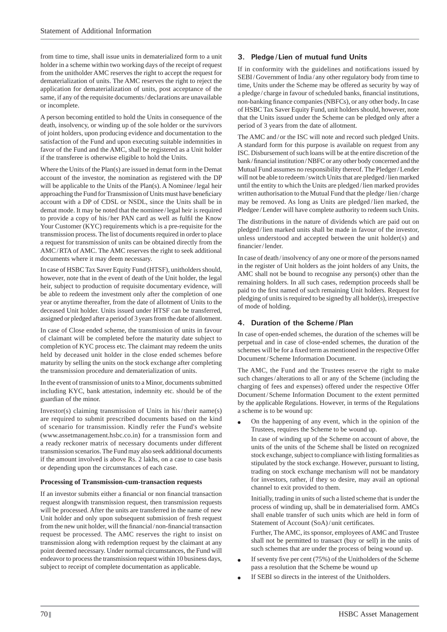from time to time, shall issue units in dematerialized form to a unit holder in a scheme within two working days of the receipt of request from the unitholder AMC reserves the right to accept the request for dematerialization of units. The AMC reserves the right to reject the application for dematerialization of units, post acceptance of the same, if any of the requisite documents / declarations are unavailable or incomplete.

A person becoming entitled to hold the Units in consequence of the death, insolvency, or winding up of the sole holder or the survivors of joint holders, upon producing evidence and documentation to the satisfaction of the Fund and upon executing suitable indemnities in favor of the Fund and the AMC, shall be registered as a Unit holder if the transferee is otherwise eligible to hold the Units.

Where the Units of the Plan(s) are issued in demat form in the Demat account of the investor, the nomination as registered with the DP will be applicable to the Units of the Plan(s). A Nominee/ legal heir approaching the Fund for Transmission of Units must have beneficiary account with a DP of CDSL or NSDL, since the Units shall be in demat mode. It may be noted that the nominee / legal heir is required to provide a copy of his/her PAN card as well as fulfil the Know Your Customer (KYC) requirements which is a pre-requisite for the transmission process. The list of documents required in order to place a request for transmission of units can be obtained directly from the AMC / RTA of AMC. The AMC reserves the right to seek additional documents where it may deem necessary.

In case of HSBC Tax Saver Equity Fund (HTSF), unitholders should, however, note that in the event of death of the Unit holder, the legal heir, subject to production of requisite documentary evidence, will be able to redeem the investment only after the completion of one year or anytime thereafter, from the date of allotment of Units to the deceased Unit holder. Units issued under HTSF can be transferred, assigned or pledged after a period of 3 years from the date of allotment.

In case of Close ended scheme, the transmission of units in favour of claimant will be completed before the maturity date subject to completion of KYC process etc. The claimant may redeem the units held by deceased unit holder in the close ended schemes before maturity by selling the units on the stock exchange after completing the transmission procedure and dematerialization of units.

In the event of transmission of units to a Minor, documents submitted including KYC, bank attestation, indemnity etc. should be of the guardian of the minor.

Investor(s) claiming transmission of Units in his/their name(s) are required to submit prescribed documents based on the kind of scenario for transmission. Kindly refer the Fund's website (www.assetmanagement.hsbc.co.in) for a transmission form and a ready reckoner matrix of necessary documents under different transmission scenarios. The Fund may also seek additional documents if the amount involved is above Rs. 2 lakhs, on a case to case basis or depending upon the circumstances of each case.

### **Processing of Transmission-cum-transaction requests**

If an investor submits either a financial or non financial transaction request alongwith transmission request, then transmission requests will be processed. After the units are transferred in the name of new Unit holder and only upon subsequent submission of fresh request from the new unit holder, will the financial/non-financial transaction request be processed. The AMC reserves the right to insist on transmission along with redemption request by the claimant at any point deemed necessary. Under normal circumstances, the Fund will endeavor to process the transmission request within 10 business days, subject to receipt of complete documentation as applicable.

## **3. Pledge / Lien of mutual fund Units**

If in conformity with the guidelines and notifications issued by SEBI / Government of India / any other regulatory body from time to time, Units under the Scheme may be offered as security by way of a pledge/charge in favour of scheduled banks, financial institutions, non-banking finance companies (NBFCs), or any other body. In case of HSBC Tax Saver Equity Fund, unit holders should, however, note that the Units issued under the Scheme can be pledged only after a period of 3 years from the date of allotment.

The AMC and/or the ISC will note and record such pledged Units. A standard form for this purpose is available on request from any ISC. Disbursement of such loans will be at the entire discretion of the bank/financial institution/NBFC or any other body concerned and the Mutual Fund assumes no responsibility thereof. The Pledger / Lender will not be able to redeem / switch Units that are pledged / lien marked until the entity to which the Units are pledged / lien marked provides written authorisation to the Mutual Fund that the pledge / lien / charge may be removed. As long as Units are pledged / lien marked, the Pledgee / Lender will have complete authority to redeem such Units.

The distributions in the nature of dividends which are paid out on pledged / lien marked units shall be made in favour of the investor, unless understood and accepted between the unit holder(s) and financier/lender.

In case of death / insolvency of any one or more of the persons named in the register of Unit holders as the joint holders of any Units, the AMC shall not be bound to recognise any person(s) other than the remaining holders. In all such cases, redemption proceeds shall be paid to the first named of such remaining Unit holders. Request for pledging of units is required to be signed by all holder(s), irrespective of mode of holding.

### **4. Duration of the Scheme / Plan**

In case of open-ended schemes, the duration of the schemes will be perpetual and in case of close-ended schemes, the duration of the schemes will be for a fixed term as mentioned in the respective Offer Document / Scheme Information Document.

The AMC, the Fund and the Trustees reserve the right to make such changes/alterations to all or any of the Scheme (including the charging of fees and expenses) offered under the respective Offer Document / Scheme Information Document to the extent permitted by the applicable Regulations. However, in terms of the Regulations a scheme is to be wound up:

 On the happening of any event, which in the opinion of the Trustees, requires the Scheme to be wound up.

 In case of winding up of the Scheme on account of above, the units of the units of the Scheme shall be listed on recognized stock exchange, subject to compliance with listing formalities as stipulated by the stock exchange. However, pursuant to listing, trading on stock exchange mechanism will not be mandatory for investors, rather, if they so desire, may avail an optional channel to exit provided to them.

 Initially, trading in units of such a listed scheme that is under the process of winding up, shall be in dematerialised form. AMCs shall enable transfer of such units which are held in form of Statement of Account (SoA)/unit certificates.

 Further, The AMC, its sponsor, employees of AMC and Trustee shall not be permitted to transact (buy or sell) in the units of such schemes that are under the process of being wound up.

- If seventy five per cent (75%) of the Unitholders of the Scheme pass a resolution that the Scheme be wound up
- If SEBI so directs in the interest of the Unitholders.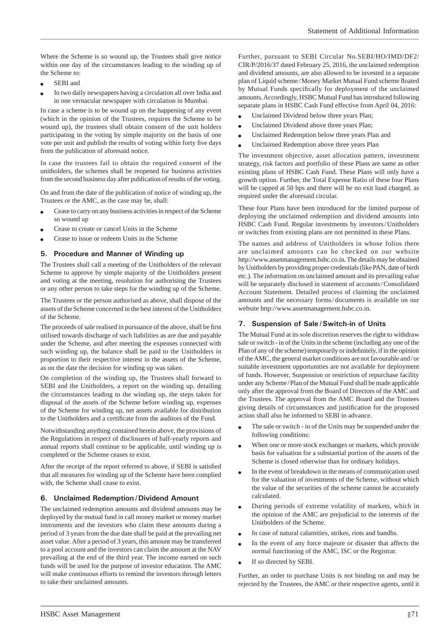Where the Scheme is so wound up, the Trustees shall give notice within one day of the circumstances leading to the winding up of the Scheme to:

- SEBI and
- In two daily newspapers having a circulation all over India and in one vernacular newspaper with circulation in Mumbai.

In case a scheme is to be wound up on the happening of any event (which in the opinion of the Trustees, requires the Scheme to be wound up), the trustees shall obtain consent of the unit holders participating in the voting by simple majority on the basis of one vote per unit and publish the results of voting within forty five days from the publication of aforesaid notice.

In case the trustees fail to obtain the required consent of the unitholders, the schemes shall be reopened for business activities from the second business day after publication of results of the voting.

On and from the date of the publication of notice of winding up, the Trustees or the AMC, as the case may be, shall:

- Cease to carry on any business activities in respect of the Scheme so wound up
- Cease to create or cancel Units in the Scheme
- Cease to issue or redeem Units in the Scheme

### **5. Procedure and Manner of Winding up**

The Trustees shall call a meeting of the Unitholders of the relevant Scheme to approve by simple majority of the Unitholders present and voting at the meeting, resolution for authorising the Trustees or any other person to take steps for the winding up of the Scheme.

The Trustees or the person authorised as above, shall dispose of the assets of the Scheme concerned in the best interest of the Unitholders of the Scheme.

The proceeds of sale realised in pursuance of the above, shall be first utilised towards discharge of such liabilities as are due and payable under the Scheme, and after meeting the expenses connected with such winding up, the balance shall be paid to the Unitholders in proportion to their respective interest in the assets of the Scheme, as on the date the decision for winding up was taken.

On completion of the winding up, the Trustees shall forward to SEBI and the Unitholders, a report on the winding up, detailing the circumstances leading to the winding up, the steps taken for disposal of the assets of the Scheme before winding up, expenses of the Scheme for winding up, net assets available for distribution to the Unitholders and a certificate from the auditors of the Fund.

Notwithstanding anything contained herein above, the provisions of the Regulations in respect of disclosures of half-yearly reports and annual reports shall continue to be applicable, until winding up is completed or the Scheme ceases to exist.

After the receipt of the report referred to above, if SEBI is satisfied that all measures for winding up of the Scheme have been complied with, the Scheme shall cease to exist.

### **6. Unclaimed Redemption / Dividend Amount**

The unclaimed redemption amounts and dividend amounts may be deployed by the mutual fund in call money market or money market instruments and the investors who claim these amounts during a period of 3 years from the due date shall be paid at the prevailing net asset value. After a period of 3 years, this amount may be transferred to a pool account and the investors can claim the amount at the NAV prevailing at the end of the third year. The income earned on such funds will be used for the purpose of investor education. The AMC will make continuous efforts to remind the investors through letters to take their unclaimed amounts.

Further, pursuant to SEBI Circular No.SEBI/HO/IMD/DF2/ CIR/P/2016/37 dated February 25, 2016, the unclaimed redemption and dividend amounts, are also allowed to be invested in a separate plan of Liquid scheme / Money Market Mutual Fund scheme floated by Mutual Funds specifically for deployment of the unclaimed amounts. Accordingly, HSBC Mutual Fund has introduced following separate plans in HSBC Cash Fund effective from April 04, 2016:

- Unclaimed Dividend below three years Plan;
- Unclaimed Dividend above three years Plan;
- Unclaimed Redemption below three years Plan and
- Unclaimed Redemption above three years Plan

The investment objective, asset allocation pattern, investment strategy, risk factors and portfolio of these Plans are same as other existing plans of HSBC Cash Fund. These Plans will only have a growth option. Further, the Total Expense Ratio of these four Plans will be capped at 50 bps and there will be no exit load charged, as required under the aforesaid circular.

These four Plans have been introduced for the limited purpose of deploying the unclaimed redemption and dividend amounts into HSBC Cash Fund. Regular investments by investors / Unitholders or switches from existing plans are not permitted in these Plans.

The names and address of Unitholders in whose folios there are unclaimed amounts can be checked on our website http://www.assetmanagement.hsbc.co.in. The details may be obtained by Unitholders by providing proper credentials (like PAN, date of birth etc.). The information on unclaimed amount and its prevailing value will be separately disclosed in statement of accounts / Consolidated Account Statement. Detailed process of claiming the unclaimed amounts and the necessary forms / documents is available on our website http://www.assetmanagement.hsbc.co.in.

## **7. Suspension of Sale / Switch-in of Units**

The Mutual Fund at its sole discretion reserves the right to withdraw sale or switch - in of the Units in the scheme (including any one of the Plan of any of the scheme) temporarily or indefinitely, if in the opinion of the AMC, the general market conditions are not favourable and / or suitable investment opportunities are not available for deployment of funds. However, Suspension or restriction of repurchase facility under any Scheme / Plan of the Mutual Fund shall be made applicable only after the approval from the Board of Directors of the AMC and the Trustees. The approval from the AMC Board and the Trustees giving details of circumstances and justification for the proposed action shall also be informed to SEBI in advance.

- The sale or switch in of the Units may be suspended under the following conditions:
- When one or more stock exchanges or markets, which provide basis for valuation for a substantial portion of the assets of the Scheme is closed otherwise than for ordinary holidays.
- In the event of breakdown in the means of communication used for the valuation of investments of the Scheme, without which the value of the securities of the scheme cannot be accurately calculated.
- During periods of extreme volatility of markets, which in the opinion of the AMC are prejudicial to the interests of the Unitholders of the Scheme.
- In case of natural calamities, strikes, riots and bandhs.
- In the event of any force majeure or disaster that affects the normal functioning of the AMC, ISC or the Registrar.
- If so directed by SEBI.

Further, an order to purchase Units is not binding on and may be rejected by the Trustees, the AMC or their respective agents, until it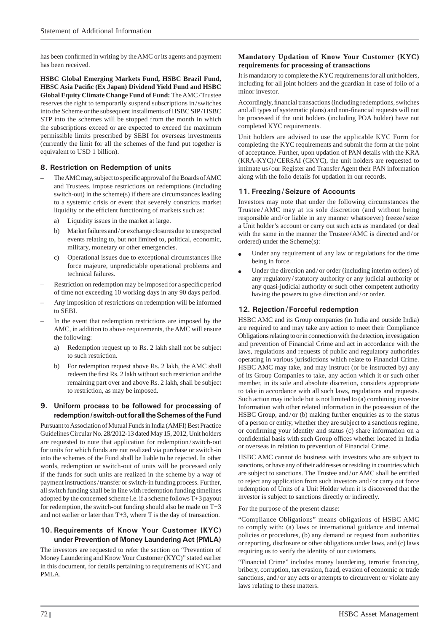has been confirmed in writing by the AMC or its agents and payment has been received.

**HSBC Global Emerging Markets Fund, HSBC Brazil Fund, HBSC Asia Pacifi c (Ex Japan) Dividend Yield Fund and HSBC Global Equity Climate Change Fund of Fund:** The AMC / Trustee reserves the right to temporarily suspend subscriptions in / switches into the Scheme or the subsequent installments of HSBC SIP/HSBC STP into the schemes will be stopped from the month in which the subscriptions exceed or are expected to exceed the maximum permissible limits prescribed by SEBI for overseas investments (currently the limit for all the schemes of the fund put together is equivalent to USD 1 billion).

## **8. Restriction on Redemption of units**

- The AMC may, subject to specific approval of the Boards of AMC and Trustees, impose restrictions on redemptions (including switch-out) in the scheme(s) if there are circumstances leading to a systemic crisis or event that severely constricts market liquidity or the efficient functioning of markets such as:
	- a) Liquidity issues in the market at large.
	- b) Market failures and / or exchange closures due to unexpected events relating to, but not limited to, political, economic, military, monetary or other emergencies.
	- c) Operational issues due to exceptional circumstances like force majeure, unpredictable operational problems and technical failures.
- Restriction on redemption may be imposed for a specific period of time not exceeding 10 working days in any 90 days period.
- Any imposition of restrictions on redemption will be informed to SEBI.
- In the event that redemption restrictions are imposed by the AMC, in addition to above requirements, the AMC will ensure the following:
	- a) Redemption request up to Rs. 2 lakh shall not be subject to such restriction.
	- b) For redemption request above Rs. 2 lakh, the AMC shall redeem the first Rs. 2 lakh without such restriction and the remaining part over and above Rs. 2 lakh, shall be subject to restriction, as may be imposed.

### **9. Uniform process to be followed for processing of redemption / switch-out for all the Schemes of the Fund**

Pursuant to Association of Mutual Funds in India (AMFI) Best Practice Guidelines Circular No. 28/2012-13 dated May 15, 2012, Unit holders are requested to note that application for redemption / switch-out for units for which funds are not realized via purchase or switch-in into the schemes of the Fund shall be liable to be rejected. In other words, redemption or switch-out of units will be processed only if the funds for such units are realized in the scheme by a way of payment instructions / transfer or switch-in funding process. Further, all switch funding shall be in line with redemption funding timelines adopted by the concerned scheme i.e. if a scheme follows T+3 payout for redemption, the switch-out funding should also be made on T+3 and not earlier or later than T+3, where T is the day of transaction.

## **10. Requirements of Know Your Customer (KYC) under Prevention of Money Laundering Act (PMLA)**

The investors are requested to refer the section on "Prevention of Money Laundering and Know Your Customer (KYC)" stated earlier in this document, for details pertaining to requirements of KYC and PMLA.

### **Mandatory Updation of Know Your Customer (KYC) requirements for processing of transactions**

It is mandatory to complete the KYC requirements for all unit holders, including for all joint holders and the guardian in case of folio of a minor investor.

Accordingly, financial transactions (including redemptions, switches and all types of systematic plans) and non-financial requests will not be processed if the unit holders (including POA holder) have not completed KYC requirements.

Unit holders are advised to use the applicable KYC Form for completing the KYC requirements and submit the form at the point of acceptance. Further, upon updation of PAN details with the KRA (KRA-KYC)/CERSAI (CKYC), the unit holders are requested to intimate us **/** our Register and Transfer Agent their PAN information along with the folio details for updation in our records.

## **11. Freezing / Seizure of Accounts**

Investors may note that under the following circumstances the Trustee **/** AMC may at its sole discretion (and without being responsible and **/** or liable in any manner whatsoever) freeze **/** seize a Unit holder's account or carry out such acts as mandated (or deal with the same in the manner the Trustee **/** AMC is directed and / or ordered) under the Scheme(s):

- Under any requirement of any law or regulations for the time being in force.
- Under the direction and / or order (including interim orders) of any regulatory / statutory authority or any judicial authority or any quasi-judicial authority or such other competent authority having the powers to give direction and/or order.

# **12. Rejection / Forceful redemption**

HSBC AMC and its Group companies (in India and outside India) are required to and may take any action to meet their Compliance Obligations relating to or in connection with the detection, investigation and prevention of Financial Crime and act in accordance with the laws, regulations and requests of public and regulatory authorities operating in various jurisdictions which relate to Financial Crime. HSBC AMC may take, and may instruct (or be instructed by) any of its Group Companies to take, any action which it or such other member, in its sole and absolute discretion, considers appropriate to take in accordance with all such laws, regulations and requests. Such action may include but is not limited to (a) combining investor Information with other related information in the possession of the HSBC Group, and/or (b) making further enquiries as to the status of a person or entity, whether they are subject to a sanctions regime, or confirming your identity and status (c) share information on a confidential basis with such Group offices whether located in India or overseas in relation to prevention of Financial Crime.

HSBC AMC cannot do business with investors who are subject to sanctions, or have any of their addresses or residing in countries which are subject to sanctions. The Trustee and / or AMC shall be entitled to reject any application from such investors and / or carry out force redemption of Units of a Unit Holder when it is discovered that the investor is subject to sanctions directly or indirectly.

For the purpose of the present clause:

"Compliance Obligations" means obligations of HSBC AMC to comply with: (a) laws or international guidance and internal policies or procedures, (b) any demand or request from authorities or reporting, disclosure or other obligations under laws, and (c) laws requiring us to verify the identity of our customers.

"Financial Crime" includes money laundering, terrorist financing, bribery, corruption, tax evasion, fraud, evasion of economic or trade sanctions, and/or any acts or attempts to circumvent or violate any laws relating to these matters.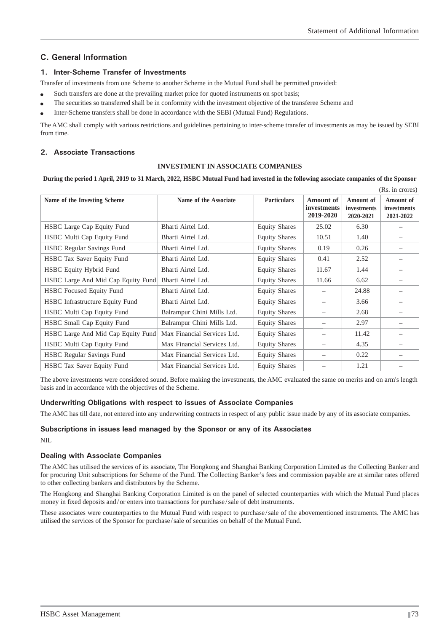# **C. General Information**

### **1. Inter-Scheme Transfer of Investments**

Transfer of investments from one Scheme to another Scheme in the Mutual Fund shall be permitted provided:

- Such transfers are done at the prevailing market price for quoted instruments on spot basis;
- The securities so transferred shall be in conformity with the investment objective of the transferee Scheme and
- Inter-Scheme transfers shall be done in accordance with the SEBI (Mutual Fund) Regulations.

The AMC shall comply with various restrictions and guidelines pertaining to inter-scheme transfer of investments as may be issued by SEBI from time.

## **2. Associate Transactions**

#### **INVESTMENT IN ASSOCIATE COMPANIES**

**During the period 1 April, 2019 to 31 March, 2022, HSBC Mutual Fund had invested in the following associate companies of the Sponsor**

|                                        |                             |                      |                                                     |                                       | (Rs. in crores)                              |
|----------------------------------------|-----------------------------|----------------------|-----------------------------------------------------|---------------------------------------|----------------------------------------------|
| Name of the Investing Scheme           | Name of the Associate       | <b>Particulars</b>   | <b>Amount of</b><br><i>investments</i><br>2019-2020 | Amount of<br>investments<br>2020-2021 | Amount of<br><i>investments</i><br>2021-2022 |
| HSBC Large Cap Equity Fund             | Bharti Airtel Ltd.          | <b>Equity Shares</b> | 25.02                                               | 6.30                                  |                                              |
| HSBC Multi Cap Equity Fund             | Bharti Airtel Ltd.          | <b>Equity Shares</b> | 10.51                                               | 1.40                                  |                                              |
| <b>HSBC</b> Regular Savings Fund       | Bharti Airtel Ltd.          | <b>Equity Shares</b> | 0.19                                                | 0.26                                  |                                              |
| HSBC Tax Saver Equity Fund             | Bharti Airtel Ltd.          | <b>Equity Shares</b> | 0.41                                                | 2.52                                  |                                              |
| HSBC Equity Hybrid Fund                | Bharti Airtel Ltd.          | <b>Equity Shares</b> | 11.67                                               | 1.44                                  |                                              |
| HSBC Large And Mid Cap Equity Fund     | Bharti Airtel Ltd.          | <b>Equity Shares</b> | 11.66                                               | 6.62                                  |                                              |
| HSBC Focused Equity Fund               | Bharti Airtel Ltd.          | <b>Equity Shares</b> |                                                     | 24.88                                 |                                              |
| <b>HSBC</b> Infrastructure Equity Fund | Bharti Airtel Ltd.          | <b>Equity Shares</b> |                                                     | 3.66                                  |                                              |
| HSBC Multi Cap Equity Fund             | Balrampur Chini Mills Ltd.  | <b>Equity Shares</b> |                                                     | 2.68                                  |                                              |
| HSBC Small Cap Equity Fund             | Balrampur Chini Mills Ltd.  | <b>Equity Shares</b> |                                                     | 2.97                                  |                                              |
| HSBC Large And Mid Cap Equity Fund     | Max Financial Services Ltd. | <b>Equity Shares</b> |                                                     | 11.42                                 |                                              |
| HSBC Multi Cap Equity Fund             | Max Financial Services Ltd. | <b>Equity Shares</b> |                                                     | 4.35                                  |                                              |
| <b>HSBC</b> Regular Savings Fund       | Max Financial Services Ltd. | <b>Equity Shares</b> |                                                     | 0.22                                  |                                              |
| HSBC Tax Saver Equity Fund             | Max Financial Services Ltd. | <b>Equity Shares</b> |                                                     | 1.21                                  |                                              |

The above investments were considered sound. Before making the investments, the AMC evaluated the same on merits and on arm's length basis and in accordance with the objectives of the Scheme.

### **Underwriting Obligations with respect to issues of Associate Companies**

The AMC has till date, not entered into any underwriting contracts in respect of any public issue made by any of its associate companies.

## **Subscriptions in issues lead managed by the Sponsor or any of its Associates** NIL

### **Dealing with Associate Companies**

The AMC has utilised the services of its associate, The Hongkong and Shanghai Banking Corporation Limited as the Collecting Banker and for procuring Unit subscriptions for Scheme of the Fund. The Collecting Banker's fees and commission payable are at similar rates offered to other collecting bankers and distributors by the Scheme.

The Hongkong and Shanghai Banking Corporation Limited is on the panel of selected counterparties with which the Mutual Fund places money in fixed deposits and/or enters into transactions for purchase/sale of debt instruments.

These associates were counterparties to the Mutual Fund with respect to purchase / sale of the abovementioned instruments. The AMC has utilised the services of the Sponsor for purchase / sale of securities on behalf of the Mutual Fund.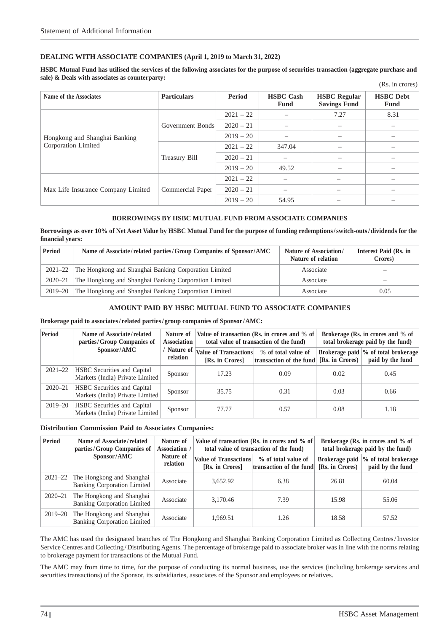## **DEALING WITH ASSOCIATE COMPANIES (April 1, 2019 to March 31, 2022)**

**HSBC Mutual Fund has utilised the services of the following associates for the purpose of securities transaction (aggregate purchase and sale) & Deals with associates as counterparty:**  $(D<sub>e</sub>$  in groves)

|                                    |                      |             |                          |                                            | (10.11)                  |  |
|------------------------------------|----------------------|-------------|--------------------------|--------------------------------------------|--------------------------|--|
| Name of the Associates             | <b>Particulars</b>   | Period      | <b>HSBC</b> Cash<br>Fund | <b>HSBC</b> Regular<br><b>Savings Fund</b> | <b>HSBC</b> Debt<br>Fund |  |
|                                    |                      | $2021 - 22$ |                          | 7.27                                       | 8.31                     |  |
|                                    | Government Bonds     | $2020 - 21$ | -                        |                                            |                          |  |
| Hongkong and Shanghai Banking      |                      | $2019 - 20$ |                          |                                            |                          |  |
| Corporation Limited                |                      | $2021 - 22$ | 347.04                   |                                            |                          |  |
|                                    | <b>Treasury Bill</b> | $2020 - 21$ | $\overline{\phantom{m}}$ |                                            |                          |  |
|                                    |                      | $2019 - 20$ | 49.52                    |                                            |                          |  |
|                                    |                      | $2021 - 22$ | $\overline{\phantom{0}}$ |                                            |                          |  |
| Max Life Insurance Company Limited | Commercial Paper     | $2020 - 21$ | $\overline{\phantom{m}}$ |                                            |                          |  |
|                                    |                      | $2019 - 20$ | 54.95                    |                                            |                          |  |

### **BORROWINGS BY HSBC MUTUAL FUND FROM ASSOCIATE COMPANIES**

**Borrowings as over 10% of Net Asset Value by HSBC Mutual Fund for the purpose of funding redemptions / switch-outs / dividends for the fi nancial years:**

| <b>Period</b> | Name of Associate/related parties/Group Companies of Sponsor/AMC | Nature of Association/<br>Nature of relation | Interest Paid (Rs. in<br>Crores) |
|---------------|------------------------------------------------------------------|----------------------------------------------|----------------------------------|
|               | 2021–22 The Hongkong and Shanghai Banking Corporation Limited    | Associate                                    |                                  |
| 2020–21       | The Hongkong and Shanghai Banking Corporation Limited            | Associate                                    | –                                |
| 2019–20       | The Hongkong and Shanghai Banking Corporation Limited            | Associate                                    | 0.05                             |

### **AMOUNT PAID BY HSBC MUTUAL FUND TO ASSOCIATE COMPANIES**

#### **Brokerage paid to associates / related parties / group companies of Sponsor / AMC:**

| Period      | Name of Associate/related<br>parties/Group Companies of               | Nature of<br><b>Association</b> |                                                                                        | Value of transaction (Rs. in crores and % of<br>total value of transaction of the fund) | Brokerage (Rs. in crores and % of<br>total brokerage paid by the fund) |                                                          |  |  |
|-------------|-----------------------------------------------------------------------|---------------------------------|----------------------------------------------------------------------------------------|-----------------------------------------------------------------------------------------|------------------------------------------------------------------------|----------------------------------------------------------|--|--|
|             | Sponsor/AMC                                                           | relation                        | $\frac{1}{2}$ Nature of $\sqrt{\frac{1}{2}}$ Nature of Transactions<br>[Rs. in Crores] | % of total value of<br>transaction of the fund [Rs. in Crores)                          |                                                                        | Brokerage paid  % of total brokerage<br>paid by the fund |  |  |
| $2021 - 22$ | <b>HSBC</b> Securities and Capital<br>Markets (India) Private Limited | Sponsor                         | 17.23                                                                                  | 0.09                                                                                    | 0.02                                                                   | 0.45                                                     |  |  |
| $2020 - 21$ | <b>HSBC</b> Securities and Capital<br>Markets (India) Private Limited | Sponsor                         | 35.75                                                                                  | 0.31                                                                                    | 0.03                                                                   | 0.66                                                     |  |  |
| $2019 - 20$ | <b>HSBC</b> Securities and Capital<br>Markets (India) Private Limited | Sponsor                         | 77.77                                                                                  | 0.57                                                                                    | 0.08                                                                   | 1.18                                                     |  |  |

#### **Distribution Commission Paid to Associates Companies:**

| <b>Period</b> | Name of Associate/related<br>parties/Group Companies of         | Brokerage (Rs. in crores and % of<br>Value of transaction (Rs. in crores and % of<br>total brokerage paid by the fund) |                                                 |                                                |                 |                                                          |
|---------------|-----------------------------------------------------------------|------------------------------------------------------------------------------------------------------------------------|-------------------------------------------------|------------------------------------------------|-----------------|----------------------------------------------------------|
|               | Sponsor/AMC                                                     | Nature of<br>relation                                                                                                  | <b>Value of Transactions</b><br>[Rs. in Crores] | % of total value of<br>transaction of the fund | [Rs. in Crores] | Brokerage paid \% of total brokerage<br>paid by the fund |
| $2021 - 22$   | The Hongkong and Shanghai<br><b>Banking Corporation Limited</b> | Associate                                                                                                              | 3.652.92                                        | 6.38                                           | 26.81           | 60.04                                                    |
| $2020 - 21$   | The Hongkong and Shanghai<br><b>Banking Corporation Limited</b> | Associate                                                                                                              | 3.170.46                                        | 7.39                                           | 15.98           | 55.06                                                    |
| $2019 - 20$   | The Hongkong and Shanghai<br><b>Banking Corporation Limited</b> | Associate                                                                                                              | 1.969.51                                        | 1.26                                           | 18.58           | 57.52                                                    |

The AMC has used the designated branches of The Hongkong and Shanghai Banking Corporation Limited as Collecting Centres / Investor Service Centres and Collecting / Distributing Agents. The percentage of brokerage paid to associate broker was in line with the norms relating to brokerage payment for transactions of the Mutual Fund.

The AMC may from time to time, for the purpose of conducting its normal business, use the services (including brokerage services and securities transactions) of the Sponsor, its subsidiaries, associates of the Sponsor and employees or relatives.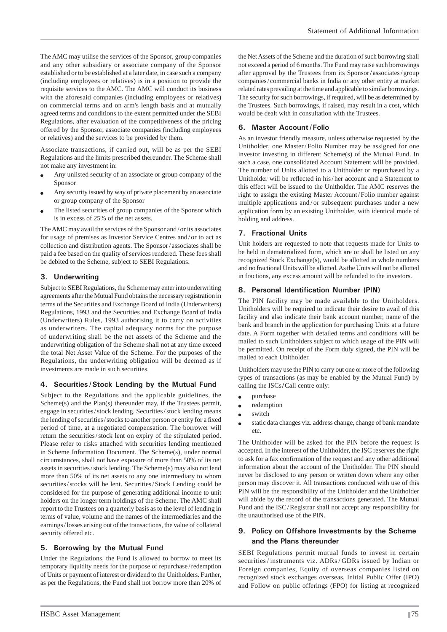The AMC may utilise the services of the Sponsor, group companies and any other subsidiary or associate company of the Sponsor established or to be established at a later date, in case such a company (including employees or relatives) is in a position to provide the requisite services to the AMC. The AMC will conduct its business with the aforesaid companies (including employees or relatives) on commercial terms and on arm's length basis and at mutually agreed terms and conditions to the extent permitted under the SEBI Regulations, after evaluation of the competitiveness of the pricing offered by the Sponsor, associate companies (including employees or relatives) and the services to be provided by them.

Associate transactions, if carried out, will be as per the SEBI Regulations and the limits prescribed thereunder. The Scheme shall not make any investment in:

- Any unlisted security of an associate or group company of the Sponsor
- Any security issued by way of private placement by an associate or group company of the Sponsor
- The listed securities of group companies of the Sponsor which is in excess of 25% of the net assets.

The AMC may avail the services of the Sponsor and / or its associates for usage of premises as Investor Service Centres and / or to act as collection and distribution agents. The Sponsor / associates shall be paid a fee based on the quality of services rendered. These fees shall be debited to the Scheme, subject to SEBI Regulations.

## **3. Underwriting**

Subject to SEBI Regulations, the Scheme may enter into underwriting agreements after the Mutual Fund obtains the necessary registration in terms of the Securities and Exchange Board of India (Underwriters) Regulations, 1993 and the Securities and Exchange Board of India (Underwriters) Rules, 1993 authorising it to carry on activities as underwriters. The capital adequacy norms for the purpose of underwriting shall be the net assets of the Scheme and the underwriting obligation of the Scheme shall not at any time exceed the total Net Asset Value of the Scheme. For the purposes of the Regulations, the underwriting obligation will be deemed as if investments are made in such securities.

### **4. Securities / Stock Lending by the Mutual Fund**

Subject to the Regulations and the applicable guidelines, the Scheme(s) and the Plan(s) thereunder may, if the Trustees permit, engage in securities / stock lending. Securities / stock lending means the lending of securities/stocks to another person or entity for a fixed period of time, at a negotiated compensation. The borrower will return the securities / stock lent on expiry of the stipulated period. Please refer to risks attached with securities lending mentioned in Scheme Information Document. The Scheme(s), under normal circumstances, shall not have exposure of more than 50% of its net assets in securities / stock lending. The Scheme(s) may also not lend more than 50% of its net assets to any one intermediary to whom securities / stocks will be lent. Securities / Stock Lending could be considered for the purpose of generating additional income to unit holders on the longer term holdings of the Scheme. The AMC shall report to the Trustees on a quarterly basis as to the level of lending in terms of value, volume and the names of the intermediaries and the earnings / losses arising out of the transactions, the value of collateral security offered etc.

### **5. Borrowing by the Mutual Fund**

Under the Regulations, the Fund is allowed to borrow to meet its temporary liquidity needs for the purpose of repurchase / redemption of Units or payment of interest or dividend to the Unitholders. Further, as per the Regulations, the Fund shall not borrow more than 20% of the Net Assets of the Scheme and the duration of such borrowing shall not exceed a period of 6 months. The Fund may raise such borrowings after approval by the Trustees from its Sponsor **/** associates / group companies / commercial banks in India or any other entity at market related rates prevailing at the time and applicable to similar borrowings. The security for such borrowings, if required, will be as determined by the Trustees. Such borrowings, if raised, may result in a cost, which would be dealt with in consultation with the Trustees.

## **6. Master Account / Folio**

As an investor friendly measure, unless otherwise requested by the Unitholder, one Master/Folio Number may be assigned for one investor investing in different Scheme(s) of the Mutual Fund. In such a case, one consolidated Account Statement will be provided. The number of Units allotted to a Unitholder or repurchased by a Unitholder will be reflected in his/her account and a Statement to this effect will be issued to the Unitholder. The AMC reserves the right to assign the existing Master Account/Folio number against multiple applications and / or subsequent purchases under a new application form by an existing Unitholder, with identical mode of holding and address.

## **7. Fractional Units**

Unit holders are requested to note that requests made for Units to be held in dematerialized form, which are or shall be listed on any recognized Stock Exchange(s), would be allotted in whole numbers and no fractional Units will be allotted. As the Units will not be allotted in fractions, any excess amount will be refunded to the investors.

## **8. Personal Identification Number (PIN)**

The PIN facility may be made available to the Unitholders. Unitholders will be required to indicate their desire to avail of this facility and also indicate their bank account number, name of the bank and branch in the application for purchasing Units at a future date. A Form together with detailed terms and conditions will be mailed to such Unitholders subject to which usage of the PIN will be permitted. On receipt of the Form duly signed, the PIN will be mailed to each Unitholder.

Unitholders may use the PIN to carry out one or more of the following types of transactions (as may be enabled by the Mutual Fund) by calling the ISCs/Call centre only:

- purchase
- redemption
- switch
- static data changes viz. address change, change of bank mandate etc.

The Unitholder will be asked for the PIN before the request is accepted. In the interest of the Unitholder, the ISC reserves the right to ask for a fax confirmation of the request and any other additional information about the account of the Unitholder. The PIN should never be disclosed to any person or written down where any other person may discover it. All transactions conducted with use of this PIN will be the responsibility of the Unitholder and the Unitholder will abide by the record of the transactions generated. The Mutual Fund and the ISC / Registrar shall not accept any responsibility for the unauthorised use of the PIN.

# **9. Policy on Offshore Investments by the Scheme and the Plans thereunder**

SEBI Regulations permit mutual funds to invest in certain securities/instruments viz. ADRs/GDRs issued by Indian or Foreign companies, Equity of overseas companies listed on recognized stock exchanges overseas, Initial Public Offer (IPO) and Follow on public offerings (FPO) for listing at recognized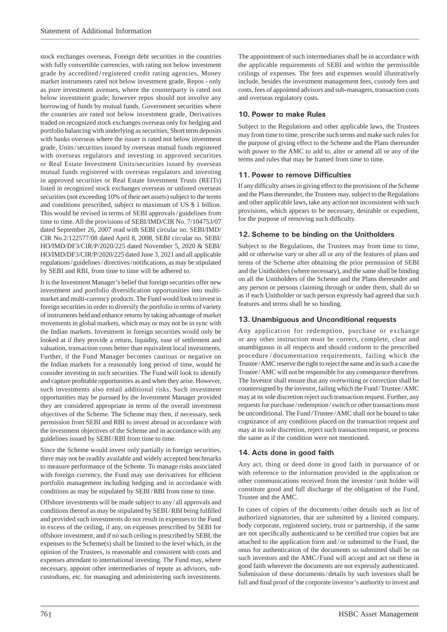stock exchanges overseas, Foreign debt securities in the countries with fully convertible currencies, with rating not below investment grade by accredited **/** registered credit rating agencies, Money market instruments rated not below investment grade, Repos - only as pure investment avenues, where the counterparty is rated not below investment grade; however repos should not involve any borrowing of funds by mutual funds, Government securities where the countries are rated not below investment grade, Derivatives traded on recognized stock exchanges overseas only for hedging and portfolio balancing with underlying as securities, Short term deposits with banks overseas where the issuer is rated not below investment grade, Units / securities issued by overseas mutual funds registered with overseas regulators and investing in approved securities or Real Estate Investment Units/securities issued by overseas mutual funds registered with overseas regulators and investing in approved securities or Real Estate Investment Trusts (REITs) listed in recognized stock exchanges overseas or unlisted overseas securities (not exceeding 10% of their net assets) subject to the terms and conditions prescribed, subject to maximum of US \$ 1 billion. This would be revised in terms of SEBI approvals / guidelines from time to time. All the provisions of SEBI/IMD/CIR No. 7/104753/07 dated September 26, 2007 read with SEBI circular no. SEBI/IMD/ CIR No.2/122577/08 dated April 8, 2008, SEBI circular no. SEBI/ HO/IMD/DF3/CIR/P/2020/225 dated November 5, 2020 & SEBI/ HO/IMD/DF3/CIR/P/2020/225 dated June 3, 2021 and all applicable regulations/guidelines/directives/notifications, as may be stipulated by SEBI and RBI, from time to time will be adhered to.

It is the Investment Manager's belief that foreign securities offer new investment and portfolio diversification opportunities into multimarket and multi-currency products. The Fund would look to invest in foreign securities in order to diversify the portfolio in terms of variety of instruments held and enhance returns by taking advantage of market movements in global markets, which may or may not be in sync with the Indian markets. Investment in foreign securities would only be looked at if they provide a return, liquidity, ease of settlement and valuation, transaction costs better than equivalent local investments. Further, if the Fund Manager becomes cautious or negative on the Indian markets for a reasonably long period of time, would he consider investing in such securities. The Fund will look to identify and capture profitable opportunities as and when they arise. However, such investments also entail additional risks. Such investment opportunities may be pursued by the Investment Manager provided they are considered appropriate in terms of the overall investment objectives of the Scheme. The Scheme may then, if necessary, seek permission from SEBI and RBI to invest abroad in accordance with the investment objectives of the Scheme and in accordance with any guidelines issued by SEBI/RBI from time to time.

Since the Scheme would invest only partially in foreign securities, there may not be readily available and widely accepted benchmarks to measure performance of the Scheme. To manage risks associated with foreign currency, the Fund may use derivatives for efficient portfolio management including hedging and in accordance with conditions as may be stipulated by SEBI/RBI from time to time.

Offshore investments will be made subject to any / all approvals and conditions thereof as may be stipulated by SEBI/RBI being fulfilled and provided such investments do not result in expenses to the Fund in excess of the ceiling, if any, on expenses prescribed by SEBI for offshore investment, and if no such ceiling is prescribed by SEBI, the expenses to the Scheme(s) shall be limited to the level which, in the opinion of the Trustees, is reasonable and consistent with costs and expenses attendant to international investing. The Fund may, where necessary, appoint other intermediaries of repute as advisors, subcustodians, etc. for managing and administering such investments.

The appointment of such intermediaries shall be in accordance with the applicable requirements of SEBI and within the permissible ceilings of expenses. The fees and expenses would illustratively include, besides the investment management fees, custody fees and costs, fees of appointed advisors and sub-managers, transaction costs and overseas regulatory costs.

## **10. Power to make Rules**

Subject to the Regulations and other applicable laws, the Trustees may from time to time, prescribe such terms and make such rules for the purpose of giving effect to the Scheme and the Plans thereunder with power to the AMC to add to, alter or amend all or any of the terms and rules that may be framed from time to time.

## **11. Power to remove Difficulties**

If any difficulty arises in giving effect to the provisions of the Scheme and the Plans thereunder, the Trustees may, subject to the Regulations and other applicable laws, take any action not inconsistent with such provisions, which appears to be necessary, desirable or expedient, for the purpose of removing such difficulty.

## **12. Scheme to be binding on the Unitholders**

Subject to the Regulations, the Trustees may from time to time, add or otherwise vary or alter all or any of the features of plans and terms of the Scheme after obtaining the prior permission of SEBI and the Unitholders (where necessary), and the same shall be binding on all the Unitholders of the Scheme and the Plans thereunder and any person or persons claiming through or under them, shall do so as if each Unitholder or such person expressly had agreed that such features and terms shall be so binding.

## **13. Unambiguous and Unconditional requests**

Any application for redemption, purchase or exchange or any other instruction must be correct, complete, clear and unambiguous in all respects and should conform to the prescribed procedure / documentation requirements, failing which the Trustee / AMC reserve the right to reject the same and in such a case the Trustee / AMC will not be responsible for any consequence therefrom. The Investor shall ensure that any overwriting or correction shall be countersigned by the investor, failing which the Fund / Trustee / AMC may at its sole discretion reject such transaction request. Further, any requests for purchase / redemption / switch or other transactions must be unconditional. The Fund / Trustee / AMC shall not be bound to take cognizance of any conditions placed on the transaction request and may at its sole discretion, reject such transaction request, or process the same as if the condition were not mentioned.

### **14. Acts done in good faith**

Any act, thing or deed done in good faith in pursuance of or with reference to the information provided in the application or other communications received from the investor / unit holder will constitute good and full discharge of the obligation of the Fund, Trustee and the AMC.

In cases of copies of the documents / other details such as list of authorized signatories, that are submitted by a limited company, body corporate, registered society, trust or partnership, if the same are not specifically authenticated to be certified true copies but are attached to the application form and / or submitted to the Fund, the onus for authentication of the documents so submitted shall be on such investors and the AMC/Fund will accept and act on these in good faith wherever the documents are not expressly authenticated. Submission of these documents / details by such investors shall be full and final proof of the corporate investor's authority to invest and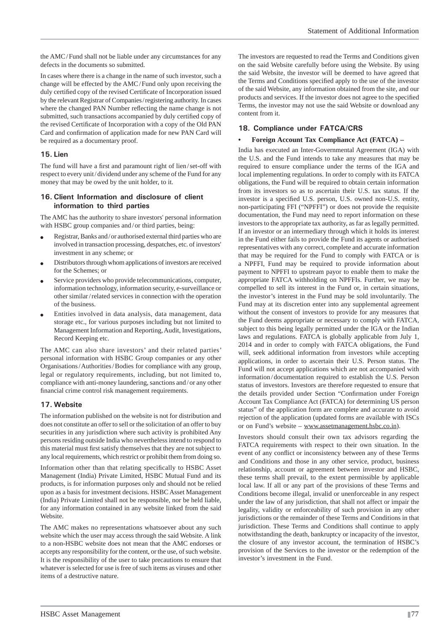the AMC / Fund shall not be liable under any circumstances for any defects in the documents so submitted.

In cases where there is a change in the name of such investor, such a change will be effected by the AMC / Fund only upon receiving the duly certified copy of the revised Certificate of Incorporation issued by the relevant Registrar of Companies / registering authority. In cases where the changed PAN Number reflecting the name change is not submitted, such transactions accompanied by duly certified copy of the revised Certificate of Incorporation with a copy of the Old PAN Card and confirmation of application made for new PAN Card will be required as a documentary proof.

#### **15. Lien**

The fund will have a first and paramount right of lien/set-off with respect to every unit / dividend under any scheme of the Fund for any money that may be owed by the unit holder, to it.

#### **16. Client Information and disclosure of client information to third parties**

The AMC has the authority to share investors' personal information with HSBC group companies and/or third parties, being:

- Registrar, Banks and / or authorised external third parties who are involved in transaction processing, despatches, etc. of investors' investment in any scheme; or
- Distributors through whom applications of investors are received for the Schemes; or
- Service providers who provide telecommunications, computer, information technology, information security, e-surveillance or other similar / related services in connection with the operation of the business.
- Entities involved in data analysis, data management, data storage etc., for various purposes including but not limited to Management Information and Reporting, Audit, Investigations, Record Keeping etc.

The AMC can also share investors' and their related parties' personal information with HSBC Group companies or any other Organisations / Authorities / Bodies for compliance with any group, legal or regulatory requirements, including, but not limited to, compliance with anti-money laundering, sanctions and / or any other financial crime control risk management requirements.

### **17. Website**

The information published on the website is not for distribution and does not constitute an offer to sell or the solicitation of an offer to buy securities in any jurisdiction where such activity is prohibited Any persons residing outside India who nevertheless intend to respond to this material must first satisfy themselves that they are not subject to any local requirements, which restrict or prohibit them from doing so.

Information other than that relating specifically to HSBC Asset Management (India) Private Limited, HSBC Mutual Fund and its products, is for information purposes only and should not be relied upon as a basis for investment decisions. HSBC Asset Management (India) Private Limited shall not be responsible, nor be held liable, for any information contained in any website linked from the said Website.

The AMC makes no representations whatsoever about any such website which the user may access through the said Website. A link to a non-HSBC website does not mean that the AMC endorses or accepts any responsibility for the content, or the use, of such website. It is the responsibility of the user to take precautions to ensure that whatever is selected for use is free of such items as viruses and other items of a destructive nature.

The investors are requested to read the Terms and Conditions given on the said Website carefully before using the Website. By using the said Website, the investor will be deemed to have agreed that the Terms and Conditions specified apply to the use of the investor of the said Website, any information obtained from the site, and our products and services. If the investor does not agree to the specified Terms, the investor may not use the said Website or download any content from it.

### **18. Compliance under FATCA/CRS**

#### **• Foreign Account Tax Compliance Act (FATCA) –**

India has executed an Inter-Governmental Agreement (IGA) with the U.S. and the Fund intends to take any measures that may be required to ensure compliance under the terms of the IGA and local implementing regulations. In order to comply with its FATCA obligations, the Fund will be required to obtain certain information from its investors so as to ascertain their U.S. tax status. If the investor is a specified U.S. person, U.S. owned non-U.S. entity, non-participating FFI ("NPFFI") or does not provide the requisite documentation, the Fund may need to report information on these investors to the appropriate tax authority, as far as legally permitted. If an investor or an intermediary through which it holds its interest in the Fund either fails to provide the Fund its agents or authorised representatives with any correct, complete and accurate information that may be required for the Fund to comply with FATCA or is a NPFFI, Fund may be required to provide information about payment to NPFFI to upstream payor to enable them to make the appropriate FATCA withholding on NPFFIs. Further, we may be compelled to sell its interest in the Fund or, in certain situations, the investor's interest in the Fund may be sold involuntarily. The Fund may at its discretion enter into any supplemental agreement without the consent of investors to provide for any measures that the Fund deems appropriate or necessary to comply with FATCA, subject to this being legally permitted under the IGA or the Indian laws and regulations. FATCA is globally applicable from July 1, 2014 and in order to comply with FATCA obligations, the Fund will, seek additional information from investors while accepting applications, in order to ascertain their U.S. Person status. The Fund will not accept applications which are not accompanied with information / documentation required to establish the U.S. Person status of investors. Investors are therefore requested to ensure that the details provided under Section "Confirmation under Foreign Account Tax Compliance Act (FATCA) for determining US person status" of the application form are complete and accurate to avoid rejection of the application (updated forms are available with ISCs or on Fund's website – www.assetmanagement.hsbc.co.in).

Investors should consult their own tax advisors regarding the FATCA requirements with respect to their own situation. In the event of any conflict or inconsistency between any of these Terms and Conditions and those in any other service, product, business relationship, account or agreement between investor and HSBC, these terms shall prevail, to the extent permissible by applicable local law. If all or any part of the provisions of these Terms and Conditions become illegal, invalid or unenforceable in any respect under the law of any jurisdiction, that shall not affect or impair the legality, validity or enforceability of such provision in any other jurisdictions or the remainder of these Terms and Conditions in that jurisdiction. These Terms and Conditions shall continue to apply notwithstanding the death, bankruptcy or incapacity of the investor, the closure of any investor account, the termination of HSBC's provision of the Services to the investor or the redemption of the investor's investment in the Fund.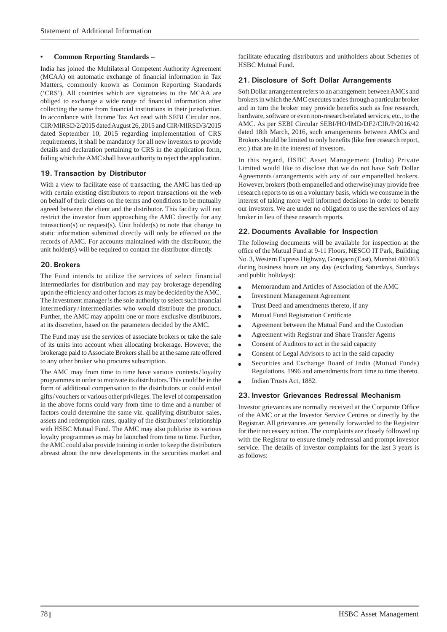#### **• Common Reporting Standards –**

India has joined the Multilateral Competent Authority Agreement (MCAA) on automatic exchange of financial information in Tax Matters, commonly known as Common Reporting Standards ('CRS'). All countries which are signatories to the MCAA are obliged to exchange a wide range of financial information after collecting the same from financial institutions in their jurisdiction. In accordance with Income Tax Act read with SEBI Circular nos. CIR/MIRSD/2/2015 dated August 26, 2015 and CIR/MIRSD/3/2015 dated September 10, 2015 regarding implementation of CRS requirements, it shall be mandatory for all new investors to provide details and declaration pertaining to CRS in the application form, failing which the AMC shall have authority to reject the application.

## **19. Transaction by Distributor**

With a view to facilitate ease of transacting, the AMC has tied-up with certain existing distributors to report transactions on the web on behalf of their clients on the terms and conditions to be mutually agreed between the client and the distributor. This facility will not restrict the investor from approaching the AMC directly for any transaction(s) or request(s). Unit holder(s) to note that change to static information submitted directly will only be effected on the records of AMC. For accounts maintained with the distributor, the unit holder(s) will be required to contact the distributor directly.

### **20. Brokers**

The Fund intends to utilize the services of select financial intermediaries for distribution and may pay brokerage depending upon the efficiency and other factors as may be decided by the AMC. The Investment manager is the sole authority to select such financial intermediary / intermediaries who would distribute the product. Further, the AMC may appoint one or more exclusive distributors, at its discretion, based on the parameters decided by the AMC.

The Fund may use the services of associate brokers or take the sale of its units into account when allocating brokerage. However, the brokerage paid to Associate Brokers shall be at the same rate offered to any other broker who procures subscription.

The AMC may from time to time have various contests / loyalty programmes in order to motivate its distributors. This could be in the form of additional compensation to the distributors or could entail gifts / vouchers or various other privileges. The level of compensation in the above forms could vary from time to time and a number of factors could determine the same viz. qualifying distributor sales, assets and redemption rates, quality of the distributors' relationship with HSBC Mutual Fund. The AMC may also publicise its various loyalty programmes as may be launched from time to time. Further, the AMC could also provide training in order to keep the distributors abreast about the new developments in the securities market and facilitate educating distributors and unitholders about Schemes of HSBC Mutual Fund.

## **21. Disclosure of Soft Dollar Arrangements**

Soft Dollar arrangement refers to an arrangement between AMCs and brokers in which the AMC executes trades through a particular broker and in turn the broker may provide benefits such as free research, hardware, software or even non-research-related services, etc., to the AMC. As per SEBI Circular SEBI/HO/IMD/DF2/CIR/P/2016/42 dated 18th March, 2016, such arrangements between AMCs and Brokers should be limited to only benefits (like free research report, etc.) that are in the interest of investors.

In this regard, HSBC Asset Management (India) Private Limited would like to disclose that we do not have Soft Dollar Agreements / arrangements with any of our empanelled brokers. However, brokers (both empanelled and otherwise) may provide free research reports to us on a voluntary basis, which we consume in the interest of taking more well informed decisions in order to benefit our investors. We are under no obligation to use the services of any broker in lieu of these research reports.

### **22. Documents Available for Inspection**

The following documents will be available for inspection at the office of the Mutual Fund at 9-11 Floors, NESCO IT Park, Building No. 3, Western Express Highway, Goregaon (East), Mumbai 400 063 during business hours on any day (excluding Saturdays, Sundays and public holidays):

- Memorandum and Articles of Association of the AMC
- Investment Management Agreement
- Trust Deed and amendments thereto, if any
- $\bullet$  Mutual Fund Registration Certificate
- Agreement between the Mutual Fund and the Custodian
- Agreement with Registrar and Share Transfer Agents
- Consent of Auditors to act in the said capacity
- Consent of Legal Advisors to act in the said capacity
- Securities and Exchange Board of India (Mutual Funds) Regulations, 1996 and amendments from time to time thereto.
- Indian Trusts Act, 1882.

### **23. Investor Grievances Redressal Mechanism**

Investor grievances are normally received at the Corporate Office of the AMC or at the Investor Service Centres or directly by the Registrar. All grievances are generally forwarded to the Registrar for their necessary action. The complaints are closely followed up with the Registrar to ensure timely redressal and prompt investor service. The details of investor complaints for the last 3 years is as follows: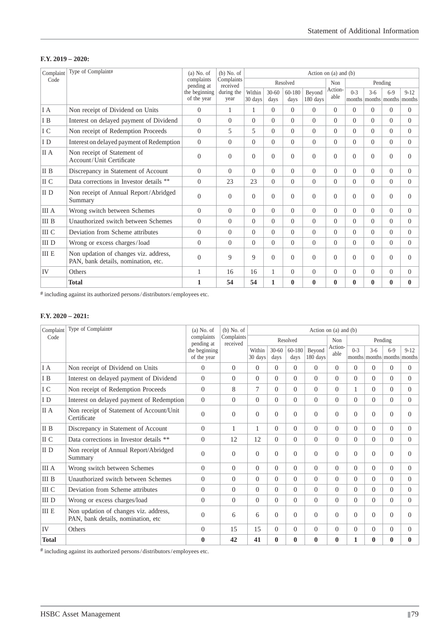## **F.Y. 2019 – 2020:**

| Complaint       | Type of Complaint#                                                           | $(a)$ No. of                 | $(b)$ No. of<br>Complaints<br>received | Action on $(a)$ and $(b)$ |                   |                |                    |                 |                 |              |                        |                    |
|-----------------|------------------------------------------------------------------------------|------------------------------|----------------------------------------|---------------------------|-------------------|----------------|--------------------|-----------------|-----------------|--------------|------------------------|--------------------|
| Code            |                                                                              | complaints<br>pending at     |                                        |                           |                   | Resolved       |                    | Non             | Pending         |              |                        |                    |
|                 |                                                                              | the beginning<br>of the year | during the<br>year                     | Within<br>30 days         | $30 - 60$<br>davs | 60-180<br>davs | Beyond<br>180 days | Action-<br>able | $0-3$<br>months | $3-6$        | $6-9$<br>months months | $9 - 12$<br>months |
| I A             | Non receipt of Dividend on Units                                             | $\Omega$                     | 1                                      | 1                         | $\Omega$          | $\theta$       | $\Omega$           | $\Omega$        | $\Omega$        | $\Omega$     | $\Omega$               | $\Omega$           |
| I B             | Interest on delayed payment of Dividend                                      | $\Omega$                     | $\theta$                               | $\Omega$                  | $\Omega$          | $\Omega$       | $\Omega$           | $\Omega$        | $\Omega$        | $\Omega$     | $\Omega$               | $\Omega$           |
| I C             | Non receipt of Redemption Proceeds                                           | $\Omega$                     | 5                                      | 5                         | $\Omega$          | $\Omega$       | $\Omega$           | $\theta$        | $\Omega$        | $\Omega$     | $\Omega$               | $\Omega$           |
| I D             | Interest on delayed payment of Redemption                                    | $\theta$                     | $\overline{0}$                         | $\overline{0}$            | $\Omega$          | $\theta$       | $\Omega$           | $\overline{0}$  | $\Omega$        | $\Omega$     | $\Omega$               | $\overline{0}$     |
| II A            | Non receipt of Statement of<br>Account/Unit Certificate                      | $\theta$                     | $\Omega$                               | $\Omega$                  | $\theta$          | $\Omega$       | $\Omega$           | $\theta$        | $\Omega$        | $\Omega$     | $\theta$               | $\Omega$           |
| II B            | Discrepancy in Statement of Account                                          | $\theta$                     | $\theta$                               | $\Omega$                  | $\Omega$          | $\Omega$       | $\Omega$           | $\theta$        | $\Omega$        | $\Omega$     | $\Omega$               | $\Omega$           |
| II C            | Data corrections in Investor details **                                      | $\theta$                     | 23                                     | 23                        | $\Omega$          | $\theta$       | $\Omega$           | $\Omega$        | $\Omega$        | $\Omega$     | $\Omega$               | $\Omega$           |
| II <sub>D</sub> | Non receipt of Annual Report/Abridged<br>Summary                             | $\overline{0}$               | $\theta$                               | $\overline{0}$            | $\theta$          | $\Omega$       | $\Omega$           | $\overline{0}$  | $\Omega$        | $\theta$     | $\theta$               | $\Omega$           |
| <b>III</b> A    | Wrong switch between Schemes                                                 | $\overline{0}$               | $\theta$                               | $\Omega$                  | $\Omega$          | $\Omega$       | $\Omega$           | $\Omega$        | $\Omega$        | $\Omega$     | $\Omega$               | $\Omega$           |
| III B           | Unauthorized switch between Schemes                                          | $\Omega$                     | $\Omega$                               | $\Omega$                  | $\Omega$          | $\Omega$       | $\Omega$           | $\theta$        | $\Omega$        | $\Omega$     | $\Omega$               | $\Omega$           |
| III C           | Deviation from Scheme attributes                                             | $\Omega$                     | $\Omega$                               | $\Omega$                  | $\Omega$          | $\Omega$       | $\Omega$           | $\Omega$        | $\Omega$        | $\Omega$     | $\Omega$               | $\Omega$           |
| III D           | Wrong or excess charges/load                                                 | $\overline{0}$               | $\theta$                               | $\Omega$                  | $\Omega$          | $\theta$       | $\Omega$           | $\overline{0}$  | $\Omega$        | $\Omega$     | $\Omega$               | $\Omega$           |
| <b>III E</b>    | Non updation of changes viz. address,<br>PAN, bank details, nomination, etc. | $\theta$                     | 9                                      | 9                         | $\Omega$          | $\Omega$       | $\Omega$           | $\theta$        | $\Omega$        | $\Omega$     | $\Omega$               | $\Omega$           |
| IV              | Others                                                                       |                              | 16                                     | 16                        | 1                 | $\theta$       | $\Omega$           | $\overline{0}$  | $\Omega$        | $\Omega$     | $\Omega$               | $\Omega$           |
|                 | <b>Total</b>                                                                 | 1                            | 54                                     | 54                        | $\mathbf{1}$      | $\mathbf{0}$   | $\bf{0}$           | $\bf{0}$        | $\bf{0}$        | $\mathbf{0}$ | $\bf{0}$               | $\mathbf{0}$       |

# including against its authorized persons / distributors / employees etc.

## **F.Y. 2020 – 2021:**

| Complaint    | Type of Complaint#                                                           | $(a)$ No. of<br>complaints<br>pending at | $(b)$ No. of<br>Complaints<br>received | Action on $(a)$ and $(b)$ |                   |                |                    |                 |                |          |          |                                         |
|--------------|------------------------------------------------------------------------------|------------------------------------------|----------------------------------------|---------------------------|-------------------|----------------|--------------------|-----------------|----------------|----------|----------|-----------------------------------------|
| Code         |                                                                              |                                          |                                        |                           |                   | Resolved       |                    | Non             | Pending        |          |          |                                         |
|              |                                                                              | the beginning<br>of the year             |                                        | Within<br>30 days         | $30 - 60$<br>davs | 60-180<br>days | Beyond<br>180 days | Action-<br>able | $0-3$          | $3-6$    | $6 - 9$  | $9 - 12$<br>months months months months |
| I A          | Non receipt of Dividend on Units                                             | $\overline{0}$                           | $\Omega$                               | $\Omega$                  | $\Omega$          | $\theta$       | $\Omega$           | $\theta$        | $\Omega$       | $\Omega$ | $\Omega$ | $\Omega$                                |
| I B          | Interest on delayed payment of Dividend                                      | $\Omega$                                 | $\Omega$                               | $\Omega$                  | $\Omega$          | $\theta$       | $\Omega$           | $\Omega$        | $\Omega$       | $\Omega$ | $\Omega$ | $\Omega$                                |
| I C          | Non receipt of Redemption Proceeds                                           | $\overline{0}$                           | 8                                      | $\overline{7}$            | $\Omega$          | $\theta$       | $\Omega$           | $\Omega$        | $\mathbf{1}$   | $\Omega$ | $\Omega$ | $\theta$                                |
| I D          | Interest on delayed payment of Redemption                                    | $\theta$                                 | $\overline{0}$                         | $\Omega$                  | $\Omega$          | $\theta$       | $\Omega$           | $\Omega$        | $\Omega$       | $\Omega$ | $\Omega$ | $\theta$                                |
| II A         | Non receipt of Statement of Account/Unit<br>Certificate                      | $\overline{0}$                           | $\Omega$                               | $\Omega$                  | $\Omega$          | $\Omega$       | $\Omega$           | $\Omega$        | $\Omega$       | $\Omega$ | $\Omega$ | $\Omega$                                |
| II B         | Discrepancy in Statement of Account                                          | $\Omega$                                 | 1                                      | 1                         | $\Omega$          | $\theta$       | $\Omega$           | $\Omega$        | $\theta$       | $\Omega$ | $\Omega$ | $\Omega$                                |
| II C         | Data corrections in Investor details **                                      | $\Omega$                                 | 12                                     | 12                        | $\Omega$          | $\theta$       | $\Omega$           | $\Omega$        | $\theta$       | $\Omega$ | $\Omega$ | $\Omega$                                |
| II D         | Non receipt of Annual Report/Abridged<br>Summary                             | $\overline{0}$                           | $\mathbf{0}$                           | $\Omega$                  | $\Omega$          | $\theta$       | $\Omega$           | $\Omega$        | $\theta$       | $\Omega$ | $\Omega$ | $\Omega$                                |
| <b>III</b> A | Wrong switch between Schemes                                                 | $\overline{0}$                           | $\Omega$                               | $\Omega$                  | $\Omega$          | $\theta$       | $\Omega$           | $\Omega$        | $\Omega$       | $\Omega$ | $\Omega$ | $\Omega$                                |
| <b>III B</b> | Unauthorized switch between Schemes                                          | $\Omega$                                 | $\Omega$                               | $\Omega$                  | $\Omega$          | $\theta$       | $\Omega$           | $\Omega$        | $\Omega$       | $\Omega$ | $\Omega$ | $\Omega$                                |
| III C        | Deviation from Scheme attributes                                             | $\overline{0}$                           | $\Omega$                               | $\Omega$                  | $\Omega$          | $\theta$       | $\Omega$           | $\Omega$        | $\Omega$       | $\Omega$ | $\Omega$ | $\theta$                                |
| III D        | Wrong or excess charges/load                                                 | $\overline{0}$                           | $\overline{0}$                         | $\Omega$                  | $\Omega$          | $\overline{0}$ | $\Omega$           | $\Omega$        | $\overline{0}$ | $\Omega$ | $\Omega$ | $\theta$                                |
| <b>III E</b> | Non updation of changes viz. address,<br>PAN, bank details, nomination, etc. | $\theta$                                 | 6                                      | 6                         | $\Omega$          | $\Omega$       | $\Omega$           | $\Omega$        | $\Omega$       | $\Omega$ | $\Omega$ | $\Omega$                                |
| IV           | Others                                                                       | $\overline{0}$                           | 15                                     | 15                        | $\Omega$          | $\theta$       | $\Omega$           | $\Omega$        | $\Omega$       | $\Omega$ | $\Omega$ | $\theta$                                |
| <b>Total</b> |                                                                              | $\bf{0}$                                 | 42                                     | 41                        | $\bf{0}$          | $\bf{0}$       | $\bf{0}$           | $\bf{0}$        | $\mathbf{1}$   | $\bf{0}$ | $\bf{0}$ | $\bf{0}$                                |

# including against its authorized persons / distributors / employees etc.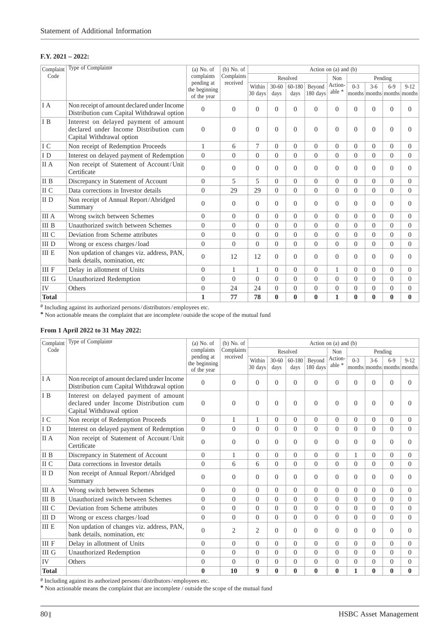#### **F.Y. 2021 – 2022:**

| Complaint    | Type of Complaint#                                                                                           | $(a)$ No. of                | $(b)$ No. of   | Action on $(a)$ and $(b)$   |                   |                |                    |                   |                |              |                                      |          |
|--------------|--------------------------------------------------------------------------------------------------------------|-----------------------------|----------------|-----------------------------|-------------------|----------------|--------------------|-------------------|----------------|--------------|--------------------------------------|----------|
| Code         |                                                                                                              | complaints                  | Complaints     |                             |                   | Resolved       |                    | Non               |                |              | Pending                              |          |
|              |                                                                                                              | pending at<br>the beginning | received       | Within<br>$30 \text{ days}$ | $30 - 60$<br>days | 60-180<br>days | Bevond<br>180 days | Action-<br>able * | $0-3$          | $3-6$        | $6-9$<br>months months months months | $9 - 12$ |
|              |                                                                                                              | of the year                 |                |                             |                   |                |                    |                   |                |              |                                      |          |
| I A          | Non receipt of amount declared under Income<br>Distribution cum Capital Withdrawal option                    | $\overline{0}$              | $\overline{0}$ | $\Omega$                    | $\theta$          | $\overline{0}$ | $\Omega$           | $\Omega$          | $\overline{0}$ | $\Omega$     | $\Omega$                             | $\Omega$ |
| I B          | Interest on delayed payment of amount<br>declared under Income Distribution cum<br>Capital Withdrawal option | $\Omega$                    | $\Omega$       | $\Omega$                    | $\theta$          | $\Omega$       | $\Omega$           | $\Omega$          | $\Omega$       | $\Omega$     | $\Omega$                             | 0        |
| I C          | Non receipt of Redemption Proceeds                                                                           | $\mathbf{1}$                | 6              | 7                           | $\Omega$          | $\Omega$       | $\Omega$           | $\Omega$          | $\Omega$       | $\Omega$     | $\Omega$                             | $\Omega$ |
| ID           | Interest on delayed payment of Redemption                                                                    | $\Omega$                    | $\Omega$       | $\Omega$                    | $\Omega$          | $\Omega$       | $\Omega$           | $\Omega$          | $\Omega$       | $\Omega$     | $\Omega$                             | $\Omega$ |
| II A         | Non receipt of Statement of Account/Unit<br>Certificate                                                      | $\Omega$                    | $\Omega$       | $\Omega$                    | $\Omega$          | $\Omega$       | $\Omega$           | $\Omega$          | $\Omega$       | $\Omega$     | $\Omega$                             | $\Omega$ |
| II B         | Discrepancy in Statement of Account                                                                          | $\Omega$                    | 5              | 5                           | $\Omega$          | $\Omega$       | $\Omega$           | $\Omega$          | $\theta$       | $\Omega$     | $\Omega$                             | $\Omega$ |
| II C         | Data corrections in Investor details                                                                         | $\Omega$                    | 29             | 29                          | $\Omega$          | $\Omega$       | $\Omega$           | $\Omega$          | $\overline{0}$ | $\Omega$     | $\Omega$                             | $\Omega$ |
| II D         | Non receipt of Annual Report/Abridged<br>Summary                                                             | $\overline{0}$              | $\overline{0}$ | $\Omega$                    | $\Omega$          | $\overline{0}$ | $\Omega$           | $\Omega$          | $\overline{0}$ | $\Omega$     | $\Omega$                             | 0        |
| <b>III</b> A | Wrong switch between Schemes                                                                                 | $\overline{0}$              | $\Omega$       | $\Omega$                    | $\Omega$          | $\Omega$       | $\Omega$           | $\Omega$          | $\Omega$       | $\Omega$     | $\Omega$                             | $\Omega$ |
| <b>III</b> B | Unauthorized switch between Schemes                                                                          | $\overline{0}$              | $\Omega$       | $\Omega$                    | $\Omega$          | $\Omega$       | $\Omega$           | $\Omega$          | $\overline{0}$ | $\Omega$     | $\Omega$                             | $\Omega$ |
| <b>III</b> C | Deviation from Scheme attributes                                                                             | $\overline{0}$              | $\overline{0}$ | $\Omega$                    | $\Omega$          | $\Omega$       | $\theta$           | $\Omega$          | $\Omega$       | $\Omega$     | $\Omega$                             | $\Omega$ |
| III D        | Wrong or excess charges/load                                                                                 | $\Omega$                    | $\Omega$       | $\Omega$                    | $\Omega$          | $\Omega$       | $\Omega$           | $\Omega$          | $\theta$       | $\Omega$     | $\Omega$                             | $\Omega$ |
| <b>III E</b> | Non updation of changes viz. address, PAN,<br>bank details, nomination, etc                                  | $\overline{0}$              | 12             | 12                          | $\Omega$          | $\overline{0}$ | $\Omega$           | $\Omega$          | $\Omega$       | $\Omega$     | $\Omega$                             | $\Omega$ |
| <b>III</b> F | Delay in allotment of Units                                                                                  | $\overline{0}$              | $\mathbf{1}$   | 1                           | $\Omega$          | $\overline{0}$ | $\overline{0}$     | $\mathbf{1}$      | $\overline{0}$ | $\Omega$     | $\Omega$                             | $\Omega$ |
| III G        | Unauthorized Redemption                                                                                      | $\overline{0}$              | $\Omega$       | $\Omega$                    | $\Omega$          | $\Omega$       | $\Omega$           | $\Omega$          | $\Omega$       | $\Omega$     | $\Omega$                             | $\Omega$ |
| IV           | Others                                                                                                       | $\overline{0}$              | 24             | 24                          | $\theta$          | $\overline{0}$ | $\theta$           | $\theta$          | $\overline{0}$ | $\Omega$     | $\Omega$                             | $\Omega$ |
| <b>Total</b> |                                                                                                              | 1                           | 77             | 78                          | $\mathbf{0}$      | $\mathbf{0}$   | $\bf{0}$           | $\mathbf{1}$      | $\bf{0}$       | $\mathbf{0}$ | $\mathbf{0}$                         | 0        |

# Including against its authorized persons / distributors / employees etc.

**\*** Non actionable means the complaint that are incomplete / outside the scope of the mutual fund

## **From 1 April 2022 to 31 May 2022:**

| Complaint    | Type of Complaint#                                                                                           | $(a)$ No. of                               | $(b)$ No. of<br>Complaints | Action on $(a)$ and $(b)$ |                   |                |                    |                                    |                |          |                                        |          |
|--------------|--------------------------------------------------------------------------------------------------------------|--------------------------------------------|----------------------------|---------------------------|-------------------|----------------|--------------------|------------------------------------|----------------|----------|----------------------------------------|----------|
| Code         |                                                                                                              | complaints                                 |                            | Resolved                  |                   |                |                    | Non                                | Pending        |          |                                        |          |
|              |                                                                                                              | pending at<br>the beginning<br>of the year | received                   | Within<br>30 days         | $30 - 60$<br>days | 60-180<br>days | Beyond<br>180 days | Action-<br>able $\hspace{0.1mm}^*$ | $0-3$          | $3-6$    | $6 - 9$<br>months months months months | $9 - 12$ |
| I A          | Non receipt of amount declared under Income<br>Distribution cum Capital Withdrawal option                    | $\overline{0}$                             | $\Omega$                   | $\Omega$                  | $\Omega$          | $\overline{0}$ | $\Omega$           | $\Omega$                           | $\Omega$       | $\Omega$ | $\Omega$                               | $\Omega$ |
| I B          | Interest on delayed payment of amount<br>declared under Income Distribution cum<br>Capital Withdrawal option | $\overline{0}$                             | $\mathbf{0}$               | $\Omega$                  | $\Omega$          | $\theta$       | $\Omega$           | $\Omega$                           | $\Omega$       | $\Omega$ | $\Omega$                               | $\Omega$ |
| I C          | Non receipt of Redemption Proceeds                                                                           | $\overline{0}$                             | 1                          | 1                         | $\Omega$          | $\Omega$       | $\Omega$           | $\Omega$                           | $\Omega$       | $\Omega$ | $\Omega$                               | $\Omega$ |
| ID           | Interest on delayed payment of Redemption                                                                    | $\Omega$                                   | $\Omega$                   | $\Omega$                  | $\Omega$          | $\Omega$       | $\Omega$           | $\Omega$                           | $\theta$       | $\Omega$ | $\Omega$                               | $\Omega$ |
| II A         | Non receipt of Statement of Account/Unit<br>Certificate                                                      | $\Omega$                                   | $\Omega$                   | $\Omega$                  | $\theta$          | $\Omega$       | $\Omega$           | $\Omega$                           | $\Omega$       | $\Omega$ | $\Omega$                               | 0        |
| II B         | Discrepancy in Statement of Account                                                                          | $\Omega$                                   | 1                          | $\Omega$                  | $\theta$          | $\Omega$       | $\Omega$           | $\Omega$                           | $\mathbf{1}$   | $\Omega$ | $\Omega$                               | $\Omega$ |
| II C         | Data corrections in Investor details                                                                         | $\overline{0}$                             | 6                          | 6                         | $\Omega$          | $\Omega$       | $\Omega$           | $\Omega$                           | $\Omega$       | $\Omega$ | $\Omega$                               | $\Omega$ |
| II D         | Non receipt of Annual Report/Abridged<br>Summary                                                             | $\overline{0}$                             | $\Omega$                   | $\Omega$                  | $\Omega$          | $\Omega$       | $\Omega$           | $\Omega$                           | $\Omega$       | $\Omega$ | $\Omega$                               | 0        |
| <b>III</b> A | Wrong switch between Schemes                                                                                 | $\overline{0}$                             | $\overline{0}$             | $\Omega$                  | $\Omega$          | $\Omega$       | $\Omega$           | $\Omega$                           | $\Omega$       | $\Omega$ | $\Omega$                               | $\Omega$ |
| <b>III</b> B | Unauthorized switch between Schemes                                                                          | $\overline{0}$                             | $\Omega$                   | $\Omega$                  | $\Omega$          | $\Omega$       | $\Omega$           | $\Omega$                           | $\Omega$       | $\Omega$ | $\Omega$                               | $\Omega$ |
| III C        | Deviation from Scheme attributes                                                                             | $\overline{0}$                             | $\Omega$                   | $\Omega$                  | $\Omega$          | $\Omega$       | $\Omega$           | $\Omega$                           | $\Omega$       | $\Omega$ | $\Omega$                               | $\Omega$ |
| <b>IIID</b>  | Wrong or excess charges/load                                                                                 | $\Omega$                                   | $\Omega$                   | $\Omega$                  | $\Omega$          | $\Omega$       | $\Omega$           | $\Omega$                           | $\Omega$       | $\Omega$ | $\Omega$                               | $\Omega$ |
| <b>III E</b> | Non updation of changes viz. address, PAN,<br>bank details, nomination, etc                                  | $\theta$                                   | $\overline{2}$             | $\overline{2}$            | $\theta$          | $\Omega$       | $\Omega$           | $\Omega$                           | $\Omega$       | $\Omega$ | $\Omega$                               | 0        |
| <b>III</b> F | Delay in allotment of Units                                                                                  | $\overline{0}$                             | $\Omega$                   | $\Omega$                  | $\Omega$          | $\Omega$       | $\Omega$           | $\Omega$                           | $\Omega$       | $\Omega$ | $\Omega$                               | $\Omega$ |
| III G        | <b>Unauthorized Redemption</b>                                                                               | $\overline{0}$                             | $\overline{0}$             | $\Omega$                  | $\Omega$          | $\overline{0}$ | $\overline{0}$     | $\Omega$                           | $\overline{0}$ | $\Omega$ | $\Omega$                               | $\Omega$ |
| IV           | Others                                                                                                       | $\overline{0}$                             | $\overline{0}$             | $\Omega$                  | $\overline{0}$    | $\overline{0}$ | $\mathbf{0}$       | $\overline{0}$                     | $\overline{0}$ | $\Omega$ | $\Omega$                               | $\Omega$ |
| <b>Total</b> |                                                                                                              | $\bf{0}$                                   | 10                         | 9                         | $\bf{0}$          | $\bf{0}$       | $\bf{0}$           | $\mathbf{0}$                       | $\mathbf{1}$   | $\bf{0}$ | $\bf{0}$                               | 0        |

 $^{\#}$  Including against its authorized persons/distributors/employees etc.

**\*** Non actionable means the complaint that are incomplete / outside the scope of the mutual fund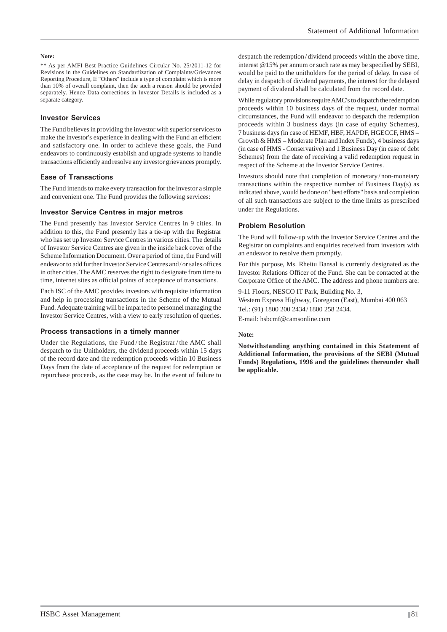#### **Note:**

\*\* As per AMFI Best Practice Guidelines Circular No. 25/2011-12 for Revisions in the Guidelines on Standardization of Complaints/Grievances Reporting Procedure, If "Others" include a type of complaint which is more than 10% of overall complaint, then the such a reason should be provided separately. Hence Data corrections in Investor Details is included as a separate category.

#### **Investor Services**

The Fund believes in providing the investor with superior services to make the investor's experience in dealing with the Fund an efficient and satisfactory one. In order to achieve these goals, the Fund endeavors to continuously establish and upgrade systems to handle transactions efficiently and resolve any investor grievances promptly.

#### **Ease of Transactions**

The Fund intends to make every transaction for the investor a simple and convenient one. The Fund provides the following services:

#### **Investor Service Centres in major metros**

The Fund presently has Investor Service Centres in 9 cities. In addition to this, the Fund presently has a tie-up with the Registrar who has set up Investor Service Centres in various cities. The details of Investor Service Centres are given in the inside back cover of the Scheme Information Document. Over a period of time, the Fund will endeavor to add further Investor Service Centres and/or sales offices in other cities. The AMC reserves the right to designate from time to time, internet sites as official points of acceptance of transactions.

Each ISC of the AMC provides investors with requisite information and help in processing transactions in the Scheme of the Mutual Fund. Adequate training will be imparted to personnel managing the Investor Service Centres, with a view to early resolution of queries.

#### **Process transactions in a timely manner**

Under the Regulations, the Fund / the Registrar / the AMC shall despatch to the Unitholders, the dividend proceeds within 15 days of the record date and the redemption proceeds within 10 Business Days from the date of acceptance of the request for redemption or repurchase proceeds, as the case may be. In the event of failure to despatch the redemption / dividend proceeds within the above time, interest  $@15%$  per annum or such rate as may be specified by SEBI, would be paid to the unitholders for the period of delay. In case of delay in despatch of dividend payments, the interest for the delayed payment of dividend shall be calculated from the record date.

While regulatory provisions require AMC's to dispatch the redemption proceeds within 10 business days of the request, under normal circumstances, the Fund will endeavor to despatch the redemption proceeds within 3 business days (in case of equity Schemes), 7 business days (in case of HEMF, HBF, HAPDF, HGECCF, HMS – Growth & HMS – Moderate Plan and Index Funds), 4 business days (in case of HMS - Conservative) and 1 Business Day (in case of debt Schemes) from the date of receiving a valid redemption request in respect of the Scheme at the Investor Service Centres.

Investors should note that completion of monetary / non-monetary transactions within the respective number of Business Day(s) as indicated above, would be done on "best efforts" basis and completion of all such transactions are subject to the time limits as prescribed under the Regulations.

#### **Problem Resolution**

The Fund will follow-up with the Investor Service Centres and the Registrar on complaints and enquiries received from investors with an endeavor to resolve them promptly.

For this purpose, Ms. Rheitu Bansal is currently designated as the Investor Relations Officer of the Fund. She can be contacted at the Corporate Office of the AMC. The address and phone numbers are:

9-11 Floors, NESCO IT Park, Building No. 3, Western Express Highway, Goregaon (East), Mumbai 400 063 Tel.: (91) 1800 200 2434 / 1800 258 2434. E-mail: hsbcmf@camsonline.com

#### **Note:**

**Notwithstanding anything contained in this Statement of Additional Information, the provisions of the SEBI (Mutual Funds) Regulations, 1996 and the guidelines thereunder shall be applicable.**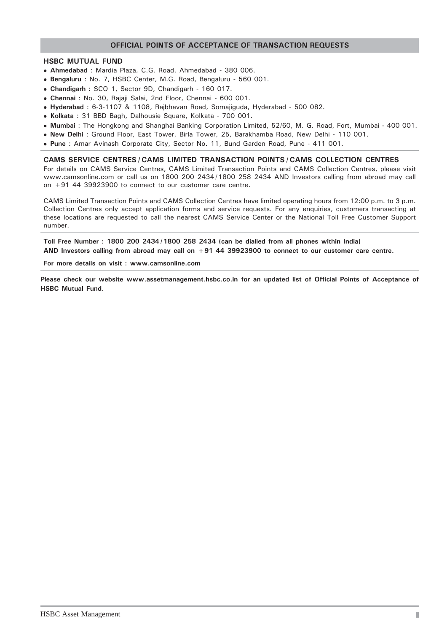## **OFFICIAL POINTS OF ACCEPTANCE OF TRANSACTION REQUESTS**

#### **HSBC MUTUAL FUND**

- **Ahmedabad** : Mardia Plaza, C.G. Road, Ahmedabad 380 006.
- **Bengaluru** : No. 7, HSBC Center, M.G. Road, Bengaluru 560 001.
- **Chandigarh :** SCO 1, Sector 9D, Chandigarh 160 017.
- **Chennai** : No. 30, Rajaji Salai, 2nd Floor, Chennai 600 001.
- **Hyderabad** : 6-3-1107 & 1108, Rajbhavan Road, Somajiguda, Hyderabad 500 082.
- **Kolkata** : 31 BBD Bagh, Dalhousie Square, Kolkata 700 001.
- **Mumbai** : The Hongkong and Shanghai Banking Corporation Limited, 52/60, M. G. Road, Fort, Mumbai 400 001.
- **New Delhi** : Ground Floor, East Tower, Birla Tower, 25, Barakhamba Road, New Delhi 110 001.
- **Pune** : Amar Avinash Corporate City, Sector No. 11, Bund Garden Road, Pune 411 001.

**CAMS SERVICE CENTRES / CAMS LIMITED TRANSACTION POINTS / CAMS COLLECTION CENTRES** For details on CAMS Service Centres, CAMS Limited Transaction Points and CAMS Collection Centres, please visit www.camsonline.com or call us on 1800 200 2434 / 1800 258 2434 AND Investors calling from abroad may call on +91 44 39923900 to connect to our customer care centre.

CAMS Limited Transaction Points and CAMS Collection Centres have limited operating hours from 12:00 p.m. to 3 p.m. Collection Centres only accept application forms and service requests. For any enquiries, customers transacting at these locations are requested to call the nearest CAMS Service Center or the National Toll Free Customer Support number.

**Toll Free Number : 1800 200 2434 / 1800 258 2434 (can be dialled from all phones within India) AND Investors calling from abroad may call on +91 44 39923900 to connect to our customer care centre.**

**For more details on visit : www.camsonline.com**

**Please check our website www.assetmanagement.hsbc.co.in for an updated list of Official Points of Acceptance of HSBC Mutual Fund.**